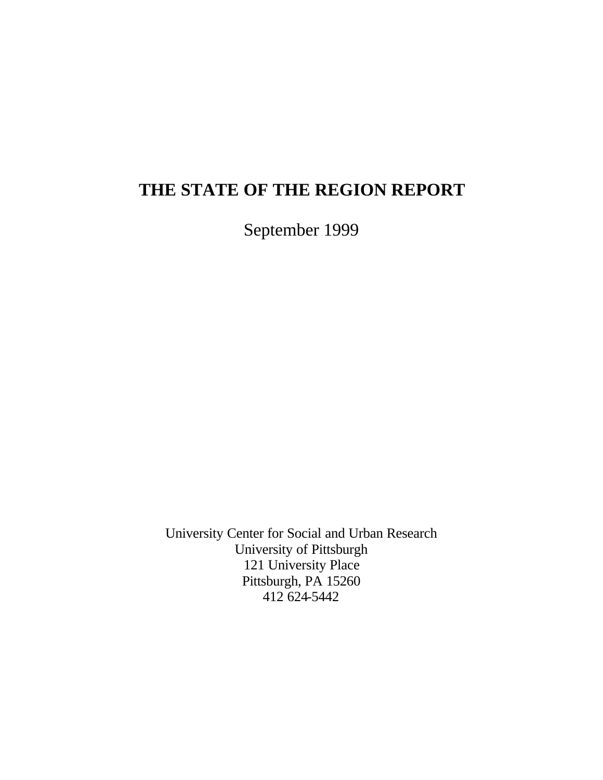# **THE STATE OF THE REGION REPORT**

September 1999

University Center for Social and Urban Research University of Pittsburgh 121 University Place Pittsburgh, PA 15260 412 624-5442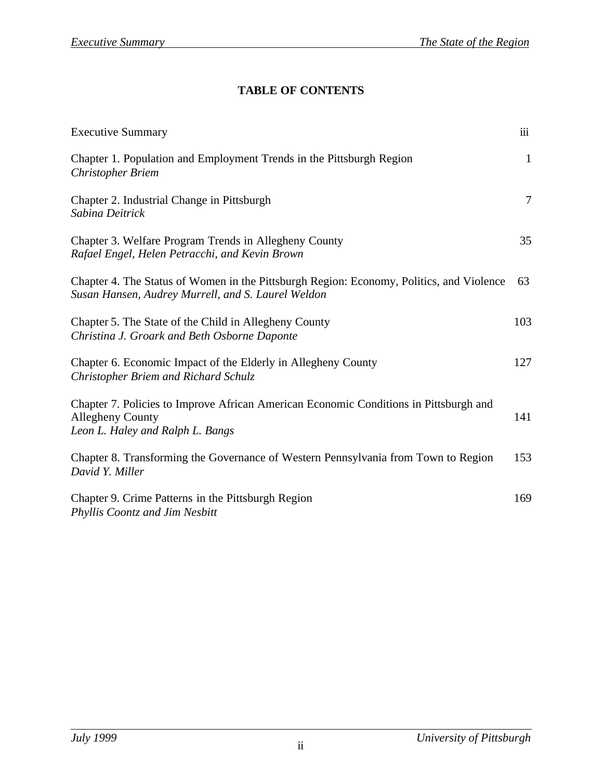## **TABLE OF CONTENTS**

| <b>Executive Summary</b>                                                                                                                             | $\overline{111}$ |
|------------------------------------------------------------------------------------------------------------------------------------------------------|------------------|
| Chapter 1. Population and Employment Trends in the Pittsburgh Region<br><b>Christopher Briem</b>                                                     | 1                |
| Chapter 2. Industrial Change in Pittsburgh<br>Sabina Deitrick                                                                                        | $\tau$           |
| Chapter 3. Welfare Program Trends in Allegheny County<br>Rafael Engel, Helen Petracchi, and Kevin Brown                                              | 35               |
| Chapter 4. The Status of Women in the Pittsburgh Region: Economy, Politics, and Violence<br>Susan Hansen, Audrey Murrell, and S. Laurel Weldon       | 63               |
| Chapter 5. The State of the Child in Allegheny County<br>Christina J. Groark and Beth Osborne Daponte                                                | 103              |
| Chapter 6. Economic Impact of the Elderly in Allegheny County<br>Christopher Briem and Richard Schulz                                                | 127              |
| Chapter 7. Policies to Improve African American Economic Conditions in Pittsburgh and<br><b>Allegheny County</b><br>Leon L. Haley and Ralph L. Bangs | 141              |
| Chapter 8. Transforming the Governance of Western Pennsylvania from Town to Region<br>David Y. Miller                                                | 153              |
| Chapter 9. Crime Patterns in the Pittsburgh Region<br>Phyllis Coontz and Jim Nesbitt                                                                 | 169              |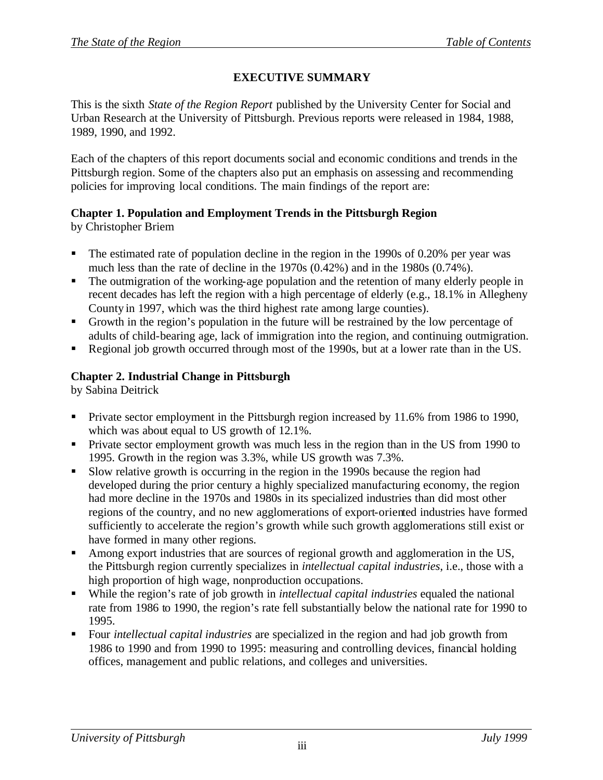## **EXECUTIVE SUMMARY**

This is the sixth *State of the Region Report* published by the University Center for Social and Urban Research at the University of Pittsburgh. Previous reports were released in 1984, 1988, 1989, 1990, and 1992.

Each of the chapters of this report documents social and economic conditions and trends in the Pittsburgh region. Some of the chapters also put an emphasis on assessing and recommending policies for improving local conditions. The main findings of the report are:

# **Chapter 1. Population and Employment Trends in the Pittsburgh Region**

by Christopher Briem

- The estimated rate of population decline in the region in the 1990s of 0.20% per year was much less than the rate of decline in the 1970s (0.42%) and in the 1980s (0.74%).
- The outmigration of the working-age population and the retention of many elderly people in recent decades has left the region with a high percentage of elderly (e.g., 18.1% in Allegheny County in 1997, which was the third highest rate among large counties).
- ß Growth in the region's population in the future will be restrained by the low percentage of adults of child-bearing age, lack of immigration into the region, and continuing outmigration.
- ß Regional job growth occurred through most of the 1990s, but at a lower rate than in the US.

## **Chapter 2. Industrial Change in Pittsburgh**

by Sabina Deitrick

- Private sector employment in the Pittsburgh region increased by 11.6% from 1986 to 1990, which was about equal to US growth of 12.1%.
- **•** Private sector employment growth was much less in the region than in the US from 1990 to 1995. Growth in the region was 3.3%, while US growth was 7.3%.
- ß Slow relative growth is occurring in the region in the 1990s because the region had developed during the prior century a highly specialized manufacturing economy, the region had more decline in the 1970s and 1980s in its specialized industries than did most other regions of the country, and no new agglomerations of export-oriented industries have formed sufficiently to accelerate the region's growth while such growth agglomerations still exist or have formed in many other regions.
- Among export industries that are sources of regional growth and agglomeration in the US, the Pittsburgh region currently specializes in *intellectual capital industries*, i.e., those with a high proportion of high wage, nonproduction occupations.
- ß While the region's rate of job growth in *intellectual capital industries* equaled the national rate from 1986 to 1990, the region's rate fell substantially below the national rate for 1990 to 1995.
- ß Four *intellectual capital industries* are specialized in the region and had job growth from 1986 to 1990 and from 1990 to 1995: measuring and controlling devices, financial holding offices, management and public relations, and colleges and universities.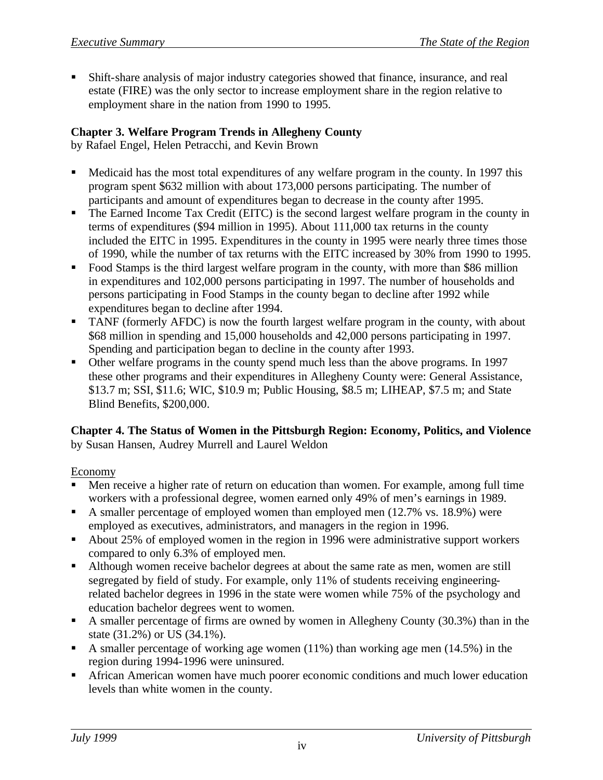ß Shift-share analysis of major industry categories showed that finance, insurance, and real estate (FIRE) was the only sector to increase employment share in the region relative to employment share in the nation from 1990 to 1995.

## **Chapter 3. Welfare Program Trends in Allegheny County**

by Rafael Engel, Helen Petracchi, and Kevin Brown

- Medicaid has the most total expenditures of any welfare program in the county. In 1997 this program spent \$632 million with about 173,000 persons participating. The number of participants and amount of expenditures began to decrease in the county after 1995.
- The Earned Income Tax Credit (EITC) is the second largest welfare program in the county in terms of expenditures (\$94 million in 1995). About 111,000 tax returns in the county included the EITC in 1995. Expenditures in the county in 1995 were nearly three times those of 1990, while the number of tax returns with the EITC increased by 30% from 1990 to 1995.
- ß Food Stamps is the third largest welfare program in the county, with more than \$86 million in expenditures and 102,000 persons participating in 1997. The number of households and persons participating in Food Stamps in the county began to decline after 1992 while expenditures began to decline after 1994.
- ß TANF (formerly AFDC) is now the fourth largest welfare program in the county, with about \$68 million in spending and 15,000 households and 42,000 persons participating in 1997. Spending and participation began to decline in the county after 1993.
- Other welfare programs in the county spend much less than the above programs. In 1997 these other programs and their expenditures in Allegheny County were: General Assistance, \$13.7 m; SSI, \$11.6; WIC, \$10.9 m; Public Housing, \$8.5 m; LIHEAP, \$7.5 m; and State Blind Benefits, \$200,000.

#### **Chapter 4. The Status of Women in the Pittsburgh Region: Economy, Politics, and Violence** by Susan Hansen, Audrey Murrell and Laurel Weldon

#### Economy

- ß Men receive a higher rate of return on education than women. For example, among full time workers with a professional degree, women earned only 49% of men's earnings in 1989.
- A smaller percentage of employed women than employed men  $(12.7\% \text{ vs. } 18.9\%)$  were employed as executives, administrators, and managers in the region in 1996.
- About 25% of employed women in the region in 1996 were administrative support workers compared to only 6.3% of employed men.
- ß Although women receive bachelor degrees at about the same rate as men, women are still segregated by field of study. For example, only 11% of students receiving engineeringrelated bachelor degrees in 1996 in the state were women while 75% of the psychology and education bachelor degrees went to women.
- A smaller percentage of firms are owned by women in Allegheny County  $(30.3\%)$  than in the state (31.2%) or US (34.1%).
- A smaller percentage of working age women  $(11\%)$  than working age men  $(14.5\%)$  in the region during 1994-1996 were uninsured.
- **K** African American women have much poorer economic conditions and much lower education levels than white women in the county.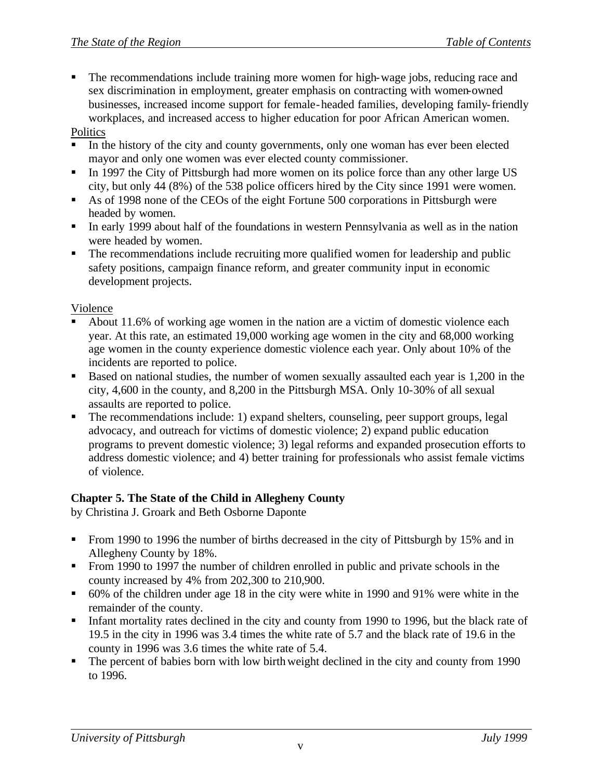ß The recommendations include training more women for high-wage jobs, reducing race and sex discrimination in employment, greater emphasis on contracting with women-owned businesses, increased income support for female-headed families, developing family-friendly workplaces, and increased access to higher education for poor African American women.

#### **Politics**

- In the history of the city and county governments, only one woman has ever been elected mayor and only one women was ever elected county commissioner.
- In 1997 the City of Pittsburgh had more women on its police force than any other large US city, but only 44 (8%) of the 538 police officers hired by the City since 1991 were women.
- As of 1998 none of the CEOs of the eight Fortune 500 corporations in Pittsburgh were headed by women.
- In early 1999 about half of the foundations in western Pennsylvania as well as in the nation were headed by women.
- The recommendations include recruiting more qualified women for leadership and public safety positions, campaign finance reform, and greater community input in economic development projects.

#### Violence

- ß About 11.6% of working age women in the nation are a victim of domestic violence each year. At this rate, an estimated 19,000 working age women in the city and 68,000 working age women in the county experience domestic violence each year. Only about 10% of the incidents are reported to police.
- Based on national studies, the number of women sexually assaulted each year is 1,200 in the city, 4,600 in the county, and 8,200 in the Pittsburgh MSA. Only 10-30% of all sexual assaults are reported to police.
- The recommendations include: 1) expand shelters, counseling, peer support groups, legal advocacy, and outreach for victims of domestic violence; 2) expand public education programs to prevent domestic violence; 3) legal reforms and expanded prosecution efforts to address domestic violence; and 4) better training for professionals who assist female victims of violence.

#### **Chapter 5. The State of the Child in Allegheny County**

by Christina J. Groark and Beth Osborne Daponte

- **From 1990 to 1996 the number of births decreased in the city of Pittsburgh by 15% and in** Allegheny County by 18%.
- **From 1990 to 1997 the number of children enrolled in public and private schools in the** county increased by 4% from 202,300 to 210,900.
- ß 60% of the children under age 18 in the city were white in 1990 and 91% were white in the remainder of the county.
- Infant mortality rates declined in the city and county from 1990 to 1996, but the black rate of 19.5 in the city in 1996 was 3.4 times the white rate of 5.7 and the black rate of 19.6 in the county in 1996 was 3.6 times the white rate of 5.4.
- $\blacksquare$  The percent of babies born with low birth weight declined in the city and county from 1990 to 1996.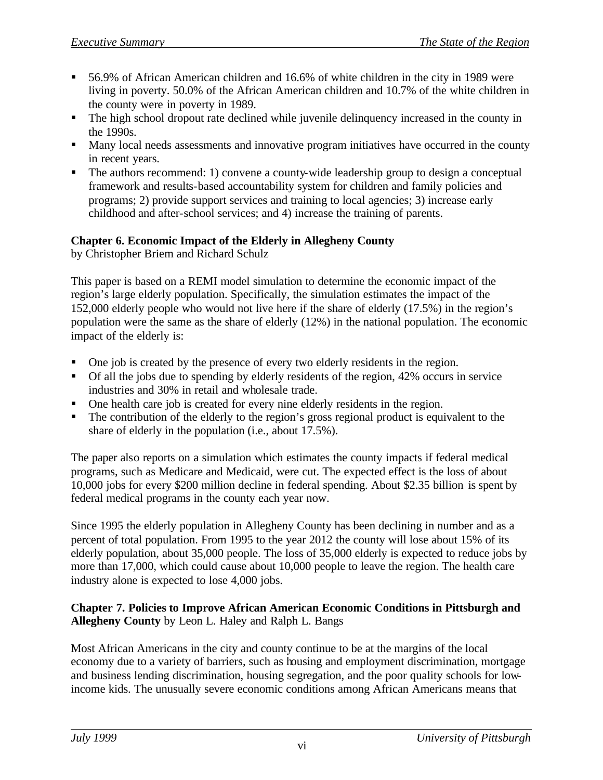- ß 56.9% of African American children and 16.6% of white children in the city in 1989 were living in poverty. 50.0% of the African American children and 10.7% of the white children in the county were in poverty in 1989.
- The high school dropout rate declined while juvenile delinquency increased in the county in the 1990s.
- Many local needs assessments and innovative program initiatives have occurred in the county in recent years.
- The authors recommend: 1) convene a county-wide leadership group to design a conceptual framework and results-based accountability system for children and family policies and programs; 2) provide support services and training to local agencies; 3) increase early childhood and after-school services; and 4) increase the training of parents.

## **Chapter 6. Economic Impact of the Elderly in Allegheny County**

by Christopher Briem and Richard Schulz

This paper is based on a REMI model simulation to determine the economic impact of the region's large elderly population. Specifically, the simulation estimates the impact of the 152,000 elderly people who would not live here if the share of elderly (17.5%) in the region's population were the same as the share of elderly (12%) in the national population. The economic impact of the elderly is:

- One job is created by the presence of every two elderly residents in the region.
- $\blacksquare$  Of all the jobs due to spending by elderly residents of the region, 42% occurs in service industries and 30% in retail and wholesale trade.
- One health care job is created for every nine elderly residents in the region.
- The contribution of the elderly to the region's gross regional product is equivalent to the share of elderly in the population (i.e., about 17.5%).

The paper also reports on a simulation which estimates the county impacts if federal medical programs, such as Medicare and Medicaid, were cut. The expected effect is the loss of about 10,000 jobs for every \$200 million decline in federal spending. About \$2.35 billion is spent by federal medical programs in the county each year now.

Since 1995 the elderly population in Allegheny County has been declining in number and as a percent of total population. From 1995 to the year 2012 the county will lose about 15% of its elderly population, about 35,000 people. The loss of 35,000 elderly is expected to reduce jobs by more than 17,000, which could cause about 10,000 people to leave the region. The health care industry alone is expected to lose 4,000 jobs.

## **Chapter 7. Policies to Improve African American Economic Conditions in Pittsburgh and Allegheny County** by Leon L. Haley and Ralph L. Bangs

Most African Americans in the city and county continue to be at the margins of the local economy due to a variety of barriers, such as housing and employment discrimination, mortgage and business lending discrimination, housing segregation, and the poor quality schools for lowincome kids. The unusually severe economic conditions among African Americans means that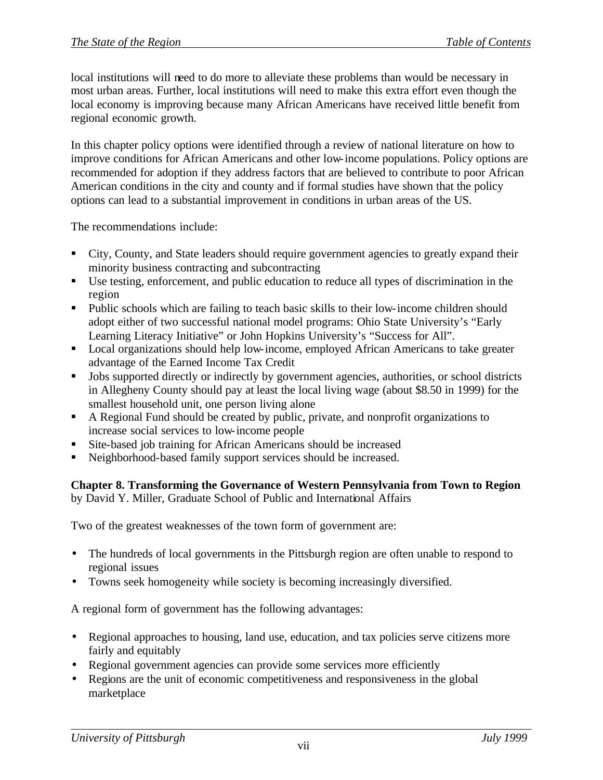local institutions will need to do more to alleviate these problems than would be necessary in most urban areas. Further, local institutions will need to make this extra effort even though the local economy is improving because many African Americans have received little benefit from regional economic growth.

In this chapter policy options were identified through a review of national literature on how to improve conditions for African Americans and other low-income populations. Policy options are recommended for adoption if they address factors that are believed to contribute to poor African American conditions in the city and county and if formal studies have shown that the policy options can lead to a substantial improvement in conditions in urban areas of the US.

The recommendations include:

- City, County, and State leaders should require government agencies to greatly expand their minority business contracting and subcontracting
- ß Use testing, enforcement, and public education to reduce all types of discrimination in the region
- Public schools which are failing to teach basic skills to their low-income children should adopt either of two successful national model programs: Ohio State University's "Early Learning Literacy Initiative" or John Hopkins University's "Success for All".
- Local organizations should help low-income, employed African Americans to take greater advantage of the Earned Income Tax Credit
- **•** Jobs supported directly or indirectly by government agencies, authorities, or school districts in Allegheny County should pay at least the local living wage (about \$8.50 in 1999) for the smallest household unit, one person living alone
- A Regional Fund should be created by public, private, and nonprofit organizations to increase social services to low-income people
- **Site-based job training for African Americans should be increased**
- ß Neighborhood-based family support services should be increased.

**Chapter 8. Transforming the Governance of Western Pennsylvania from Town to Region** by David Y. Miller, Graduate School of Public and International Affairs

Two of the greatest weaknesses of the town form of government are:

- The hundreds of local governments in the Pittsburgh region are often unable to respond to regional issues
- Towns seek homogeneity while society is becoming increasingly diversified.

A regional form of government has the following advantages:

- Regional approaches to housing, land use, education, and tax policies serve citizens more fairly and equitably
- Regional government agencies can provide some services more efficiently
- Regions are the unit of economic competitiveness and responsiveness in the global marketplace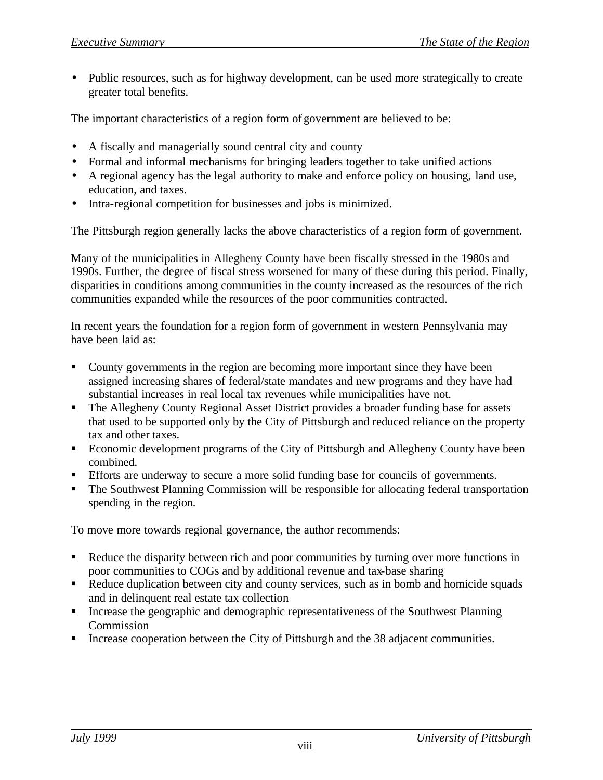• Public resources, such as for highway development, can be used more strategically to create greater total benefits.

The important characteristics of a region form of government are believed to be:

- A fiscally and managerially sound central city and county
- Formal and informal mechanisms for bringing leaders together to take unified actions
- A regional agency has the legal authority to make and enforce policy on housing, land use, education, and taxes.
- Intra-regional competition for businesses and jobs is minimized.

The Pittsburgh region generally lacks the above characteristics of a region form of government.

Many of the municipalities in Allegheny County have been fiscally stressed in the 1980s and 1990s. Further, the degree of fiscal stress worsened for many of these during this period. Finally, disparities in conditions among communities in the county increased as the resources of the rich communities expanded while the resources of the poor communities contracted.

In recent years the foundation for a region form of government in western Pennsylvania may have been laid as:

- County governments in the region are becoming more important since they have been assigned increasing shares of federal/state mandates and new programs and they have had substantial increases in real local tax revenues while municipalities have not.
- The Allegheny County Regional Asset District provides a broader funding base for assets that used to be supported only by the City of Pittsburgh and reduced reliance on the property tax and other taxes.
- **Example 1** Economic development programs of the City of Pittsburgh and Allegheny County have been combined.
- **Efforts are underway to secure a more solid funding base for councils of governments.**
- ß The Southwest Planning Commission will be responsible for allocating federal transportation spending in the region.

To move more towards regional governance, the author recommends:

- Reduce the disparity between rich and poor communities by turning over more functions in poor communities to COGs and by additional revenue and tax-base sharing
- Reduce duplication between city and county services, such as in bomb and homicide squads and in delinquent real estate tax collection
- ß Increase the geographic and demographic representativeness of the Southwest Planning Commission
- ß Increase cooperation between the City of Pittsburgh and the 38 adjacent communities.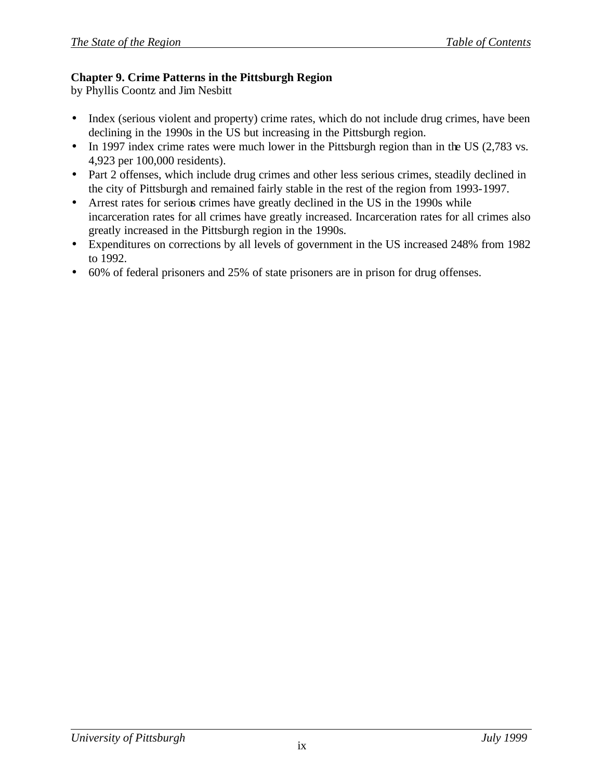#### **Chapter 9. Crime Patterns in the Pittsburgh Region**

by Phyllis Coontz and Jim Nesbitt

- Index (serious violent and property) crime rates, which do not include drug crimes, have been declining in the 1990s in the US but increasing in the Pittsburgh region.
- In 1997 index crime rates were much lower in the Pittsburgh region than in the US (2,783 vs.) 4,923 per 100,000 residents).
- Part 2 offenses, which include drug crimes and other less serious crimes, steadily declined in the city of Pittsburgh and remained fairly stable in the rest of the region from 1993-1997.
- Arrest rates for serious crimes have greatly declined in the US in the 1990s while incarceration rates for all crimes have greatly increased. Incarceration rates for all crimes also greatly increased in the Pittsburgh region in the 1990s.
- Expenditures on corrections by all levels of government in the US increased 248% from 1982 to 1992.
- 60% of federal prisoners and 25% of state prisoners are in prison for drug offenses.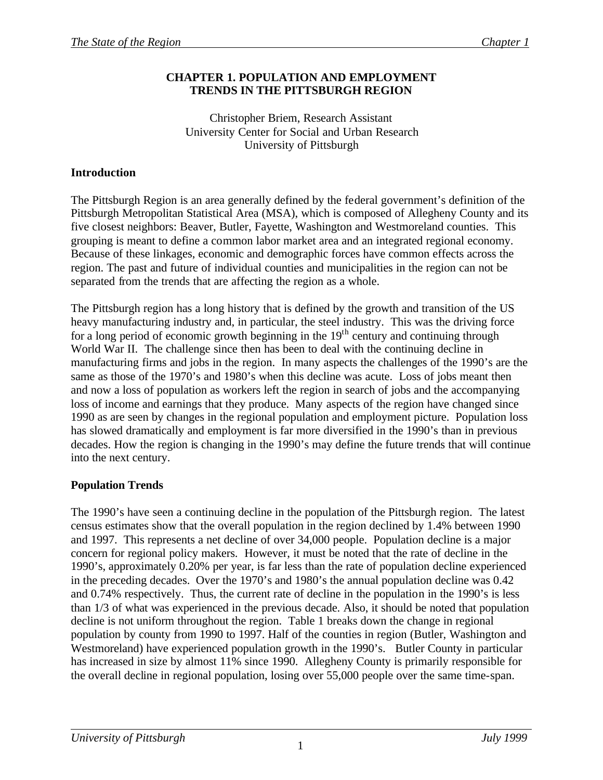#### **CHAPTER 1. POPULATION AND EMPLOYMENT TRENDS IN THE PITTSBURGH REGION**

Christopher Briem, Research Assistant University Center for Social and Urban Research University of Pittsburgh

## **Introduction**

The Pittsburgh Region is an area generally defined by the federal government's definition of the Pittsburgh Metropolitan Statistical Area (MSA), which is composed of Allegheny County and its five closest neighbors: Beaver, Butler, Fayette, Washington and Westmoreland counties. This grouping is meant to define a common labor market area and an integrated regional economy. Because of these linkages, economic and demographic forces have common effects across the region. The past and future of individual counties and municipalities in the region can not be separated from the trends that are affecting the region as a whole.

The Pittsburgh region has a long history that is defined by the growth and transition of the US heavy manufacturing industry and, in particular, the steel industry. This was the driving force for a long period of economic growth beginning in the  $19<sup>th</sup>$  century and continuing through World War II. The challenge since then has been to deal with the continuing decline in manufacturing firms and jobs in the region. In many aspects the challenges of the 1990's are the same as those of the 1970's and 1980's when this decline was acute. Loss of jobs meant then and now a loss of population as workers left the region in search of jobs and the accompanying loss of income and earnings that they produce. Many aspects of the region have changed since 1990 as are seen by changes in the regional population and employment picture. Population loss has slowed dramatically and employment is far more diversified in the 1990's than in previous decades. How the region is changing in the 1990's may define the future trends that will continue into the next century.

## **Population Trends**

The 1990's have seen a continuing decline in the population of the Pittsburgh region. The latest census estimates show that the overall population in the region declined by 1.4% between 1990 and 1997. This represents a net decline of over 34,000 people. Population decline is a major concern for regional policy makers. However, it must be noted that the rate of decline in the 1990's, approximately 0.20% per year, is far less than the rate of population decline experienced in the preceding decades. Over the 1970's and 1980's the annual population decline was 0.42 and 0.74% respectively. Thus, the current rate of decline in the population in the 1990's is less than 1/3 of what was experienced in the previous decade. Also, it should be noted that population decline is not uniform throughout the region. Table 1 breaks down the change in regional population by county from 1990 to 1997. Half of the counties in region (Butler, Washington and Westmoreland) have experienced population growth in the 1990's. Butler County in particular has increased in size by almost 11% since 1990. Allegheny County is primarily responsible for the overall decline in regional population, losing over 55,000 people over the same time-span.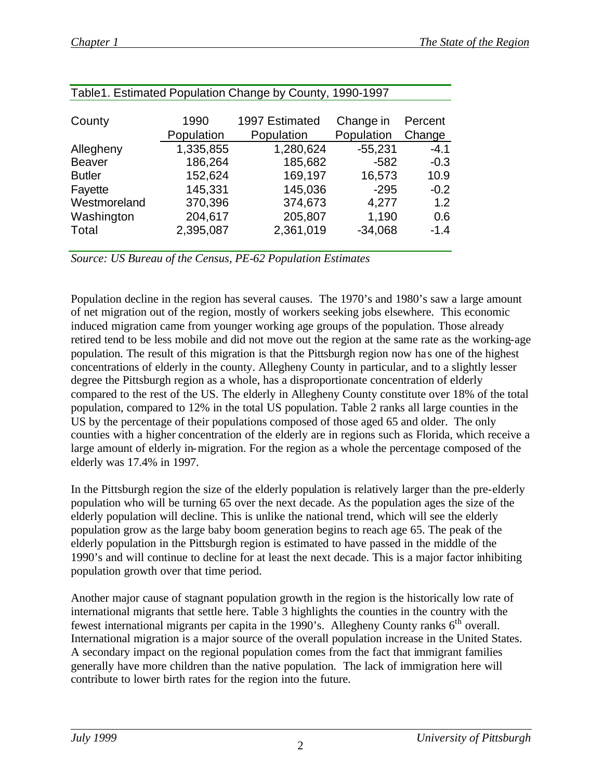|               |            | <b>Table T. Estimated Population Change by County, 1990-1997</b> |            |         |
|---------------|------------|------------------------------------------------------------------|------------|---------|
|               |            |                                                                  |            |         |
| County        | 1990       | 1997 Estimated                                                   | Change in  | Percent |
|               | Population | Population                                                       | Population | Change  |
| Allegheny     | 1,335,855  | 1,280,624                                                        | $-55,231$  | $-4.1$  |
| <b>Beaver</b> | 186,264    | 185,682                                                          | $-582$     | $-0.3$  |
| <b>Butler</b> | 152,624    | 169,197                                                          | 16,573     | 10.9    |
| Fayette       | 145,331    | 145,036                                                          | $-295$     | $-0.2$  |
| Westmoreland  | 370,396    | 374,673                                                          | 4,277      | 1.2     |
| Washington    | 204,617    | 205,807                                                          | 1,190      | 0.6     |
| Total         | 2,395,087  | 2,361,019                                                        | $-34,068$  | $-1.4$  |
|               |            |                                                                  |            |         |

| Table 1. Estimated Population Change by County, 1990-1997 |  |
|-----------------------------------------------------------|--|

*Source: US Bureau of the Census, PE-62 Population Estimates*

Population decline in the region has several causes. The 1970's and 1980's saw a large amount of net migration out of the region, mostly of workers seeking jobs elsewhere. This economic induced migration came from younger working age groups of the population. Those already retired tend to be less mobile and did not move out the region at the same rate as the working-age population. The result of this migration is that the Pittsburgh region now ha s one of the highest concentrations of elderly in the county. Allegheny County in particular, and to a slightly lesser degree the Pittsburgh region as a whole, has a disproportionate concentration of elderly compared to the rest of the US. The elderly in Allegheny County constitute over 18% of the total population, compared to 12% in the total US population. Table 2 ranks all large counties in the US by the percentage of their populations composed of those aged 65 and older. The only counties with a higher concentration of the elderly are in regions such as Florida, which receive a large amount of elderly in-migration. For the region as a whole the percentage composed of the elderly was 17.4% in 1997.

In the Pittsburgh region the size of the elderly population is relatively larger than the pre-elderly population who will be turning 65 over the next decade. As the population ages the size of the elderly population will decline. This is unlike the national trend, which will see the elderly population grow as the large baby boom generation begins to reach age 65. The peak of the elderly population in the Pittsburgh region is estimated to have passed in the middle of the 1990's and will continue to decline for at least the next decade. This is a major factor inhibiting population growth over that time period.

Another major cause of stagnant population growth in the region is the historically low rate of international migrants that settle here. Table 3 highlights the counties in the country with the fewest international migrants per capita in the 1990's. Allegheny County ranks 6th overall. International migration is a major source of the overall population increase in the United States. A secondary impact on the regional population comes from the fact that immigrant families generally have more children than the native population. The lack of immigration here will contribute to lower birth rates for the region into the future.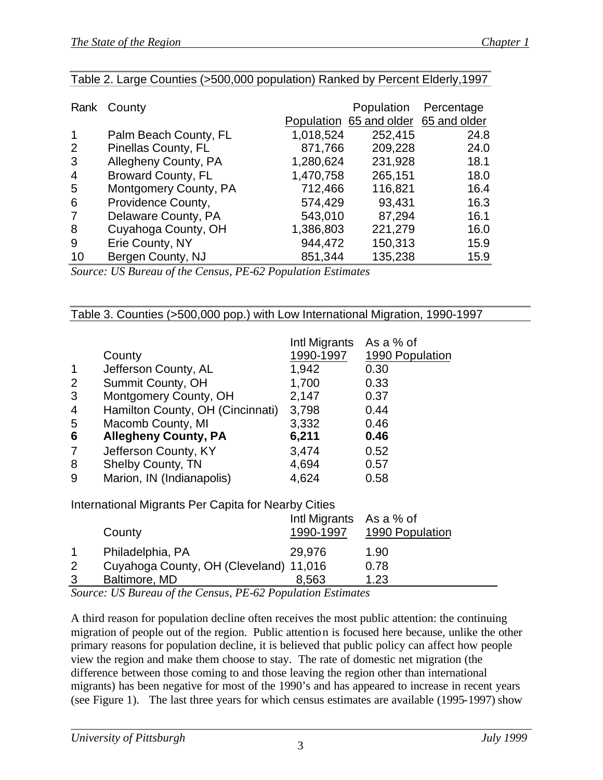|                | Rank County               |           | Population                           | Percentage |
|----------------|---------------------------|-----------|--------------------------------------|------------|
|                |                           |           | Population 65 and older 65 and older |            |
| 1              | Palm Beach County, FL     | 1,018,524 | 252,415                              | 24.8       |
| 2              | Pinellas County, FL       | 871,766   | 209,228                              | 24.0       |
| 3              | Allegheny County, PA      | 1,280,624 | 231,928                              | 18.1       |
| $\overline{4}$ | <b>Broward County, FL</b> | 1,470,758 | 265,151                              | 18.0       |
| 5              | Montgomery County, PA     | 712,466   | 116,821                              | 16.4       |
| 6              | Providence County,        | 574,429   | 93,431                               | 16.3       |
|                | Delaware County, PA       | 543,010   | 87,294                               | 16.1       |
| 8              | Cuyahoga County, OH       | 1,386,803 | 221,279                              | 16.0       |
| 9              | Erie County, NY           | 944,472   | 150,313                              | 15.9       |
| 10             | Bergen County, NJ         | 851,344   | 135,238                              | 15.9       |

#### Table 2. Large Counties (>500,000 population) Ranked by Percent Elderly,1997

*Source: US Bureau of the Census, PE-62 Population Estimates*

| 1<br>2<br>3<br>4<br>5<br>6<br>7<br>8<br>9 | County<br>Jefferson County, AL<br>Summit County, OH<br>Montgomery County, OH<br>Hamilton County, OH (Cincinnati)<br>Macomb County, MI<br><b>Allegheny County, PA</b><br>Jefferson County, KY<br><b>Shelby County, TN</b><br>Marion, IN (Indianapolis) | Intl Migrants<br>1990-1997<br>1,942<br>1,700<br>2,147<br>3,798<br>3,332<br>6,211<br>3,474<br>4,694<br>4,624 | As a % of<br>1990 Population<br>0.30<br>0.33<br>0.37<br>0.44<br>0.46<br>0.46<br>0.52<br>0.57<br>0.58 |
|-------------------------------------------|-------------------------------------------------------------------------------------------------------------------------------------------------------------------------------------------------------------------------------------------------------|-------------------------------------------------------------------------------------------------------------|------------------------------------------------------------------------------------------------------|
|                                           | International Migrants Per Capita for Nearby Cities                                                                                                                                                                                                   |                                                                                                             |                                                                                                      |
|                                           | County                                                                                                                                                                                                                                                | Intl Migrants As a % of<br>1990-1997                                                                        | 1990 Population                                                                                      |
| 1<br>$\overline{2}$<br>3                  | Philadelphia, PA<br>Cuyahoga County, OH (Cleveland) 11,016<br>Baltimore, MD                                                                                                                                                                           | 29,976<br>8,563                                                                                             | 1.90<br>0.78<br>1.23                                                                                 |

Table 3. Counties (>500,000 pop.) with Low International Migration, 1990-1997

*Source: US Bureau of the Census, PE-62 Population Estimates*

A third reason for population decline often receives the most public attention: the continuing migration of people out of the region. Public attention is focused here because, unlike the other primary reasons for population decline, it is believed that public policy can affect how people view the region and make them choose to stay. The rate of domestic net migration (the difference between those coming to and those leaving the region other than international migrants) has been negative for most of the 1990's and has appeared to increase in recent years (see Figure 1). The last three years for which census estimates are available (1995-1997) show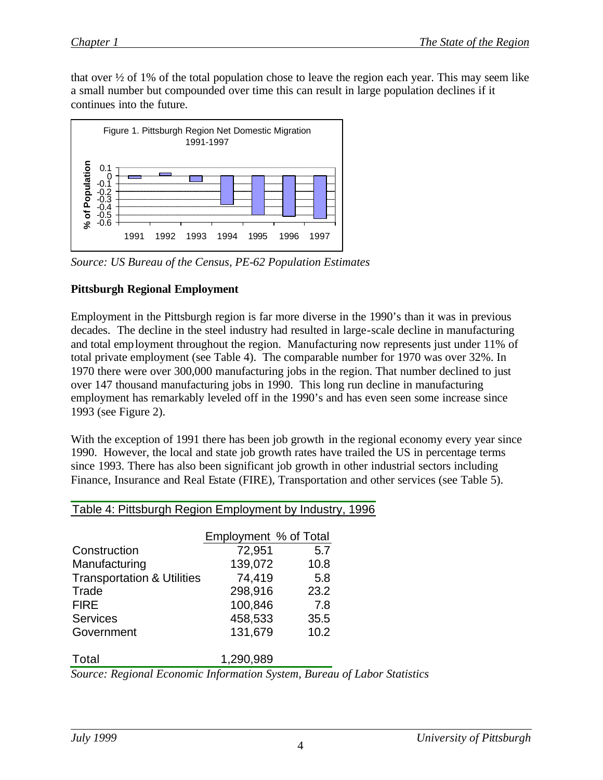that over  $\frac{1}{2}$  of 1% of the total population chose to leave the region each year. This may seem like a small number but compounded over time this can result in large population declines if it continues into the future.



*Source: US Bureau of the Census, PE-62 Population Estimates*

## **Pittsburgh Regional Employment**

Employment in the Pittsburgh region is far more diverse in the 1990's than it was in previous decades. The decline in the steel industry had resulted in large-scale decline in manufacturing and total employment throughout the region. Manufacturing now represents just under 11% of total private employment (see Table 4). The comparable number for 1970 was over 32%. In 1970 there were over 300,000 manufacturing jobs in the region. That number declined to just over 147 thousand manufacturing jobs in 1990. This long run decline in manufacturing employment has remarkably leveled off in the 1990's and has even seen some increase since 1993 (see Figure 2).

With the exception of 1991 there has been job growth in the regional economy every year since 1990. However, the local and state job growth rates have trailed the US in percentage terms since 1993. There has also been significant job growth in other industrial sectors including Finance, Insurance and Real Estate (FIRE), Transportation and other services (see Table 5).

|                                       | Employment % of Total |      |
|---------------------------------------|-----------------------|------|
| Construction                          | 72,951                | 5.7  |
| Manufacturing                         | 139,072               | 10.8 |
| <b>Transportation &amp; Utilities</b> | 74,419                | 5.8  |
| Trade                                 | 298,916               | 23.2 |
| <b>FIRE</b>                           | 100,846               | 7.8  |
| <b>Services</b>                       | 458,533               | 35.5 |
| Government                            | 131,679               | 10.2 |
|                                       |                       |      |
| Total                                 | 1,290,989             |      |

Table 4: Pittsburgh Region Employment by Industry, 1996

*Source: Regional Economic Information System, Bureau of Labor Statistics*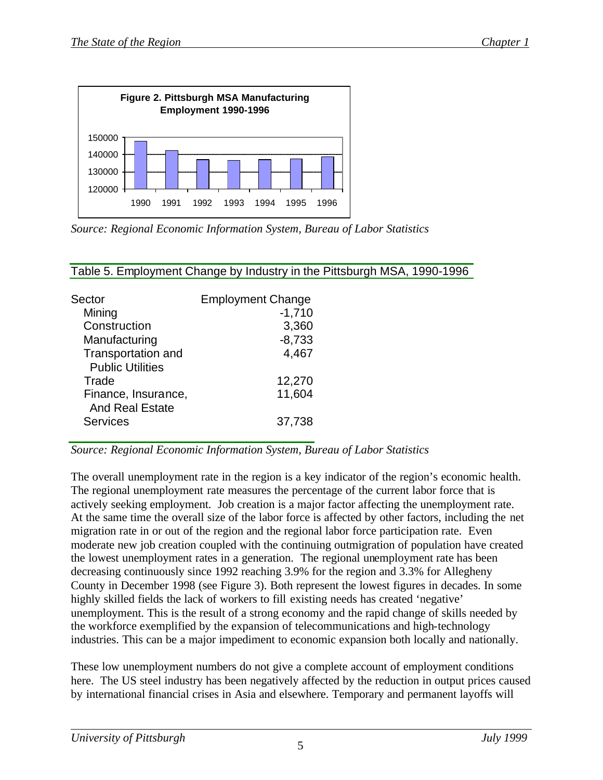

*Source: Regional Economic Information System, Bureau of Labor Statistics*

| <b>Employment Change</b> |
|--------------------------|
| $-1,710$                 |
| 3,360                    |
| $-8,733$                 |
| 4,467                    |
|                          |
| 12,270                   |
| 11,604                   |
|                          |
| 37,738                   |
|                          |

## Table 5. Employment Change by Industry in the Pittsburgh MSA, 1990-1996

#### *Source: Regional Economic Information System, Bureau of Labor Statistics*

The overall unemployment rate in the region is a key indicator of the region's economic health. The regional unemployment rate measures the percentage of the current labor force that is actively seeking employment. Job creation is a major factor affecting the unemployment rate. At the same time the overall size of the labor force is affected by other factors, including the net migration rate in or out of the region and the regional labor force participation rate. Even moderate new job creation coupled with the continuing outmigration of population have created the lowest unemployment rates in a generation. The regional unemployment rate has been decreasing continuously since 1992 reaching 3.9% for the region and 3.3% for Allegheny County in December 1998 (see Figure 3). Both represent the lowest figures in decades. In some highly skilled fields the lack of workers to fill existing needs has created 'negative' unemployment. This is the result of a strong economy and the rapid change of skills needed by the workforce exemplified by the expansion of telecommunications and high-technology industries. This can be a major impediment to economic expansion both locally and nationally.

These low unemployment numbers do not give a complete account of employment conditions here. The US steel industry has been negatively affected by the reduction in output prices caused by international financial crises in Asia and elsewhere. Temporary and permanent layoffs will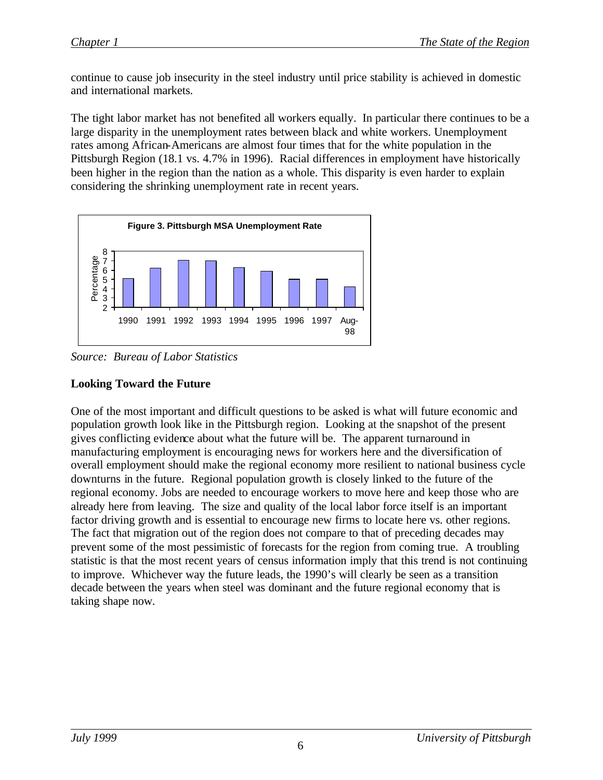continue to cause job insecurity in the steel industry until price stability is achieved in domestic and international markets.

The tight labor market has not benefited all workers equally. In particular there continues to be a large disparity in the unemployment rates between black and white workers. Unemployment rates among African-Americans are almost four times that for the white population in the Pittsburgh Region (18.1 vs. 4.7% in 1996). Racial differences in employment have historically been higher in the region than the nation as a whole. This disparity is even harder to explain considering the shrinking unemployment rate in recent years.



*Source: Bureau of Labor Statistics*

## **Looking Toward the Future**

One of the most important and difficult questions to be asked is what will future economic and population growth look like in the Pittsburgh region. Looking at the snapshot of the present gives conflicting evidence about what the future will be. The apparent turnaround in manufacturing employment is encouraging news for workers here and the diversification of overall employment should make the regional economy more resilient to national business cycle downturns in the future. Regional population growth is closely linked to the future of the regional economy. Jobs are needed to encourage workers to move here and keep those who are already here from leaving. The size and quality of the local labor force itself is an important factor driving growth and is essential to encourage new firms to locate here vs. other regions. The fact that migration out of the region does not compare to that of preceding decades may prevent some of the most pessimistic of forecasts for the region from coming true. A troubling statistic is that the most recent years of census information imply that this trend is not continuing to improve. Whichever way the future leads, the 1990's will clearly be seen as a transition decade between the years when steel was dominant and the future regional economy that is taking shape now.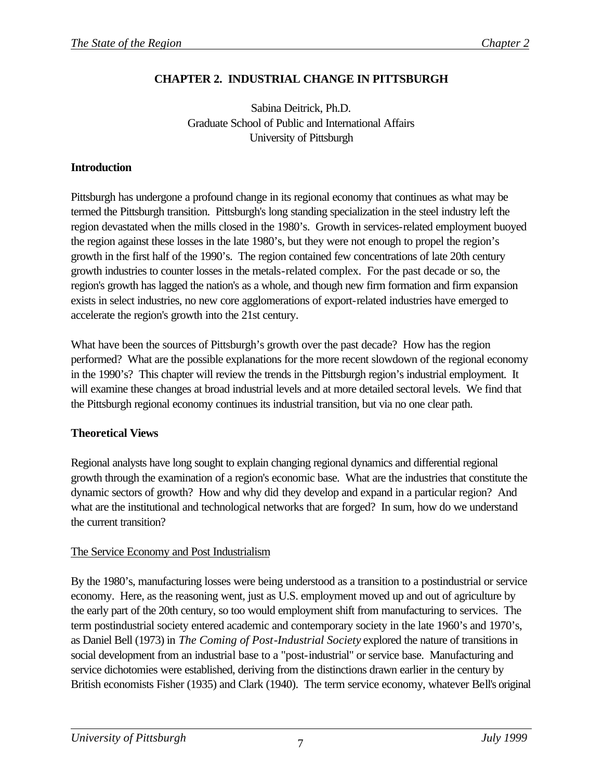## **CHAPTER 2. INDUSTRIAL CHANGE IN PITTSBURGH**

Sabina Deitrick, Ph.D. Graduate School of Public and International Affairs University of Pittsburgh

## **Introduction**

Pittsburgh has undergone a profound change in its regional economy that continues as what may be termed the Pittsburgh transition. Pittsburgh's long standing specialization in the steel industry left the region devastated when the mills closed in the 1980's. Growth in services-related employment buoyed the region against these losses in the late 1980's, but they were not enough to propel the region's growth in the first half of the 1990's. The region contained few concentrations of late 20th century growth industries to counter losses in the metals-related complex. For the past decade or so, the region's growth has lagged the nation's as a whole, and though new firm formation and firm expansion exists in select industries, no new core agglomerations of export-related industries have emerged to accelerate the region's growth into the 21st century.

What have been the sources of Pittsburgh's growth over the past decade? How has the region performed? What are the possible explanations for the more recent slowdown of the regional economy in the 1990's? This chapter will review the trends in the Pittsburgh region's industrial employment. It will examine these changes at broad industrial levels and at more detailed sectoral levels. We find that the Pittsburgh regional economy continues its industrial transition, but via no one clear path.

## **Theoretical Views**

Regional analysts have long sought to explain changing regional dynamics and differential regional growth through the examination of a region's economic base. What are the industries that constitute the dynamic sectors of growth? How and why did they develop and expand in a particular region? And what are the institutional and technological networks that are forged? In sum, how do we understand the current transition?

## The Service Economy and Post Industrialism

By the 1980's, manufacturing losses were being understood as a transition to a postindustrial or service economy. Here, as the reasoning went, just as U.S. employment moved up and out of agriculture by the early part of the 20th century, so too would employment shift from manufacturing to services. The term postindustrial society entered academic and contemporary society in the late 1960's and 1970's, as Daniel Bell (1973) in *The Coming of Post-Industrial Society* explored the nature of transitions in social development from an industrial base to a "post-industrial" or service base. Manufacturing and service dichotomies were established, deriving from the distinctions drawn earlier in the century by British economists Fisher (1935) and Clark (1940). The term service economy, whatever Bell's original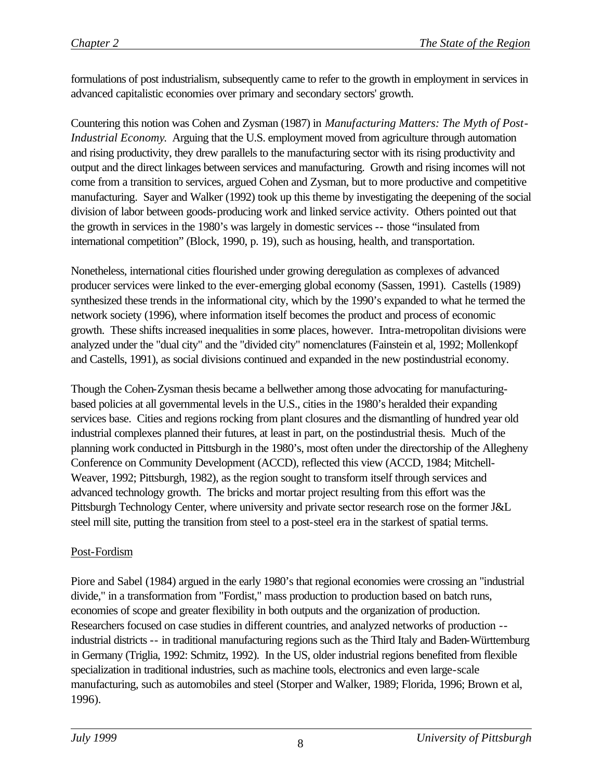formulations of post industrialism, subsequently came to refer to the growth in employment in services in advanced capitalistic economies over primary and secondary sectors' growth.

Countering this notion was Cohen and Zysman (1987) in *Manufacturing Matters: The Myth of Post-Industrial Economy*. Arguing that the U.S. employment moved from agriculture through automation and rising productivity, they drew parallels to the manufacturing sector with its rising productivity and output and the direct linkages between services and manufacturing. Growth and rising incomes will not come from a transition to services, argued Cohen and Zysman, but to more productive and competitive manufacturing. Sayer and Walker (1992) took up this theme by investigating the deepening of the social division of labor between goods-producing work and linked service activity. Others pointed out that the growth in services in the 1980's was largely in domestic services -- those "insulated from international competition" (Block, 1990, p. 19), such as housing, health, and transportation.

Nonetheless, international cities flourished under growing deregulation as complexes of advanced producer services were linked to the ever-emerging global economy (Sassen, 1991). Castells (1989) synthesized these trends in the informational city, which by the 1990's expanded to what he termed the network society (1996), where information itself becomes the product and process of economic growth. These shifts increased inequalities in some places, however. Intra-metropolitan divisions were analyzed under the "dual city" and the "divided city" nomenclatures (Fainstein et al, 1992; Mollenkopf and Castells, 1991), as social divisions continued and expanded in the new postindustrial economy.

Though the Cohen-Zysman thesis became a bellwether among those advocating for manufacturingbased policies at all governmental levels in the U.S., cities in the 1980's heralded their expanding services base. Cities and regions rocking from plant closures and the dismantling of hundred year old industrial complexes planned their futures, at least in part, on the postindustrial thesis. Much of the planning work conducted in Pittsburgh in the 1980's, most often under the directorship of the Allegheny Conference on Community Development (ACCD), reflected this view (ACCD, 1984; Mitchell-Weaver, 1992; Pittsburgh, 1982), as the region sought to transform itself through services and advanced technology growth. The bricks and mortar project resulting from this effort was the Pittsburgh Technology Center, where university and private sector research rose on the former J&L steel mill site, putting the transition from steel to a post-steel era in the starkest of spatial terms.

#### Post-Fordism

Piore and Sabel (1984) argued in the early 1980's that regional economies were crossing an "industrial divide," in a transformation from "Fordist," mass production to production based on batch runs, economies of scope and greater flexibility in both outputs and the organization of production. Researchers focused on case studies in different countries, and analyzed networks of production - industrial districts -- in traditional manufacturing regions such as the Third Italy and Baden-Württemburg in Germany (Triglia, 1992: Schmitz, 1992). In the US, older industrial regions benefited from flexible specialization in traditional industries, such as machine tools, electronics and even large-scale manufacturing, such as automobiles and steel (Storper and Walker, 1989; Florida, 1996; Brown et al, 1996).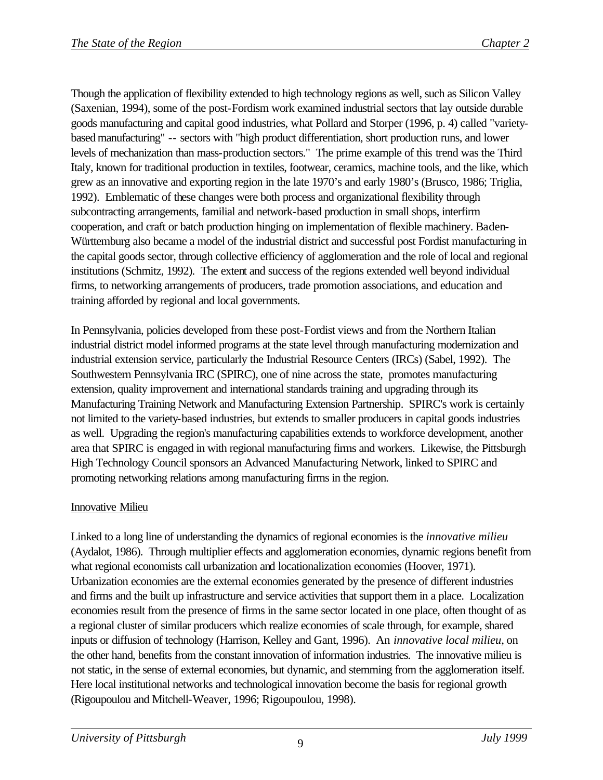Though the application of flexibility extended to high technology regions as well, such as Silicon Valley (Saxenian, 1994), some of the post-Fordism work examined industrial sectors that lay outside durable goods manufacturing and capital good industries, what Pollard and Storper (1996, p. 4) called "varietybased manufacturing" -- sectors with "high product differentiation, short production runs, and lower levels of mechanization than mass-production sectors." The prime example of this trend was the Third Italy, known for traditional production in textiles, footwear, ceramics, machine tools, and the like, which grew as an innovative and exporting region in the late 1970's and early 1980's (Brusco, 1986; Triglia, 1992). Emblematic of these changes were both process and organizational flexibility through subcontracting arrangements, familial and network-based production in small shops, interfirm cooperation, and craft or batch production hinging on implementation of flexible machinery. Baden-Württemburg also became a model of the industrial district and successful post Fordist manufacturing in the capital goods sector, through collective efficiency of agglomeration and the role of local and regional institutions (Schmitz, 1992). The extent and success of the regions extended well beyond individual firms, to networking arrangements of producers, trade promotion associations, and education and training afforded by regional and local governments.

In Pennsylvania, policies developed from these post-Fordist views and from the Northern Italian industrial district model informed programs at the state level through manufacturing modernization and industrial extension service, particularly the Industrial Resource Centers (IRCs) (Sabel, 1992). The Southwestern Pennsylvania IRC (SPIRC), one of nine across the state, promotes manufacturing extension, quality improvement and international standards training and upgrading through its Manufacturing Training Network and Manufacturing Extension Partnership. SPIRC's work is certainly not limited to the variety-based industries, but extends to smaller producers in capital goods industries as well. Upgrading the region's manufacturing capabilities extends to workforce development, another area that SPIRC is engaged in with regional manufacturing firms and workers. Likewise, the Pittsburgh High Technology Council sponsors an Advanced Manufacturing Network, linked to SPIRC and promoting networking relations among manufacturing firms in the region.

#### Innovative Milieu

Linked to a long line of understanding the dynamics of regional economies is the *innovative milieu*  (Aydalot, 1986). Through multiplier effects and agglomeration economies, dynamic regions benefit from what regional economists call urbanization and locationalization economies (Hoover, 1971). Urbanization economies are the external economies generated by the presence of different industries and firms and the built up infrastructure and service activities that support them in a place. Localization economies result from the presence of firms in the same sector located in one place, often thought of as a regional cluster of similar producers which realize economies of scale through, for example, shared inputs or diffusion of technology (Harrison, Kelley and Gant, 1996). An *innovative local milieu*, on the other hand, benefits from the constant innovation of information industries. The innovative milieu is not static, in the sense of external economies, but dynamic, and stemming from the agglomeration itself. Here local institutional networks and technological innovation become the basis for regional growth (Rigoupoulou and Mitchell-Weaver, 1996; Rigoupoulou, 1998).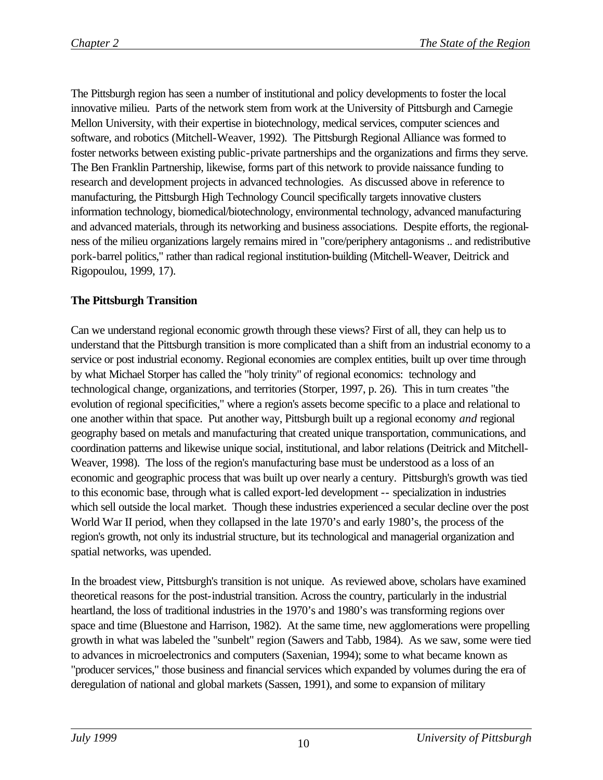The Pittsburgh region has seen a number of institutional and policy developments to foster the local innovative milieu. Parts of the network stem from work at the University of Pittsburgh and Carnegie Mellon University, with their expertise in biotechnology, medical services, computer sciences and software, and robotics (Mitchell-Weaver, 1992). The Pittsburgh Regional Alliance was formed to foster networks between existing public-private partnerships and the organizations and firms they serve. The Ben Franklin Partnership, likewise, forms part of this network to provide naissance funding to research and development projects in advanced technologies. As discussed above in reference to manufacturing, the Pittsburgh High Technology Council specifically targets innovative clusters information technology, biomedical/biotechnology, environmental technology, advanced manufacturing and advanced materials, through its networking and business associations. Despite efforts, the regionalness of the milieu organizations largely remains mired in "core/periphery antagonisms .. and redistributive pork-barrel politics," rather than radical regional institution-building (Mitchell-Weaver, Deitrick and Rigopoulou, 1999, 17).

## **The Pittsburgh Transition**

Can we understand regional economic growth through these views? First of all, they can help us to understand that the Pittsburgh transition is more complicated than a shift from an industrial economy to a service or post industrial economy. Regional economies are complex entities, built up over time through by what Michael Storper has called the "holy trinity" of regional economics: technology and technological change, organizations, and territories (Storper, 1997, p. 26). This in turn creates "the evolution of regional specificities," where a region's assets become specific to a place and relational to one another within that space. Put another way, Pittsburgh built up a regional economy *and* regional geography based on metals and manufacturing that created unique transportation, communications, and coordination patterns and likewise unique social, institutional, and labor relations (Deitrick and Mitchell-Weaver, 1998). The loss of the region's manufacturing base must be understood as a loss of an economic and geographic process that was built up over nearly a century. Pittsburgh's growth was tied to this economic base, through what is called export-led development -- specialization in industries which sell outside the local market. Though these industries experienced a secular decline over the post World War II period, when they collapsed in the late 1970's and early 1980's, the process of the region's growth, not only its industrial structure, but its technological and managerial organization and spatial networks, was upended.

In the broadest view, Pittsburgh's transition is not unique. As reviewed above, scholars have examined theoretical reasons for the post-industrial transition. Across the country, particularly in the industrial heartland, the loss of traditional industries in the 1970's and 1980's was transforming regions over space and time (Bluestone and Harrison, 1982). At the same time, new agglomerations were propelling growth in what was labeled the "sunbelt" region (Sawers and Tabb, 1984). As we saw, some were tied to advances in microelectronics and computers (Saxenian, 1994); some to what became known as "producer services," those business and financial services which expanded by volumes during the era of deregulation of national and global markets (Sassen, 1991), and some to expansion of military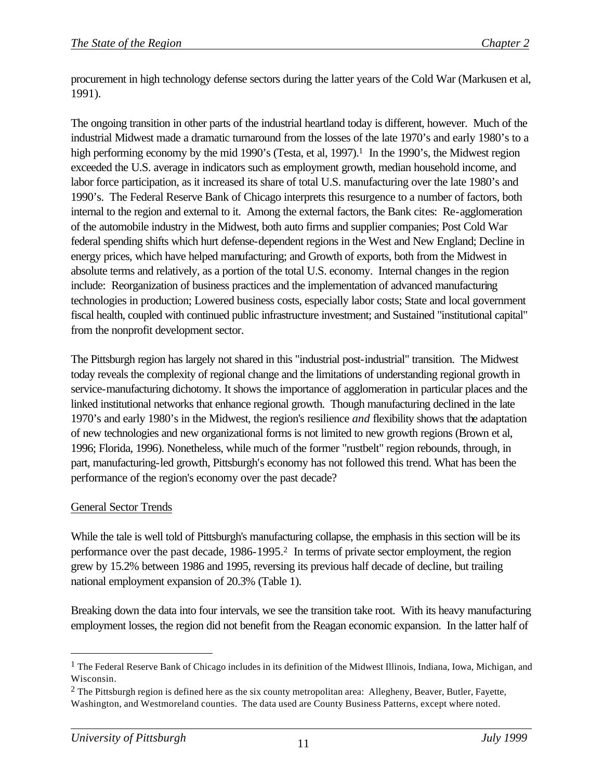procurement in high technology defense sectors during the latter years of the Cold War (Markusen et al, 1991).

The ongoing transition in other parts of the industrial heartland today is different, however. Much of the industrial Midwest made a dramatic turnaround from the losses of the late 1970's and early 1980's to a high performing economy by the mid 1990's (Testa, et al,  $1997$ ).<sup>1</sup> In the 1990's, the Midwest region exceeded the U.S. average in indicators such as employment growth, median household income, and labor force participation, as it increased its share of total U.S. manufacturing over the late 1980's and 1990's. The Federal Reserve Bank of Chicago interprets this resurgence to a number of factors, both internal to the region and external to it. Among the external factors, the Bank cites: Re-agglomeration of the automobile industry in the Midwest, both auto firms and supplier companies; Post Cold War federal spending shifts which hurt defense-dependent regions in the West and New England; Decline in energy prices, which have helped manufacturing; and Growth of exports, both from the Midwest in absolute terms and relatively, as a portion of the total U.S. economy. Internal changes in the region include: Reorganization of business practices and the implementation of advanced manufacturing technologies in production; Lowered business costs, especially labor costs; State and local government fiscal health, coupled with continued public infrastructure investment; and Sustained "institutional capital" from the nonprofit development sector.

The Pittsburgh region has largely not shared in this "industrial post-industrial" transition. The Midwest today reveals the complexity of regional change and the limitations of understanding regional growth in service-manufacturing dichotomy. It shows the importance of agglomeration in particular places and the linked institutional networks that enhance regional growth. Though manufacturing declined in the late 1970's and early 1980's in the Midwest, the region's resilience *and* flexibility shows that the adaptation of new technologies and new organizational forms is not limited to new growth regions (Brown et al, 1996; Florida, 1996). Nonetheless, while much of the former "rustbelt" region rebounds, through, in part, manufacturing-led growth, Pittsburgh's economy has not followed this trend. What has been the performance of the region's economy over the past decade?

#### General Sector Trends

While the tale is well told of Pittsburgh's manufacturing collapse, the emphasis in this section will be its performance over the past decade, 1986-1995.2 In terms of private sector employment, the region grew by 15.2% between 1986 and 1995, reversing its previous half decade of decline, but trailing national employment expansion of 20.3% (Table 1).

Breaking down the data into four intervals, we see the transition take root. With its heavy manufacturing employment losses, the region did not benefit from the Reagan economic expansion. In the latter half of

<sup>&</sup>lt;sup>1</sup> The Federal Reserve Bank of Chicago includes in its definition of the Midwest Illinois, Indiana, Iowa, Michigan, and Wisconsin.

<sup>&</sup>lt;sup>2</sup> The Pittsburgh region is defined here as the six county metropolitan area: Allegheny, Beaver, Butler, Fayette, Washington, and Westmoreland counties. The data used are County Business Patterns, except where noted.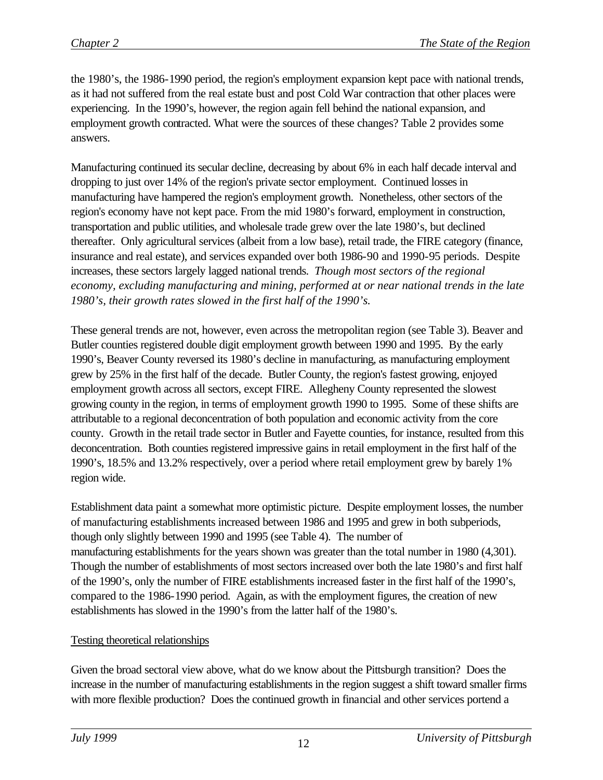the 1980's, the 1986-1990 period, the region's employment expansion kept pace with national trends, as it had not suffered from the real estate bust and post Cold War contraction that other places were experiencing. In the 1990's, however, the region again fell behind the national expansion, and employment growth contracted. What were the sources of these changes? Table 2 provides some answers.

Manufacturing continued its secular decline, decreasing by about 6% in each half decade interval and dropping to just over 14% of the region's private sector employment. Continued losses in manufacturing have hampered the region's employment growth. Nonetheless, other sectors of the region's economy have not kept pace. From the mid 1980's forward, employment in construction, transportation and public utilities, and wholesale trade grew over the late 1980's, but declined thereafter. Only agricultural services (albeit from a low base), retail trade, the FIRE category (finance, insurance and real estate), and services expanded over both 1986-90 and 1990-95 periods. Despite increases, these sectors largely lagged national trends. *Though most sectors of the regional economy, excluding manufacturing and mining, performed at or near national trends in the late 1980's, their growth rates slowed in the first half of the 1990's.*

These general trends are not, however, even across the metropolitan region (see Table 3). Beaver and Butler counties registered double digit employment growth between 1990 and 1995. By the early 1990's, Beaver County reversed its 1980's decline in manufacturing, as manufacturing employment grew by 25% in the first half of the decade. Butler County, the region's fastest growing, enjoyed employment growth across all sectors, except FIRE. Allegheny County represented the slowest growing county in the region, in terms of employment growth 1990 to 1995. Some of these shifts are attributable to a regional deconcentration of both population and economic activity from the core county. Growth in the retail trade sector in Butler and Fayette counties, for instance, resulted from this deconcentration. Both counties registered impressive gains in retail employment in the first half of the 1990's, 18.5% and 13.2% respectively, over a period where retail employment grew by barely 1% region wide.

Establishment data paint a somewhat more optimistic picture. Despite employment losses, the number of manufacturing establishments increased between 1986 and 1995 and grew in both subperiods, though only slightly between 1990 and 1995 (see Table 4). The number of manufacturing establishments for the years shown was greater than the total number in 1980 (4,301). Though the number of establishments of most sectors increased over both the late 1980's and first half of the 1990's, only the number of FIRE establishments increased faster in the first half of the 1990's, compared to the 1986-1990 period. Again, as with the employment figures, the creation of new establishments has slowed in the 1990's from the latter half of the 1980's.

## Testing theoretical relationships

Given the broad sectoral view above, what do we know about the Pittsburgh transition? Does the increase in the number of manufacturing establishments in the region suggest a shift toward smaller firms with more flexible production? Does the continued growth in financial and other services portend a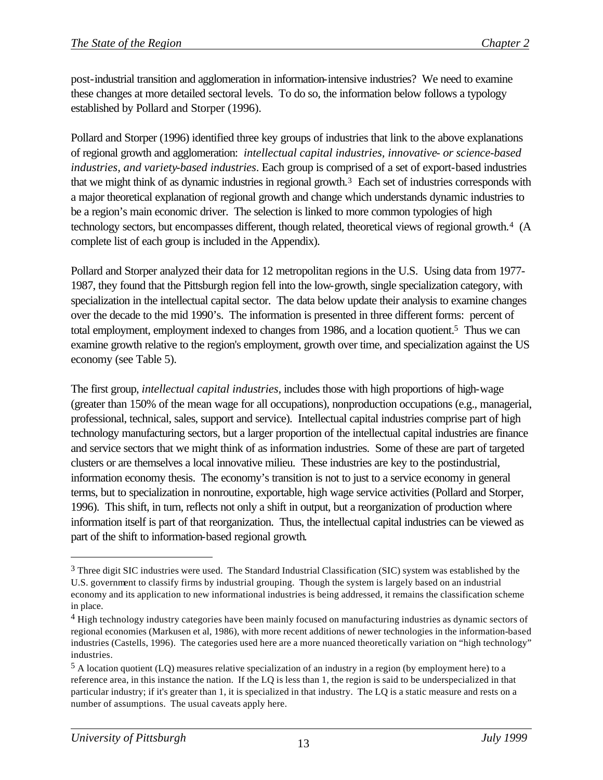post-industrial transition and agglomeration in information-intensive industries? We need to examine these changes at more detailed sectoral levels. To do so, the information below follows a typology established by Pollard and Storper (1996).

Pollard and Storper (1996) identified three key groups of industries that link to the above explanations of regional growth and agglomeration: *intellectual capital industries, innovative- or science-based industries, and variety-based industries*. Each group is comprised of a set of export-based industries that we might think of as dynamic industries in regional growth.3 Each set of industries corresponds with a major theoretical explanation of regional growth and change which understands dynamic industries to be a region's main economic driver. The selection is linked to more common typologies of high technology sectors, but encompasses different, though related, theoretical views of regional growth.4 (A complete list of each group is included in the Appendix).

Pollard and Storper analyzed their data for 12 metropolitan regions in the U.S. Using data from 1977- 1987, they found that the Pittsburgh region fell into the low-growth, single specialization category, with specialization in the intellectual capital sector. The data below update their analysis to examine changes over the decade to the mid 1990's. The information is presented in three different forms: percent of total employment, employment indexed to changes from 1986, and a location quotient.5 Thus we can examine growth relative to the region's employment, growth over time, and specialization against the US economy (see Table 5).

The first group, *intellectual capital industries*, includes those with high proportions of high-wage (greater than 150% of the mean wage for all occupations), nonproduction occupations (e.g., managerial, professional, technical, sales, support and service). Intellectual capital industries comprise part of high technology manufacturing sectors, but a larger proportion of the intellectual capital industries are finance and service sectors that we might think of as information industries. Some of these are part of targeted clusters or are themselves a local innovative milieu. These industries are key to the postindustrial, information economy thesis. The economy's transition is not to just to a service economy in general terms, but to specialization in nonroutine, exportable, high wage service activities (Pollard and Storper, 1996). This shift, in turn, reflects not only a shift in output, but a reorganization of production where information itself is part of that reorganization. Thus, the intellectual capital industries can be viewed as part of the shift to information-based regional growth.

<sup>&</sup>lt;sup>3</sup> Three digit SIC industries were used. The Standard Industrial Classification (SIC) system was established by the U.S. government to classify firms by industrial grouping. Though the system is largely based on an industrial economy and its application to new informational industries is being addressed, it remains the classification scheme in place.

<sup>4</sup> High technology industry categories have been mainly focused on manufacturing industries as dynamic sectors of regional economies (Markusen et al, 1986), with more recent additions of newer technologies in the information-based industries (Castells, 1996). The categories used here are a more nuanced theoretically variation on "high technology" industries.

<sup>5</sup> A location quotient (LQ) measures relative specialization of an industry in a region (by employment here) to a reference area, in this instance the nation. If the LQ is less than 1, the region is said to be underspecialized in that particular industry; if it's greater than 1, it is specialized in that industry. The LQ is a static measure and rests on a number of assumptions. The usual caveats apply here.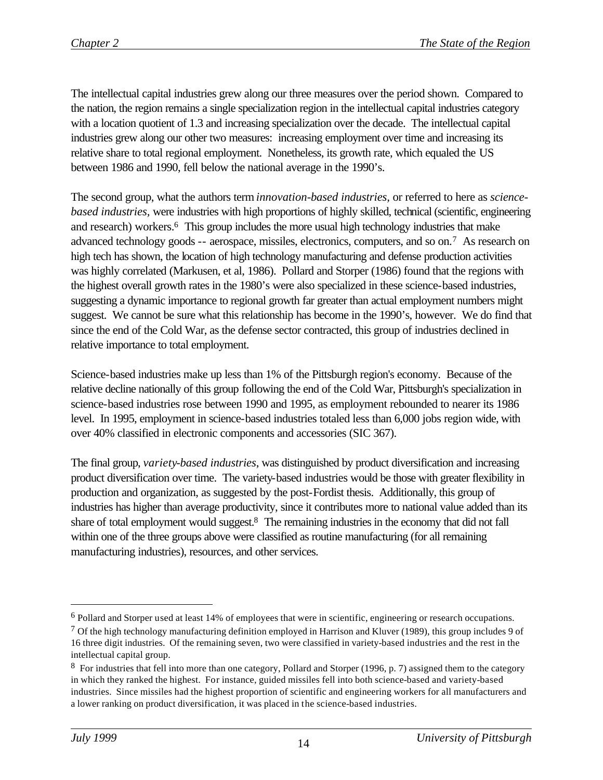The intellectual capital industries grew along our three measures over the period shown. Compared to the nation, the region remains a single specialization region in the intellectual capital industries category with a location quotient of 1.3 and increasing specialization over the decade. The intellectual capital industries grew along our other two measures: increasing employment over time and increasing its relative share to total regional employment. Nonetheless, its growth rate, which equaled the US between 1986 and 1990, fell below the national average in the 1990's.

The second group, what the authors term *innovation-based industries,* or referred to here as *sciencebased industries,* were industries with high proportions of highly skilled, technical (scientific, engineering and research) workers.<sup>6</sup> This group includes the more usual high technology industries that make advanced technology goods -- aerospace, missiles, electronics, computers, and so on.7 As research on high tech has shown, the location of high technology manufacturing and defense production activities was highly correlated (Markusen, et al, 1986). Pollard and Storper (1986) found that the regions with the highest overall growth rates in the 1980's were also specialized in these science-based industries, suggesting a dynamic importance to regional growth far greater than actual employment numbers might suggest. We cannot be sure what this relationship has become in the 1990's, however. We do find that since the end of the Cold War, as the defense sector contracted, this group of industries declined in relative importance to total employment.

Science-based industries make up less than 1% of the Pittsburgh region's economy. Because of the relative decline nationally of this group following the end of the Cold War, Pittsburgh's specialization in science-based industries rose between 1990 and 1995, as employment rebounded to nearer its 1986 level. In 1995, employment in science-based industries totaled less than 6,000 jobs region wide, with over 40% classified in electronic components and accessories (SIC 367).

The final group, *variety-based industries*, was distinguished by product diversification and increasing product diversification over time. The variety-based industries would be those with greater flexibility in production and organization, as suggested by the post-Fordist thesis. Additionally, this group of industries has higher than average productivity, since it contributes more to national value added than its share of total employment would suggest.<sup>8</sup> The remaining industries in the economy that did not fall within one of the three groups above were classified as routine manufacturing (for all remaining manufacturing industries), resources, and other services.

<sup>6</sup> Pollard and Storper used at least 14% of employees that were in scientific, engineering or research occupations.

<sup>&</sup>lt;sup>7</sup> Of the high technology manufacturing definition employed in Harrison and Kluver (1989), this group includes 9 of 16 three digit industries. Of the remaining seven, two were classified in variety-based industries and the rest in the intellectual capital group.

<sup>8</sup> For industries that fell into more than one category, Pollard and Storper (1996, p. 7) assigned them to the category in which they ranked the highest. For instance, guided missiles fell into both science-based and variety-based industries. Since missiles had the highest proportion of scientific and engineering workers for all manufacturers and a lower ranking on product diversification, it was placed in the science-based industries.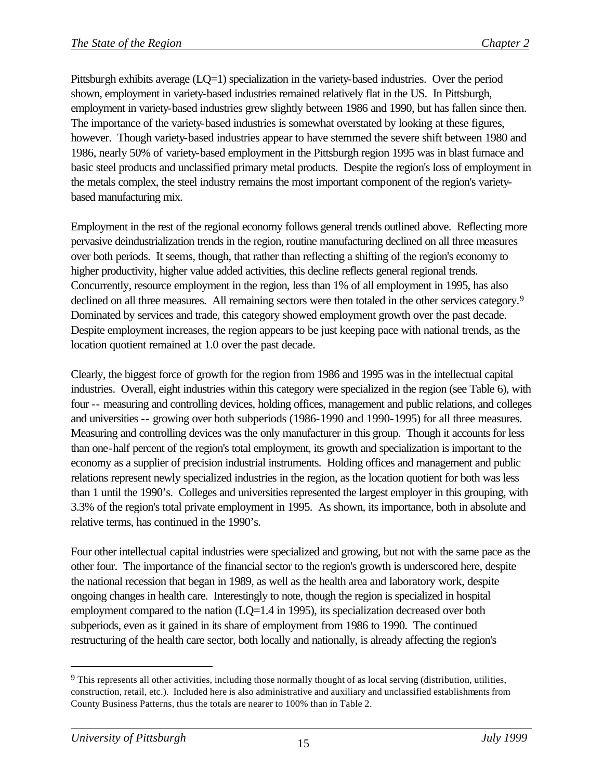Pittsburgh exhibits average (LQ=1) specialization in the variety-based industries. Over the period shown, employment in variety-based industries remained relatively flat in the US. In Pittsburgh, employment in variety-based industries grew slightly between 1986 and 1990, but has fallen since then. The importance of the variety-based industries is somewhat overstated by looking at these figures, however. Though variety-based industries appear to have stemmed the severe shift between 1980 and 1986, nearly 50% of variety-based employment in the Pittsburgh region 1995 was in blast furnace and basic steel products and unclassified primary metal products. Despite the region's loss of employment in the metals complex, the steel industry remains the most important component of the region's varietybased manufacturing mix.

Employment in the rest of the regional economy follows general trends outlined above. Reflecting more pervasive deindustrialization trends in the region, routine manufacturing declined on all three measures over both periods. It seems, though, that rather than reflecting a shifting of the region's economy to higher productivity, higher value added activities, this decline reflects general regional trends. Concurrently, resource employment in the region, less than 1% of all employment in 1995, has also declined on all three measures. All remaining sectors were then totaled in the other services category.<sup>9</sup> Dominated by services and trade, this category showed employment growth over the past decade. Despite employment increases, the region appears to be just keeping pace with national trends, as the location quotient remained at 1.0 over the past decade.

Clearly, the biggest force of growth for the region from 1986 and 1995 was in the intellectual capital industries. Overall, eight industries within this category were specialized in the region (see Table 6), with four -- measuring and controlling devices, holding offices, management and public relations, and colleges and universities -- growing over both subperiods (1986-1990 and 1990-1995) for all three measures. Measuring and controlling devices was the only manufacturer in this group. Though it accounts for less than one-half percent of the region's total employment, its growth and specialization is important to the economy as a supplier of precision industrial instruments. Holding offices and management and public relations represent newly specialized industries in the region, as the location quotient for both was less than 1 until the 1990's. Colleges and universities represented the largest employer in this grouping, with 3.3% of the region's total private employment in 1995. As shown, its importance, both in absolute and relative terms, has continued in the 1990's.

Four other intellectual capital industries were specialized and growing, but not with the same pace as the other four. The importance of the financial sector to the region's growth is underscored here, despite the national recession that began in 1989, as well as the health area and laboratory work, despite ongoing changes in health care. Interestingly to note, though the region is specialized in hospital employment compared to the nation (LQ=1.4 in 1995), its specialization decreased over both subperiods, even as it gained in its share of employment from 1986 to 1990. The continued restructuring of the health care sector, both locally and nationally, is already affecting the region's

<sup>&</sup>lt;sup>9</sup> This represents all other activities, including those normally thought of as local serving (distribution, utilities, construction, retail, etc.). Included here is also administrative and auxiliary and unclassified establishments from County Business Patterns, thus the totals are nearer to 100% than in Table 2.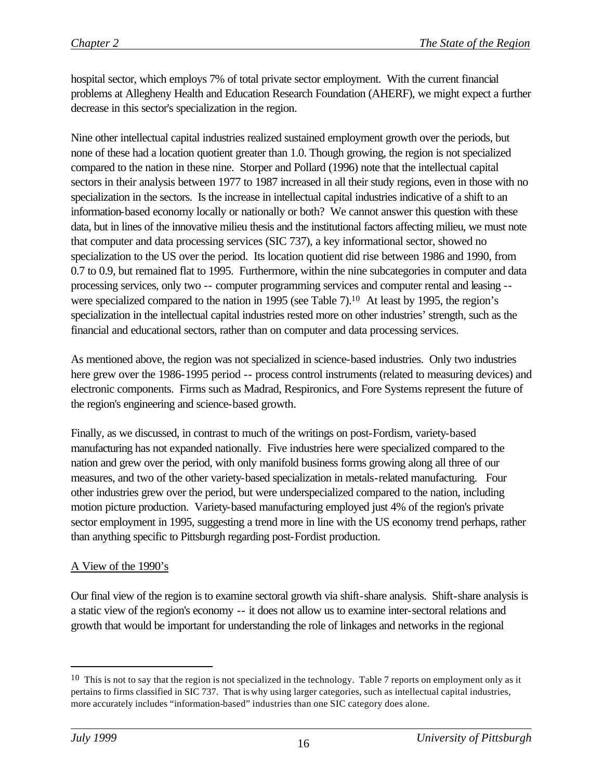hospital sector, which employs 7% of total private sector employment. With the current financial problems at Allegheny Health and Education Research Foundation (AHERF), we might expect a further decrease in this sector's specialization in the region.

Nine other intellectual capital industries realized sustained employment growth over the periods, but none of these had a location quotient greater than 1.0. Though growing, the region is not specialized compared to the nation in these nine. Storper and Pollard (1996) note that the intellectual capital sectors in their analysis between 1977 to 1987 increased in all their study regions, even in those with no specialization in the sectors. Is the increase in intellectual capital industries indicative of a shift to an information-based economy locally or nationally or both? We cannot answer this question with these data, but in lines of the innovative milieu thesis and the institutional factors affecting milieu, we must note that computer and data processing services (SIC 737), a key informational sector, showed no specialization to the US over the period. Its location quotient did rise between 1986 and 1990, from 0.7 to 0.9, but remained flat to 1995. Furthermore, within the nine subcategories in computer and data processing services, only two -- computer programming services and computer rental and leasing - were specialized compared to the nation in 1995 (see Table 7).<sup>10</sup> At least by 1995, the region's specialization in the intellectual capital industries rested more on other industries' strength, such as the financial and educational sectors, rather than on computer and data processing services.

As mentioned above, the region was not specialized in science-based industries. Only two industries here grew over the 1986-1995 period -- process control instruments (related to measuring devices) and electronic components. Firms such as Madrad, Respironics, and Fore Systems represent the future of the region's engineering and science-based growth.

Finally, as we discussed, in contrast to much of the writings on post-Fordism, variety-based manufacturing has not expanded nationally. Five industries here were specialized compared to the nation and grew over the period, with only manifold business forms growing along all three of our measures, and two of the other variety-based specialization in metals-related manufacturing. Four other industries grew over the period, but were underspecialized compared to the nation, including motion picture production. Variety-based manufacturing employed just 4% of the region's private sector employment in 1995, suggesting a trend more in line with the US economy trend perhaps, rather than anything specific to Pittsburgh regarding post-Fordist production.

## A View of the 1990's

Our final view of the region is to examine sectoral growth via shift-share analysis. Shift-share analysis is a static view of the region's economy -- it does not allow us to examine inter-sectoral relations and growth that would be important for understanding the role of linkages and networks in the regional

 $10$  This is not to say that the region is not specialized in the technology. Table 7 reports on employment only as it pertains to firms classified in SIC 737. That is why using larger categories, such as intellectual capital industries, more accurately includes "information-based" industries than one SIC category does alone.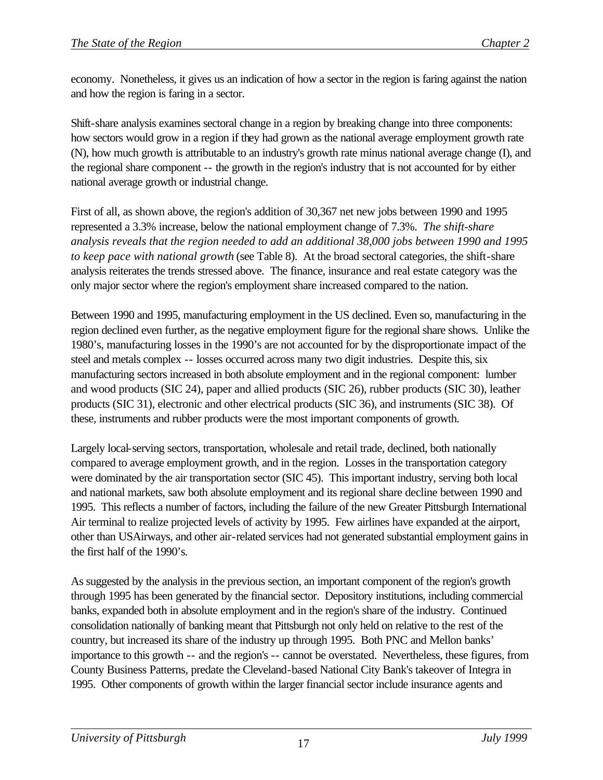economy. Nonetheless, it gives us an indication of how a sector in the region is faring against the nation and how the region is faring in a sector.

Shift-share analysis examines sectoral change in a region by breaking change into three components: how sectors would grow in a region if they had grown as the national average employment growth rate (N), how much growth is attributable to an industry's growth rate minus national average change (I), and the regional share component -- the growth in the region's industry that is not accounted for by either national average growth or industrial change.

First of all, as shown above, the region's addition of 30,367 net new jobs between 1990 and 1995 represented a 3.3% increase, below the national employment change of 7.3%. *The shift-share analysis reveals that the region needed to add an additional 38,000 jobs between 1990 and 1995 to keep pace with national growth* (see Table 8). At the broad sectoral categories, the shift-share analysis reiterates the trends stressed above. The finance, insurance and real estate category was the only major sector where the region's employment share increased compared to the nation.

Between 1990 and 1995, manufacturing employment in the US declined. Even so, manufacturing in the region declined even further, as the negative employment figure for the regional share shows. Unlike the 1980's, manufacturing losses in the 1990's are not accounted for by the disproportionate impact of the steel and metals complex -- losses occurred across many two digit industries. Despite this, six manufacturing sectors increased in both absolute employment and in the regional component: lumber and wood products (SIC 24), paper and allied products (SIC 26), rubber products (SIC 30), leather products (SIC 31), electronic and other electrical products (SIC 36), and instruments (SIC 38). Of these, instruments and rubber products were the most important components of growth.

Largely local-serving sectors, transportation, wholesale and retail trade, declined, both nationally compared to average employment growth, and in the region. Losses in the transportation category were dominated by the air transportation sector (SIC 45). This important industry, serving both local and national markets, saw both absolute employment and its regional share decline between 1990 and 1995. This reflects a number of factors, including the failure of the new Greater Pittsburgh International Air terminal to realize projected levels of activity by 1995. Few airlines have expanded at the airport, other than USAirways, and other air-related services had not generated substantial employment gains in the first half of the 1990's.

As suggested by the analysis in the previous section, an important component of the region's growth through 1995 has been generated by the financial sector. Depository institutions, including commercial banks, expanded both in absolute employment and in the region's share of the industry. Continued consolidation nationally of banking meant that Pittsburgh not only held on relative to the rest of the country, but increased its share of the industry up through 1995. Both PNC and Mellon banks' importance to this growth -- and the region's -- cannot be overstated. Nevertheless, these figures, from County Business Patterns, predate the Cleveland-based National City Bank's takeover of Integra in 1995. Other components of growth within the larger financial sector include insurance agents and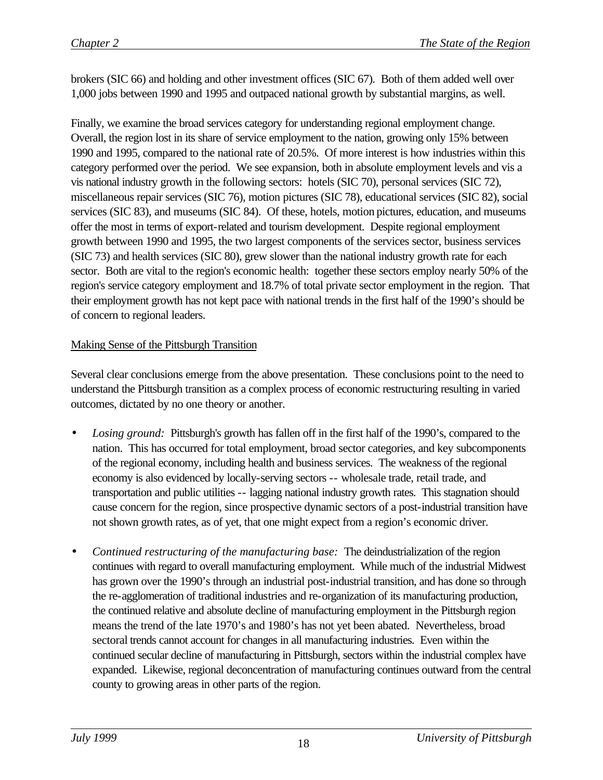brokers (SIC 66) and holding and other investment offices (SIC 67). Both of them added well over 1,000 jobs between 1990 and 1995 and outpaced national growth by substantial margins, as well.

Finally, we examine the broad services category for understanding regional employment change. Overall, the region lost in its share of service employment to the nation, growing only 15% between 1990 and 1995, compared to the national rate of 20.5%. Of more interest is how industries within this category performed over the period. We see expansion, both in absolute employment levels and vis a vis national industry growth in the following sectors: hotels (SIC 70), personal services (SIC 72), miscellaneous repair services (SIC 76), motion pictures (SIC 78), educational services (SIC 82), social services (SIC 83), and museums (SIC 84). Of these, hotels, motion pictures, education, and museums offer the most in terms of export-related and tourism development. Despite regional employment growth between 1990 and 1995, the two largest components of the services sector, business services (SIC 73) and health services (SIC 80), grew slower than the national industry growth rate for each sector. Both are vital to the region's economic health: together these sectors employ nearly 50% of the region's service category employment and 18.7% of total private sector employment in the region. That their employment growth has not kept pace with national trends in the first half of the 1990's should be of concern to regional leaders.

#### Making Sense of the Pittsburgh Transition

Several clear conclusions emerge from the above presentation. These conclusions point to the need to understand the Pittsburgh transition as a complex process of economic restructuring resulting in varied outcomes, dictated by no one theory or another.

- *· Losing ground:* Pittsburgh's growth has fallen off in the first half of the 1990's, compared to the nation. This has occurred for total employment, broad sector categories, and key subcomponents of the regional economy, including health and business services. The weakness of the regional economy is also evidenced by locally-serving sectors -- wholesale trade, retail trade, and transportation and public utilities -- lagging national industry growth rates. This stagnation should cause concern for the region, since prospective dynamic sectors of a post-industrial transition have not shown growth rates, as of yet, that one might expect from a region's economic driver.
- *Continued restructuring of the manufacturing base:* The deindustrialization of the region continues with regard to overall manufacturing employment. While much of the industrial Midwest has grown over the 1990's through an industrial post-industrial transition, and has done so through the re-agglomeration of traditional industries and re-organization of its manufacturing production, the continued relative and absolute decline of manufacturing employment in the Pittsburgh region means the trend of the late 1970's and 1980's has not yet been abated. Nevertheless, broad sectoral trends cannot account for changes in all manufacturing industries. Even within the continued secular decline of manufacturing in Pittsburgh, sectors within the industrial complex have expanded. Likewise, regional deconcentration of manufacturing continues outward from the central county to growing areas in other parts of the region.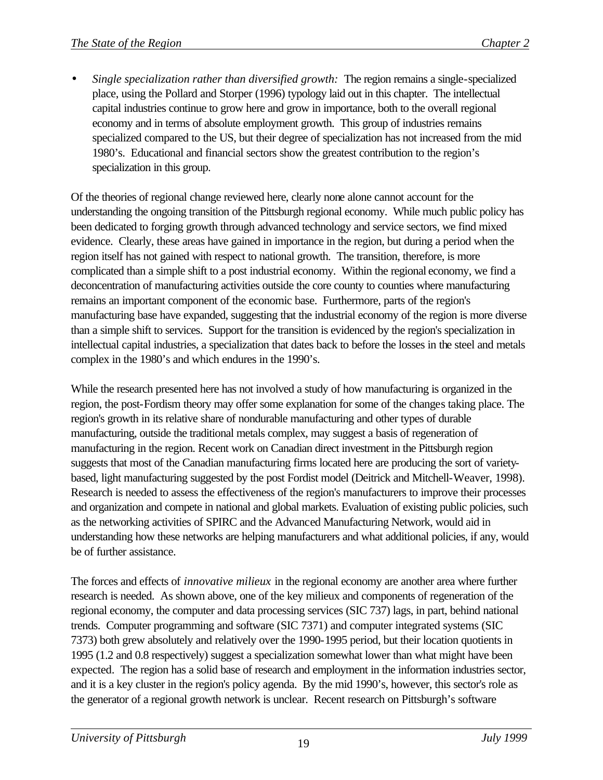• *Single specialization rather than diversified growth:* The region remains a single-specialized place, using the Pollard and Storper (1996) typology laid out in this chapter. The intellectual capital industries continue to grow here and grow in importance, both to the overall regional economy and in terms of absolute employment growth. This group of industries remains specialized compared to the US, but their degree of specialization has not increased from the mid 1980's. Educational and financial sectors show the greatest contribution to the region's specialization in this group.

Of the theories of regional change reviewed here, clearly none alone cannot account for the understanding the ongoing transition of the Pittsburgh regional economy. While much public policy has been dedicated to forging growth through advanced technology and service sectors, we find mixed evidence. Clearly, these areas have gained in importance in the region, but during a period when the region itself has not gained with respect to national growth. The transition, therefore, is more complicated than a simple shift to a post industrial economy. Within the regional economy, we find a deconcentration of manufacturing activities outside the core county to counties where manufacturing remains an important component of the economic base. Furthermore, parts of the region's manufacturing base have expanded, suggesting that the industrial economy of the region is more diverse than a simple shift to services. Support for the transition is evidenced by the region's specialization in intellectual capital industries, a specialization that dates back to before the losses in the steel and metals complex in the 1980's and which endures in the 1990's.

While the research presented here has not involved a study of how manufacturing is organized in the region, the post-Fordism theory may offer some explanation for some of the changes taking place. The region's growth in its relative share of nondurable manufacturing and other types of durable manufacturing, outside the traditional metals complex, may suggest a basis of regeneration of manufacturing in the region. Recent work on Canadian direct investment in the Pittsburgh region suggests that most of the Canadian manufacturing firms located here are producing the sort of varietybased, light manufacturing suggested by the post Fordist model (Deitrick and Mitchell-Weaver, 1998). Research is needed to assess the effectiveness of the region's manufacturers to improve their processes and organization and compete in national and global markets. Evaluation of existing public policies, such as the networking activities of SPIRC and the Advanced Manufacturing Network, would aid in understanding how these networks are helping manufacturers and what additional policies, if any, would be of further assistance.

The forces and effects of *innovative milieux* in the regional economy are another area where further research is needed. As shown above, one of the key milieux and components of regeneration of the regional economy, the computer and data processing services (SIC 737) lags, in part, behind national trends. Computer programming and software (SIC 7371) and computer integrated systems (SIC 7373) both grew absolutely and relatively over the 1990-1995 period, but their location quotients in 1995 (1.2 and 0.8 respectively) suggest a specialization somewhat lower than what might have been expected. The region has a solid base of research and employment in the information industries sector, and it is a key cluster in the region's policy agenda. By the mid 1990's, however, this sector's role as the generator of a regional growth network is unclear. Recent research on Pittsburgh's software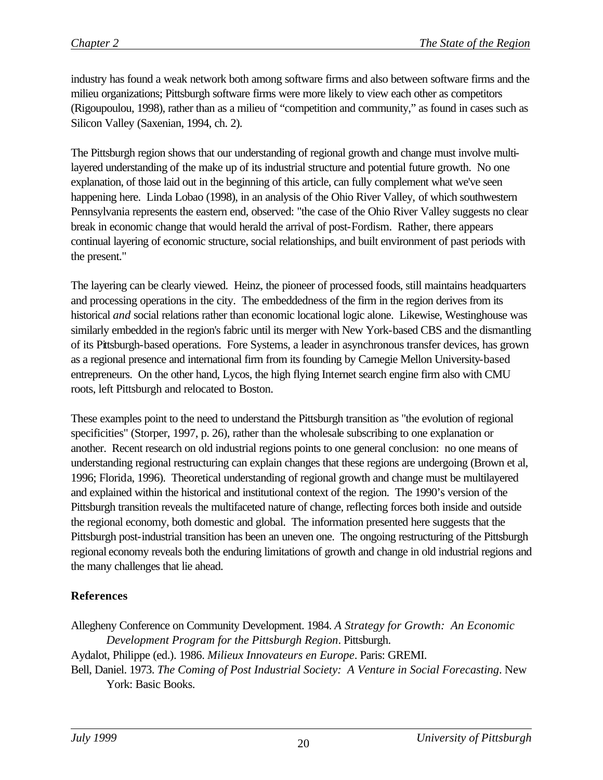industry has found a weak network both among software firms and also between software firms and the milieu organizations; Pittsburgh software firms were more likely to view each other as competitors (Rigoupoulou, 1998), rather than as a milieu of "competition and community," as found in cases such as Silicon Valley (Saxenian, 1994, ch. 2).

The Pittsburgh region shows that our understanding of regional growth and change must involve multilayered understanding of the make up of its industrial structure and potential future growth. No one explanation, of those laid out in the beginning of this article, can fully complement what we've seen happening here. Linda Lobao (1998), in an analysis of the Ohio River Valley, of which southwestern Pennsylvania represents the eastern end, observed: "the case of the Ohio River Valley suggests no clear break in economic change that would herald the arrival of post-Fordism. Rather, there appears continual layering of economic structure, social relationships, and built environment of past periods with the present."

The layering can be clearly viewed. Heinz, the pioneer of processed foods, still maintains headquarters and processing operations in the city. The embeddedness of the firm in the region derives from its historical *and* social relations rather than economic locational logic alone. Likewise, Westinghouse was similarly embedded in the region's fabric until its merger with New York-based CBS and the dismantling of its Pittsburgh-based operations. Fore Systems, a leader in asynchronous transfer devices, has grown as a regional presence and international firm from its founding by Carnegie Mellon University-based entrepreneurs. On the other hand, Lycos, the high flying Internet search engine firm also with CMU roots, left Pittsburgh and relocated to Boston.

These examples point to the need to understand the Pittsburgh transition as "the evolution of regional specificities" (Storper, 1997, p. 26), rather than the wholesale subscribing to one explanation or another. Recent research on old industrial regions points to one general conclusion: no one means of understanding regional restructuring can explain changes that these regions are undergoing (Brown et al, 1996; Florida, 1996). Theoretical understanding of regional growth and change must be multilayered and explained within the historical and institutional context of the region. The 1990's version of the Pittsburgh transition reveals the multifaceted nature of change, reflecting forces both inside and outside the regional economy, both domestic and global. The information presented here suggests that the Pittsburgh post-industrial transition has been an uneven one. The ongoing restructuring of the Pittsburgh regional economy reveals both the enduring limitations of growth and change in old industrial regions and the many challenges that lie ahead.

#### **References**

Allegheny Conference on Community Development. 1984. *A Strategy for Growth: An Economic Development Program for the Pittsburgh Region*. Pittsburgh. Aydalot, Philippe (ed.). 1986. *Milieux Innovateurs en Europe*. Paris: GREMI. Bell, Daniel. 1973. *The Coming of Post Industrial Society: A Venture in Social Forecasting*. New York: Basic Books.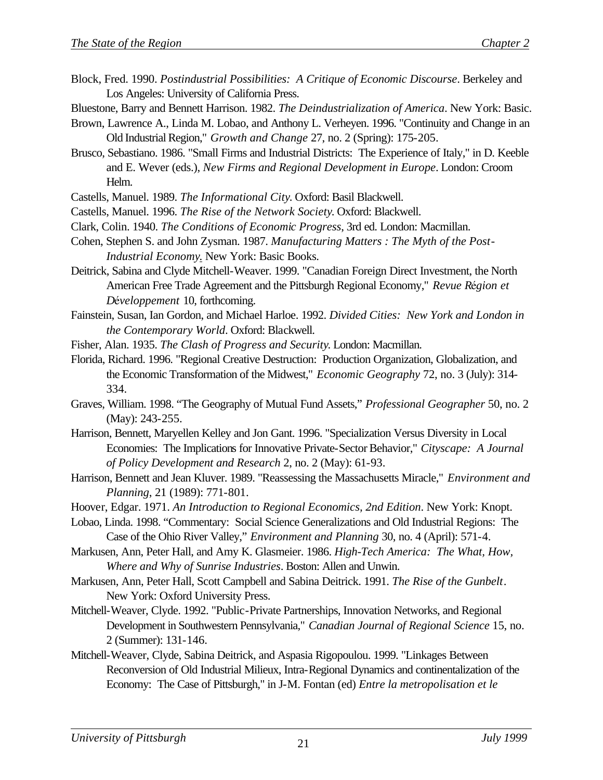- Block, Fred. 1990. *Postindustrial Possibilities: A Critique of Economic Discourse*. Berkeley and Los Angeles: University of California Press.
- Bluestone, Barry and Bennett Harrison. 1982. *The Deindustrialization of America*. New York: Basic.
- Brown, Lawrence A., Linda M. Lobao, and Anthony L. Verheyen. 1996. "Continuity and Change in an Old Industrial Region," *Growth and Change* 27, no. 2 (Spring): 175-205.
- Brusco, Sebastiano. 1986. "Small Firms and Industrial Districts: The Experience of Italy," in D. Keeble and E. Wever (eds.), *New Firms and Regional Development in Europe*. London: Croom Helm.
- Castells, Manuel. 1989. *The Informational City*. Oxford: Basil Blackwell.
- Castells, Manuel. 1996. *The Rise of the Network Society*. Oxford: Blackwell.
- Clark, Colin. 1940. *The Conditions of Economic Progress*, 3rd ed. London: Macmillan.
- Cohen, Stephen S. and John Zysman. 1987. *Manufacturing Matters : The Myth of the Post-Industrial Economy*. New York: Basic Books.
- Deitrick, Sabina and Clyde Mitchell-Weaver. 1999. "Canadian Foreign Direct Investment, the North American Free Trade Agreement and the Pittsburgh Regional Economy," *Revue Région et DJveloppement* 10, forthcoming.
- Fainstein, Susan, Ian Gordon, and Michael Harloe. 1992. *Divided Cities: New York and London in the Contemporary World*. Oxford: Blackwell.
- Fisher, Alan. 1935. *The Clash of Progress and Security*. London: Macmillan.
- Florida, Richard. 1996. "Regional Creative Destruction: Production Organization, Globalization, and the Economic Transformation of the Midwest," *Economic Geography* 72, no. 3 (July): 314- 334.
- Graves, William. 1998. "The Geography of Mutual Fund Assets," *Professional Geographer* 50, no. 2 (May): 243-255.
- Harrison, Bennett, Maryellen Kelley and Jon Gant. 1996. "Specialization Versus Diversity in Local Economies: The Implications for Innovative Private-Sector Behavior," *Cityscape: A Journal of Policy Development and Research* 2, no. 2 (May): 61-93.
- Harrison, Bennett and Jean Kluver. 1989. "Reassessing the Massachusetts Miracle," *Environment and Planning*, 21 (1989): 771-801.
- Hoover, Edgar. 1971. *An Introduction to Regional Economics, 2nd Edition*. New York: Knopt.
- Lobao, Linda. 1998. "Commentary: Social Science Generalizations and Old Industrial Regions: The Case of the Ohio River Valley," *Environment and Planning* 30, no. 4 (April): 571-4.
- Markusen, Ann, Peter Hall, and Amy K. Glasmeier. 1986. *High-Tech America: The What, How, Where and Why of Sunrise Industries*. Boston: Allen and Unwin.
- Markusen, Ann, Peter Hall, Scott Campbell and Sabina Deitrick. 1991. *The Rise of the Gunbelt*. New York: Oxford University Press.
- Mitchell-Weaver, Clyde. 1992. "Public-Private Partnerships, Innovation Networks, and Regional Development in Southwestern Pennsylvania," *Canadian Journal of Regional Science* 15, no. 2 (Summer): 131-146.
- Mitchell-Weaver, Clyde, Sabina Deitrick, and Aspasia Rigopoulou. 1999. "Linkages Between Reconversion of Old Industrial Milieux, Intra-Regional Dynamics and continentalization of the Economy: The Case of Pittsburgh," in J-M. Fontan (ed) *Entre la metropolisation et le*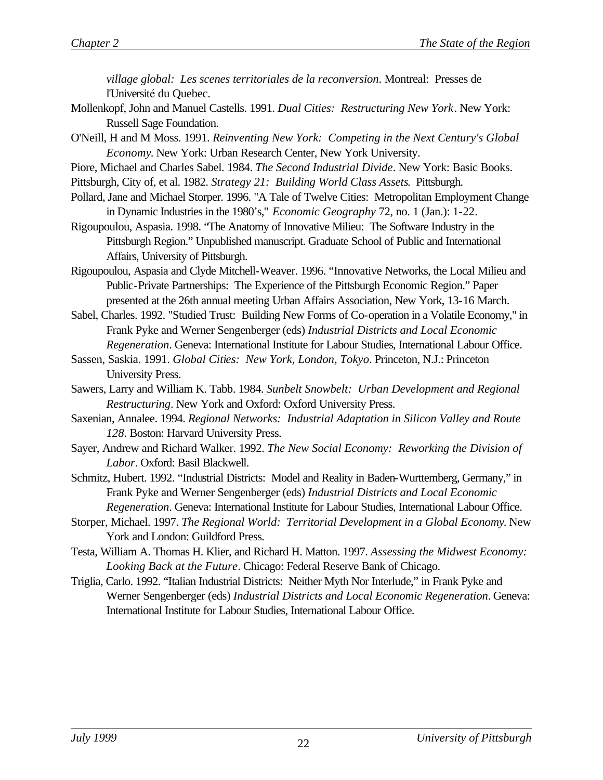*village global: Les scenes territoriales de la reconversion*. Montreal: Presses de l'Université du Quebec.

- Mollenkopf, John and Manuel Castells. 1991. *Dual Cities: Restructuring New York*. New York: Russell Sage Foundation.
- O'Neill, H and M Moss. 1991. *Reinventing New York: Competing in the Next Century's Global Economy*. New York: Urban Research Center, New York University.
- Piore, Michael and Charles Sabel. 1984. *The Second Industrial Divide*. New York: Basic Books.
- Pittsburgh, City of, et al. 1982. *Strategy 21: Building World Class Assets*. Pittsburgh.
- Pollard, Jane and Michael Storper. 1996. "A Tale of Twelve Cities: Metropolitan Employment Change in Dynamic Industries in the 1980's," *Economic Geography* 72, no. 1 (Jan.): 1-22.
- Rigoupoulou, Aspasia. 1998. "The Anatomy of Innovative Milieu: The Software Industry in the Pittsburgh Region." Unpublished manuscript. Graduate School of Public and International Affairs, University of Pittsburgh.
- Rigoupoulou, Aspasia and Clyde Mitchell-Weaver. 1996. "Innovative Networks, the Local Milieu and Public-Private Partnerships: The Experience of the Pittsburgh Economic Region." Paper presented at the 26th annual meeting Urban Affairs Association, New York, 13-16 March.
- Sabel, Charles. 1992. "Studied Trust: Building New Forms of Co-operation in a Volatile Economy," in Frank Pyke and Werner Sengenberger (eds) *Industrial Districts and Local Economic Regeneration*. Geneva: International Institute for Labour Studies, International Labour Office.
- Sassen, Saskia. 1991. *Global Cities: New York, London, Tokyo*. Princeton, N.J.: Princeton University Press.
- Sawers, Larry and William K. Tabb. 1984. *Sunbelt Snowbelt: Urban Development and Regional Restructuring*. New York and Oxford: Oxford University Press.
- Saxenian, Annalee. 1994. *Regional Networks: Industrial Adaptation in Silicon Valley and Route 128*. Boston: Harvard University Press.
- Sayer, Andrew and Richard Walker. 1992. *The New Social Economy: Reworking the Division of Labor*. Oxford: Basil Blackwell.
- Schmitz, Hubert. 1992. "Industrial Districts: Model and Reality in Baden-Wurttemberg, Germany," in Frank Pyke and Werner Sengenberger (eds) *Industrial Districts and Local Economic Regeneration*. Geneva: International Institute for Labour Studies, International Labour Office.
- Storper, Michael. 1997. *The Regional World: Territorial Development in a Global Economy*. New York and London: Guildford Press.
- Testa, William A. Thomas H. Klier, and Richard H. Matton. 1997. *Assessing the Midwest Economy: Looking Back at the Future*. Chicago: Federal Reserve Bank of Chicago.
- Triglia, Carlo. 1992. "Italian Industrial Districts: Neither Myth Nor Interlude," in Frank Pyke and Werner Sengenberger (eds) *Industrial Districts and Local Economic Regeneration*. Geneva: International Institute for Labour Studies, International Labour Office.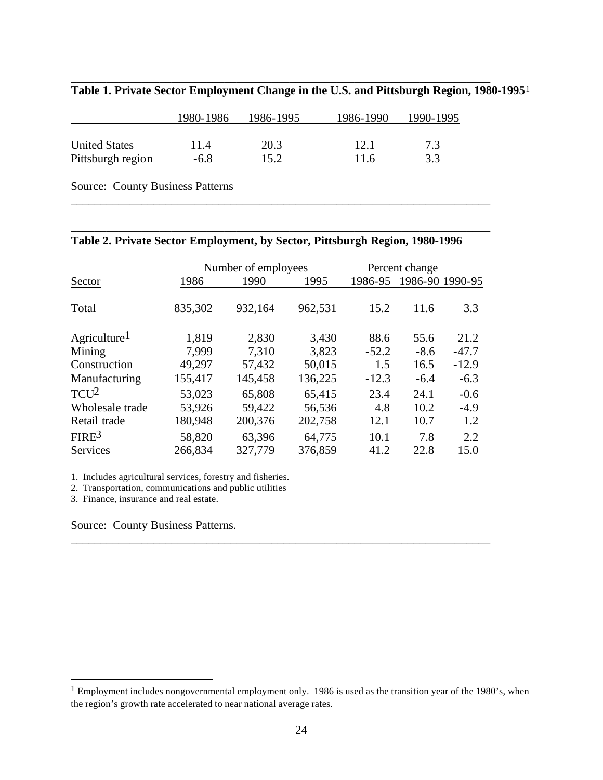|                      | 1980-1986 | 1986-1995 | 1986-1990 | 1990-1995 |
|----------------------|-----------|-----------|-----------|-----------|
| <b>United States</b> | 11.4      | 20.3      | 12.1      | 7.3       |
| Pittsburgh region    | $-6.8$    | 15.2      | 11.6      | 33        |

\_\_\_\_\_\_\_\_\_\_\_\_\_\_\_\_\_\_\_\_\_\_\_\_\_\_\_\_\_\_\_\_\_\_\_\_\_\_\_\_\_\_\_\_\_\_\_\_\_\_\_\_\_\_\_\_\_\_\_\_\_\_\_\_\_\_\_\_\_\_\_

\_\_\_\_\_\_\_\_\_\_\_\_\_\_\_\_\_\_\_\_\_\_\_\_\_\_\_\_\_\_\_\_\_\_\_\_\_\_\_\_\_\_\_\_\_\_\_\_\_\_\_\_\_\_\_\_\_\_\_\_\_\_\_\_\_\_\_\_\_\_\_

\_\_\_\_\_\_\_\_\_\_\_\_\_\_\_\_\_\_\_\_\_\_\_\_\_\_\_\_\_\_\_\_\_\_\_\_\_\_\_\_\_\_\_\_\_\_\_\_\_\_\_\_\_\_\_\_\_\_\_\_\_\_\_\_\_\_\_\_\_\_\_

**Table 1. Private Sector Employment Change in the U.S. and Pittsburgh Region, 1980-1995**<sup>1</sup>

Source: County Business Patterns

#### **Table 2. Private Sector Employment, by Sector, Pittsburgh Region, 1980-1996**

|                          |         | Number of employees |         |         | Percent change |                 |  |
|--------------------------|---------|---------------------|---------|---------|----------------|-----------------|--|
| Sector                   | 1986    | 1990                | 1995    | 1986-95 |                | 1986-90 1990-95 |  |
|                          |         |                     |         |         |                |                 |  |
| Total                    | 835,302 | 932,164             | 962,531 | 15.2    | 11.6           | 3.3             |  |
| Agriculture <sup>1</sup> | 1,819   | 2,830               | 3,430   | 88.6    | 55.6           | 21.2            |  |
| Mining                   | 7,999   | 7,310               | 3,823   | $-52.2$ | $-8.6$         | $-47.7$         |  |
| Construction             | 49,297  | 57,432              | 50,015  | 1.5     | 16.5           | $-12.9$         |  |
| Manufacturing            | 155,417 | 145,458             | 136,225 | $-12.3$ | $-6.4$         | $-6.3$          |  |
| $TCU^2$                  | 53,023  | 65,808              | 65,415  | 23.4    | 24.1           | $-0.6$          |  |
| Wholesale trade          | 53,926  | 59,422              | 56,536  | 4.8     | 10.2           | $-4.9$          |  |
| Retail trade             | 180,948 | 200,376             | 202,758 | 12.1    | 10.7           | 1.2             |  |
| FIRE <sup>3</sup>        | 58,820  | 63,396              | 64,775  | 10.1    | 7.8            | 2.2             |  |
| <b>Services</b>          | 266,834 | 327,779             | 376,859 | 41.2    | 22.8           | 15.0            |  |

\_\_\_\_\_\_\_\_\_\_\_\_\_\_\_\_\_\_\_\_\_\_\_\_\_\_\_\_\_\_\_\_\_\_\_\_\_\_\_\_\_\_\_\_\_\_\_\_\_\_\_\_\_\_\_\_\_\_\_\_\_\_\_\_\_\_\_\_\_\_\_

1. Includes agricultural services, forestry and fisheries.

2. Transportation, communications and public utilities

3. Finance, insurance and real estate.

 $\overline{a}$ 

Source: County Business Patterns.

 $1$  Employment includes nongovernmental employment only. 1986 is used as the transition year of the 1980's, when the region's growth rate accelerated to near national average rates.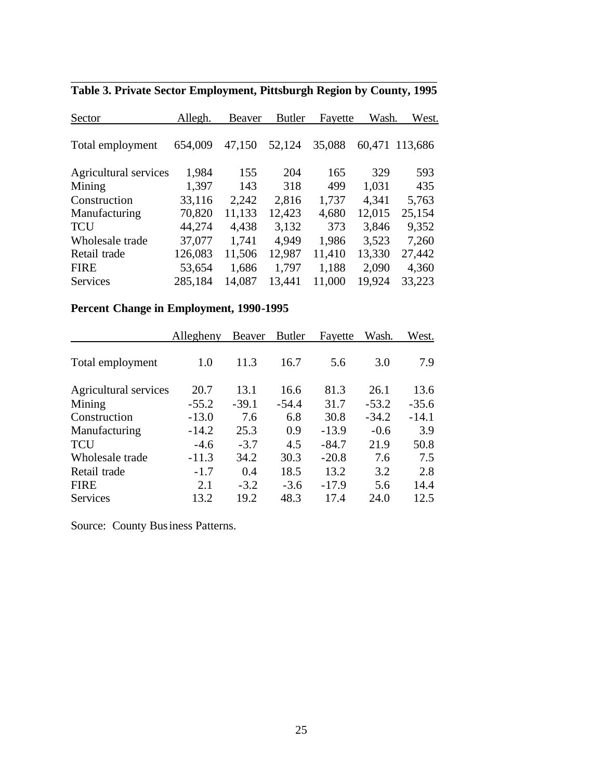| Allegh. | <b>Beaver</b> | <b>Butler</b> |        |         | West.   |
|---------|---------------|---------------|--------|---------|---------|
| 654,009 | 47,150        | 52,124        | 35,088 | 60,471  | 113,686 |
| 1,984   | 155           | 204           | 165    | 329     | 593     |
| 1,397   | 143           | 318           | 499    | 1,031   | 435     |
| 33,116  | 2,242         | 2,816         | 1,737  | 4,341   | 5,763   |
| 70,820  | 11,133        | 12,423        | 4,680  | 12,015  | 25,154  |
| 44,274  | 4,438         | 3,132         | 373    | 3,846   | 9,352   |
| 37,077  | 1,741         | 4,949         | 1,986  | 3,523   | 7,260   |
| 126,083 | 11,506        | 12,987        | 11,410 | 13,330  | 27,442  |
| 53,654  | 1,686         | 1,797         | 1,188  | 2,090   | 4,360   |
| 285,184 | 14,087        | 13,441        | 11,000 | 19,924  | 33,223  |
|         |               |               |        | Fayette | Wash.   |

\_\_\_\_\_\_\_\_\_\_\_\_\_\_\_\_\_\_\_\_\_\_\_\_\_\_\_\_\_\_\_\_\_\_\_\_\_\_\_\_\_\_\_\_\_\_\_\_\_\_\_\_\_\_\_\_\_\_\_\_\_\_ **Table 3. Private Sector Employment, Pittsburgh Region by County, 1995**

#### **Percent Change in Employment, 1990-1995**

|                       | Allegheny | Beaver  | <b>Butler</b> | Fayette | Wash.   | West.   |
|-----------------------|-----------|---------|---------------|---------|---------|---------|
| Total employment      | 1.0       | 11.3    | 16.7          | 5.6     | 3.0     | 7.9     |
| Agricultural services | 20.7      | 13.1    | 16.6          | 81.3    | 26.1    | 13.6    |
| Mining                | $-55.2$   | $-39.1$ | $-54.4$       | 31.7    | $-53.2$ | $-35.6$ |
| Construction          | $-13.0$   | 7.6     | 6.8           | 30.8    | $-34.2$ | $-14.1$ |
| Manufacturing         | $-14.2$   | 25.3    | 0.9           | $-13.9$ | $-0.6$  | 3.9     |
| <b>TCU</b>            | $-4.6$    | $-3.7$  | 4.5           | $-84.7$ | 21.9    | 50.8    |
| Wholesale trade       | $-11.3$   | 34.2    | 30.3          | $-20.8$ | 7.6     | 7.5     |
| Retail trade          | $-1.7$    | 0.4     | 18.5          | 13.2    | 3.2     | 2.8     |
| <b>FIRE</b>           | 2.1       | $-3.2$  | $-3.6$        | $-17.9$ | 5.6     | 14.4    |
| <b>Services</b>       | 13.2      | 19.2    | 48.3          | 17.4    | 24.0    | 12.5    |

Source: County Business Patterns.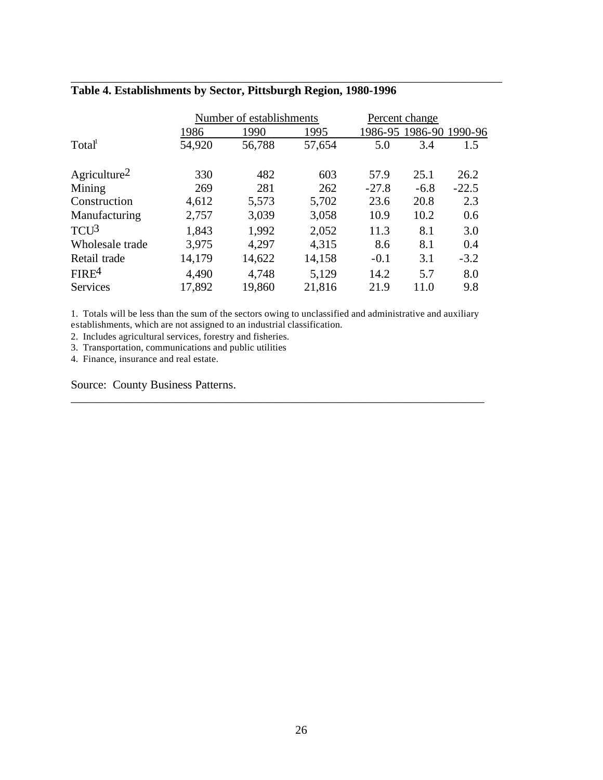|                          |        | Number of establishments |        |         | Percent change          |         |
|--------------------------|--------|--------------------------|--------|---------|-------------------------|---------|
|                          | 1986   | 1990                     | 1995   |         | 1986-95 1986-90 1990-96 |         |
| Total                    | 54,920 | 56,788                   | 57,654 | 5.0     | 3.4                     | 1.5     |
| Agriculture <sup>2</sup> | 330    | 482                      | 603    | 57.9    | 25.1                    | 26.2    |
| Mining                   | 269    | 281                      | 262    | $-27.8$ | $-6.8$                  | $-22.5$ |
| Construction             | 4,612  | 5,573                    | 5,702  | 23.6    | 20.8                    | 2.3     |
| Manufacturing            | 2,757  | 3,039                    | 3,058  | 10.9    | 10.2                    | 0.6     |
| $TCU^3$                  | 1,843  | 1,992                    | 2,052  | 11.3    | 8.1                     | 3.0     |
| Wholesale trade          | 3,975  | 4,297                    | 4,315  | 8.6     | 8.1                     | 0.4     |
| Retail trade             | 14,179 | 14,622                   | 14,158 | $-0.1$  | 3.1                     | $-3.2$  |
| FIRE <sup>4</sup>        | 4,490  | 4,748                    | 5,129  | 14.2    | 5.7                     | 8.0     |
| <b>Services</b>          | 17,892 | 19,860                   | 21,816 | 21.9    | 11.0                    | 9.8     |

\_\_\_\_\_\_\_\_\_\_\_\_\_\_\_\_\_\_\_\_\_\_\_\_\_\_\_\_\_\_\_\_\_\_\_\_\_\_\_\_\_\_\_\_\_\_\_\_\_\_\_\_\_\_\_\_\_\_\_\_\_\_\_\_\_\_\_\_\_\_\_\_\_

### **Table 4. Establishments by Sector, Pittsburgh Region, 1980-1996**

1. Totals will be less than the sum of the sectors owing to unclassified and administrative and auxiliary establishments, which are not assigned to an industrial classification.

\_\_\_\_\_\_\_\_\_\_\_\_\_\_\_\_\_\_\_\_\_\_\_\_\_\_\_\_\_\_\_\_\_\_\_\_\_\_\_\_\_\_\_\_\_\_\_\_\_\_\_\_\_\_\_\_\_\_\_\_\_\_\_\_\_\_\_\_\_\_

2. Includes agricultural services, forestry and fisheries.

3. Transportation, communications and public utilities

4. Finance, insurance and real estate.

Source: County Business Patterns.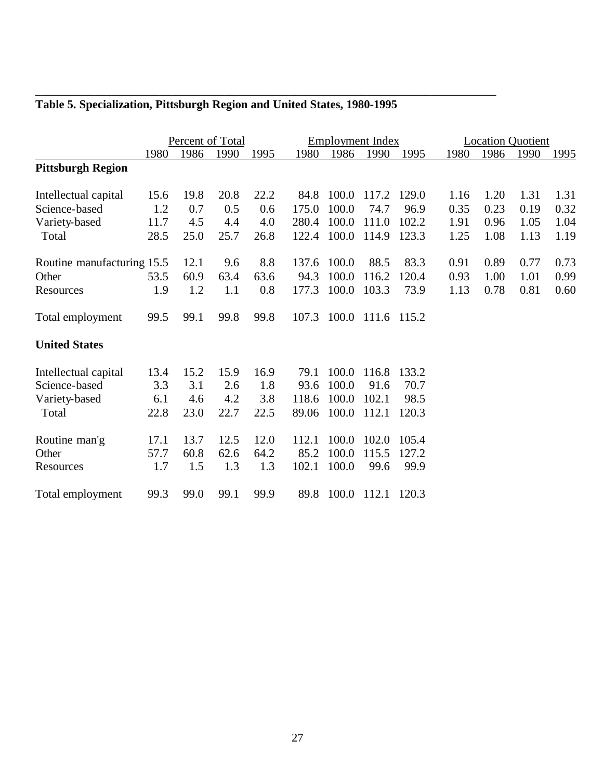|                            | Percent of Total |      |      |      | <b>Employment Index</b> |       |             |       | <b>Location Quotient</b> |      |      |      |
|----------------------------|------------------|------|------|------|-------------------------|-------|-------------|-------|--------------------------|------|------|------|
|                            | 1980             | 1986 | 1990 | 1995 | 1980                    | 1986  | 1990        | 1995  | 1980                     | 1986 | 1990 | 1995 |
| <b>Pittsburgh Region</b>   |                  |      |      |      |                         |       |             |       |                          |      |      |      |
| Intellectual capital       | 15.6             | 19.8 | 20.8 | 22.2 | 84.8                    | 100.0 | 117.2       | 129.0 | 1.16                     | 1.20 | 1.31 | 1.31 |
| Science-based              | 1.2              | 0.7  | 0.5  | 0.6  | 175.0                   | 100.0 | 74.7        | 96.9  | 0.35                     | 0.23 | 0.19 | 0.32 |
| Variety-based              | 11.7             | 4.5  | 4.4  | 4.0  | 280.4                   | 100.0 | 111.0       | 102.2 | 1.91                     | 0.96 | 1.05 | 1.04 |
| Total                      | 28.5             | 25.0 | 25.7 | 26.8 | 122.4                   | 100.0 | 114.9       | 123.3 | 1.25                     | 1.08 | 1.13 | 1.19 |
| Routine manufacturing 15.5 |                  | 12.1 | 9.6  | 8.8  | 137.6                   | 100.0 | 88.5        | 83.3  | 0.91                     | 0.89 | 0.77 | 0.73 |
| Other                      | 53.5             | 60.9 | 63.4 | 63.6 | 94.3                    | 100.0 | 116.2       | 120.4 | 0.93                     | 1.00 | 1.01 | 0.99 |
| Resources                  | 1.9              | 1.2  | 1.1  | 0.8  | 177.3                   | 100.0 | 103.3       | 73.9  | 1.13                     | 0.78 | 0.81 | 0.60 |
| Total employment           | 99.5             | 99.1 | 99.8 | 99.8 | 107.3                   | 100.0 | 111.6 115.2 |       |                          |      |      |      |
| <b>United States</b>       |                  |      |      |      |                         |       |             |       |                          |      |      |      |
| Intellectual capital       | 13.4             | 15.2 | 15.9 | 16.9 | 79.1                    | 100.0 | 116.8       | 133.2 |                          |      |      |      |
| Science-based              | 3.3              | 3.1  | 2.6  | 1.8  | 93.6                    | 100.0 | 91.6        | 70.7  |                          |      |      |      |
| Variety-based              | 6.1              | 4.6  | 4.2  | 3.8  | 118.6                   | 100.0 | 102.1       | 98.5  |                          |      |      |      |
| Total                      | 22.8             | 23.0 | 22.7 | 22.5 | 89.06                   | 100.0 | 112.1       | 120.3 |                          |      |      |      |
| Routine man'g              | 17.1             | 13.7 | 12.5 | 12.0 | 112.1                   | 100.0 | 102.0       | 105.4 |                          |      |      |      |
| Other                      | 57.7             | 60.8 | 62.6 | 64.2 | 85.2                    | 100.0 | 115.5       | 127.2 |                          |      |      |      |
| Resources                  | 1.7              | 1.5  | 1.3  | 1.3  | 102.1                   | 100.0 | 99.6        | 99.9  |                          |      |      |      |
| Total employment           | 99.3             | 99.0 | 99.1 | 99.9 | 89.8                    | 100.0 | 112.1 120.3 |       |                          |      |      |      |

#### **Table 5. Specialization, Pittsburgh Region and United States, 1980-1995**

\_\_\_\_\_\_\_\_\_\_\_\_\_\_\_\_\_\_\_\_\_\_\_\_\_\_\_\_\_\_\_\_\_\_\_\_\_\_\_\_\_\_\_\_\_\_\_\_\_\_\_\_\_\_\_\_\_\_\_\_\_\_\_\_\_\_\_\_\_\_\_\_\_\_\_\_\_\_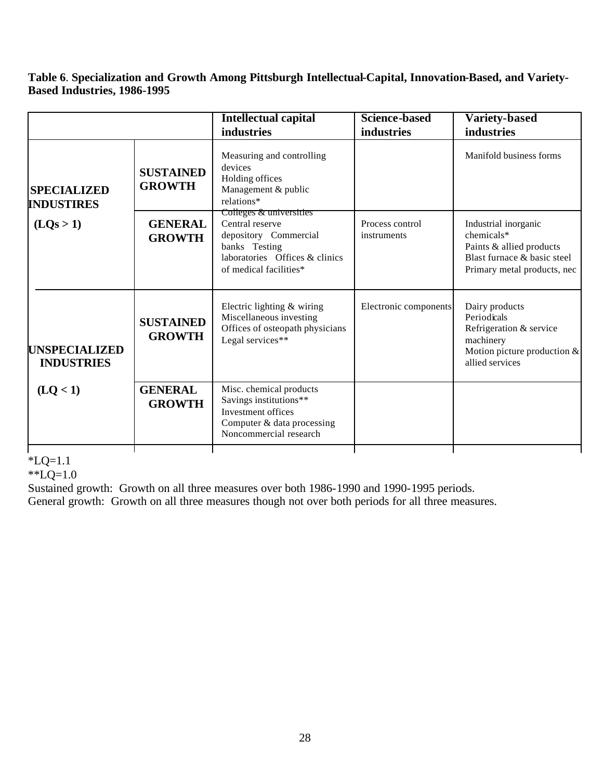**Table 6**. **Specialization and Growth Among Pittsburgh Intellectual-Capital, Innovation-Based, and Variety-Based Industries, 1986-1995**

|                                           |                                   | <b>Intellectual capital</b>                                                                                                                      | <b>Science-based</b>           | <b>Variety-based</b>                                                                                                         |
|-------------------------------------------|-----------------------------------|--------------------------------------------------------------------------------------------------------------------------------------------------|--------------------------------|------------------------------------------------------------------------------------------------------------------------------|
|                                           |                                   | industries                                                                                                                                       | industries                     | industries                                                                                                                   |
| <b>SPECIALIZED</b><br><b>INDUSTIRES</b>   | <b>SUSTAINED</b><br><b>GROWTH</b> | Measuring and controlling<br>devices<br>Holding offices<br>Management & public<br>relations*                                                     |                                | Manifold business forms                                                                                                      |
| (LQs > 1)                                 | <b>GENERAL</b><br><b>GROWTH</b>   | Colleges & universities<br>Central reserve<br>depository Commercial<br>banks Testing<br>laboratories Offices & clinics<br>of medical facilities* | Process control<br>instruments | Industrial inorganic<br>chemicals*<br>Paints & allied products<br>Blast furnace & basic steel<br>Primary metal products, nec |
| <b>UNSPECIALIZED</b><br><b>INDUSTRIES</b> | <b>SUSTAINED</b><br><b>GROWTH</b> | Electric lighting & wiring<br>Miscellaneous investing<br>Offices of osteopath physicians<br>Legal services**                                     | Electronic components          | Dairy products<br>Periodicals<br>Refrigeration & service<br>machinery<br>Motion picture production $&$<br>allied services    |
| (LQ<1)                                    | <b>GENERAL</b><br><b>GROWTH</b>   | Misc. chemical products<br>Savings institutions**<br>Investment offices<br>Computer & data processing<br>Noncommercial research                  |                                |                                                                                                                              |

 $*LQ=1.1$ 

\*\*LQ=1.0

Sustained growth: Growth on all three measures over both 1986-1990 and 1990-1995 periods.

General growth: Growth on all three measures though not over both periods for all three measures.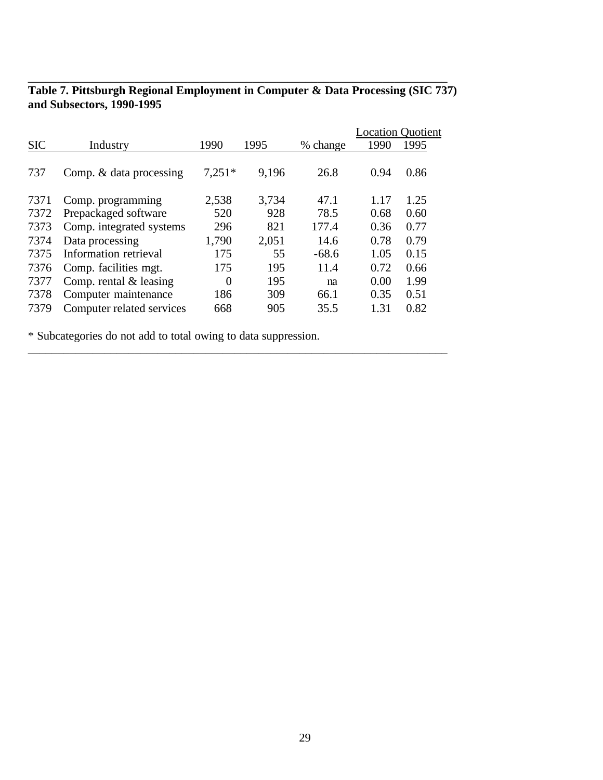|            |                           |                |       |          |      | <b>Location Quotient</b> |
|------------|---------------------------|----------------|-------|----------|------|--------------------------|
| <b>SIC</b> | Industry                  | 1990           | 1995  | % change | 1990 | 1995                     |
| 737        | Comp. & data processing   | $7,251*$       | 9,196 | 26.8     | 0.94 | 0.86                     |
| 7371       | Comp. programming         | 2,538          | 3,734 | 47.1     | 1.17 | 1.25                     |
| 7372       | Prepackaged software      | 520            | 928   | 78.5     | 0.68 | 0.60                     |
| 7373       | Comp. integrated systems  | 296            | 821   | 177.4    | 0.36 | 0.77                     |
| 7374       | Data processing           | 1,790          | 2,051 | 14.6     | 0.78 | 0.79                     |
| 7375       | Information retrieval     | 175            | 55    | $-68.6$  | 1.05 | 0.15                     |
| 7376       | Comp. facilities mgt.     | 175            | 195   | 11.4     | 0.72 | 0.66                     |
| 7377       | Comp. rental $&$ leasing  | $\overline{0}$ | 195   | na       | 0.00 | 1.99                     |
| 7378       | Computer maintenance      | 186            | 309   | 66.1     | 0.35 | 0.51                     |
| 7379       | Computer related services | 668            | 905   | 35.5     | 1.31 | 0.82                     |

\_\_\_\_\_\_\_\_\_\_\_\_\_\_\_\_\_\_\_\_\_\_\_\_\_\_\_\_\_\_\_\_\_\_\_\_\_\_\_\_\_\_\_\_\_\_\_\_\_\_\_\_\_\_\_\_\_\_\_\_\_\_\_\_\_\_\_\_\_\_\_

#### **Table 7. Pittsburgh Regional Employment in Computer & Data Processing (SIC 737) and Subsectors, 1990-1995**

\_\_\_\_\_\_\_\_\_\_\_\_\_\_\_\_\_\_\_\_\_\_\_\_\_\_\_\_\_\_\_\_\_\_\_\_\_\_\_\_\_\_\_\_\_\_\_\_\_\_\_\_\_\_\_\_\_\_\_\_\_\_\_\_\_\_\_\_\_\_\_

\* Subcategories do not add to total owing to data suppression.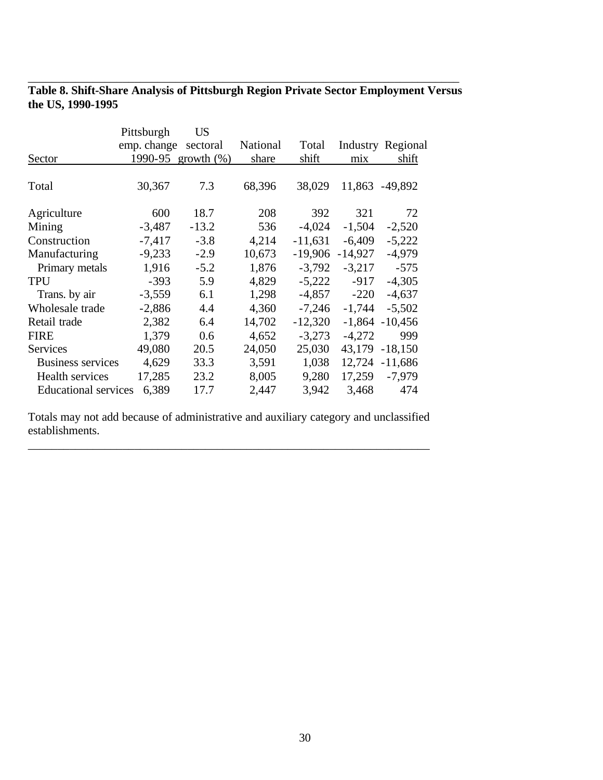|                   | Table 8. Shift-Share Analysis of Pittsburgh Region Private Sector Employment Versus |  |  |
|-------------------|-------------------------------------------------------------------------------------|--|--|
| the US, 1990-1995 |                                                                                     |  |  |

\_\_\_\_\_\_\_\_\_\_\_\_\_\_\_\_\_\_\_\_\_\_\_\_\_\_\_\_\_\_\_\_\_\_\_\_\_\_\_\_\_\_\_\_\_\_\_\_\_\_\_\_\_\_\_\_\_\_\_\_\_\_\_\_\_\_\_\_\_\_\_\_\_

|          | US                                        |                              |           |           |                   |
|----------|-------------------------------------------|------------------------------|-----------|-----------|-------------------|
|          | sectoral                                  | National                     | Total     |           | Industry Regional |
| 1990-95  |                                           | share                        | shift     | mix       | shift             |
| 30,367   | 7.3                                       | 68,396                       | 38,029    |           |                   |
| 600      | 18.7                                      | 208                          | 392       | 321       | 72                |
| $-3,487$ | $-13.2$                                   | 536                          | $-4,024$  | $-1,504$  | $-2,520$          |
| $-7,417$ | $-3.8$                                    | 4,214                        | $-11,631$ | $-6,409$  | $-5,222$          |
| $-9,233$ | $-2.9$                                    | 10,673                       | -19,906   | $-14,927$ | $-4,979$          |
| 1,916    | $-5.2$                                    | 1,876                        | $-3,792$  | $-3,217$  | $-575$            |
| $-393$   | 5.9                                       | 4,829                        | $-5,222$  | $-917$    | $-4,305$          |
| $-3,559$ | 6.1                                       | 1,298                        | $-4,857$  | $-220$    | $-4,637$          |
| $-2,886$ | 4.4                                       | 4,360                        | $-7,246$  | $-1,744$  | $-5,502$          |
| 2,382    | 6.4                                       | 14,702                       | $-12,320$ | $-1,864$  | $-10,456$         |
| 1,379    | 0.6                                       | 4,652                        | $-3,273$  | $-4,272$  | 999               |
| 49,080   | 20.5                                      | 24,050                       | 25,030    | 43,179    | $-18,150$         |
| 4,629    | 33.3                                      | 3,591                        | 1,038     | 12,724    | $-11,686$         |
| 17,285   | 23.2                                      | 8,005                        | 9,280     | 17,259    | $-7,979$          |
| 6,389    | 17.7                                      | 2,447                        | 3,942     | 3,468     | 474               |
|          | Pittsburgh<br><b>Educational services</b> | emp. change<br>growth $(\%)$ |           |           | 11,863 -49,892    |

Totals may not add because of administrative and auxiliary category and unclassified establishments.

\_\_\_\_\_\_\_\_\_\_\_\_\_\_\_\_\_\_\_\_\_\_\_\_\_\_\_\_\_\_\_\_\_\_\_\_\_\_\_\_\_\_\_\_\_\_\_\_\_\_\_\_\_\_\_\_\_\_\_\_\_\_\_\_\_\_\_\_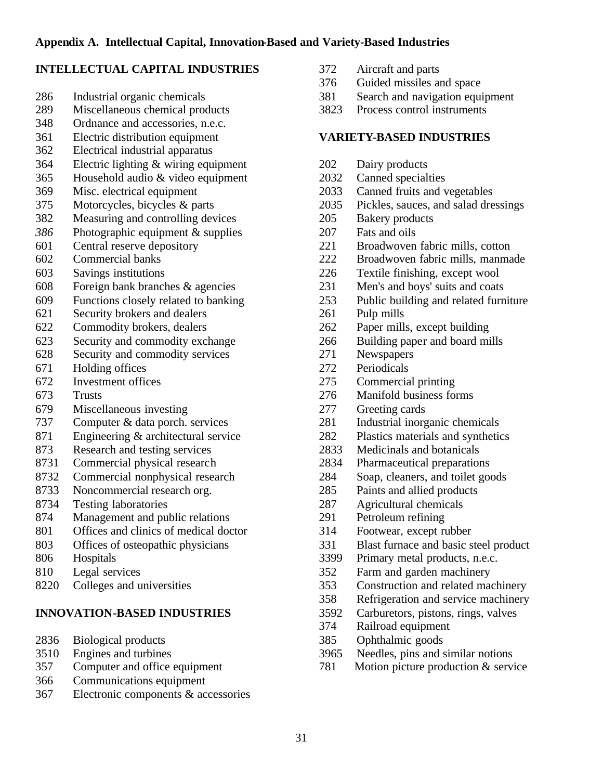### **INTELLECTUAL CAPITAL INDUSTRIES**

- Industrial organic chemicals
- Miscellaneous chemical products
- Ordnance and accessories, n.e.c.
- Electric distribution equipment
- Electrical industrial apparatus
- Electric lighting & wiring equipment
- Household audio & video equipment
- Misc. electrical equipment
- Motorcycles, bicycles & parts
- Measuring and controlling devices
- Photographic equipment & supplies
- Central reserve depository
- Commercial banks
- Savings institutions
- Foreign bank branches & agencies
- Functions closely related to banking
- Security brokers and dealers
- Commodity brokers, dealers
- Security and commodity exchange
- Security and commodity services
- Holding offices
- Investment offices
- Trusts
- Miscellaneous investing
- Computer & data porch. services
- Engineering & architectural service
- Research and testing services
- Commercial physical research
- Commercial nonphysical research
- Noncommercial research org.
- Testing laboratories
- Management and public relations
- Offices and clinics of medical doctor
- Offices of osteopathic physicians
- Hospitals
- Legal services
- Colleges and universities

#### **INNOVATION-BASED INDUSTRIES**

- Biological products
- Engines and turbines
- Computer and office equipment
- Communications equipment
- Electronic components & accessories
- Aircraft and parts
- Guided missiles and space
- Search and navigation equipment
- Process control instruments

#### **VARIETY-BASED INDUSTRIES**

- Dairy products
- Canned specialties
- Canned fruits and vegetables
- Pickles, sauces, and salad dressings
- Bakery products
- Fats and oils
- Broadwoven fabric mills, cotton
- Broadwoven fabric mills, manmade
- Textile finishing, except wool
- Men's and boys' suits and coats
- Public building and related furniture
- Pulp mills
- Paper mills, except building
- Building paper and board mills
- Newspapers
- Periodicals
- Commercial printing
- Manifold business forms
- Greeting cards
- Industrial inorganic chemicals
- Plastics materials and synthetics
- Medicinals and botanicals
- Pharmaceutical preparations
- Soap, cleaners, and toilet goods
- Paints and allied products
- Agricultural chemicals
- Petroleum refining
- Footwear, except rubber
- Blast furnace and basic steel product
- Primary metal products, n.e.c.
- Farm and garden machinery
- Construction and related machinery
- Refrigeration and service machinery
- Carburetors, pistons, rings, valves
- Railroad equipment
- 385 Ophthalmic goods<br>3965 Needles, pins and s
- Needles, pins and similar notions
- Motion picture production & service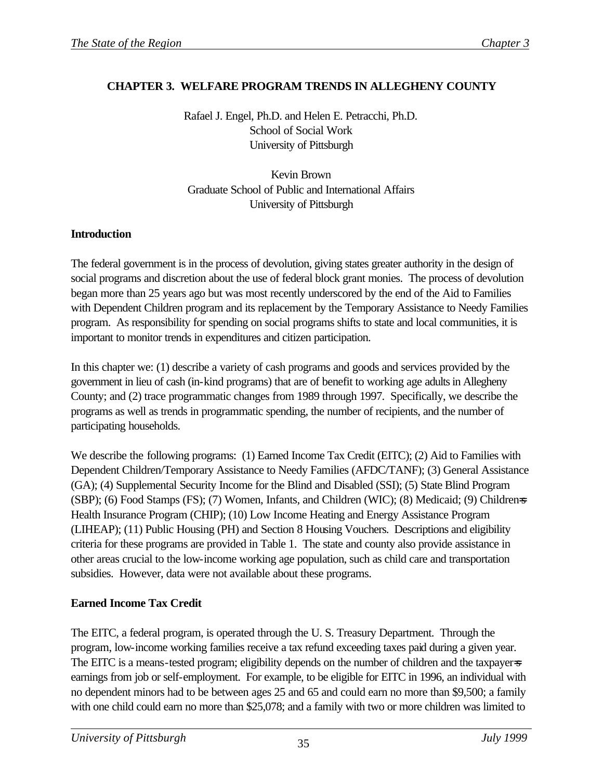# **CHAPTER 3. WELFARE PROGRAM TRENDS IN ALLEGHENY COUNTY**

Rafael J. Engel, Ph.D. and Helen E. Petracchi, Ph.D. School of Social Work University of Pittsburgh

Kevin Brown Graduate School of Public and International Affairs University of Pittsburgh

## **Introduction**

The federal government is in the process of devolution, giving states greater authority in the design of social programs and discretion about the use of federal block grant monies. The process of devolution began more than 25 years ago but was most recently underscored by the end of the Aid to Families with Dependent Children program and its replacement by the Temporary Assistance to Needy Families program. As responsibility for spending on social programs shifts to state and local communities, it is important to monitor trends in expenditures and citizen participation.

In this chapter we: (1) describe a variety of cash programs and goods and services provided by the government in lieu of cash (in-kind programs) that are of benefit to working age adults in Allegheny County; and (2) trace programmatic changes from 1989 through 1997. Specifically, we describe the programs as well as trends in programmatic spending, the number of recipients, and the number of participating households.

We describe the following programs: (1) Earned Income Tax Credit (EITC); (2) Aid to Families with Dependent Children/Temporary Assistance to Needy Families (AFDC/TANF); (3) General Assistance (GA); (4) Supplemental Security Income for the Blind and Disabled (SSI); (5) State Blind Program (SBP); (6) Food Stamps (FS); (7) Women, Infants, and Children (WIC); (8) Medicaid; (9) Children=s Health Insurance Program (CHIP); (10) Low Income Heating and Energy Assistance Program (LIHEAP); (11) Public Housing (PH) and Section 8 Housing Vouchers. Descriptions and eligibility criteria for these programs are provided in Table 1. The state and county also provide assistance in other areas crucial to the low-income working age population, such as child care and transportation subsidies. However, data were not available about these programs.

# **Earned Income Tax Credit**

The EITC, a federal program, is operated through the U. S. Treasury Department. Through the program, low-income working families receive a tax refund exceeding taxes paid during a given year. The EITC is a means-tested program; eligibility depends on the number of children and the taxpayer  $\equiv$ earnings from job or self-employment. For example, to be eligible for EITC in 1996, an individual with no dependent minors had to be between ages 25 and 65 and could earn no more than \$9,500; a family with one child could earn no more than \$25,078; and a family with two or more children was limited to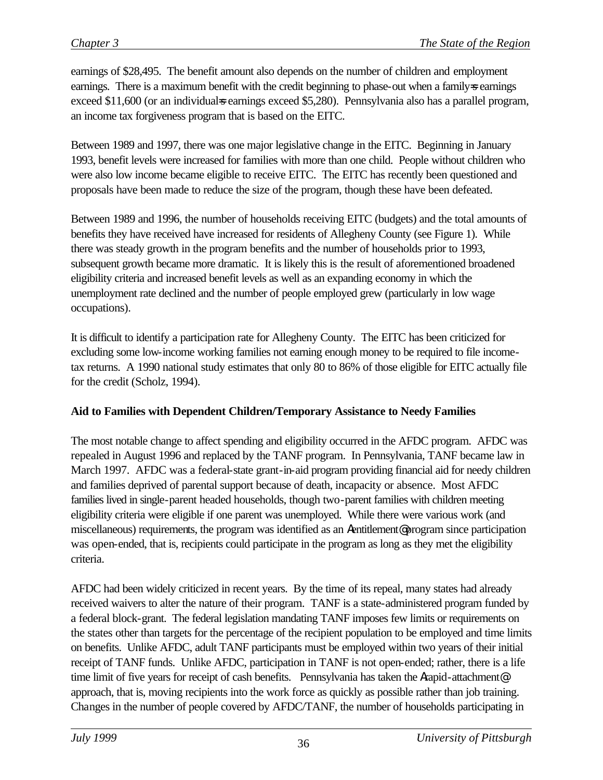earnings of \$28,495. The benefit amount also depends on the number of children and employment earnings. There is a maximum benefit with the credit beginning to phase-out when a family=s earnings exceed \$11,600 (or an individual searnings exceed \$5,280). Pennsylvania also has a parallel program, an income tax forgiveness program that is based on the EITC.

Between 1989 and 1997, there was one major legislative change in the EITC. Beginning in January 1993, benefit levels were increased for families with more than one child. People without children who were also low income became eligible to receive EITC. The EITC has recently been questioned and proposals have been made to reduce the size of the program, though these have been defeated.

Between 1989 and 1996, the number of households receiving EITC (budgets) and the total amounts of benefits they have received have increased for residents of Allegheny County (see Figure 1). While there was steady growth in the program benefits and the number of households prior to 1993, subsequent growth became more dramatic. It is likely this is the result of aforementioned broadened eligibility criteria and increased benefit levels as well as an expanding economy in which the unemployment rate declined and the number of people employed grew (particularly in low wage occupations).

It is difficult to identify a participation rate for Allegheny County. The EITC has been criticized for excluding some low-income working families not earning enough money to be required to file incometax returns. A 1990 national study estimates that only 80 to 86% of those eligible for EITC actually file for the credit (Scholz, 1994).

## **Aid to Families with Dependent Children/Temporary Assistance to Needy Families**

The most notable change to affect spending and eligibility occurred in the AFDC program. AFDC was repealed in August 1996 and replaced by the TANF program. In Pennsylvania, TANF became law in March 1997. AFDC was a federal-state grant-in-aid program providing financial aid for needy children and families deprived of parental support because of death, incapacity or absence. Most AFDC families lived in single-parent headed households, though two-parent families with children meeting eligibility criteria were eligible if one parent was unemployed. While there were various work (and miscellaneous) requirements, the program was identified as an Aentitlement@ program since participation was open-ended, that is, recipients could participate in the program as long as they met the eligibility criteria.

AFDC had been widely criticized in recent years. By the time of its repeal, many states had already received waivers to alter the nature of their program. TANF is a state-administered program funded by a federal block-grant. The federal legislation mandating TANF imposes few limits or requirements on the states other than targets for the percentage of the recipient population to be employed and time limits on benefits. Unlike AFDC, adult TANF participants must be employed within two years of their initial receipt of TANF funds. Unlike AFDC, participation in TANF is not open-ended; rather, there is a life time limit of five years for receipt of cash benefits. Pennsylvania has taken the Arapid-attachment@ approach, that is, moving recipients into the work force as quickly as possible rather than job training. Changes in the number of people covered by AFDC/TANF, the number of households participating in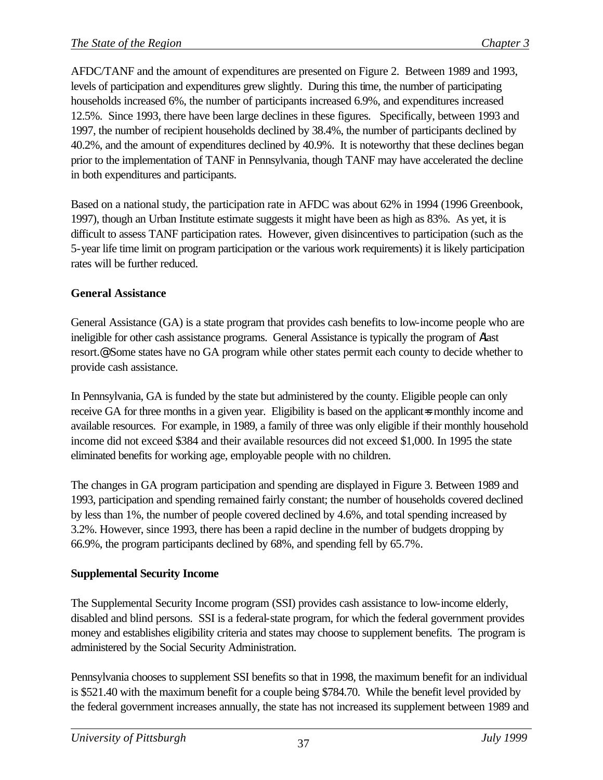AFDC/TANF and the amount of expenditures are presented on Figure 2. Between 1989 and 1993, levels of participation and expenditures grew slightly. During this time, the number of participating households increased 6%, the number of participants increased 6.9%, and expenditures increased 12.5%. Since 1993, there have been large declines in these figures. Specifically, between 1993 and 1997, the number of recipient households declined by 38.4%, the number of participants declined by 40.2%, and the amount of expenditures declined by 40.9%. It is noteworthy that these declines began prior to the implementation of TANF in Pennsylvania, though TANF may have accelerated the decline in both expenditures and participants.

Based on a national study, the participation rate in AFDC was about 62% in 1994 (1996 Greenbook, 1997), though an Urban Institute estimate suggests it might have been as high as 83%. As yet, it is difficult to assess TANF participation rates. However, given disincentives to participation (such as the 5-year life time limit on program participation or the various work requirements) it is likely participation rates will be further reduced.

## **General Assistance**

General Assistance (GA) is a state program that provides cash benefits to low-income people who are ineligible for other cash assistance programs. General Assistance is typically the program of Alast resort.@ Some states have no GA program while other states permit each county to decide whether to provide cash assistance.

In Pennsylvania, GA is funded by the state but administered by the county. Eligible people can only receive GA for three months in a given year. Eligibility is based on the applicant=s monthly income and available resources. For example, in 1989, a family of three was only eligible if their monthly household income did not exceed \$384 and their available resources did not exceed \$1,000. In 1995 the state eliminated benefits for working age, employable people with no children.

The changes in GA program participation and spending are displayed in Figure 3. Between 1989 and 1993, participation and spending remained fairly constant; the number of households covered declined by less than 1%, the number of people covered declined by 4.6%, and total spending increased by 3.2%. However, since 1993, there has been a rapid decline in the number of budgets dropping by 66.9%, the program participants declined by 68%, and spending fell by 65.7%.

# **Supplemental Security Income**

The Supplemental Security Income program (SSI) provides cash assistance to low-income elderly, disabled and blind persons. SSI is a federal-state program, for which the federal government provides money and establishes eligibility criteria and states may choose to supplement benefits. The program is administered by the Social Security Administration.

Pennsylvania chooses to supplement SSI benefits so that in 1998, the maximum benefit for an individual is \$521.40 with the maximum benefit for a couple being \$784.70. While the benefit level provided by the federal government increases annually, the state has not increased its supplement between 1989 and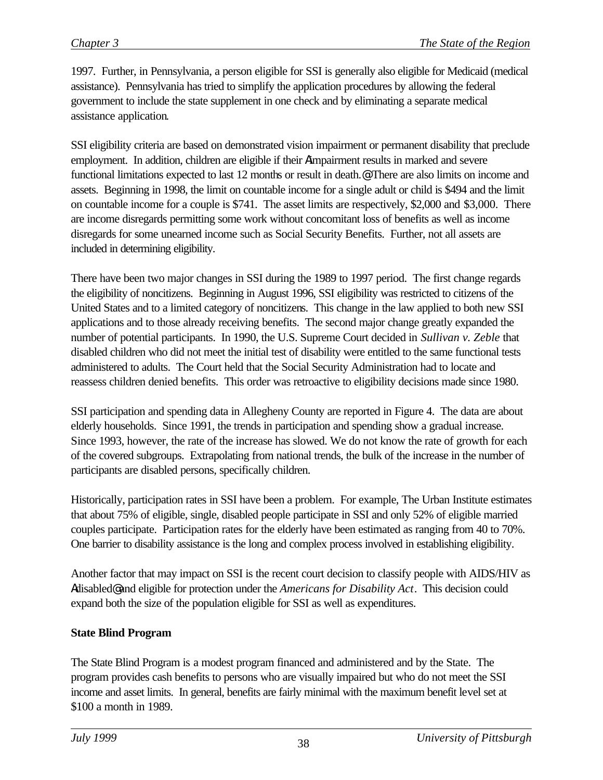1997. Further, in Pennsylvania, a person eligible for SSI is generally also eligible for Medicaid (medical assistance). Pennsylvania has tried to simplify the application procedures by allowing the federal government to include the state supplement in one check and by eliminating a separate medical assistance application.

SSI eligibility criteria are based on demonstrated vision impairment or permanent disability that preclude employment. In addition, children are eligible if their Aimpairment results in marked and severe functional limitations expected to last 12 months or result in death.@ There are also limits on income and assets. Beginning in 1998, the limit on countable income for a single adult or child is \$494 and the limit on countable income for a couple is \$741. The asset limits are respectively, \$2,000 and \$3,000. There are income disregards permitting some work without concomitant loss of benefits as well as income disregards for some unearned income such as Social Security Benefits. Further, not all assets are included in determining eligibility.

There have been two major changes in SSI during the 1989 to 1997 period. The first change regards the eligibility of noncitizens. Beginning in August 1996, SSI eligibility was restricted to citizens of the United States and to a limited category of noncitizens. This change in the law applied to both new SSI applications and to those already receiving benefits. The second major change greatly expanded the number of potential participants. In 1990, the U.S. Supreme Court decided in *Sullivan v. Zeble* that disabled children who did not meet the initial test of disability were entitled to the same functional tests administered to adults. The Court held that the Social Security Administration had to locate and reassess children denied benefits. This order was retroactive to eligibility decisions made since 1980.

SSI participation and spending data in Allegheny County are reported in Figure 4. The data are about elderly households. Since 1991, the trends in participation and spending show a gradual increase. Since 1993, however, the rate of the increase has slowed. We do not know the rate of growth for each of the covered subgroups. Extrapolating from national trends, the bulk of the increase in the number of participants are disabled persons, specifically children.

Historically, participation rates in SSI have been a problem. For example, The Urban Institute estimates that about 75% of eligible, single, disabled people participate in SSI and only 52% of eligible married couples participate. Participation rates for the elderly have been estimated as ranging from 40 to 70%. One barrier to disability assistance is the long and complex process involved in establishing eligibility.

Another factor that may impact on SSI is the recent court decision to classify people with AIDS/HIV as Adisabled@ and eligible for protection under the *Americans for Disability Act*. This decision could expand both the size of the population eligible for SSI as well as expenditures.

## **State Blind Program**

The State Blind Program is a modest program financed and administered and by the State. The program provides cash benefits to persons who are visually impaired but who do not meet the SSI income and asset limits. In general, benefits are fairly minimal with the maximum benefit level set at \$100 a month in 1989.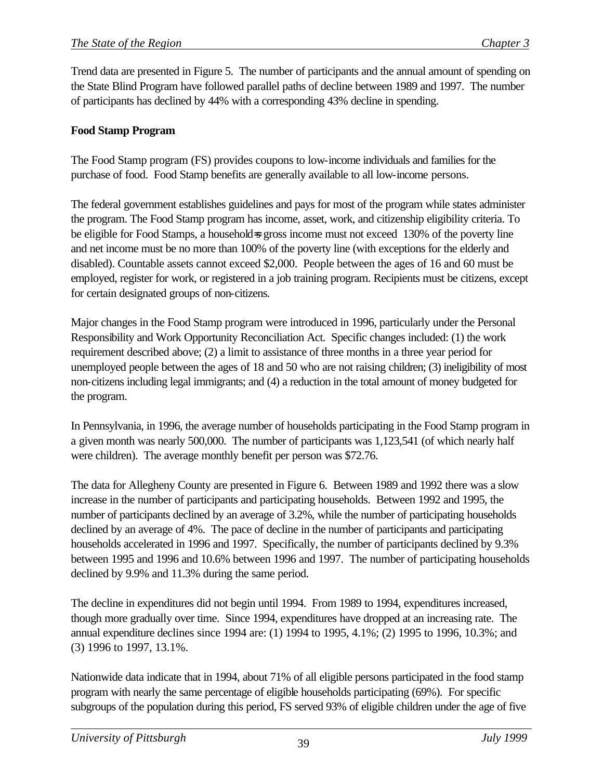Trend data are presented in Figure 5. The number of participants and the annual amount of spending on the State Blind Program have followed parallel paths of decline between 1989 and 1997. The number of participants has declined by 44% with a corresponding 43% decline in spending.

## **Food Stamp Program**

The Food Stamp program (FS) provides coupons to low-income individuals and families for the purchase of food. Food Stamp benefits are generally available to all low-income persons.

The federal government establishes guidelines and pays for most of the program while states administer the program. The Food Stamp program has income, asset, work, and citizenship eligibility criteria. To be eligible for Food Stamps, a household=s gross income must not exceed 130% of the poverty line and net income must be no more than 100% of the poverty line (with exceptions for the elderly and disabled). Countable assets cannot exceed \$2,000. People between the ages of 16 and 60 must be employed, register for work, or registered in a job training program. Recipients must be citizens, except for certain designated groups of non-citizens.

Major changes in the Food Stamp program were introduced in 1996, particularly under the Personal Responsibility and Work Opportunity Reconciliation Act. Specific changes included: (1) the work requirement described above; (2) a limit to assistance of three months in a three year period for unemployed people between the ages of 18 and 50 who are not raising children; (3) ineligibility of most non-citizens including legal immigrants; and (4) a reduction in the total amount of money budgeted for the program.

In Pennsylvania, in 1996, the average number of households participating in the Food Stamp program in a given month was nearly 500,000. The number of participants was 1,123,541 (of which nearly half were children). The average monthly benefit per person was \$72.76.

The data for Allegheny County are presented in Figure 6. Between 1989 and 1992 there was a slow increase in the number of participants and participating households. Between 1992 and 1995, the number of participants declined by an average of 3.2%, while the number of participating households declined by an average of 4%. The pace of decline in the number of participants and participating households accelerated in 1996 and 1997. Specifically, the number of participants declined by 9.3% between 1995 and 1996 and 10.6% between 1996 and 1997. The number of participating households declined by 9.9% and 11.3% during the same period.

The decline in expenditures did not begin until 1994. From 1989 to 1994, expenditures increased, though more gradually over time. Since 1994, expenditures have dropped at an increasing rate. The annual expenditure declines since 1994 are: (1) 1994 to 1995, 4.1%; (2) 1995 to 1996, 10.3%; and (3) 1996 to 1997, 13.1%.

Nationwide data indicate that in 1994, about 71% of all eligible persons participated in the food stamp program with nearly the same percentage of eligible households participating (69%). For specific subgroups of the population during this period, FS served 93% of eligible children under the age of five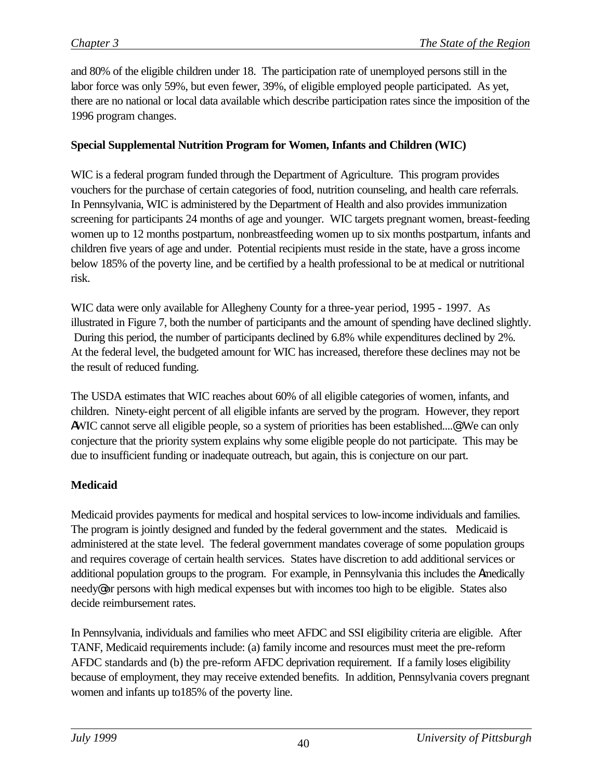and 80% of the eligible children under 18. The participation rate of unemployed persons still in the labor force was only 59%, but even fewer, 39%, of eligible employed people participated. As yet, there are no national or local data available which describe participation rates since the imposition of the 1996 program changes.

### **Special Supplemental Nutrition Program for Women, Infants and Children (WIC)**

WIC is a federal program funded through the Department of Agriculture. This program provides vouchers for the purchase of certain categories of food, nutrition counseling, and health care referrals. In Pennsylvania, WIC is administered by the Department of Health and also provides immunization screening for participants 24 months of age and younger. WIC targets pregnant women, breast-feeding women up to 12 months postpartum, nonbreastfeeding women up to six months postpartum, infants and children five years of age and under. Potential recipients must reside in the state, have a gross income below 185% of the poverty line, and be certified by a health professional to be at medical or nutritional risk.

WIC data were only available for Allegheny County for a three-year period, 1995 - 1997. As illustrated in Figure 7, both the number of participants and the amount of spending have declined slightly. During this period, the number of participants declined by 6.8% while expenditures declined by 2%. At the federal level, the budgeted amount for WIC has increased, therefore these declines may not be the result of reduced funding.

The USDA estimates that WIC reaches about 60% of all eligible categories of women, infants, and children. Ninety-eight percent of all eligible infants are served by the program. However, they report AWIC cannot serve all eligible people, so a system of priorities has been established....@ We can only conjecture that the priority system explains why some eligible people do not participate. This may be due to insufficient funding or inadequate outreach, but again, this is conjecture on our part.

## **Medicaid**

Medicaid provides payments for medical and hospital services to low-income individuals and families. The program is jointly designed and funded by the federal government and the states. Medicaid is administered at the state level. The federal government mandates coverage of some population groups and requires coverage of certain health services. States have discretion to add additional services or additional population groups to the program. For example, in Pennsylvania this includes the Amedically needy@ or persons with high medical expenses but with incomes too high to be eligible. States also decide reimbursement rates.

In Pennsylvania, individuals and families who meet AFDC and SSI eligibility criteria are eligible. After TANF, Medicaid requirements include: (a) family income and resources must meet the pre-reform AFDC standards and (b) the pre-reform AFDC deprivation requirement. If a family loses eligibility because of employment, they may receive extended benefits. In addition, Pennsylvania covers pregnant women and infants up to185% of the poverty line.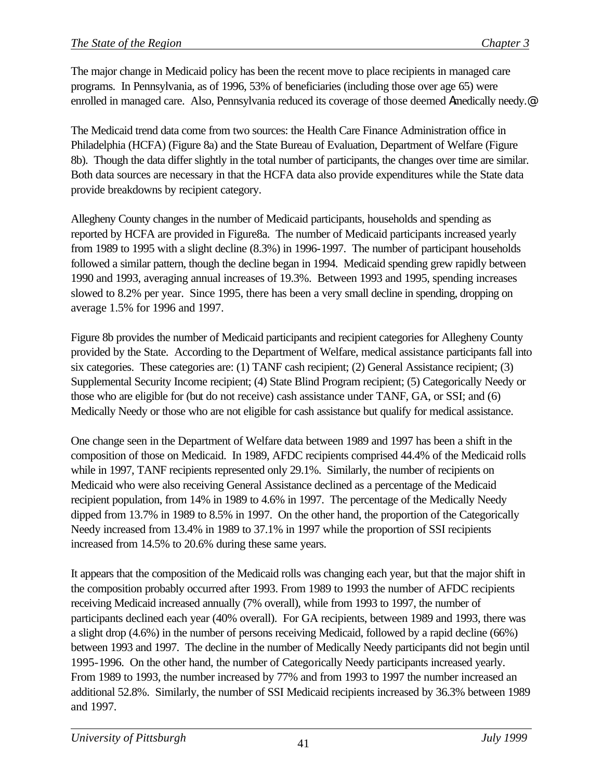The major change in Medicaid policy has been the recent move to place recipients in managed care programs. In Pennsylvania, as of 1996, 53% of beneficiaries (including those over age 65) were enrolled in managed care. Also, Pennsylvania reduced its coverage of those deemed Amedically needy.<sup>@</sup>

The Medicaid trend data come from two sources: the Health Care Finance Administration office in Philadelphia (HCFA) (Figure 8a) and the State Bureau of Evaluation, Department of Welfare (Figure 8b). Though the data differ slightly in the total number of participants, the changes over time are similar. Both data sources are necessary in that the HCFA data also provide expenditures while the State data provide breakdowns by recipient category.

Allegheny County changes in the number of Medicaid participants, households and spending as reported by HCFA are provided in Figure8a. The number of Medicaid participants increased yearly from 1989 to 1995 with a slight decline (8.3%) in 1996-1997. The number of participant households followed a similar pattern, though the decline began in 1994. Medicaid spending grew rapidly between 1990 and 1993, averaging annual increases of 19.3%. Between 1993 and 1995, spending increases slowed to 8.2% per year. Since 1995, there has been a very small decline in spending, dropping on average 1.5% for 1996 and 1997.

Figure 8b provides the number of Medicaid participants and recipient categories for Allegheny County provided by the State. According to the Department of Welfare, medical assistance participants fall into six categories. These categories are: (1) TANF cash recipient; (2) General Assistance recipient; (3) Supplemental Security Income recipient; (4) State Blind Program recipient; (5) Categorically Needy or those who are eligible for (but do not receive) cash assistance under TANF, GA, or SSI; and (6) Medically Needy or those who are not eligible for cash assistance but qualify for medical assistance.

One change seen in the Department of Welfare data between 1989 and 1997 has been a shift in the composition of those on Medicaid. In 1989, AFDC recipients comprised 44.4% of the Medicaid rolls while in 1997, TANF recipients represented only 29.1%. Similarly, the number of recipients on Medicaid who were also receiving General Assistance declined as a percentage of the Medicaid recipient population, from 14% in 1989 to 4.6% in 1997. The percentage of the Medically Needy dipped from 13.7% in 1989 to 8.5% in 1997. On the other hand, the proportion of the Categorically Needy increased from 13.4% in 1989 to 37.1% in 1997 while the proportion of SSI recipients increased from 14.5% to 20.6% during these same years.

It appears that the composition of the Medicaid rolls was changing each year, but that the major shift in the composition probably occurred after 1993. From 1989 to 1993 the number of AFDC recipients receiving Medicaid increased annually (7% overall), while from 1993 to 1997, the number of participants declined each year (40% overall). For GA recipients, between 1989 and 1993, there was a slight drop (4.6%) in the number of persons receiving Medicaid, followed by a rapid decline (66%) between 1993 and 1997. The decline in the number of Medically Needy participants did not begin until 1995-1996. On the other hand, the number of Categorically Needy participants increased yearly. From 1989 to 1993, the number increased by 77% and from 1993 to 1997 the number increased an additional 52.8%. Similarly, the number of SSI Medicaid recipients increased by 36.3% between 1989 and 1997.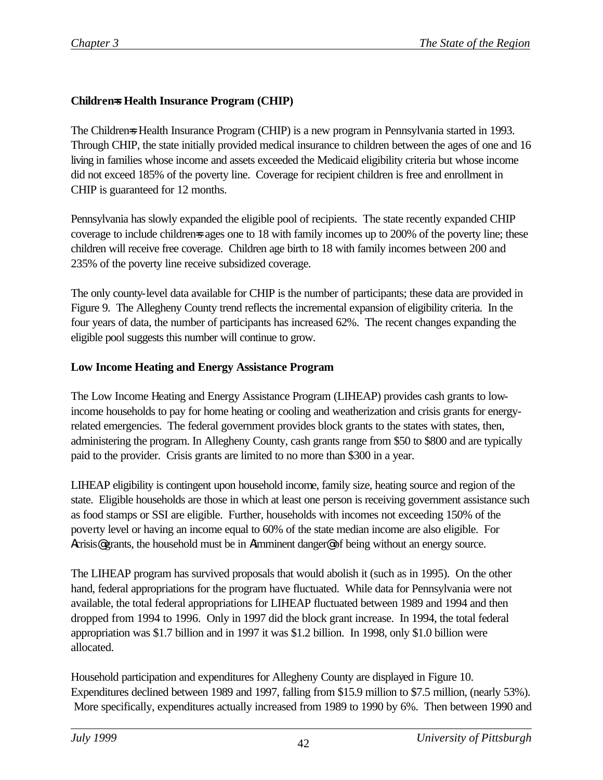## **Children=s Health Insurance Program (CHIP)**

The Childrens Health Insurance Program (CHIP) is a new program in Pennsylvania started in 1993. Through CHIP, the state initially provided medical insurance to children between the ages of one and 16 living in families whose income and assets exceeded the Medicaid eligibility criteria but whose income did not exceed 185% of the poverty line. Coverage for recipient children is free and enrollment in CHIP is guaranteed for 12 months.

Pennsylvania has slowly expanded the eligible pool of recipients. The state recently expanded CHIP coverage to include childrens ages one to 18 with family incomes up to 200% of the poverty line; these children will receive free coverage. Children age birth to 18 with family incomes between 200 and 235% of the poverty line receive subsidized coverage.

The only county-level data available for CHIP is the number of participants; these data are provided in Figure 9. The Allegheny County trend reflects the incremental expansion of eligibility criteria. In the four years of data, the number of participants has increased 62%. The recent changes expanding the eligible pool suggests this number will continue to grow.

### **Low Income Heating and Energy Assistance Program**

The Low Income Heating and Energy Assistance Program (LIHEAP) provides cash grants to lowincome households to pay for home heating or cooling and weatherization and crisis grants for energyrelated emergencies. The federal government provides block grants to the states with states, then, administering the program. In Allegheny County, cash grants range from \$50 to \$800 and are typically paid to the provider. Crisis grants are limited to no more than \$300 in a year.

LIHEAP eligibility is contingent upon household income, family size, heating source and region of the state. Eligible households are those in which at least one person is receiving government assistance such as food stamps or SSI are eligible. Further, households with incomes not exceeding 150% of the poverty level or having an income equal to 60% of the state median income are also eligible. For Acrisis<sup>®</sup> grants, the household must be in Aimminent danger<sup>®</sup> of being without an energy source.

The LIHEAP program has survived proposals that would abolish it (such as in 1995). On the other hand, federal appropriations for the program have fluctuated. While data for Pennsylvania were not available, the total federal appropriations for LIHEAP fluctuated between 1989 and 1994 and then dropped from 1994 to 1996. Only in 1997 did the block grant increase. In 1994, the total federal appropriation was \$1.7 billion and in 1997 it was \$1.2 billion. In 1998, only \$1.0 billion were allocated.

Household participation and expenditures for Allegheny County are displayed in Figure 10. Expenditures declined between 1989 and 1997, falling from \$15.9 million to \$7.5 million, (nearly 53%). More specifically, expenditures actually increased from 1989 to 1990 by 6%. Then between 1990 and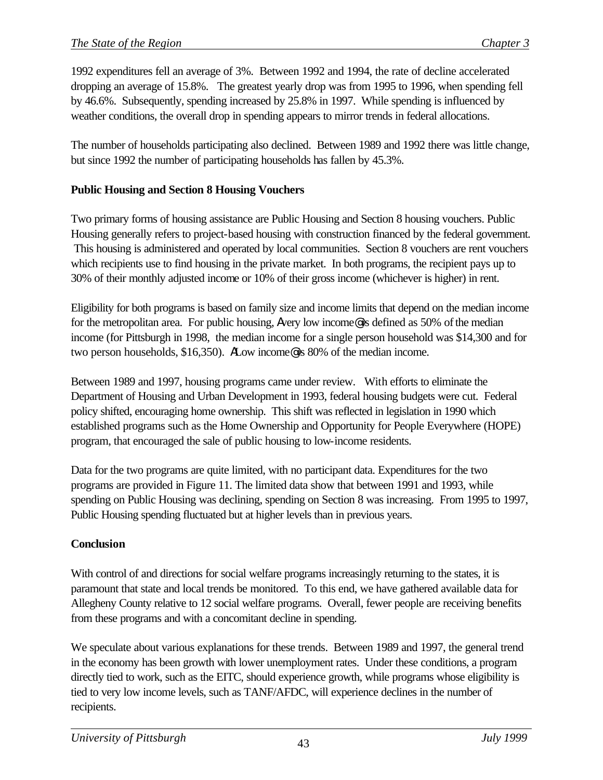1992 expenditures fell an average of 3%. Between 1992 and 1994, the rate of decline accelerated dropping an average of 15.8%. The greatest yearly drop was from 1995 to 1996, when spending fell by 46.6%. Subsequently, spending increased by 25.8% in 1997. While spending is influenced by weather conditions, the overall drop in spending appears to mirror trends in federal allocations.

The number of households participating also declined. Between 1989 and 1992 there was little change, but since 1992 the number of participating households has fallen by 45.3%.

## **Public Housing and Section 8 Housing Vouchers**

Two primary forms of housing assistance are Public Housing and Section 8 housing vouchers. Public Housing generally refers to project-based housing with construction financed by the federal government. This housing is administered and operated by local communities. Section 8 vouchers are rent vouchers which recipients use to find housing in the private market. In both programs, the recipient pays up to 30% of their monthly adjusted income or 10% of their gross income (whichever is higher) in rent.

Eligibility for both programs is based on family size and income limits that depend on the median income for the metropolitan area. For public housing, Avery low income@ is defined as 50% of the median income (for Pittsburgh in 1998, the median income for a single person household was \$14,300 and for two person households, \$16,350). ALow income@ is 80% of the median income.

Between 1989 and 1997, housing programs came under review. With efforts to eliminate the Department of Housing and Urban Development in 1993, federal housing budgets were cut. Federal policy shifted, encouraging home ownership. This shift was reflected in legislation in 1990 which established programs such as the Home Ownership and Opportunity for People Everywhere (HOPE) program, that encouraged the sale of public housing to low-income residents.

Data for the two programs are quite limited, with no participant data. Expenditures for the two programs are provided in Figure 11. The limited data show that between 1991 and 1993, while spending on Public Housing was declining, spending on Section 8 was increasing. From 1995 to 1997, Public Housing spending fluctuated but at higher levels than in previous years.

# **Conclusion**

With control of and directions for social welfare programs increasingly returning to the states, it is paramount that state and local trends be monitored. To this end, we have gathered available data for Allegheny County relative to 12 social welfare programs. Overall, fewer people are receiving benefits from these programs and with a concomitant decline in spending.

We speculate about various explanations for these trends. Between 1989 and 1997, the general trend in the economy has been growth with lower unemployment rates. Under these conditions, a program directly tied to work, such as the EITC, should experience growth, while programs whose eligibility is tied to very low income levels, such as TANF/AFDC, will experience declines in the number of recipients.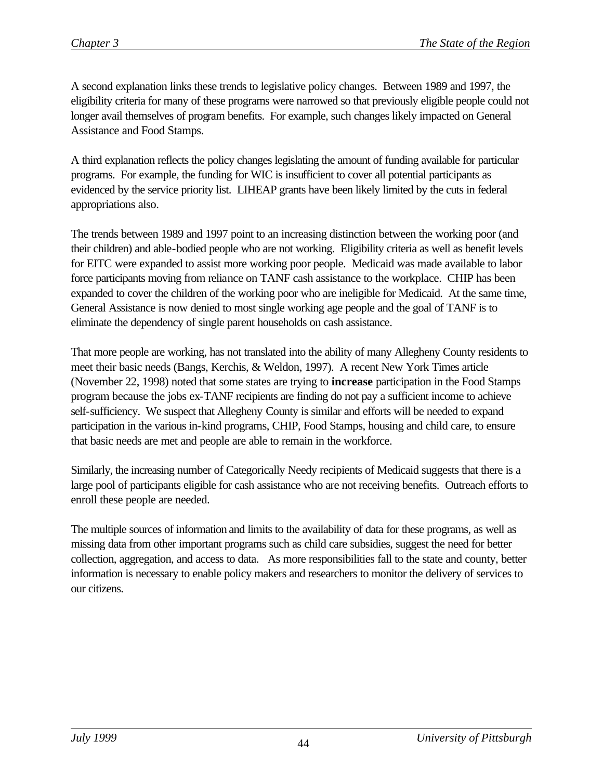A second explanation links these trends to legislative policy changes. Between 1989 and 1997, the eligibility criteria for many of these programs were narrowed so that previously eligible people could not longer avail themselves of program benefits. For example, such changes likely impacted on General Assistance and Food Stamps.

A third explanation reflects the policy changes legislating the amount of funding available for particular programs. For example, the funding for WIC is insufficient to cover all potential participants as evidenced by the service priority list. LIHEAP grants have been likely limited by the cuts in federal appropriations also.

The trends between 1989 and 1997 point to an increasing distinction between the working poor (and their children) and able-bodied people who are not working. Eligibility criteria as well as benefit levels for EITC were expanded to assist more working poor people. Medicaid was made available to labor force participants moving from reliance on TANF cash assistance to the workplace. CHIP has been expanded to cover the children of the working poor who are ineligible for Medicaid. At the same time, General Assistance is now denied to most single working age people and the goal of TANF is to eliminate the dependency of single parent households on cash assistance.

That more people are working, has not translated into the ability of many Allegheny County residents to meet their basic needs (Bangs, Kerchis, & Weldon, 1997). A recent New York Times article (November 22, 1998) noted that some states are trying to **increase** participation in the Food Stamps program because the jobs ex-TANF recipients are finding do not pay a sufficient income to achieve self-sufficiency. We suspect that Allegheny County is similar and efforts will be needed to expand participation in the various in-kind programs, CHIP, Food Stamps, housing and child care, to ensure that basic needs are met and people are able to remain in the workforce.

Similarly, the increasing number of Categorically Needy recipients of Medicaid suggests that there is a large pool of participants eligible for cash assistance who are not receiving benefits. Outreach efforts to enroll these people are needed.

The multiple sources of information and limits to the availability of data for these programs, as well as missing data from other important programs such as child care subsidies, suggest the need for better collection, aggregation, and access to data. As more responsibilities fall to the state and county, better information is necessary to enable policy makers and researchers to monitor the delivery of services to our citizens.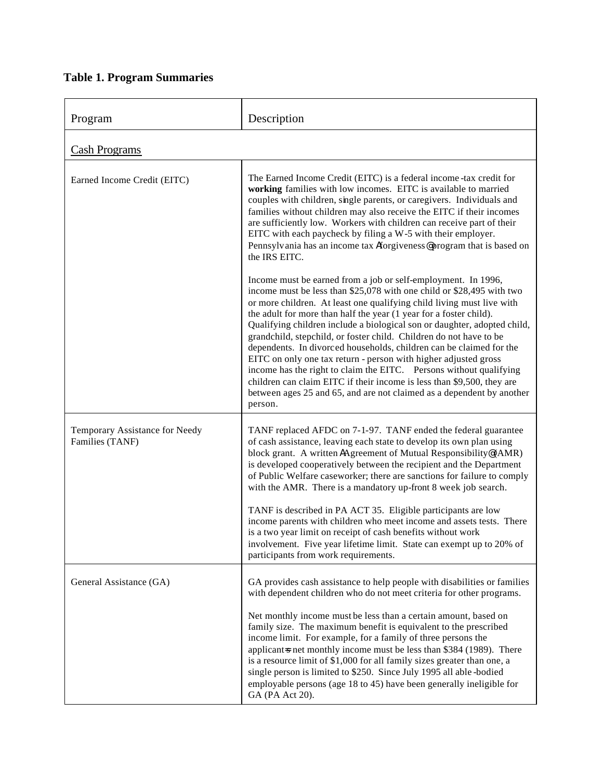# **Table 1. Program Summaries**

| Program                                           | Description                                                                                                                                                                                                                                                                                                                                                                                                                                                                                                                                                                                                                                                                                                                                                                                                           |
|---------------------------------------------------|-----------------------------------------------------------------------------------------------------------------------------------------------------------------------------------------------------------------------------------------------------------------------------------------------------------------------------------------------------------------------------------------------------------------------------------------------------------------------------------------------------------------------------------------------------------------------------------------------------------------------------------------------------------------------------------------------------------------------------------------------------------------------------------------------------------------------|
| Cash Programs                                     |                                                                                                                                                                                                                                                                                                                                                                                                                                                                                                                                                                                                                                                                                                                                                                                                                       |
| Earned Income Credit (EITC)                       | The Earned Income Credit (EITC) is a federal income-tax credit for<br>working families with low incomes. EITC is available to married<br>couples with children, single parents, or caregivers. Individuals and<br>families without children may also receive the EITC if their incomes<br>are sufficiently low. Workers with children can receive part of their<br>EITC with each paycheck by filing a W-5 with their employer.<br>Pennsylvania has an income tax Aforgiveness@program that is based on<br>the IRS EITC.                                                                                                                                                                                                                                                                                              |
|                                                   | Income must be earned from a job or self-employment. In 1996,<br>income must be less than \$25,078 with one child or \$28,495 with two<br>or more children. At least one qualifying child living must live with<br>the adult for more than half the year (1 year for a foster child).<br>Qualifying children include a biological son or daughter, adopted child,<br>grandchild, stepchild, or foster child. Children do not have to be<br>dependents. In divorced households, children can be claimed for the<br>EITC on only one tax return - person with higher adjusted gross<br>income has the right to claim the EITC. Persons without qualifying<br>children can claim EITC if their income is less than \$9,500, they are<br>between ages 25 and 65, and are not claimed as a dependent by another<br>person. |
| Temporary Assistance for Needy<br>Families (TANF) | TANF replaced AFDC on 7-1-97. TANF ended the federal guarantee<br>of cash assistance, leaving each state to develop its own plan using<br>block grant. A written AAgreement of Mutual Responsibility@(AMR)<br>is developed cooperatively between the recipient and the Department<br>of Public Welfare caseworker; there are sanctions for failure to comply<br>with the AMR. There is a mandatory up-front 8 week job search.                                                                                                                                                                                                                                                                                                                                                                                        |
|                                                   | TANF is described in PA ACT 35. Eligible participants are low<br>income parents with children who meet income and assets tests. There<br>is a two year limit on receipt of cash benefits without work<br>involvement. Five year lifetime limit. State can exempt up to 20% of<br>participants from work requirements.                                                                                                                                                                                                                                                                                                                                                                                                                                                                                                 |
| General Assistance (GA)                           | GA provides cash assistance to help people with disabilities or families<br>with dependent children who do not meet criteria for other programs.                                                                                                                                                                                                                                                                                                                                                                                                                                                                                                                                                                                                                                                                      |
|                                                   | Net monthly income must be less than a certain amount, based on<br>family size. The maximum benefit is equivalent to the prescribed<br>income limit. For example, for a family of three persons the<br>applicant is net monthly income must be less than \$384 (1989). There<br>is a resource limit of \$1,000 for all family sizes greater than one, a<br>single person is limited to \$250. Since July 1995 all able-bodied<br>employable persons (age 18 to 45) have been generally ineligible for<br>GA (PA Act 20).                                                                                                                                                                                                                                                                                              |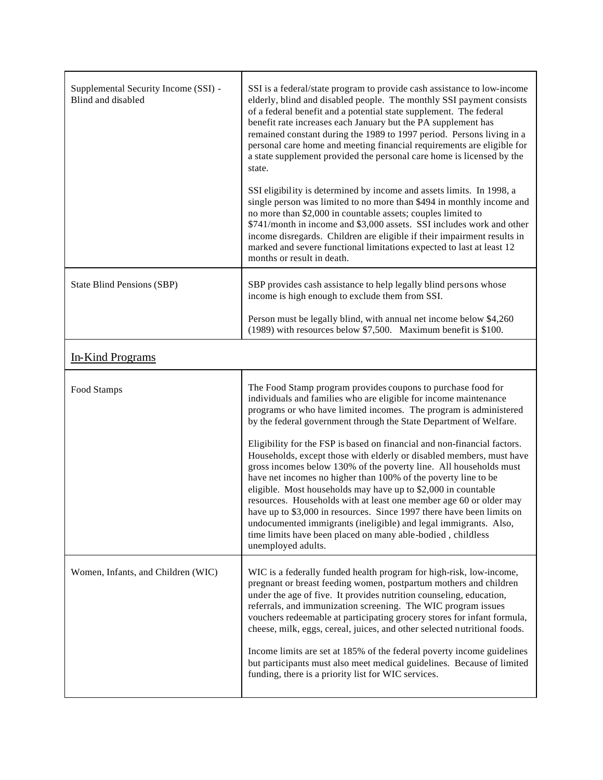| Supplemental Security Income (SSI) -<br>Blind and disabled | SSI is a federal/state program to provide cash assistance to low-income<br>elderly, blind and disabled people. The monthly SSI payment consists<br>of a federal benefit and a potential state supplement. The federal<br>benefit rate increases each January but the PA supplement has<br>remained constant during the 1989 to 1997 period. Persons living in a<br>personal care home and meeting financial requirements are eligible for<br>a state supplement provided the personal care home is licensed by the<br>state.                                                                                                                                                                                                                                                                                                                                                                                                                    |
|------------------------------------------------------------|-------------------------------------------------------------------------------------------------------------------------------------------------------------------------------------------------------------------------------------------------------------------------------------------------------------------------------------------------------------------------------------------------------------------------------------------------------------------------------------------------------------------------------------------------------------------------------------------------------------------------------------------------------------------------------------------------------------------------------------------------------------------------------------------------------------------------------------------------------------------------------------------------------------------------------------------------|
|                                                            | SSI eligibility is determined by income and assets limits. In 1998, a<br>single person was limited to no more than \$494 in monthly income and<br>no more than \$2,000 in countable assets; couples limited to<br>\$741/month in income and \$3,000 assets. SSI includes work and other<br>income disregards. Children are eligible if their impairment results in<br>marked and severe functional limitations expected to last at least 12<br>months or result in death.                                                                                                                                                                                                                                                                                                                                                                                                                                                                       |
| <b>State Blind Pensions (SBP)</b>                          | SBP provides cash assistance to help legally blind persons whose<br>income is high enough to exclude them from SSI.                                                                                                                                                                                                                                                                                                                                                                                                                                                                                                                                                                                                                                                                                                                                                                                                                             |
|                                                            | Person must be legally blind, with annual net income below \$4,260<br>(1989) with resources below \$7,500. Maximum benefit is \$100.                                                                                                                                                                                                                                                                                                                                                                                                                                                                                                                                                                                                                                                                                                                                                                                                            |
| In-Kind Programs                                           |                                                                                                                                                                                                                                                                                                                                                                                                                                                                                                                                                                                                                                                                                                                                                                                                                                                                                                                                                 |
| Food Stamps                                                | The Food Stamp program provides coupons to purchase food for<br>individuals and families who are eligible for income maintenance<br>programs or who have limited incomes. The program is administered<br>by the federal government through the State Department of Welfare.<br>Eligibility for the FSP is based on financial and non-financial factors.<br>Households, except those with elderly or disabled members, must have<br>gross incomes below 130% of the poverty line. All households must<br>have net incomes no higher than 100% of the poverty line to be<br>eligible. Most households may have up to \$2,000 in countable<br>resources. Households with at least one member age 60 or older may<br>have up to \$3,000 in resources. Since 1997 there have been limits on<br>undocumented immigrants (ineligible) and legal immigrants. Also,<br>time limits have been placed on many able-bodied, childless<br>unemployed adults. |
| Women, Infants, and Children (WIC)                         | WIC is a federally funded health program for high-risk, low-income,<br>pregnant or breast feeding women, postpartum mothers and children<br>under the age of five. It provides nutrition counseling, education,<br>referrals, and immunization screening. The WIC program issues<br>vouchers redeemable at participating grocery stores for infant formula,<br>cheese, milk, eggs, cereal, juices, and other selected nutritional foods.<br>Income limits are set at 185% of the federal poverty income guidelines<br>but participants must also meet medical guidelines. Because of limited<br>funding, there is a priority list for WIC services.                                                                                                                                                                                                                                                                                             |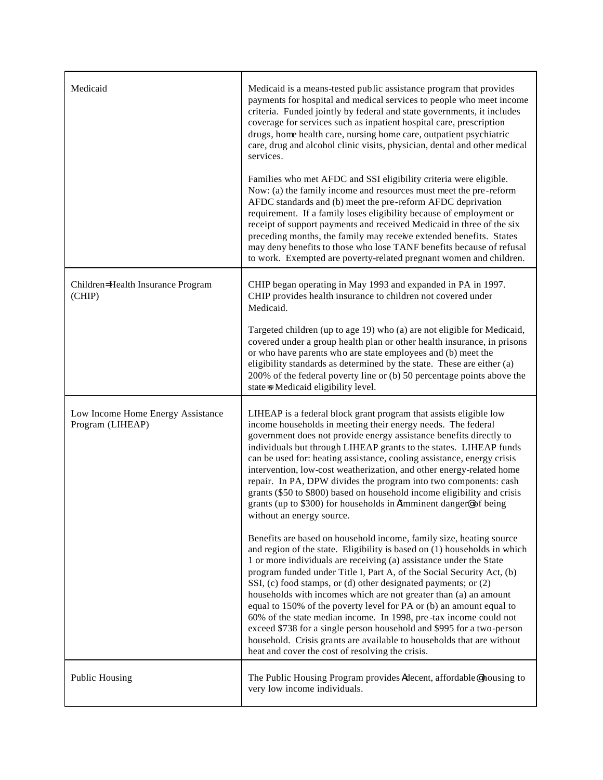| Medicaid                                              | Medicaid is a means-tested public assistance program that provides<br>payments for hospital and medical services to people who meet income<br>criteria. Funded jointly by federal and state governments, it includes<br>coverage for services such as inpatient hospital care, prescription<br>drugs, home health care, nursing home care, outpatient psychiatric<br>care, drug and alcohol clinic visits, physician, dental and other medical<br>services.<br>Families who met AFDC and SSI eligibility criteria were eligible.<br>Now: (a) the family income and resources must meet the pre-reform<br>AFDC standards and (b) meet the pre-reform AFDC deprivation<br>requirement. If a family loses eligibility because of employment or<br>receipt of support payments and received Medicaid in three of the six<br>preceding months, the family may receive extended benefits. States<br>may deny benefits to those who lose TANF benefits because of refusal<br>to work. Exempted are poverty-related pregnant women and children.                                                                                                                                                                                                                                                                                                                                                                                                                                    |
|-------------------------------------------------------|-----------------------------------------------------------------------------------------------------------------------------------------------------------------------------------------------------------------------------------------------------------------------------------------------------------------------------------------------------------------------------------------------------------------------------------------------------------------------------------------------------------------------------------------------------------------------------------------------------------------------------------------------------------------------------------------------------------------------------------------------------------------------------------------------------------------------------------------------------------------------------------------------------------------------------------------------------------------------------------------------------------------------------------------------------------------------------------------------------------------------------------------------------------------------------------------------------------------------------------------------------------------------------------------------------------------------------------------------------------------------------------------------------------------------------------------------------------------------------|
| Children=Health Insurance Program<br>(CHIP)           | CHIP began operating in May 1993 and expanded in PA in 1997.<br>CHIP provides health insurance to children not covered under<br>Medicaid.<br>Targeted children (up to age 19) who (a) are not eligible for Medicaid,<br>covered under a group health plan or other health insurance, in prisons<br>or who have parents who are state employees and (b) meet the<br>eligibility standards as determined by the state. These are either (a)<br>200% of the federal poverty line or (b) 50 percentage points above the<br>state = Medicaid eligibility level.                                                                                                                                                                                                                                                                                                                                                                                                                                                                                                                                                                                                                                                                                                                                                                                                                                                                                                                  |
| Low Income Home Energy Assistance<br>Program (LIHEAP) | LIHEAP is a federal block grant program that assists eligible low<br>income households in meeting their energy needs. The federal<br>government does not provide energy assistance benefits directly to<br>individuals but through LIHEAP grants to the states. LIHEAP funds<br>can be used for: heating assistance, cooling assistance, energy crisis<br>intervention, low-cost weatherization, and other energy-related home<br>repair. In PA, DPW divides the program into two components: cash<br>grants (\$50 to \$800) based on household income eligibility and crisis<br>grants (up to \$300) for households in Aimminent danger@ of being<br>without an energy source.<br>Benefits are based on household income, family size, heating source<br>and region of the state. Eligibility is based on $(1)$ households in which<br>1 or more individuals are receiving (a) assistance under the State<br>program funded under Title I, Part A, of the Social Security Act, (b)<br>SSI, (c) food stamps, or (d) other designated payments; or (2)<br>households with incomes which are not greater than (a) an amount<br>equal to 150% of the poverty level for PA or (b) an amount equal to<br>60% of the state median income. In 1998, pre-tax income could not<br>exceed \$738 for a single person household and \$995 for a two-person<br>household. Crisis grants are available to households that are without<br>heat and cover the cost of resolving the crisis. |
| Public Housing                                        | The Public Housing Program provides Adecent, affordable@housing to<br>very low income individuals.                                                                                                                                                                                                                                                                                                                                                                                                                                                                                                                                                                                                                                                                                                                                                                                                                                                                                                                                                                                                                                                                                                                                                                                                                                                                                                                                                                          |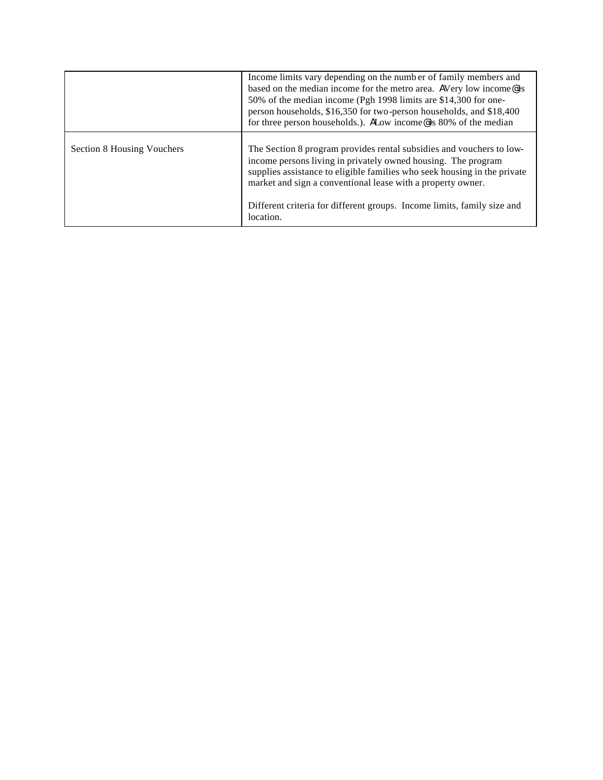|                            | Income limits vary depending on the number of family members and<br>based on the median income for the metro area. AVery low income@is<br>50% of the median income (Pgh 1998 limits are \$14,300 for one-<br>person households, \$16,350 for two-person households, and \$18,400<br>for three person households.). ALow income@is 80% of the median                      |
|----------------------------|--------------------------------------------------------------------------------------------------------------------------------------------------------------------------------------------------------------------------------------------------------------------------------------------------------------------------------------------------------------------------|
| Section 8 Housing Vouchers | The Section 8 program provides rental subsidies and vouchers to low-<br>income persons living in privately owned housing. The program<br>supplies assistance to eligible families who seek housing in the private<br>market and sign a conventional lease with a property owner.<br>Different criteria for different groups. Income limits, family size and<br>location. |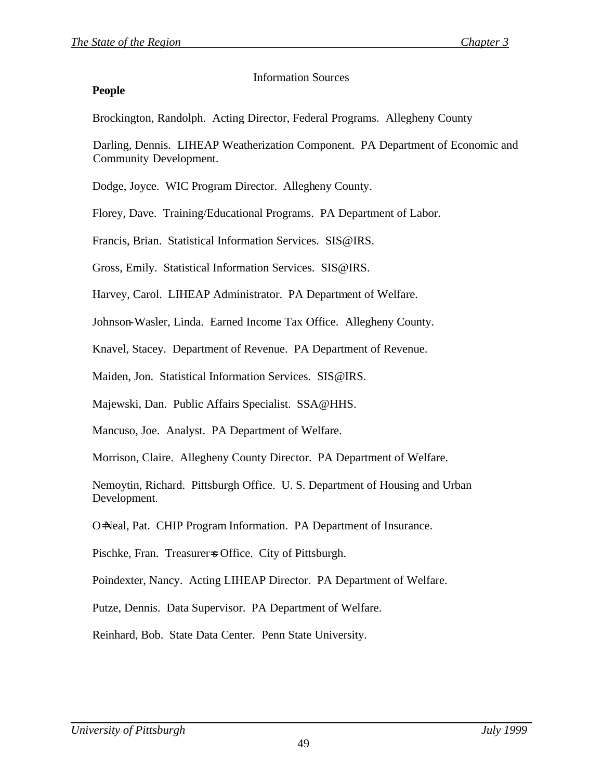### Information Sources

### **People**

Brockington, Randolph. Acting Director, Federal Programs. Allegheny County

Darling, Dennis. LIHEAP Weatherization Component. PA Department of Economic and Community Development.

Dodge, Joyce. WIC Program Director. Allegheny County.

Florey, Dave. Training/Educational Programs. PA Department of Labor.

Francis, Brian. Statistical Information Services. SIS@IRS.

Gross, Emily. Statistical Information Services. SIS@IRS.

Harvey, Carol. LIHEAP Administrator. PA Department of Welfare.

Johnson-Wasler, Linda. Earned Income Tax Office. Allegheny County.

Knavel, Stacey. Department of Revenue. PA Department of Revenue.

Maiden, Jon. Statistical Information Services. SIS@IRS.

Majewski, Dan. Public Affairs Specialist. SSA@HHS.

Mancuso, Joe. Analyst. PA Department of Welfare.

Morrison, Claire. Allegheny County Director. PA Department of Welfare.

Nemoytin, Richard. Pittsburgh Office. U. S. Department of Housing and Urban Development.

O=Neal, Pat. CHIP Program Information. PA Department of Insurance.

Pischke, Fran. Treasurer=s Office. City of Pittsburgh.

Poindexter, Nancy. Acting LIHEAP Director. PA Department of Welfare.

Putze, Dennis. Data Supervisor. PA Department of Welfare.

Reinhard, Bob. State Data Center. Penn State University.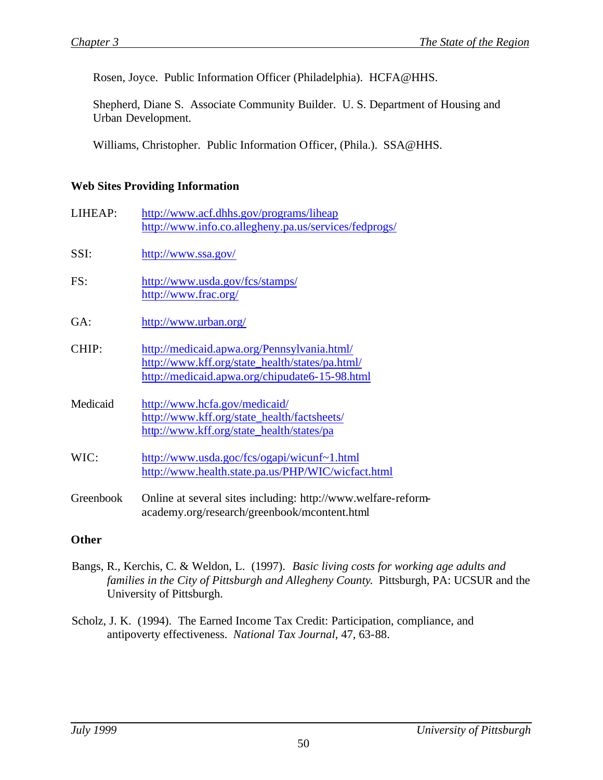Rosen, Joyce. Public Information Officer (Philadelphia). HCFA@HHS.

Shepherd, Diane S. Associate Community Builder. U. S. Department of Housing and Urban Development.

Williams, Christopher. Public Information Officer, (Phila.). SSA@HHS.

### **Web Sites Providing Information**

| LIHEAP:   | http://www.acf.dhhs.gov/programs/liheap<br>http://www.info.co.allegheny.pa.us/services/fedprogs/                                                 |
|-----------|--------------------------------------------------------------------------------------------------------------------------------------------------|
| SSI:      | http://www.ssa.gov/                                                                                                                              |
| FS:       | http://www.usda.gov/fcs/stamps/<br>http://www.frac.org/                                                                                          |
| GA:       | http://www.urban.org/                                                                                                                            |
| CHIP:     | http://medicaid.apwa.org/Pennsylvania.html/<br>http://www.kff.org/state_health/states/pa.html/<br>http://medicaid.apwa.org/chipudate6-15-98.html |
| Medicaid  | http://www.hcfa.gov/medicaid/<br>http://www.kff.org/state_health/factsheets/<br>http://www.kff.org/state_health/states/pa                        |
| WIC:      | http://www.usda.goc/fcs/ogapi/wicunf~1.html<br>http://www.health.state.pa.us/PHP/WIC/wicfact.html                                                |
| Greenbook | Online at several sites including: http://www.welfare-reform-<br>academy.org/research/greenbook/mcontent.html                                    |

## **Other**

- Bangs, R., Kerchis, C. & Weldon, L. (1997). *Basic living costs for working age adults and families in the City of Pittsburgh and Allegheny County*. Pittsburgh, PA: UCSUR and the University of Pittsburgh.
- Scholz, J. K. (1994). The Earned Income Tax Credit: Participation, compliance, and antipoverty effectiveness. *National Tax Journal*, 47, 63-88.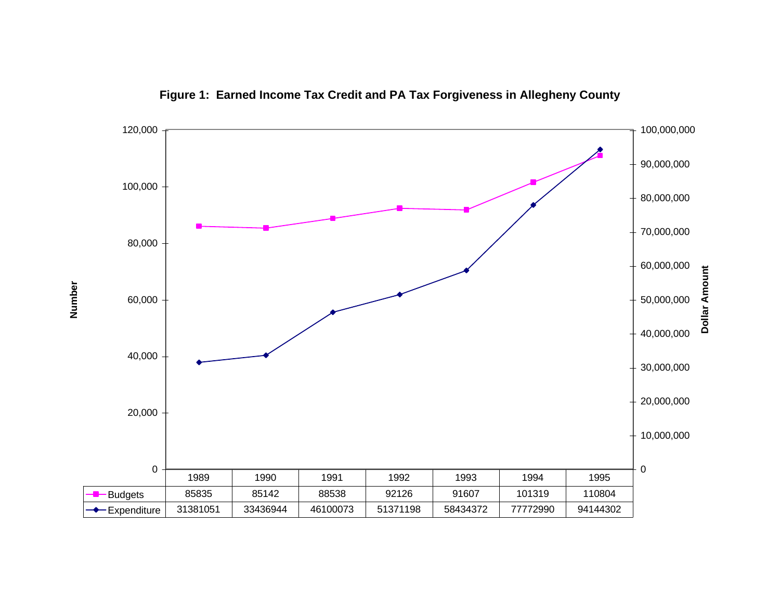

**Figure 1: Earned Income Tax Credit and PA Tax Forgiveness in Allegheny County**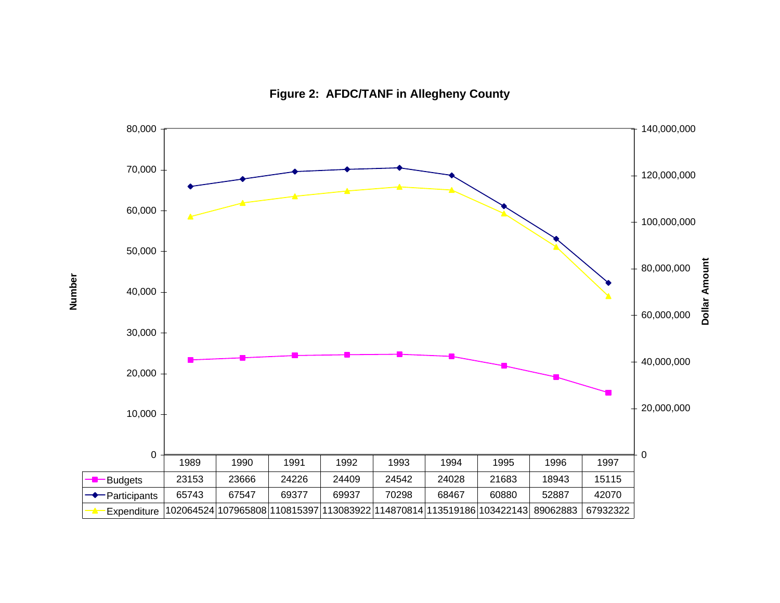

**Figure 2: AFDC/TANF in Allegheny County**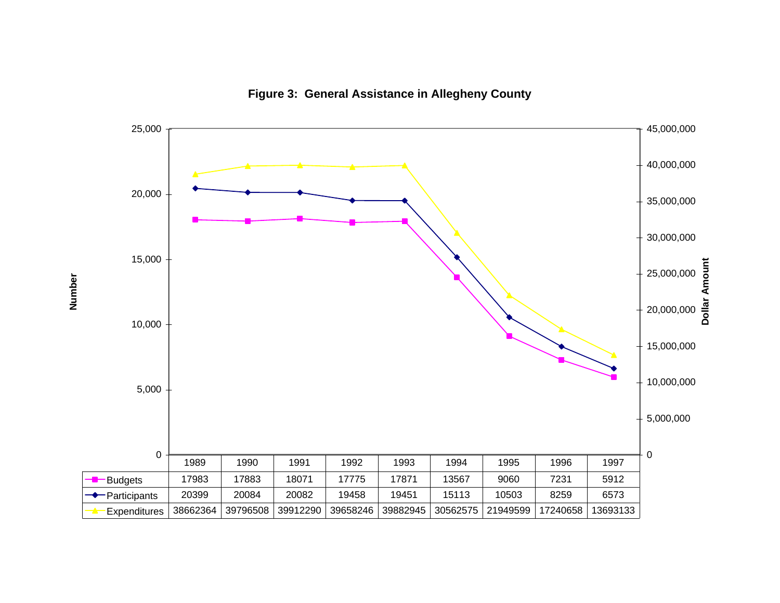

**Figure 3: General Assistance in Allegheny County**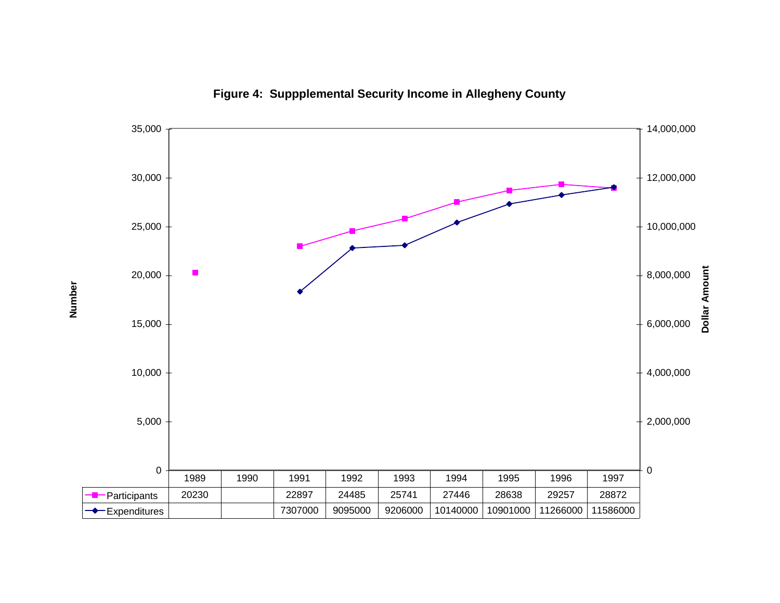

**Figure 4: Suppplemental Security Income in Allegheny County**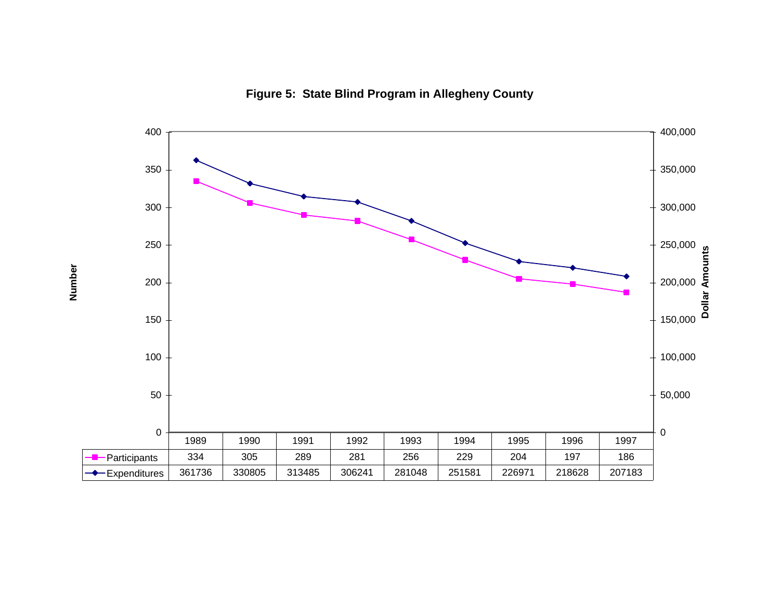

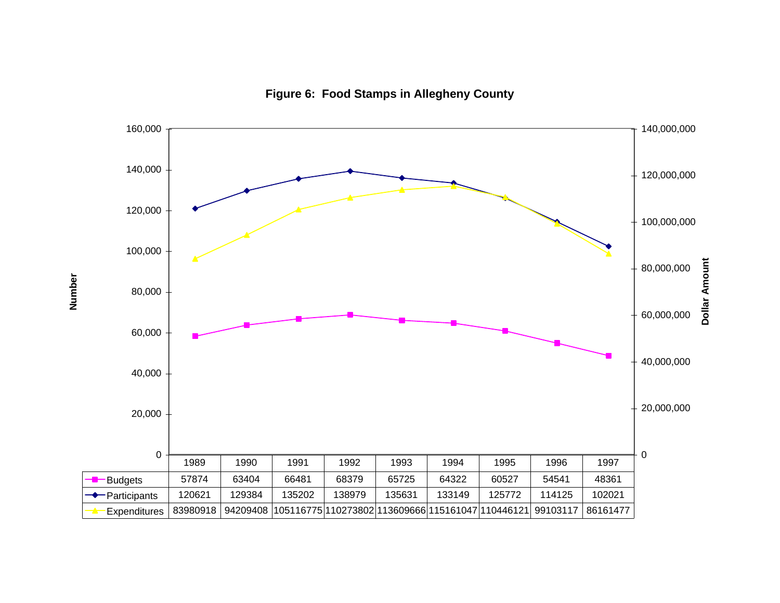

**Figure 6: Food Stamps in Allegheny County**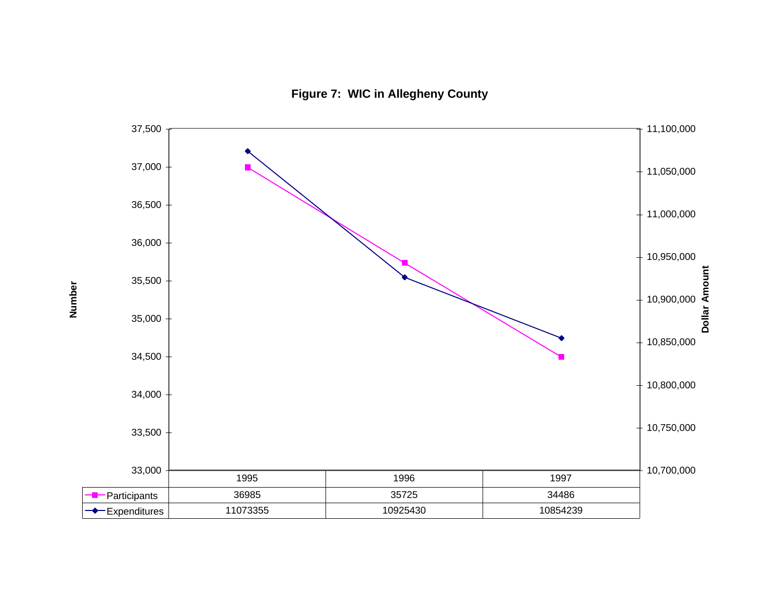**Figure 7: WIC in Allegheny County**

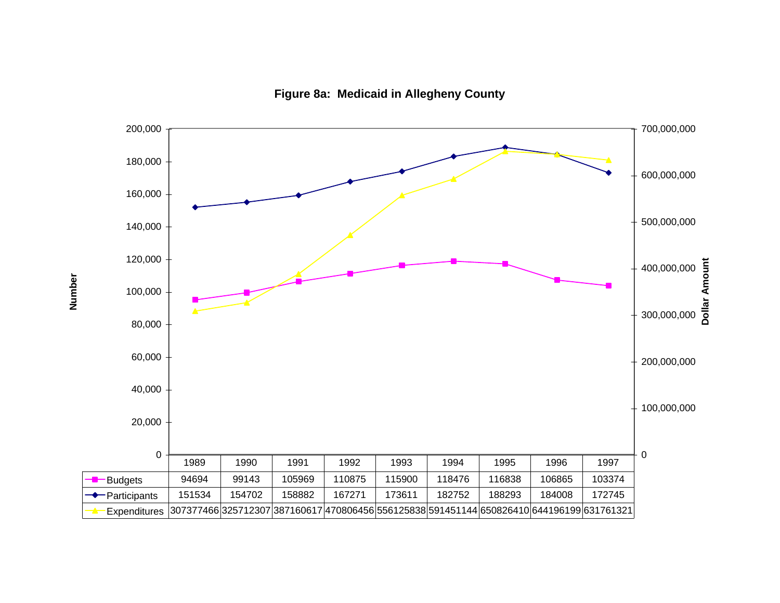

**Figure 8a: Medicaid in Allegheny County**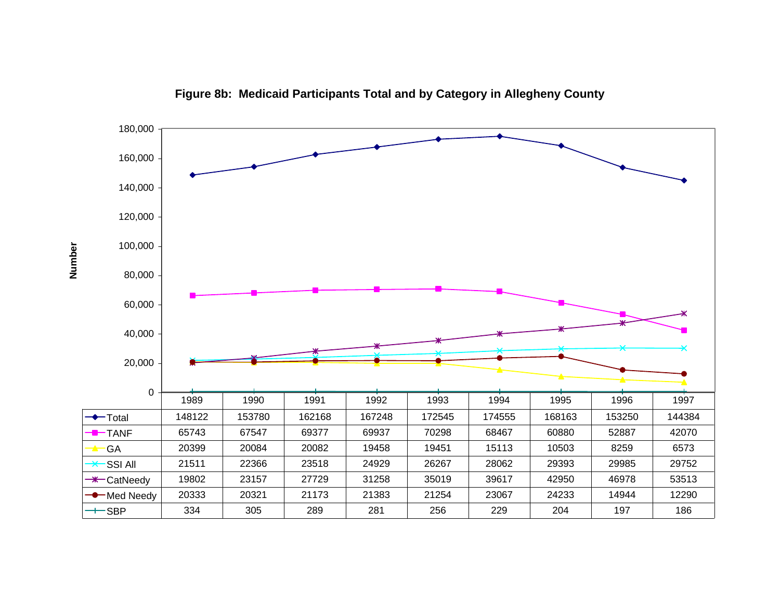

**Figure 8b: Medicaid Participants Total and by Category in Allegheny County**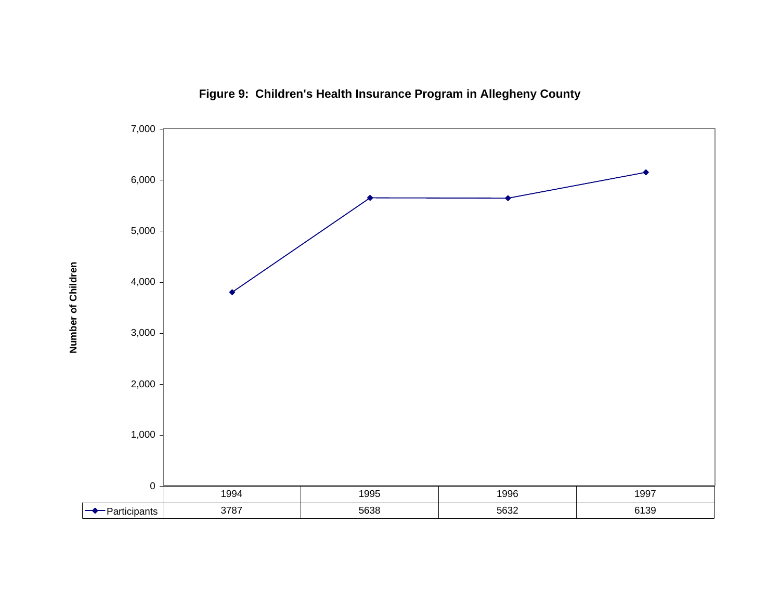

**Figure 9: Children's Health Insurance Program in Allegheny County**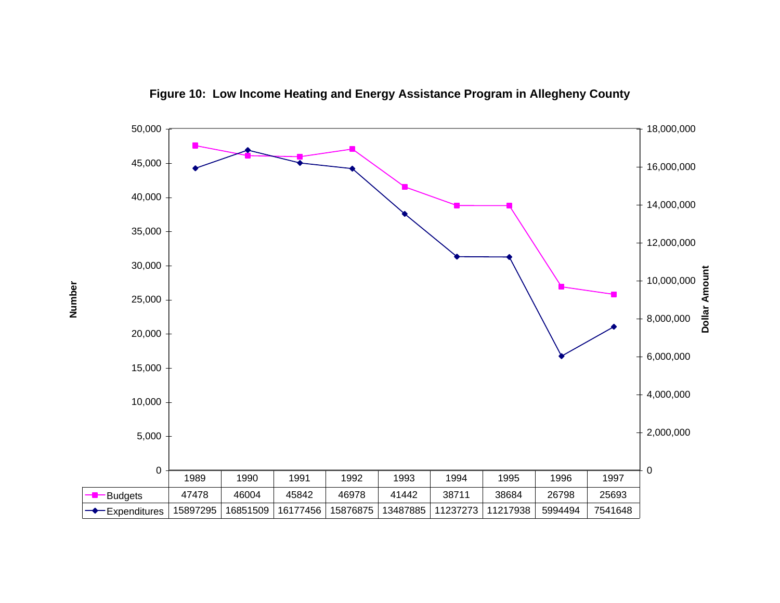

**Figure 10: Low Income Heating and Energy Assistance Program in Allegheny County**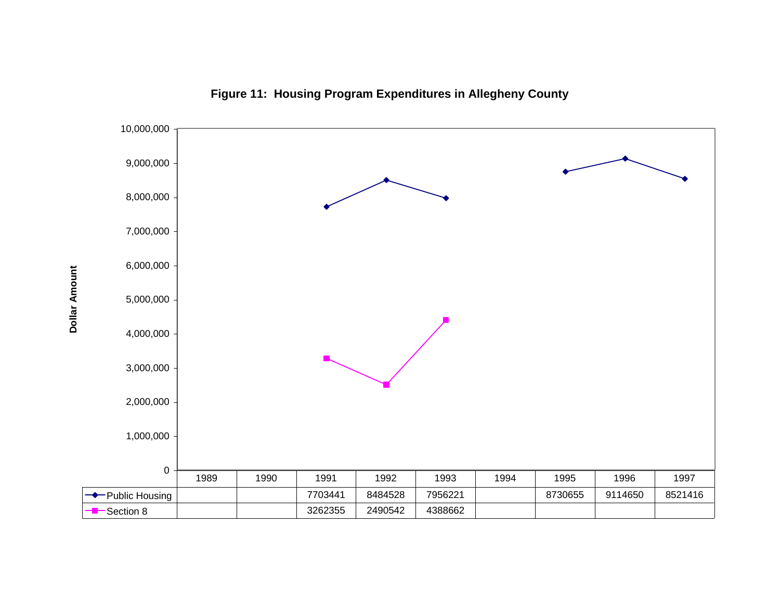

**Figure 11: Housing Program Expenditures in Allegheny County**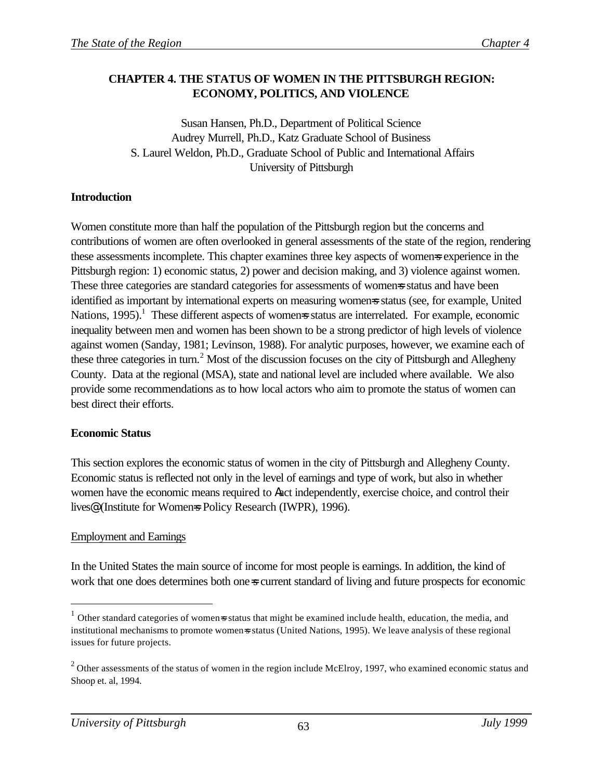### **CHAPTER 4. THE STATUS OF WOMEN IN THE PITTSBURGH REGION: ECONOMY, POLITICS, AND VIOLENCE**

Susan Hansen, Ph.D., Department of Political Science Audrey Murrell, Ph.D., Katz Graduate School of Business S. Laurel Weldon, Ph.D., Graduate School of Public and International Affairs University of Pittsburgh

### **Introduction**

Women constitute more than half the population of the Pittsburgh region but the concerns and contributions of women are often overlooked in general assessments of the state of the region, rendering these assessments incomplete. This chapter examines three key aspects of women=s experience in the Pittsburgh region: 1) economic status, 2) power and decision making, and 3) violence against women. These three categories are standard categories for assessments of womens status and have been identified as important by international experts on measuring womens status (see, for example, United Nations, 1995).<sup>1</sup> These different aspects of womens status are interrelated. For example, economic inequality between men and women has been shown to be a strong predictor of high levels of violence against women (Sanday, 1981; Levinson, 1988). For analytic purposes, however, we examine each of these three categories in turn.<sup>2</sup> Most of the discussion focuses on the city of Pittsburgh and Allegheny County. Data at the regional (MSA), state and national level are included where available. We also provide some recommendations as to how local actors who aim to promote the status of women can best direct their efforts.

#### **Economic Status**

This section explores the economic status of women in the city of Pittsburgh and Allegheny County. Economic status is reflected not only in the level of earnings and type of work, but also in whether women have the economic means required to Aact independently, exercise choice, and control their lives<sup>®</sup> (Institute for Womens Policy Research (IWPR), 1996).

## Employment and Earnings

 $\overline{a}$ 

In the United States the main source of income for most people is earnings. In addition, the kind of work that one does determines both one-s current standard of living and future prospects for economic

 $1$  Other standard categories of women=s status that might be examined include health, education, the media, and institutional mechanisms to promote women=s status (United Nations, 1995). We leave analysis of these regional issues for future projects.

 $2$  Other assessments of the status of women in the region include McElroy, 1997, who examined economic status and Shoop et. al, 1994.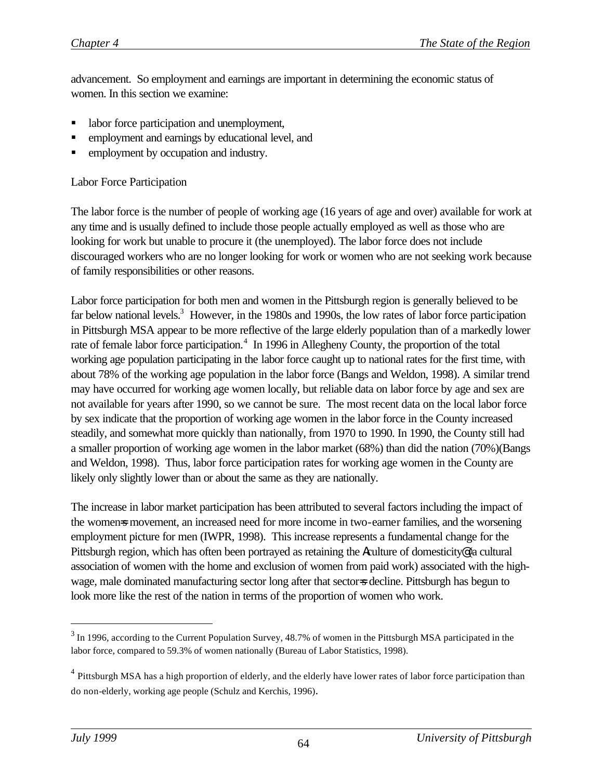advancement. So employment and earnings are important in determining the economic status of women. In this section we examine:

- labor force participation and unemployment,
- ß employment and earnings by educational level, and
- employment by occupation and industry.

#### Labor Force Participation

The labor force is the number of people of working age (16 years of age and over) available for work at any time and is usually defined to include those people actually employed as well as those who are looking for work but unable to procure it (the unemployed). The labor force does not include discouraged workers who are no longer looking for work or women who are not seeking work because of family responsibilities or other reasons.

Labor force participation for both men and women in the Pittsburgh region is generally believed to be far below national levels.<sup>3</sup> However, in the 1980s and 1990s, the low rates of labor force participation in Pittsburgh MSA appear to be more reflective of the large elderly population than of a markedly lower rate of female labor force participation.<sup>4</sup> In 1996 in Allegheny County, the proportion of the total working age population participating in the labor force caught up to national rates for the first time, with about 78% of the working age population in the labor force (Bangs and Weldon, 1998). A similar trend may have occurred for working age women locally, but reliable data on labor force by age and sex are not available for years after 1990, so we cannot be sure. The most recent data on the local labor force by sex indicate that the proportion of working age women in the labor force in the County increased steadily, and somewhat more quickly than nationally, from 1970 to 1990. In 1990, the County still had a smaller proportion of working age women in the labor market (68%) than did the nation (70%)(Bangs and Weldon, 1998). Thus, labor force participation rates for working age women in the County are likely only slightly lower than or about the same as they are nationally.

The increase in labor market participation has been attributed to several factors including the impact of the womens movement, an increased need for more income in two-earner families, and the worsening employment picture for men (IWPR, 1998). This increase represents a fundamental change for the Pittsburgh region, which has often been portrayed as retaining the Aculture of domesticity@ (a cultural association of women with the home and exclusion of women from paid work) associated with the highwage, male dominated manufacturing sector long after that sectors decline. Pittsburgh has begun to look more like the rest of the nation in terms of the proportion of women who work.

 $\overline{a}$ 

 $3$  In 1996, according to the Current Population Survey, 48.7% of women in the Pittsburgh MSA participated in the labor force, compared to 59.3% of women nationally (Bureau of Labor Statistics, 1998).

<sup>&</sup>lt;sup>4</sup> Pittsburgh MSA has a high proportion of elderly, and the elderly have lower rates of labor force participation than do non-elderly, working age people (Schulz and Kerchis, 1996).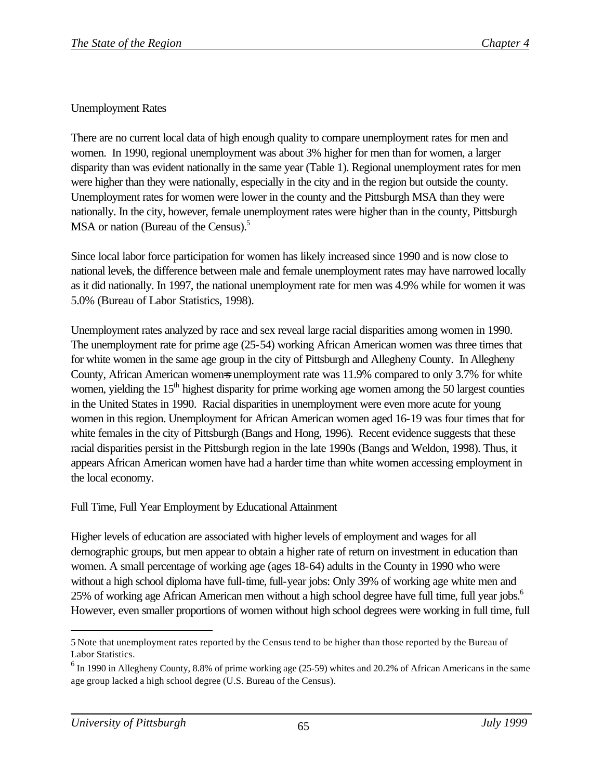## Unemployment Rates

There are no current local data of high enough quality to compare unemployment rates for men and women. In 1990, regional unemployment was about 3% higher for men than for women, a larger disparity than was evident nationally in the same year (Table 1). Regional unemployment rates for men were higher than they were nationally, especially in the city and in the region but outside the county. Unemployment rates for women were lower in the county and the Pittsburgh MSA than they were nationally. In the city, however, female unemployment rates were higher than in the county, Pittsburgh MSA or nation (Bureau of the Census).<sup>5</sup>

Since local labor force participation for women has likely increased since 1990 and is now close to national levels, the difference between male and female unemployment rates may have narrowed locally as it did nationally. In 1997, the national unemployment rate for men was 4.9% while for women it was 5.0% (Bureau of Labor Statistics, 1998).

Unemployment rates analyzed by race and sex reveal large racial disparities among women in 1990. The unemployment rate for prime age (25-54) working African American women was three times that for white women in the same age group in the city of Pittsburgh and Allegheny County. In Allegheny County, African American womens unemployment rate was 11.9% compared to only 3.7% for white women, yielding the  $15<sup>th</sup>$  highest disparity for prime working age women among the 50 largest counties in the United States in 1990. Racial disparities in unemployment were even more acute for young women in this region. Unemployment for African American women aged 16-19 was four times that for white females in the city of Pittsburgh (Bangs and Hong, 1996). Recent evidence suggests that these racial disparities persist in the Pittsburgh region in the late 1990s (Bangs and Weldon, 1998). Thus, it appears African American women have had a harder time than white women accessing employment in the local economy.

Full Time, Full Year Employment by Educational Attainment

Higher levels of education are associated with higher levels of employment and wages for all demographic groups, but men appear to obtain a higher rate of return on investment in education than women. A small percentage of working age (ages 18-64) adults in the County in 1990 who were without a high school diploma have full-time, full-year jobs: Only 39% of working age white men and 25% of working age African American men without a high school degree have full time, full year jobs.<sup>6</sup> However, even smaller proportions of women without high school degrees were working in full time, full

 $\overline{a}$ 5 Note that unemployment rates reported by the Census tend to be higher than those reported by the Bureau of Labor Statistics.

 $<sup>6</sup>$  In 1990 in Allegheny County, 8.8% of prime working age (25-59) whites and 20.2% of African Americans in the same</sup> age group lacked a high school degree (U.S. Bureau of the Census).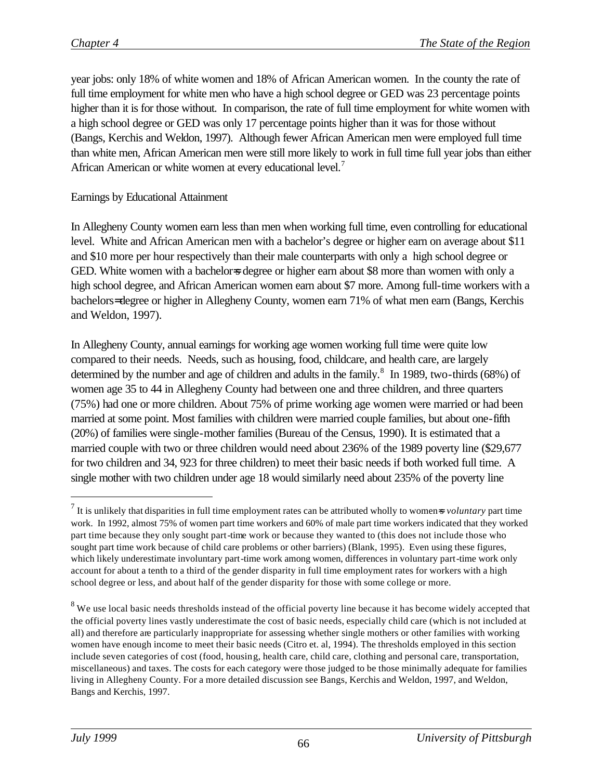year jobs: only 18% of white women and 18% of African American women. In the county the rate of full time employment for white men who have a high school degree or GED was 23 percentage points higher than it is for those without. In comparison, the rate of full time employment for white women with a high school degree or GED was only 17 percentage points higher than it was for those without (Bangs, Kerchis and Weldon, 1997). Although fewer African American men were employed full time than white men, African American men were still more likely to work in full time full year jobs than either African American or white women at every educational level.<sup>7</sup>

### Earnings by Educational Attainment

In Allegheny County women earn less than men when working full time, even controlling for educational level. White and African American men with a bachelor's degree or higher earn on average about \$11 and \$10 more per hour respectively than their male counterparts with only a high school degree or GED. White women with a bachelor=s degree or higher earn about \$8 more than women with only a high school degree, and African American women earn about \$7 more. Among full-time workers with a bachelors= degree or higher in Allegheny County, women earn 71% of what men earn (Bangs, Kerchis and Weldon, 1997).

In Allegheny County, annual earnings for working age women working full time were quite low compared to their needs. Needs, such as housing, food, childcare, and health care, are largely determined by the number and age of children and adults in the family. $8\,$  In 1989, two-thirds (68%) of women age 35 to 44 in Allegheny County had between one and three children, and three quarters (75%) had one or more children. About 75% of prime working age women were married or had been married at some point. Most families with children were married couple families, but about one-fifth (20%) of families were single-mother families (Bureau of the Census, 1990). It is estimated that a married couple with two or three children would need about 236% of the 1989 poverty line (\$29,677 for two children and 34, 923 for three children) to meet their basic needs if both worked full time. A single mother with two children under age 18 would similarly need about 235% of the poverty line

 $\overline{a}$ 

 $<sup>7</sup>$  It is unlikely that disparities in full time employment rates can be attributed wholly to women=s *voluntary* part time</sup> work. In 1992, almost 75% of women part time workers and 60% of male part time workers indicated that they worked part time because they only sought part-time work or because they wanted to (this does not include those who sought part time work because of child care problems or other barriers) (Blank, 1995). Even using these figures, which likely underestimate involuntary part-time work among women, differences in voluntary part-time work only account for about a tenth to a third of the gender disparity in full time employment rates for workers with a high school degree or less, and about half of the gender disparity for those with some college or more.

 $8$  We use local basic needs thresholds instead of the official poverty line because it has become widely accepted that the official poverty lines vastly underestimate the cost of basic needs, especially child care (which is not included at all) and therefore are particularly inappropriate for assessing whether single mothers or other families with working women have enough income to meet their basic needs (Citro et. al, 1994). The thresholds employed in this section include seven categories of cost (food, housing, health care, child care, clothing and personal care, transportation, miscellaneous) and taxes. The costs for each category were those judged to be those minimally adequate for families living in Allegheny County. For a more detailed discussion see Bangs, Kerchis and Weldon, 1997, and Weldon, Bangs and Kerchis, 1997.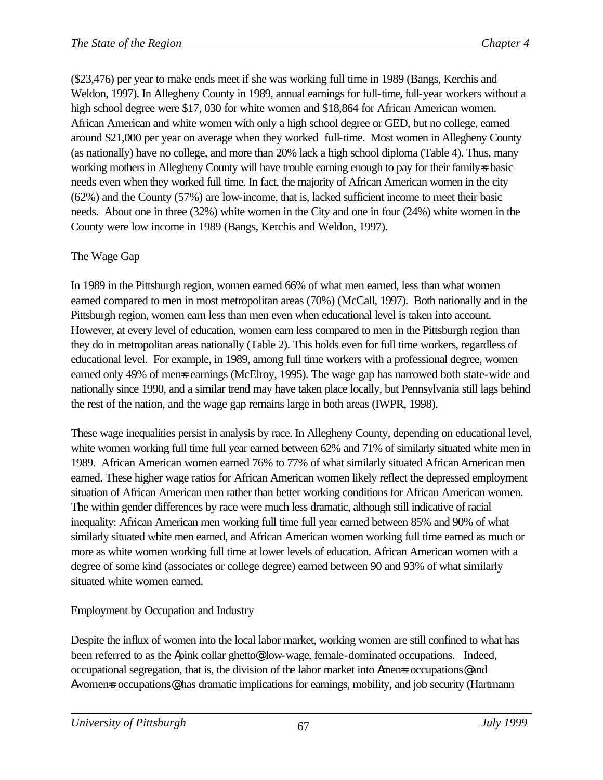(\$23,476) per year to make ends meet if she was working full time in 1989 (Bangs, Kerchis and Weldon, 1997). In Allegheny County in 1989, annual earnings for full-time, full-year workers without a high school degree were \$17, 030 for white women and \$18,864 for African American women. African American and white women with only a high school degree or GED, but no college, earned around \$21,000 per year on average when they worked full-time. Most women in Allegheny County (as nationally) have no college, and more than 20% lack a high school diploma (Table 4). Thus, many working mothers in Allegheny County will have trouble earning enough to pay for their family=s basic needs even when they worked full time. In fact, the majority of African American women in the city (62%) and the County (57%) are low-income, that is, lacked sufficient income to meet their basic needs. About one in three (32%) white women in the City and one in four (24%) white women in the County were low income in 1989 (Bangs, Kerchis and Weldon, 1997).

# The Wage Gap

In 1989 in the Pittsburgh region, women earned 66% of what men earned, less than what women earned compared to men in most metropolitan areas (70%) (McCall, 1997). Both nationally and in the Pittsburgh region, women earn less than men even when educational level is taken into account. However, at every level of education, women earn less compared to men in the Pittsburgh region than they do in metropolitan areas nationally (Table 2). This holds even for full time workers, regardless of educational level. For example, in 1989, among full time workers with a professional degree, women earned only 49% of mense earnings (McElroy, 1995). The wage gap has narrowed both state-wide and nationally since 1990, and a similar trend may have taken place locally, but Pennsylvania still lags behind the rest of the nation, and the wage gap remains large in both areas (IWPR, 1998).

These wage inequalities persist in analysis by race. In Allegheny County, depending on educational level, white women working full time full year earned between 62% and 71% of similarly situated white men in 1989. African American women earned 76% to 77% of what similarly situated African American men earned. These higher wage ratios for African American women likely reflect the depressed employment situation of African American men rather than better working conditions for African American women. The within gender differences by race were much less dramatic, although still indicative of racial inequality: African American men working full time full year earned between 85% and 90% of what similarly situated white men earned, and African American women working full time earned as much or more as white women working full time at lower levels of education. African American women with a degree of some kind (associates or college degree) earned between 90 and 93% of what similarly situated white women earned.

# Employment by Occupation and Industry

Despite the influx of women into the local labor market, working women are still confined to what has been referred to as the Apink collar ghetto<sup>o</sup>. low-wage, female-dominated occupations. Indeed, occupational segregation, that is, the division of the labor market into Amen=s occupations@ and Awomens occupations<sup>o</sup>, has dramatic implications for earnings, mobility, and job security (Hartmann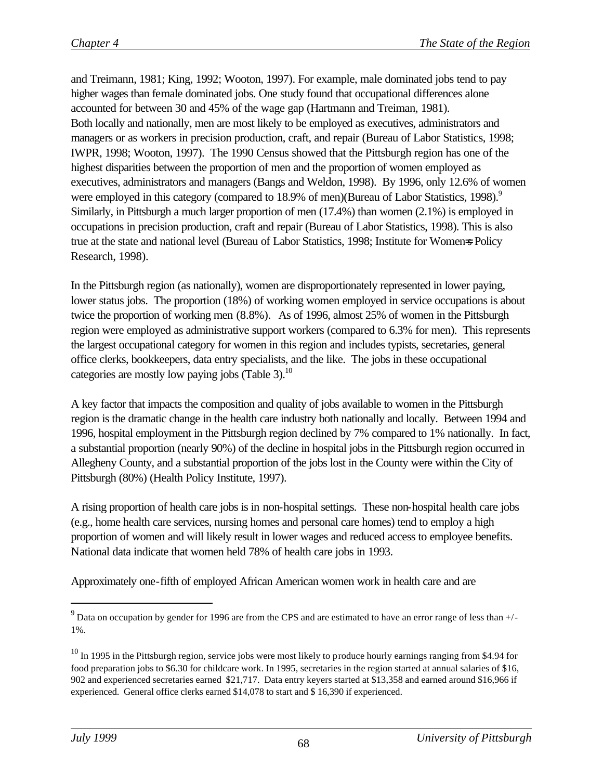and Treimann, 1981; King, 1992; Wooton, 1997). For example, male dominated jobs tend to pay higher wages than female dominated jobs. One study found that occupational differences alone accounted for between 30 and 45% of the wage gap (Hartmann and Treiman, 1981). Both locally and nationally, men are most likely to be employed as executives, administrators and managers or as workers in precision production, craft, and repair (Bureau of Labor Statistics, 1998; IWPR, 1998; Wooton, 1997). The 1990 Census showed that the Pittsburgh region has one of the highest disparities between the proportion of men and the proportion of women employed as executives, administrators and managers (Bangs and Weldon, 1998). By 1996, only 12.6% of women were employed in this category (compared to 18.9% of men)(Bureau of Labor Statistics, 1998).<sup>9</sup> Similarly, in Pittsburgh a much larger proportion of men (17.4%) than women (2.1%) is employed in occupations in precision production, craft and repair (Bureau of Labor Statistics, 1998). This is also true at the state and national level (Bureau of Labor Statistics, 1998; Institute for Women=s Policy Research, 1998).

In the Pittsburgh region (as nationally), women are disproportionately represented in lower paying, lower status jobs. The proportion (18%) of working women employed in service occupations is about twice the proportion of working men (8.8%). As of 1996, almost 25% of women in the Pittsburgh region were employed as administrative support workers (compared to 6.3% for men). This represents the largest occupational category for women in this region and includes typists, secretaries, general office clerks, bookkeepers, data entry specialists, and the like. The jobs in these occupational categories are mostly low paying jobs (Table 3). $^{10}$ 

A key factor that impacts the composition and quality of jobs available to women in the Pittsburgh region is the dramatic change in the health care industry both nationally and locally. Between 1994 and 1996, hospital employment in the Pittsburgh region declined by 7% compared to 1% nationally. In fact, a substantial proportion (nearly 90%) of the decline in hospital jobs in the Pittsburgh region occurred in Allegheny County, and a substantial proportion of the jobs lost in the County were within the City of Pittsburgh (80%) (Health Policy Institute, 1997).

A rising proportion of health care jobs is in non-hospital settings. These non-hospital health care jobs (e.g., home health care services, nursing homes and personal care homes) tend to employ a high proportion of women and will likely result in lower wages and reduced access to employee benefits. National data indicate that women held 78% of health care jobs in 1993.

Approximately one-fifth of employed African American women work in health care and are

 $\overline{a}$ 

<sup>&</sup>lt;sup>9</sup> Data on occupation by gender for 1996 are from the CPS and are estimated to have an error range of less than  $+/-$ 1%.

 $10$  In 1995 in the Pittsburgh region, service jobs were most likely to produce hourly earnings ranging from \$4.94 for food preparation jobs to \$6.30 for childcare work. In 1995, secretaries in the region started at annual salaries of \$16, 902 and experienced secretaries earned \$21,717. Data entry keyers started at \$13,358 and earned around \$16,966 if experienced. General office clerks earned \$14,078 to start and \$ 16,390 if experienced.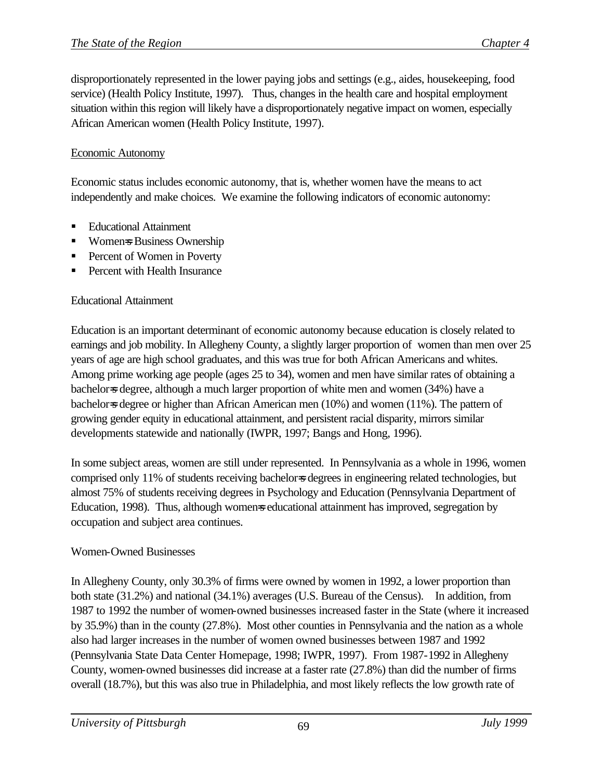disproportionately represented in the lower paying jobs and settings (e.g., aides, housekeeping, food service) (Health Policy Institute, 1997). Thus, changes in the health care and hospital employment situation within this region will likely have a disproportionately negative impact on women, especially African American women (Health Policy Institute, 1997).

### Economic Autonomy

Economic status includes economic autonomy, that is, whether women have the means to act independently and make choices. We examine the following indicators of economic autonomy:

- ß Educational Attainment
- Women=s Business Ownership
- **•** Percent of Women in Poverty
- ß Percent with Health Insurance

### Educational Attainment

Education is an important determinant of economic autonomy because education is closely related to earnings and job mobility. In Allegheny County, a slightly larger proportion of women than men over 25 years of age are high school graduates, and this was true for both African Americans and whites. Among prime working age people (ages 25 to 34), women and men have similar rates of obtaining a bachelor=s degree, although a much larger proportion of white men and women (34%) have a bachelor=s degree or higher than African American men (10%) and women (11%). The pattern of growing gender equity in educational attainment, and persistent racial disparity, mirrors similar developments statewide and nationally (IWPR, 1997; Bangs and Hong, 1996).

In some subject areas, women are still under represented. In Pennsylvania as a whole in 1996, women comprised only 11% of students receiving bachelor=s degrees in engineering related technologies, but almost 75% of students receiving degrees in Psychology and Education (Pennsylvania Department of Education, 1998). Thus, although womens educational attainment has improved, segregation by occupation and subject area continues.

### Women-Owned Businesses

In Allegheny County, only 30.3% of firms were owned by women in 1992, a lower proportion than both state (31.2%) and national (34.1%) averages (U.S. Bureau of the Census). In addition, from 1987 to 1992 the number of women-owned businesses increased faster in the State (where it increased by 35.9%) than in the county (27.8%). Most other counties in Pennsylvania and the nation as a whole also had larger increases in the number of women owned businesses between 1987 and 1992 (Pennsylvania State Data Center Homepage, 1998; IWPR, 1997). From 1987-1992 in Allegheny County, women-owned businesses did increase at a faster rate (27.8%) than did the number of firms overall (18.7%), but this was also true in Philadelphia, and most likely reflects the low growth rate of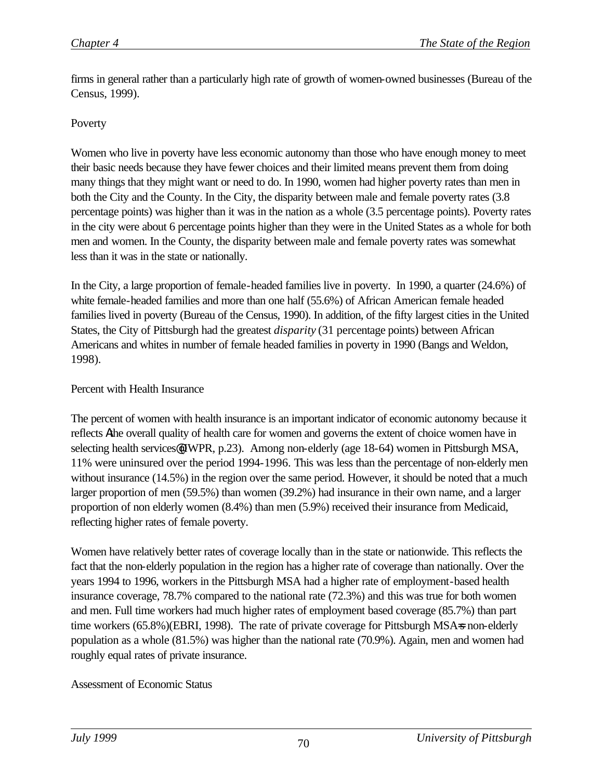firms in general rather than a particularly high rate of growth of women-owned businesses (Bureau of the Census, 1999).

### Poverty

Women who live in poverty have less economic autonomy than those who have enough money to meet their basic needs because they have fewer choices and their limited means prevent them from doing many things that they might want or need to do. In 1990, women had higher poverty rates than men in both the City and the County. In the City, the disparity between male and female poverty rates (3.8 percentage points) was higher than it was in the nation as a whole (3.5 percentage points). Poverty rates in the city were about 6 percentage points higher than they were in the United States as a whole for both men and women. In the County, the disparity between male and female poverty rates was somewhat less than it was in the state or nationally.

In the City, a large proportion of female-headed families live in poverty. In 1990, a quarter (24.6%) of white female-headed families and more than one half (55.6%) of African American female headed families lived in poverty (Bureau of the Census, 1990). In addition, of the fifty largest cities in the United States, the City of Pittsburgh had the greatest *disparity* (31 percentage points) between African Americans and whites in number of female headed families in poverty in 1990 (Bangs and Weldon, 1998).

## Percent with Health Insurance

The percent of women with health insurance is an important indicator of economic autonomy because it reflects Athe overall quality of health care for women and governs the extent of choice women have in selecting health services (IWPR, p.23). Among non-elderly (age 18-64) women in Pittsburgh MSA, 11% were uninsured over the period 1994-1996. This was less than the percentage of non-elderly men without insurance (14.5%) in the region over the same period. However, it should be noted that a much larger proportion of men (59.5%) than women (39.2%) had insurance in their own name, and a larger proportion of non elderly women (8.4%) than men (5.9%) received their insurance from Medicaid, reflecting higher rates of female poverty.

Women have relatively better rates of coverage locally than in the state or nationwide. This reflects the fact that the non-elderly population in the region has a higher rate of coverage than nationally. Over the years 1994 to 1996, workers in the Pittsburgh MSA had a higher rate of employment-based health insurance coverage, 78.7% compared to the national rate (72.3%) and this was true for both women and men. Full time workers had much higher rates of employment based coverage (85.7%) than part time workers (65.8%)(EBRI, 1998). The rate of private coverage for Pittsburgh MSA=s non-elderly population as a whole (81.5%) was higher than the national rate (70.9%). Again, men and women had roughly equal rates of private insurance.

### Assessment of Economic Status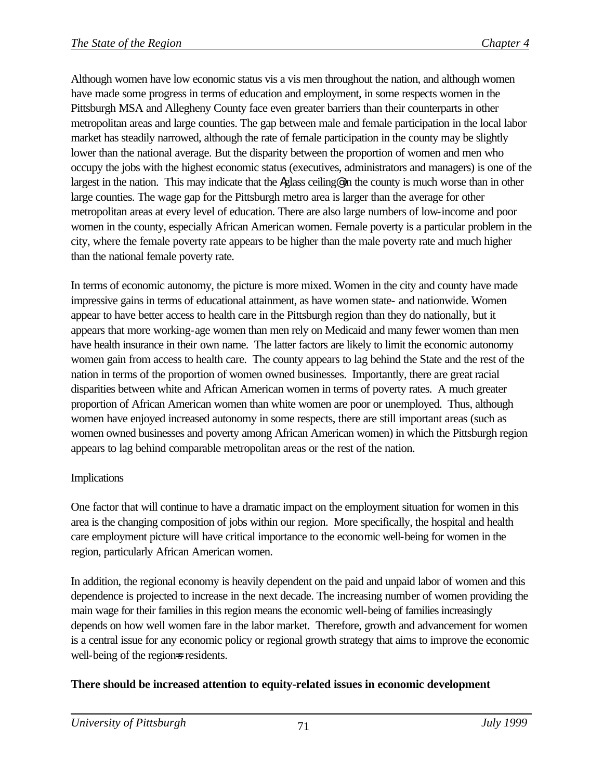Although women have low economic status vis a vis men throughout the nation, and although women have made some progress in terms of education and employment, in some respects women in the Pittsburgh MSA and Allegheny County face even greater barriers than their counterparts in other metropolitan areas and large counties. The gap between male and female participation in the local labor market has steadily narrowed, although the rate of female participation in the county may be slightly lower than the national average. But the disparity between the proportion of women and men who occupy the jobs with the highest economic status (executives, administrators and managers) is one of the largest in the nation. This may indicate that the Aglass ceiling<sup>o</sup> in the county is much worse than in other large counties. The wage gap for the Pittsburgh metro area is larger than the average for other metropolitan areas at every level of education. There are also large numbers of low-income and poor women in the county, especially African American women. Female poverty is a particular problem in the city, where the female poverty rate appears to be higher than the male poverty rate and much higher than the national female poverty rate.

In terms of economic autonomy, the picture is more mixed. Women in the city and county have made impressive gains in terms of educational attainment, as have women state- and nationwide. Women appear to have better access to health care in the Pittsburgh region than they do nationally, but it appears that more working-age women than men rely on Medicaid and many fewer women than men have health insurance in their own name. The latter factors are likely to limit the economic autonomy women gain from access to health care. The county appears to lag behind the State and the rest of the nation in terms of the proportion of women owned businesses. Importantly, there are great racial disparities between white and African American women in terms of poverty rates. A much greater proportion of African American women than white women are poor or unemployed. Thus, although women have enjoyed increased autonomy in some respects, there are still important areas (such as women owned businesses and poverty among African American women) in which the Pittsburgh region appears to lag behind comparable metropolitan areas or the rest of the nation.

# Implications

One factor that will continue to have a dramatic impact on the employment situation for women in this area is the changing composition of jobs within our region. More specifically, the hospital and health care employment picture will have critical importance to the economic well-being for women in the region, particularly African American women.

In addition, the regional economy is heavily dependent on the paid and unpaid labor of women and this dependence is projected to increase in the next decade. The increasing number of women providing the main wage for their families in this region means the economic well-being of families increasingly depends on how well women fare in the labor market. Therefore, growth and advancement for women is a central issue for any economic policy or regional growth strategy that aims to improve the economic well-being of the regions residents.

# **There should be increased attention to equity-related issues in economic development**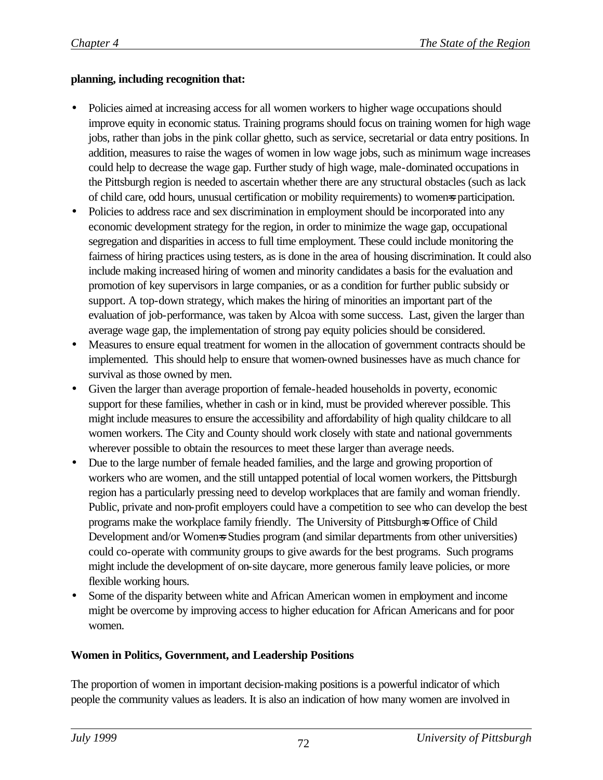## **planning, including recognition that:**

- Policies aimed at increasing access for all women workers to higher wage occupations should improve equity in economic status. Training programs should focus on training women for high wage jobs, rather than jobs in the pink collar ghetto, such as service, secretarial or data entry positions. In addition, measures to raise the wages of women in low wage jobs, such as minimum wage increases could help to decrease the wage gap. Further study of high wage, male-dominated occupations in the Pittsburgh region is needed to ascertain whether there are any structural obstacles (such as lack of child care, odd hours, unusual certification or mobility requirements) to women=s participation.
- Policies to address race and sex discrimination in employment should be incorporated into any economic development strategy for the region, in order to minimize the wage gap, occupational segregation and disparities in access to full time employment. These could include monitoring the fairness of hiring practices using testers, as is done in the area of housing discrimination. It could also include making increased hiring of women and minority candidates a basis for the evaluation and promotion of key supervisors in large companies, or as a condition for further public subsidy or support. A top-down strategy, which makes the hiring of minorities an important part of the evaluation of job-performance, was taken by Alcoa with some success. Last, given the larger than average wage gap, the implementation of strong pay equity policies should be considered.
- Measures to ensure equal treatment for women in the allocation of government contracts should be implemented. This should help to ensure that women-owned businesses have as much chance for survival as those owned by men.
- Given the larger than average proportion of female-headed households in poverty, economic support for these families, whether in cash or in kind, must be provided wherever possible. This might include measures to ensure the accessibility and affordability of high quality childcare to all women workers. The City and County should work closely with state and national governments wherever possible to obtain the resources to meet these larger than average needs.
- Due to the large number of female headed families, and the large and growing proportion of workers who are women, and the still untapped potential of local women workers, the Pittsburgh region has a particularly pressing need to develop workplaces that are family and woman friendly. Public, private and non-profit employers could have a competition to see who can develop the best programs make the workplace family friendly. The University of Pittsburgh=s Office of Child Development and/or Women=s Studies program (and similar departments from other universities) could co-operate with community groups to give awards for the best programs. Such programs might include the development of on-site daycare, more generous family leave policies, or more flexible working hours.
- Some of the disparity between white and African American women in employment and income might be overcome by improving access to higher education for African Americans and for poor women.

# **Women in Politics, Government, and Leadership Positions**

The proportion of women in important decision-making positions is a powerful indicator of which people the community values as leaders. It is also an indication of how many women are involved in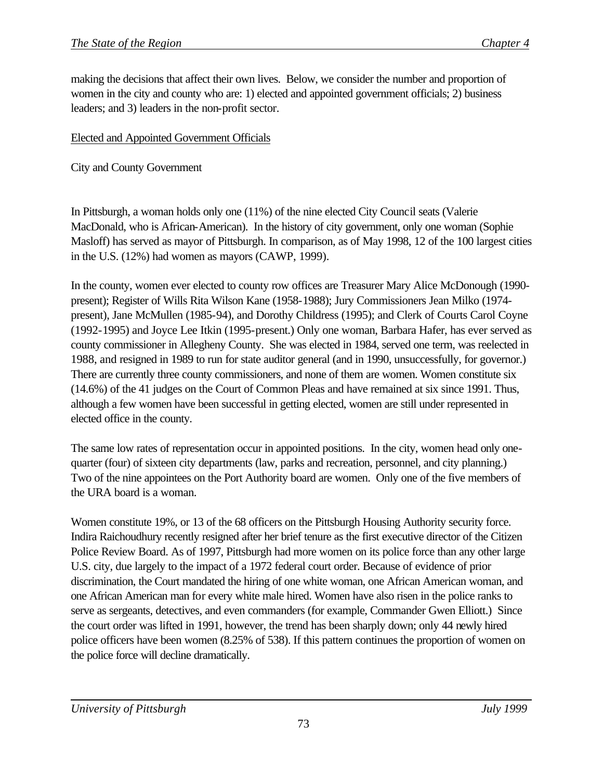making the decisions that affect their own lives. Below, we consider the number and proportion of women in the city and county who are: 1) elected and appointed government officials; 2) business leaders; and 3) leaders in the non-profit sector.

## Elected and Appointed Government Officials

City and County Government

In Pittsburgh, a woman holds only one (11%) of the nine elected City Council seats (Valerie MacDonald, who is African-American). In the history of city government, only one woman (Sophie Masloff) has served as mayor of Pittsburgh. In comparison, as of May 1998, 12 of the 100 largest cities in the U.S. (12%) had women as mayors (CAWP, 1999).

In the county, women ever elected to county row offices are Treasurer Mary Alice McDonough (1990 present); Register of Wills Rita Wilson Kane (1958-1988); Jury Commissioners Jean Milko (1974 present), Jane McMullen (1985-94), and Dorothy Childress (1995); and Clerk of Courts Carol Coyne (1992-1995) and Joyce Lee Itkin (1995-present.) Only one woman, Barbara Hafer, has ever served as county commissioner in Allegheny County. She was elected in 1984, served one term, was reelected in 1988, and resigned in 1989 to run for state auditor general (and in 1990, unsuccessfully, for governor.) There are currently three county commissioners, and none of them are women. Women constitute six (14.6%) of the 41 judges on the Court of Common Pleas and have remained at six since 1991. Thus, although a few women have been successful in getting elected, women are still under represented in elected office in the county.

The same low rates of representation occur in appointed positions. In the city, women head only onequarter (four) of sixteen city departments (law, parks and recreation, personnel, and city planning.) Two of the nine appointees on the Port Authority board are women. Only one of the five members of the URA board is a woman.

Women constitute 19%, or 13 of the 68 officers on the Pittsburgh Housing Authority security force. Indira Raichoudhury recently resigned after her brief tenure as the first executive director of the Citizen Police Review Board. As of 1997, Pittsburgh had more women on its police force than any other large U.S. city, due largely to the impact of a 1972 federal court order. Because of evidence of prior discrimination, the Court mandated the hiring of one white woman, one African American woman, and one African American man for every white male hired. Women have also risen in the police ranks to serve as sergeants, detectives, and even commanders (for example, Commander Gwen Elliott.) Since the court order was lifted in 1991, however, the trend has been sharply down; only 44 newly hired police officers have been women (8.25% of 538). If this pattern continues the proportion of women on the police force will decline dramatically.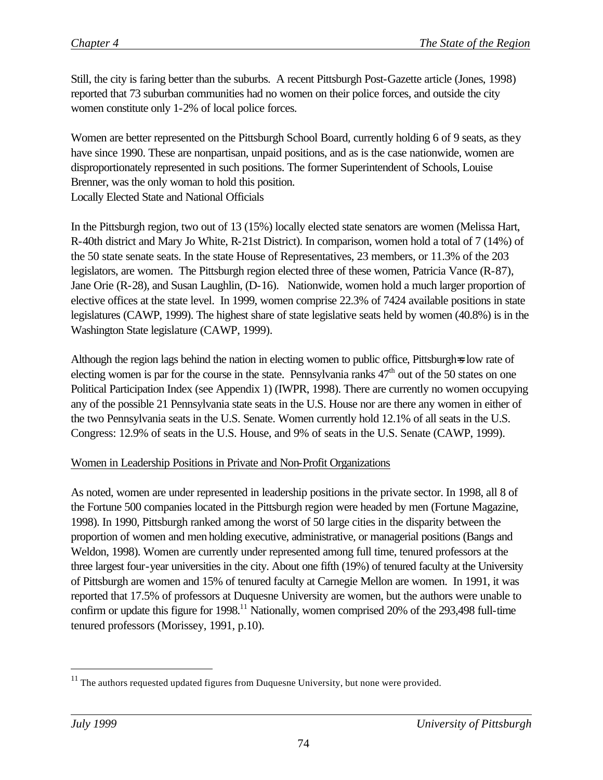Still, the city is faring better than the suburbs. A recent Pittsburgh Post-Gazette article (Jones, 1998) reported that 73 suburban communities had no women on their police forces, and outside the city women constitute only 1-2% of local police forces.

Women are better represented on the Pittsburgh School Board, currently holding 6 of 9 seats, as they have since 1990. These are nonpartisan, unpaid positions, and as is the case nationwide, women are disproportionately represented in such positions. The former Superintendent of Schools, Louise Brenner, was the only woman to hold this position. Locally Elected State and National Officials

In the Pittsburgh region, two out of 13 (15%) locally elected state senators are women (Melissa Hart, R-40th district and Mary Jo White, R-21st District). In comparison, women hold a total of 7 (14%) of the 50 state senate seats. In the state House of Representatives, 23 members, or 11.3% of the 203 legislators, are women. The Pittsburgh region elected three of these women, Patricia Vance (R-87), Jane Orie (R-28), and Susan Laughlin, (D-16). Nationwide, women hold a much larger proportion of elective offices at the state level. In 1999, women comprise 22.3% of 7424 available positions in state legislatures (CAWP, 1999). The highest share of state legislative seats held by women (40.8%) is in the Washington State legislature (CAWP, 1999).

Although the region lags behind the nation in electing women to public office, Pittsburgh=s low rate of electing women is par for the course in the state. Pennsylvania ranks  $47<sup>th</sup>$  out of the 50 states on one Political Participation Index (see Appendix 1) (IWPR, 1998). There are currently no women occupying any of the possible 21 Pennsylvania state seats in the U.S. House nor are there any women in either of the two Pennsylvania seats in the U.S. Senate. Women currently hold 12.1% of all seats in the U.S. Congress: 12.9% of seats in the U.S. House, and 9% of seats in the U.S. Senate (CAWP, 1999).

# Women in Leadership Positions in Private and Non-Profit Organizations

As noted, women are under represented in leadership positions in the private sector. In 1998, all 8 of the Fortune 500 companies located in the Pittsburgh region were headed by men (Fortune Magazine, 1998). In 1990, Pittsburgh ranked among the worst of 50 large cities in the disparity between the proportion of women and men holding executive, administrative, or managerial positions (Bangs and Weldon, 1998). Women are currently under represented among full time, tenured professors at the three largest four-year universities in the city. About one fifth (19%) of tenured faculty at the University of Pittsburgh are women and 15% of tenured faculty at Carnegie Mellon are women. In 1991, it was reported that 17.5% of professors at Duquesne University are women, but the authors were unable to confirm or update this figure for  $1998$ <sup> $11$ </sup> Nationally, women comprised 20% of the 293,498 full-time tenured professors (Morissey, 1991, p.10).

 $\overline{a}$ 

<sup>&</sup>lt;sup>11</sup> The authors requested updated figures from Duquesne University, but none were provided.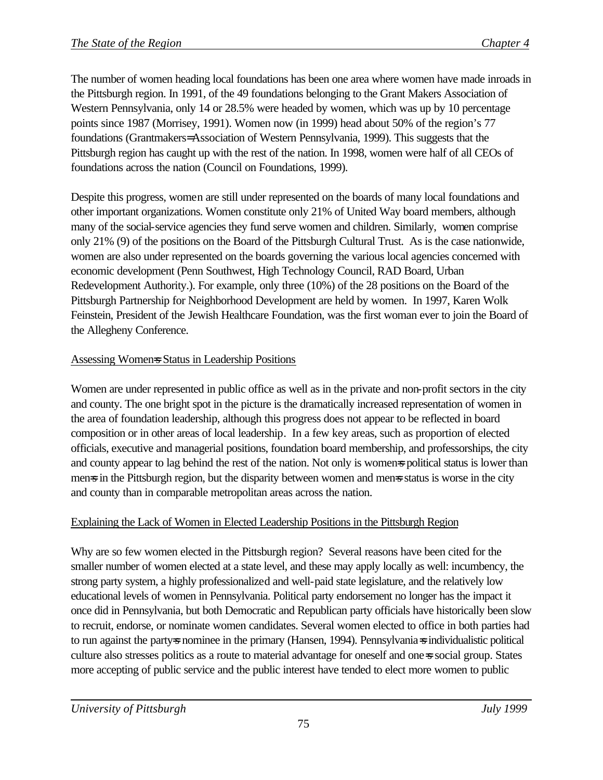The number of women heading local foundations has been one area where women have made inroads in the Pittsburgh region. In 1991, of the 49 foundations belonging to the Grant Makers Association of Western Pennsylvania, only 14 or 28.5% were headed by women, which was up by 10 percentage points since 1987 (Morrisey, 1991). Women now (in 1999) head about 50% of the region's 77 foundations (Grantmakers= Association of Western Pennsylvania, 1999). This suggests that the Pittsburgh region has caught up with the rest of the nation. In 1998, women were half of all CEOs of foundations across the nation (Council on Foundations, 1999).

Despite this progress, women are still under represented on the boards of many local foundations and other important organizations. Women constitute only 21% of United Way board members, although many of the social-service agencies they fund serve women and children. Similarly, women comprise only 21% (9) of the positions on the Board of the Pittsburgh Cultural Trust. As is the case nationwide, women are also under represented on the boards governing the various local agencies concerned with economic development (Penn Southwest, High Technology Council, RAD Board, Urban Redevelopment Authority.). For example, only three (10%) of the 28 positions on the Board of the Pittsburgh Partnership for Neighborhood Development are held by women. In 1997, Karen Wolk Feinstein, President of the Jewish Healthcare Foundation, was the first woman ever to join the Board of the Allegheny Conference.

# Assessing Women=s Status in Leadership Positions

Women are under represented in public office as well as in the private and non-profit sectors in the city and county. The one bright spot in the picture is the dramatically increased representation of women in the area of foundation leadership, although this progress does not appear to be reflected in board composition or in other areas of local leadership. In a few key areas, such as proportion of elected officials, executive and managerial positions, foundation board membership, and professorships, the city and county appear to lag behind the rest of the nation. Not only is womens political status is lower than mens in the Pittsburgh region, but the disparity between women and mens status is worse in the city and county than in comparable metropolitan areas across the nation.

# Explaining the Lack of Women in Elected Leadership Positions in the Pittsburgh Region

Why are so few women elected in the Pittsburgh region? Several reasons have been cited for the smaller number of women elected at a state level, and these may apply locally as well: incumbency, the strong party system, a highly professionalized and well-paid state legislature, and the relatively low educational levels of women in Pennsylvania. Political party endorsement no longer has the impact it once did in Pennsylvania, but both Democratic and Republican party officials have historically been slow to recruit, endorse, or nominate women candidates. Several women elected to office in both parties had to run against the party=s nominee in the primary (Hansen, 1994). Pennsylvania=s individualistic political culture also stresses politics as a route to material advantage for oneself and one=s social group. States more accepting of public service and the public interest have tended to elect more women to public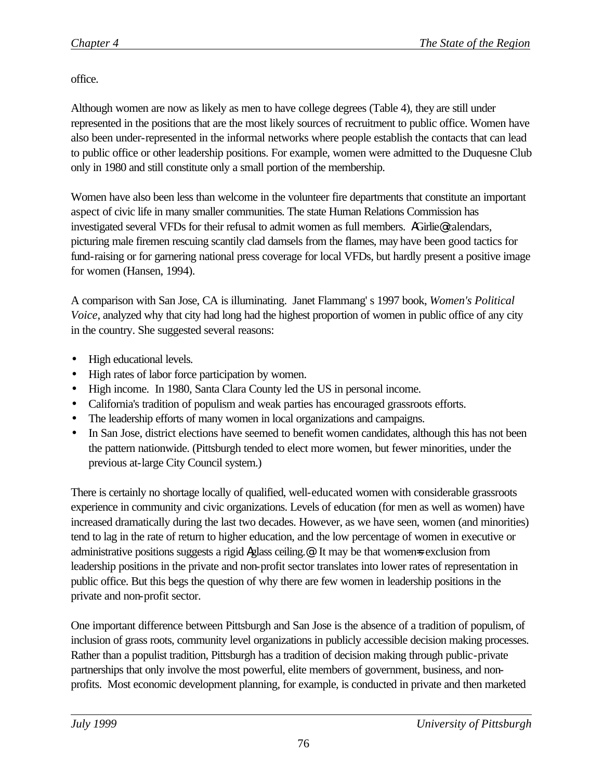office.

Although women are now as likely as men to have college degrees (Table 4), they are still under represented in the positions that are the most likely sources of recruitment to public office. Women have also been under-represented in the informal networks where people establish the contacts that can lead to public office or other leadership positions. For example, women were admitted to the Duquesne Club only in 1980 and still constitute only a small portion of the membership.

Women have also been less than welcome in the volunteer fire departments that constitute an important aspect of civic life in many smaller communities. The state Human Relations Commission has investigated several VFDs for their refusal to admit women as full members. AGirlie@ calendars, picturing male firemen rescuing scantily clad damsels from the flames, may have been good tactics for fund-raising or for garnering national press coverage for local VFDs, but hardly present a positive image for women (Hansen, 1994).

A comparison with San Jose, CA is illuminating. Janet Flammang' s 1997 book, *Women's Political Voice*, analyzed why that city had long had the highest proportion of women in public office of any city in the country. She suggested several reasons:

- High educational levels.
- High rates of labor force participation by women.
- High income. In 1980, Santa Clara County led the US in personal income.
- California's tradition of populism and weak parties has encouraged grassroots efforts.
- The leadership efforts of many women in local organizations and campaigns.
- In San Jose, district elections have seemed to benefit women candidates, although this has not been the pattern nationwide. (Pittsburgh tended to elect more women, but fewer minorities, under the previous at-large City Council system.)

There is certainly no shortage locally of qualified, well-educated women with considerable grassroots experience in community and civic organizations. Levels of education (for men as well as women) have increased dramatically during the last two decades. However, as we have seen, women (and minorities) tend to lag in the rate of return to higher education, and the low percentage of women in executive or administrative positions suggests a rigid Aglass ceiling.<sup>@</sup> It may be that women=s exclusion from leadership positions in the private and non-profit sector translates into lower rates of representation in public office. But this begs the question of why there are few women in leadership positions in the private and non-profit sector.

One important difference between Pittsburgh and San Jose is the absence of a tradition of populism, of inclusion of grass roots, community level organizations in publicly accessible decision making processes. Rather than a populist tradition, Pittsburgh has a tradition of decision making through public-private partnerships that only involve the most powerful, elite members of government, business, and nonprofits. Most economic development planning, for example, is conducted in private and then marketed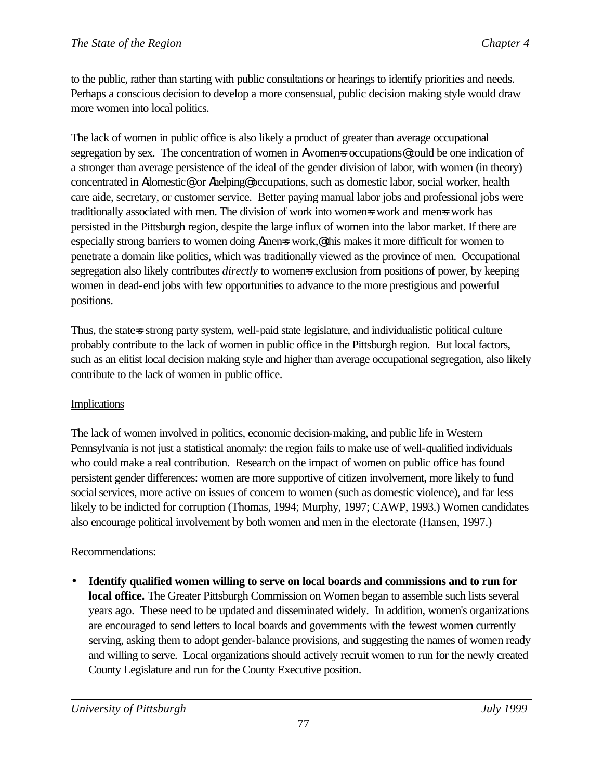to the public, rather than starting with public consultations or hearings to identify priorities and needs. Perhaps a conscious decision to develop a more consensual, public decision making style would draw more women into local politics.

The lack of women in public office is also likely a product of greater than average occupational segregation by sex. The concentration of women in Awomens occupations@ could be one indication of a stronger than average persistence of the ideal of the gender division of labor, with women (in theory) concentrated in Adomestic@ or Ahelping@ occupations, such as domestic labor, social worker, health care aide, secretary, or customer service. Better paying manual labor jobs and professional jobs were traditionally associated with men. The division of work into women=s work and men=s work has persisted in the Pittsburgh region, despite the large influx of women into the labor market. If there are especially strong barriers to women doing Amens work,<sup>@</sup> this makes it more difficult for women to penetrate a domain like politics, which was traditionally viewed as the province of men. Occupational segregation also likely contributes *directly* to womens exclusion from positions of power, by keeping women in dead-end jobs with few opportunities to advance to the more prestigious and powerful positions.

Thus, the state=s strong party system, well-paid state legislature, and individualistic political culture probably contribute to the lack of women in public office in the Pittsburgh region. But local factors, such as an elitist local decision making style and higher than average occupational segregation, also likely contribute to the lack of women in public office.

# Implications

The lack of women involved in politics, economic decision-making, and public life in Western Pennsylvania is not just a statistical anomaly: the region fails to make use of well-qualified individuals who could make a real contribution. Research on the impact of women on public office has found persistent gender differences: women are more supportive of citizen involvement, more likely to fund social services, more active on issues of concern to women (such as domestic violence), and far less likely to be indicted for corruption (Thomas, 1994; Murphy, 1997; CAWP, 1993.) Women candidates also encourage political involvement by both women and men in the electorate (Hansen, 1997.)

# Recommendations:

• **Identify qualified women willing to serve on local boards and commissions and to run for local office.** The Greater Pittsburgh Commission on Women began to assemble such lists several years ago. These need to be updated and disseminated widely. In addition, women's organizations are encouraged to send letters to local boards and governments with the fewest women currently serving, asking them to adopt gender-balance provisions, and suggesting the names of women ready and willing to serve. Local organizations should actively recruit women to run for the newly created County Legislature and run for the County Executive position.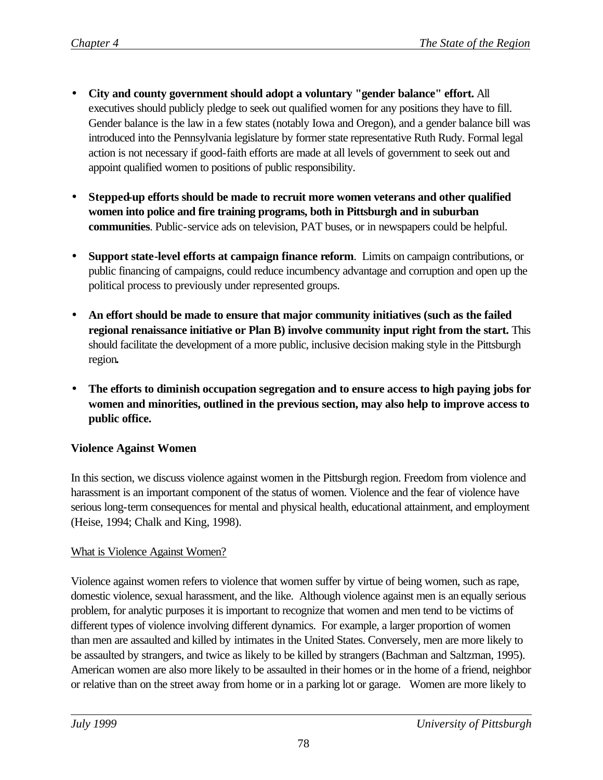- **City and county government should adopt a voluntary "gender balance" effort.** All executives should publicly pledge to seek out qualified women for any positions they have to fill. Gender balance is the law in a few states (notably Iowa and Oregon), and a gender balance bill was introduced into the Pennsylvania legislature by former state representative Ruth Rudy. Formal legal action is not necessary if good-faith efforts are made at all levels of government to seek out and appoint qualified women to positions of public responsibility.
- **Stepped-up efforts should be made to recruit more women veterans and other qualified women into police and fire training programs, both in Pittsburgh and in suburban communities**. Public-service ads on television, PAT buses, or in newspapers could be helpful.
- **Support state-level efforts at campaign finance reform**. Limits on campaign contributions, or public financing of campaigns, could reduce incumbency advantage and corruption and open up the political process to previously under represented groups.
- **An effort should be made to ensure that major community initiatives (such as the failed regional renaissance initiative or Plan B) involve community input right from the start.** This should facilitate the development of a more public, inclusive decision making style in the Pittsburgh region**.**
- **The efforts to diminish occupation segregation and to ensure access to high paying jobs for women and minorities, outlined in the previous section, may also help to improve access to public office.**

# **Violence Against Women**

In this section, we discuss violence against women in the Pittsburgh region. Freedom from violence and harassment is an important component of the status of women. Violence and the fear of violence have serious long-term consequences for mental and physical health, educational attainment, and employment (Heise, 1994; Chalk and King, 1998).

### What is Violence Against Women?

Violence against women refers to violence that women suffer by virtue of being women, such as rape, domestic violence, sexual harassment, and the like. Although violence against men is an equally serious problem, for analytic purposes it is important to recognize that women and men tend to be victims of different types of violence involving different dynamics. For example, a larger proportion of women than men are assaulted and killed by intimates in the United States. Conversely, men are more likely to be assaulted by strangers, and twice as likely to be killed by strangers (Bachman and Saltzman, 1995). American women are also more likely to be assaulted in their homes or in the home of a friend, neighbor or relative than on the street away from home or in a parking lot or garage. Women are more likely to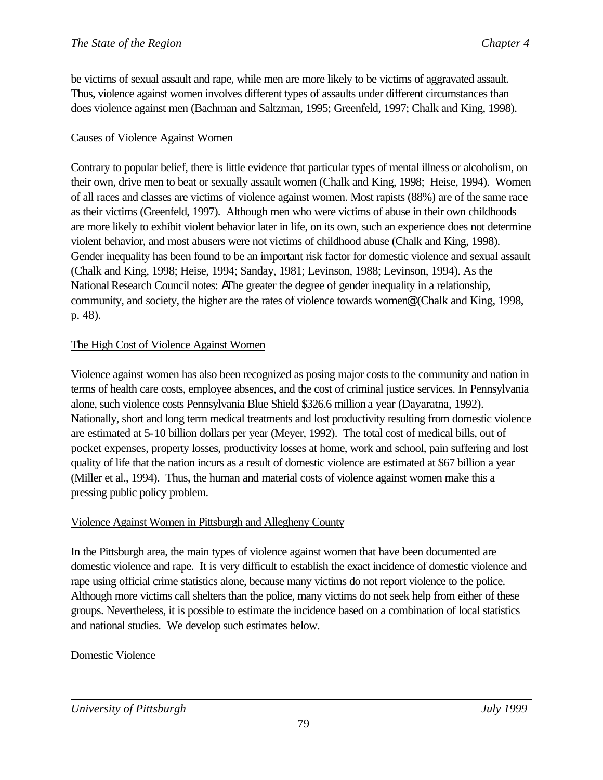be victims of sexual assault and rape, while men are more likely to be victims of aggravated assault. Thus, violence against women involves different types of assaults under different circumstances than does violence against men (Bachman and Saltzman, 1995; Greenfeld, 1997; Chalk and King, 1998).

# Causes of Violence Against Women

Contrary to popular belief, there is little evidence that particular types of mental illness or alcoholism, on their own, drive men to beat or sexually assault women (Chalk and King, 1998; Heise, 1994). Women of all races and classes are victims of violence against women. Most rapists (88%) are of the same race as their victims (Greenfeld, 1997). Although men who were victims of abuse in their own childhoods are more likely to exhibit violent behavior later in life, on its own, such an experience does not determine violent behavior, and most abusers were not victims of childhood abuse (Chalk and King, 1998). Gender inequality has been found to be an important risk factor for domestic violence and sexual assault (Chalk and King, 1998; Heise, 1994; Sanday, 1981; Levinson, 1988; Levinson, 1994). As the National Research Council notes: AThe greater the degree of gender inequality in a relationship, community, and society, the higher are the rates of violence towards women@ (Chalk and King, 1998, p. 48).

### The High Cost of Violence Against Women

Violence against women has also been recognized as posing major costs to the community and nation in terms of health care costs, employee absences, and the cost of criminal justice services. In Pennsylvania alone, such violence costs Pennsylvania Blue Shield \$326.6 million a year (Dayaratna, 1992). Nationally, short and long term medical treatments and lost productivity resulting from domestic violence are estimated at 5-10 billion dollars per year (Meyer, 1992). The total cost of medical bills, out of pocket expenses, property losses, productivity losses at home, work and school, pain suffering and lost quality of life that the nation incurs as a result of domestic violence are estimated at \$67 billion a year (Miller et al., 1994). Thus, the human and material costs of violence against women make this a pressing public policy problem.

### Violence Against Women in Pittsburgh and Allegheny County

In the Pittsburgh area, the main types of violence against women that have been documented are domestic violence and rape. It is very difficult to establish the exact incidence of domestic violence and rape using official crime statistics alone, because many victims do not report violence to the police. Although more victims call shelters than the police, many victims do not seek help from either of these groups. Nevertheless, it is possible to estimate the incidence based on a combination of local statistics and national studies. We develop such estimates below.

# Domestic Violence

*University of Pittsburgh July 1999*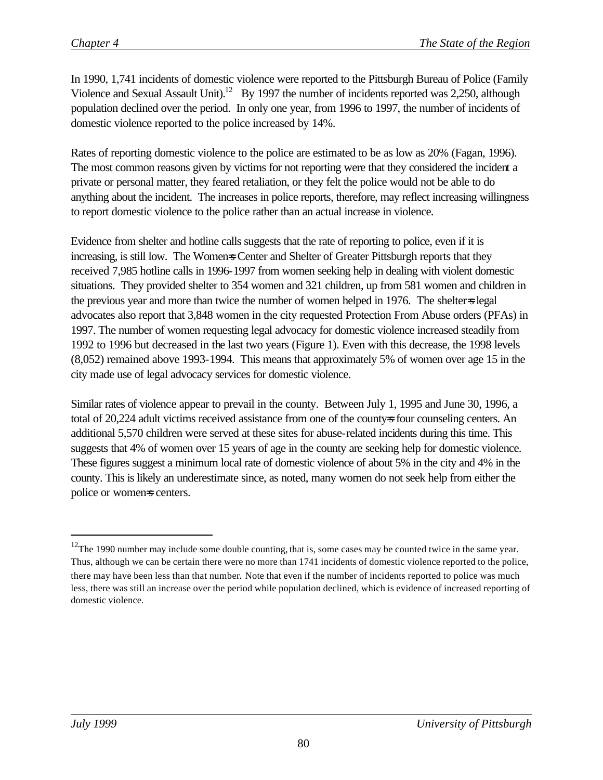In 1990, 1,741 incidents of domestic violence were reported to the Pittsburgh Bureau of Police (Family Violence and Sexual Assault Unit).<sup>12</sup> By 1997 the number of incidents reported was 2,250, although population declined over the period. In only one year, from 1996 to 1997, the number of incidents of domestic violence reported to the police increased by 14%.

Rates of reporting domestic violence to the police are estimated to be as low as 20% (Fagan, 1996). The most common reasons given by victims for not reporting were that they considered the incident a private or personal matter, they feared retaliation, or they felt the police would not be able to do anything about the incident. The increases in police reports, therefore, may reflect increasing willingness to report domestic violence to the police rather than an actual increase in violence.

Evidence from shelter and hotline calls suggests that the rate of reporting to police, even if it is increasing, is still low. The Womens Center and Shelter of Greater Pittsburgh reports that they received 7,985 hotline calls in 1996-1997 from women seeking help in dealing with violent domestic situations. They provided shelter to 354 women and 321 children, up from 581 women and children in the previous year and more than twice the number of women helped in 1976. The shelter-s legal advocates also report that 3,848 women in the city requested Protection From Abuse orders (PFAs) in 1997. The number of women requesting legal advocacy for domestic violence increased steadily from 1992 to 1996 but decreased in the last two years (Figure 1). Even with this decrease, the 1998 levels (8,052) remained above 1993-1994. This means that approximately 5% of women over age 15 in the city made use of legal advocacy services for domestic violence.

Similar rates of violence appear to prevail in the county. Between July 1, 1995 and June 30, 1996, a total of 20,224 adult victims received assistance from one of the county-s four counseling centers. An additional 5,570 children were served at these sites for abuse-related incidents during this time. This suggests that 4% of women over 15 years of age in the county are seeking help for domestic violence. These figures suggest a minimum local rate of domestic violence of about 5% in the city and 4% in the county. This is likely an underestimate since, as noted, many women do not seek help from either the police or womens centers.

 $\overline{a}$ 

 $12$ The 1990 number may include some double counting, that is, some cases may be counted twice in the same year. Thus, although we can be certain there were no more than 1741 incidents of domestic violence reported to the police, there may have been less than that number. Note that even if the number of incidents reported to police was much less, there was still an increase over the period while population declined, which is evidence of increased reporting of domestic violence.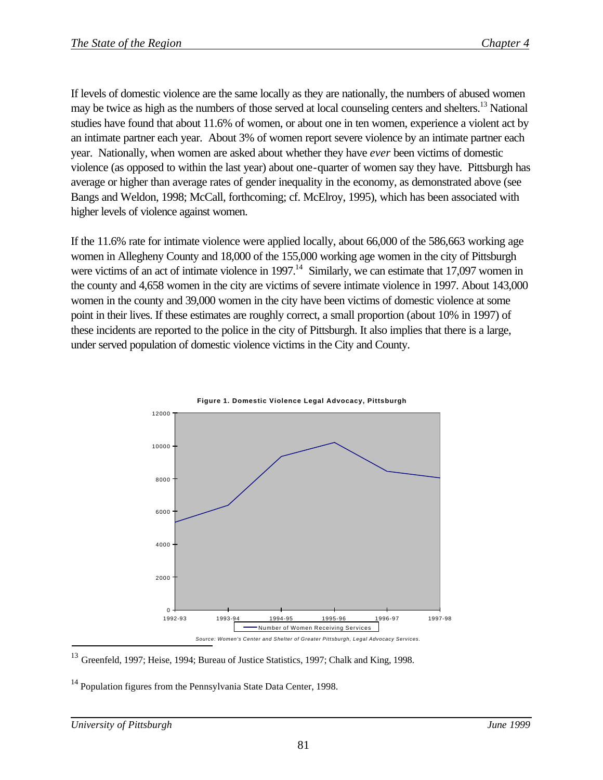If levels of domestic violence are the same locally as they are nationally, the numbers of abused women may be twice as high as the numbers of those served at local counseling centers and shelters.<sup>13</sup> National studies have found that about 11.6% of women, or about one in ten women, experience a violent act by an intimate partner each year. About 3% of women report severe violence by an intimate partner each year. Nationally, when women are asked about whether they have *ever* been victims of domestic violence (as opposed to within the last year) about one-quarter of women say they have. Pittsburgh has average or higher than average rates of gender inequality in the economy, as demonstrated above (see Bangs and Weldon, 1998; McCall, forthcoming; cf. McElroy, 1995), which has been associated with higher levels of violence against women.

If the 11.6% rate for intimate violence were applied locally, about 66,000 of the 586,663 working age women in Allegheny County and 18,000 of the 155,000 working age women in the city of Pittsburgh were victims of an act of intimate violence in 1997.<sup>14</sup> Similarly, we can estimate that 17,097 women in the county and 4,658 women in the city are victims of severe intimate violence in 1997. About 143,000 women in the county and 39,000 women in the city have been victims of domestic violence at some point in their lives. If these estimates are roughly correct, a small proportion (about 10% in 1997) of these incidents are reported to the police in the city of Pittsburgh. It also implies that there is a large, under served population of domestic violence victims in the City and County.





 $14$  Population figures from the Pennsylvania State Data Center, 1998.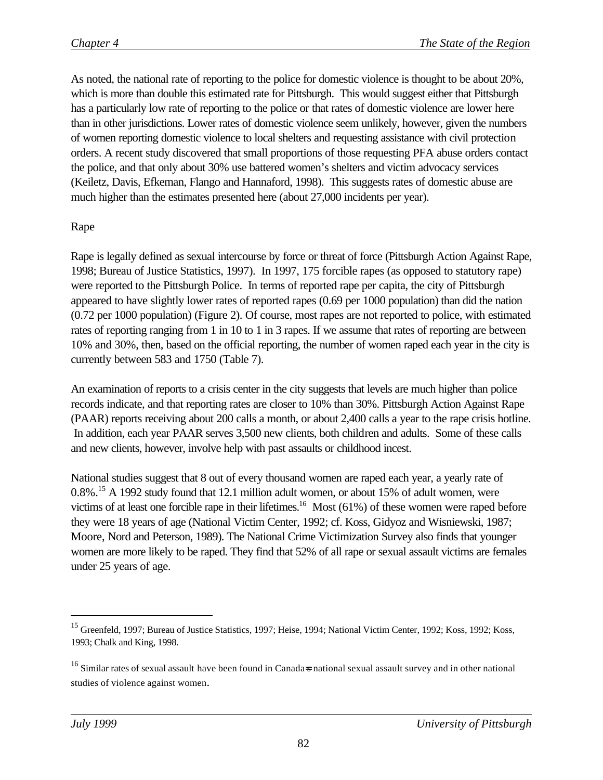As noted, the national rate of reporting to the police for domestic violence is thought to be about 20%, which is more than double this estimated rate for Pittsburgh. This would suggest either that Pittsburgh has a particularly low rate of reporting to the police or that rates of domestic violence are lower here than in other jurisdictions. Lower rates of domestic violence seem unlikely, however, given the numbers of women reporting domestic violence to local shelters and requesting assistance with civil protection orders. A recent study discovered that small proportions of those requesting PFA abuse orders contact the police, and that only about 30% use battered women's shelters and victim advocacy services (Keiletz, Davis, Efkeman, Flango and Hannaford, 1998). This suggests rates of domestic abuse are much higher than the estimates presented here (about 27,000 incidents per year).

# Rape

Rape is legally defined as sexual intercourse by force or threat of force (Pittsburgh Action Against Rape, 1998; Bureau of Justice Statistics, 1997). In 1997, 175 forcible rapes (as opposed to statutory rape) were reported to the Pittsburgh Police. In terms of reported rape per capita, the city of Pittsburgh appeared to have slightly lower rates of reported rapes (0.69 per 1000 population) than did the nation (0.72 per 1000 population) (Figure 2). Of course, most rapes are not reported to police, with estimated rates of reporting ranging from 1 in 10 to 1 in 3 rapes. If we assume that rates of reporting are between 10% and 30%, then, based on the official reporting, the number of women raped each year in the city is currently between 583 and 1750 (Table 7).

An examination of reports to a crisis center in the city suggests that levels are much higher than police records indicate, and that reporting rates are closer to 10% than 30%. Pittsburgh Action Against Rape (PAAR) reports receiving about 200 calls a month, or about 2,400 calls a year to the rape crisis hotline. In addition, each year PAAR serves 3,500 new clients, both children and adults. Some of these calls and new clients, however, involve help with past assaults or childhood incest.

National studies suggest that 8 out of every thousand women are raped each year, a yearly rate of 0.8%.<sup>15</sup> A 1992 study found that 12.1 million adult women, or about 15% of adult women, were victims of at least one forcible rape in their lifetimes.<sup>16</sup> Most (61%) of these women were raped before they were 18 years of age (National Victim Center, 1992; cf. Koss, Gidyoz and Wisniewski, 1987; Moore, Nord and Peterson, 1989). The National Crime Victimization Survey also finds that younger women are more likely to be raped. They find that 52% of all rape or sexual assault victims are females under 25 years of age.

 $\overline{a}$ 

<sup>&</sup>lt;sup>15</sup> Greenfeld, 1997; Bureau of Justice Statistics, 1997; Heise, 1994; National Victim Center, 1992; Koss, 1992; Koss, 1993; Chalk and King, 1998.

<sup>&</sup>lt;sup>16</sup> Similar rates of sexual assault have been found in Canada=s national sexual assault survey and in other national studies of violence against women.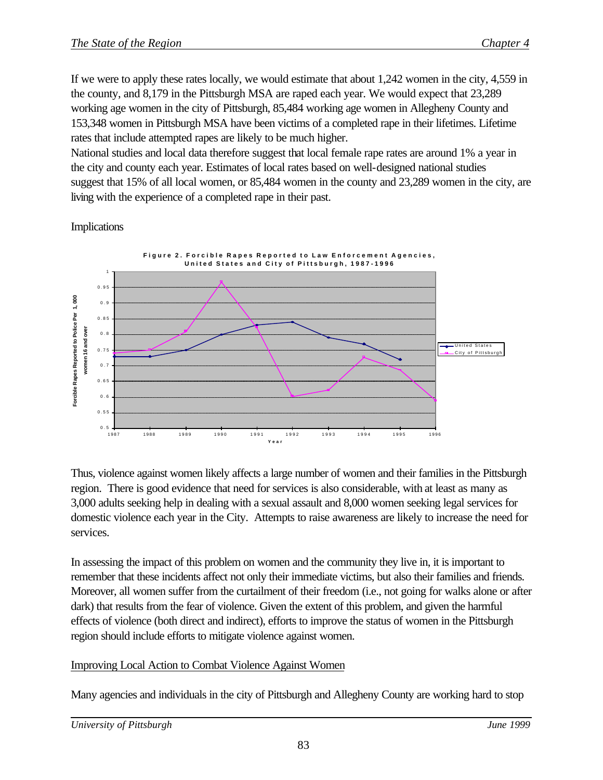If we were to apply these rates locally, we would estimate that about 1,242 women in the city, 4,559 in the county, and 8,179 in the Pittsburgh MSA are raped each year. We would expect that 23,289 working age women in the city of Pittsburgh, 85,484 working age women in Allegheny County and 153,348 women in Pittsburgh MSA have been victims of a completed rape in their lifetimes. Lifetime rates that include attempted rapes are likely to be much higher.

National studies and local data therefore suggest that local female rape rates are around 1% a year in the city and county each year. Estimates of local rates based on well-designed national studies suggest that 15% of all local women, or 85,484 women in the county and 23,289 women in the city, are living with the experience of a completed rape in their past.

Implications



Thus, violence against women likely affects a large number of women and their families in the Pittsburgh region. There is good evidence that need for services is also considerable, with at least as many as 3,000 adults seeking help in dealing with a sexual assault and 8,000 women seeking legal services for domestic violence each year in the City. Attempts to raise awareness are likely to increase the need for services.

In assessing the impact of this problem on women and the community they live in, it is important to remember that these incidents affect not only their immediate victims, but also their families and friends. Moreover, all women suffer from the curtailment of their freedom (i.e., not going for walks alone or after dark) that results from the fear of violence. Given the extent of this problem, and given the harmful effects of violence (both direct and indirect), efforts to improve the status of women in the Pittsburgh region should include efforts to mitigate violence against women.

# Improving Local Action to Combat Violence Against Women

Many agencies and individuals in the city of Pittsburgh and Allegheny County are working hard to stop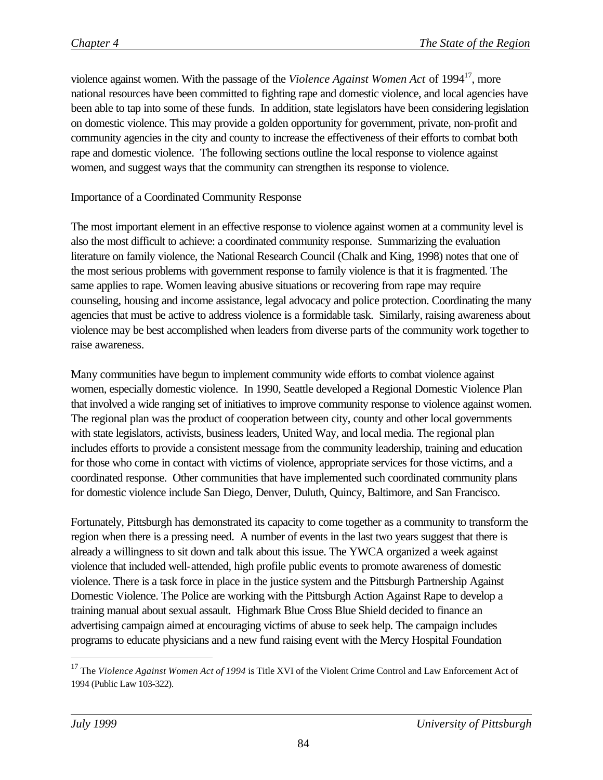violence against women. With the passage of the *Violence Against Women Act* of 1994<sup>17</sup>, more national resources have been committed to fighting rape and domestic violence, and local agencies have been able to tap into some of these funds. In addition, state legislators have been considering legislation on domestic violence. This may provide a golden opportunity for government, private, non-profit and community agencies in the city and county to increase the effectiveness of their efforts to combat both rape and domestic violence. The following sections outline the local response to violence against women, and suggest ways that the community can strengthen its response to violence.

# Importance of a Coordinated Community Response

The most important element in an effective response to violence against women at a community level is also the most difficult to achieve: a coordinated community response. Summarizing the evaluation literature on family violence, the National Research Council (Chalk and King, 1998) notes that one of the most serious problems with government response to family violence is that it is fragmented. The same applies to rape. Women leaving abusive situations or recovering from rape may require counseling, housing and income assistance, legal advocacy and police protection. Coordinating the many agencies that must be active to address violence is a formidable task. Similarly, raising awareness about violence may be best accomplished when leaders from diverse parts of the community work together to raise awareness.

Many communities have begun to implement community wide efforts to combat violence against women, especially domestic violence. In 1990, Seattle developed a Regional Domestic Violence Plan that involved a wide ranging set of initiatives to improve community response to violence against women. The regional plan was the product of cooperation between city, county and other local governments with state legislators, activists, business leaders, United Way, and local media. The regional plan includes efforts to provide a consistent message from the community leadership, training and education for those who come in contact with victims of violence, appropriate services for those victims, and a coordinated response. Other communities that have implemented such coordinated community plans for domestic violence include San Diego, Denver, Duluth, Quincy, Baltimore, and San Francisco.

Fortunately, Pittsburgh has demonstrated its capacity to come together as a community to transform the region when there is a pressing need. A number of events in the last two years suggest that there is already a willingness to sit down and talk about this issue. The YWCA organized a week against violence that included well-attended, high profile public events to promote awareness of domestic violence. There is a task force in place in the justice system and the Pittsburgh Partnership Against Domestic Violence. The Police are working with the Pittsburgh Action Against Rape to develop a training manual about sexual assault. Highmark Blue Cross Blue Shield decided to finance an advertising campaign aimed at encouraging victims of abuse to seek help. The campaign includes programs to educate physicians and a new fund raising event with the Mercy Hospital Foundation

 $\overline{a}$ 

<sup>&</sup>lt;sup>17</sup> The *Violence Against Women Act of 1994* is Title XVI of the Violent Crime Control and Law Enforcement Act of 1994 (Public Law 103-322).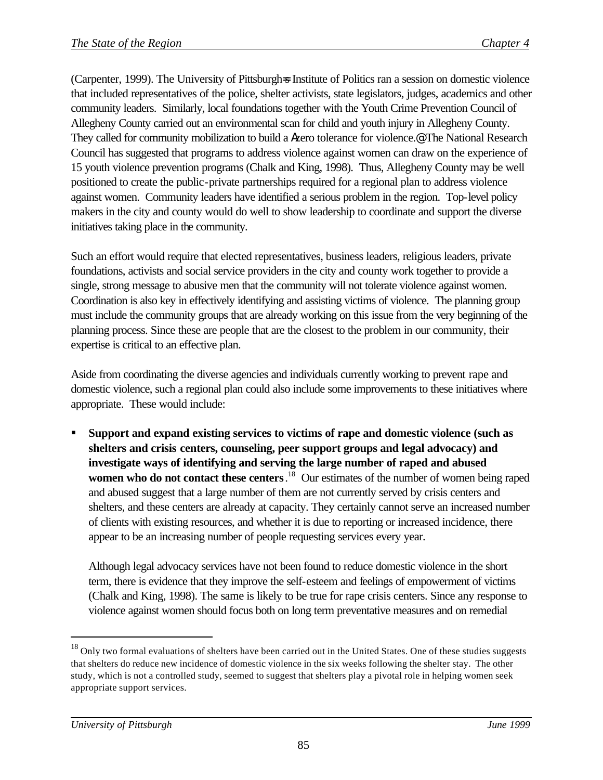(Carpenter, 1999). The University of Pittsburgh=s Institute of Politics ran a session on domestic violence that included representatives of the police, shelter activists, state legislators, judges, academics and other community leaders. Similarly, local foundations together with the Youth Crime Prevention Council of Allegheny County carried out an environmental scan for child and youth injury in Allegheny County. They called for community mobilization to build a Azero tolerance for violence.@ The National Research Council has suggested that programs to address violence against women can draw on the experience of 15 youth violence prevention programs (Chalk and King, 1998). Thus, Allegheny County may be well positioned to create the public-private partnerships required for a regional plan to address violence against women. Community leaders have identified a serious problem in the region. Top-level policy makers in the city and county would do well to show leadership to coordinate and support the diverse initiatives taking place in the community.

Such an effort would require that elected representatives, business leaders, religious leaders, private foundations, activists and social service providers in the city and county work together to provide a single, strong message to abusive men that the community will not tolerate violence against women. Coordination is also key in effectively identifying and assisting victims of violence. The planning group must include the community groups that are already working on this issue from the very beginning of the planning process. Since these are people that are the closest to the problem in our community, their expertise is critical to an effective plan.

Aside from coordinating the diverse agencies and individuals currently working to prevent rape and domestic violence, such a regional plan could also include some improvements to these initiatives where appropriate. These would include:

ß **Support and expand existing services to victims of rape and domestic violence (such as shelters and crisis centers, counseling, peer support groups and legal advocacy) and investigate ways of identifying and serving the large number of raped and abused women who do not contact these centers**. <sup>18</sup> Our estimates of the number of women being raped and abused suggest that a large number of them are not currently served by crisis centers and shelters, and these centers are already at capacity. They certainly cannot serve an increased number of clients with existing resources, and whether it is due to reporting or increased incidence, there appear to be an increasing number of people requesting services every year.

Although legal advocacy services have not been found to reduce domestic violence in the short term, there is evidence that they improve the self-esteem and feelings of empowerment of victims (Chalk and King, 1998). The same is likely to be true for rape crisis centers. Since any response to violence against women should focus both on long term preventative measures and on remedial

 $\overline{a}$ 

<sup>&</sup>lt;sup>18</sup> Only two formal evaluations of shelters have been carried out in the United States. One of these studies suggests that shelters do reduce new incidence of domestic violence in the six weeks following the shelter stay. The other study, which is not a controlled study, seemed to suggest that shelters play a pivotal role in helping women seek appropriate support services.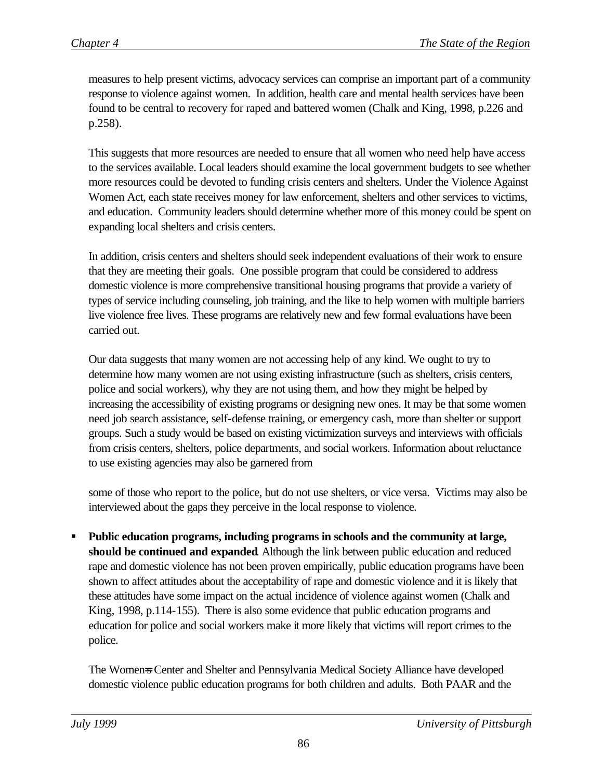measures to help present victims, advocacy services can comprise an important part of a community response to violence against women. In addition, health care and mental health services have been found to be central to recovery for raped and battered women (Chalk and King, 1998, p.226 and p.258).

This suggests that more resources are needed to ensure that all women who need help have access to the services available. Local leaders should examine the local government budgets to see whether more resources could be devoted to funding crisis centers and shelters. Under the Violence Against Women Act, each state receives money for law enforcement, shelters and other services to victims, and education. Community leaders should determine whether more of this money could be spent on expanding local shelters and crisis centers.

In addition, crisis centers and shelters should seek independent evaluations of their work to ensure that they are meeting their goals. One possible program that could be considered to address domestic violence is more comprehensive transitional housing programs that provide a variety of types of service including counseling, job training, and the like to help women with multiple barriers live violence free lives. These programs are relatively new and few formal evaluations have been carried out.

Our data suggests that many women are not accessing help of any kind. We ought to try to determine how many women are not using existing infrastructure (such as shelters, crisis centers, police and social workers), why they are not using them, and how they might be helped by increasing the accessibility of existing programs or designing new ones. It may be that some women need job search assistance, self-defense training, or emergency cash, more than shelter or support groups. Such a study would be based on existing victimization surveys and interviews with officials from crisis centers, shelters, police departments, and social workers. Information about reluctance to use existing agencies may also be garnered from

some of those who report to the police, but do not use shelters, or vice versa. Victims may also be interviewed about the gaps they perceive in the local response to violence.

ß **Public education programs, including programs in schools and the community at large, should be continued and expanded**. Although the link between public education and reduced rape and domestic violence has not been proven empirically, public education programs have been shown to affect attitudes about the acceptability of rape and domestic violence and it is likely that these attitudes have some impact on the actual incidence of violence against women (Chalk and King, 1998, p.114-155). There is also some evidence that public education programs and education for police and social workers make it more likely that victims will report crimes to the police.

The Women=s Center and Shelter and Pennsylvania Medical Society Alliance have developed domestic violence public education programs for both children and adults. Both PAAR and the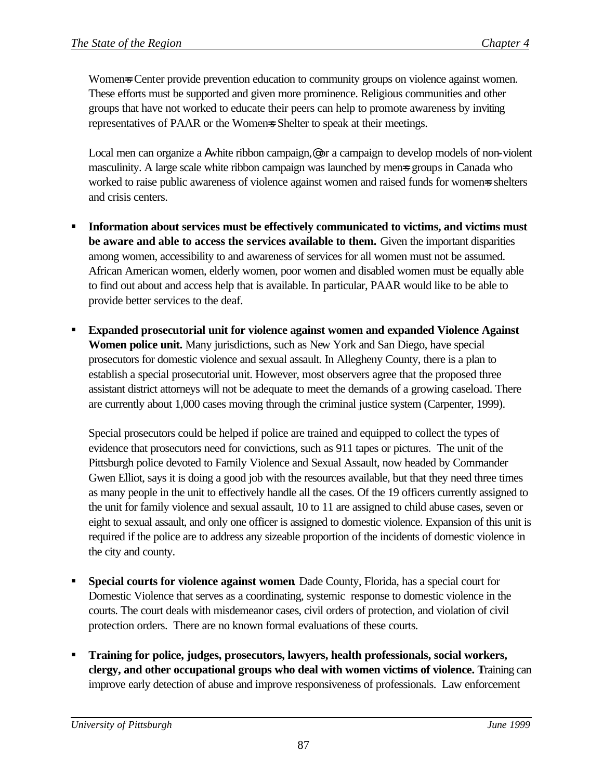Women=s Center provide prevention education to community groups on violence against women. These efforts must be supported and given more prominence. Religious communities and other groups that have not worked to educate their peers can help to promote awareness by inviting representatives of PAAR or the Womens Shelter to speak at their meetings.

Local men can organize a Awhite ribbon campaign,@ or a campaign to develop models of non-violent masculinity. A large scale white ribbon campaign was launched by mens groups in Canada who worked to raise public awareness of violence against women and raised funds for women=s shelters and crisis centers.

- ß **Information about services must be effectively communicated to victims, and victims must be aware and able to access the services available to them.** Given the important disparities among women, accessibility to and awareness of services for all women must not be assumed. African American women, elderly women, poor women and disabled women must be equally able to find out about and access help that is available. In particular, PAAR would like to be able to provide better services to the deaf.
- ß **Expanded prosecutorial unit for violence against women and expanded Violence Against Women police unit.** Many jurisdictions, such as New York and San Diego, have special prosecutors for domestic violence and sexual assault. In Allegheny County, there is a plan to establish a special prosecutorial unit. However, most observers agree that the proposed three assistant district attorneys will not be adequate to meet the demands of a growing caseload. There are currently about 1,000 cases moving through the criminal justice system (Carpenter, 1999).

Special prosecutors could be helped if police are trained and equipped to collect the types of evidence that prosecutors need for convictions, such as 911 tapes or pictures. The unit of the Pittsburgh police devoted to Family Violence and Sexual Assault, now headed by Commander Gwen Elliot, says it is doing a good job with the resources available, but that they need three times as many people in the unit to effectively handle all the cases. Of the 19 officers currently assigned to the unit for family violence and sexual assault, 10 to 11 are assigned to child abuse cases, seven or eight to sexual assault, and only one officer is assigned to domestic violence. Expansion of this unit is required if the police are to address any sizeable proportion of the incidents of domestic violence in the city and county.

- ß **Special courts for violence against women**. Dade County, Florida, has a special court for Domestic Violence that serves as a coordinating, systemic response to domestic violence in the courts. The court deals with misdemeanor cases, civil orders of protection, and violation of civil protection orders. There are no known formal evaluations of these courts.
- ß **Training for police, judges, prosecutors, lawyers, health professionals, social workers, clergy, and other occupational groups who deal with women victims of violence. T**raining can improve early detection of abuse and improve responsiveness of professionals. Law enforcement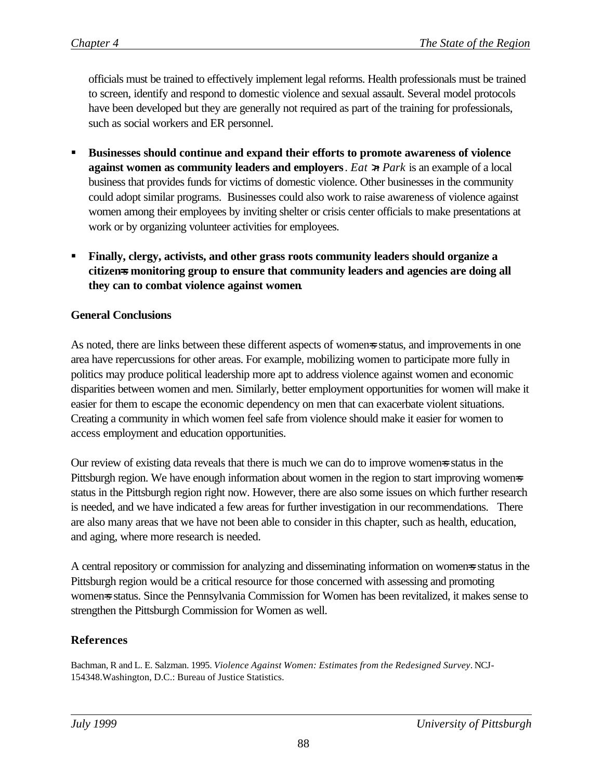officials must be trained to effectively implement legal reforms. Health professionals must be trained to screen, identify and respond to domestic violence and sexual assault. Several model protocols have been developed but they are generally not required as part of the training for professionals, such as social workers and ER personnel.

- ß **Businesses should continue and expand their efforts to promote awareness of violence against women as community leaders and employers**. *Eat >n Park* is an example of a local business that provides funds for victims of domestic violence. Other businesses in the community could adopt similar programs. Businesses could also work to raise awareness of violence against women among their employees by inviting shelter or crisis center officials to make presentations at work or by organizing volunteer activities for employees.
- ß **Finally, clergy, activists, and other grass roots community leaders should organize a citizen=s monitoring group to ensure that community leaders and agencies are doing all they can to combat violence against women**.

### **General Conclusions**

As noted, there are links between these different aspects of womens status, and improvements in one area have repercussions for other areas. For example, mobilizing women to participate more fully in politics may produce political leadership more apt to address violence against women and economic disparities between women and men. Similarly, better employment opportunities for women will make it easier for them to escape the economic dependency on men that can exacerbate violent situations. Creating a community in which women feel safe from violence should make it easier for women to access employment and education opportunities.

Our review of existing data reveals that there is much we can do to improve women=s status in the Pittsburgh region. We have enough information about women in the region to start improving women status in the Pittsburgh region right now. However, there are also some issues on which further research is needed, and we have indicated a few areas for further investigation in our recommendations. There are also many areas that we have not been able to consider in this chapter, such as health, education, and aging, where more research is needed.

A central repository or commission for analyzing and disseminating information on women=s status in the Pittsburgh region would be a critical resource for those concerned with assessing and promoting womens status. Since the Pennsylvania Commission for Women has been revitalized, it makes sense to strengthen the Pittsburgh Commission for Women as well.

# **References**

Bachman, R and L. E. Salzman. 1995. *Violence Against Women: Estimates from the Redesigned Survey*. NCJ-154348.Washington, D.C.: Bureau of Justice Statistics.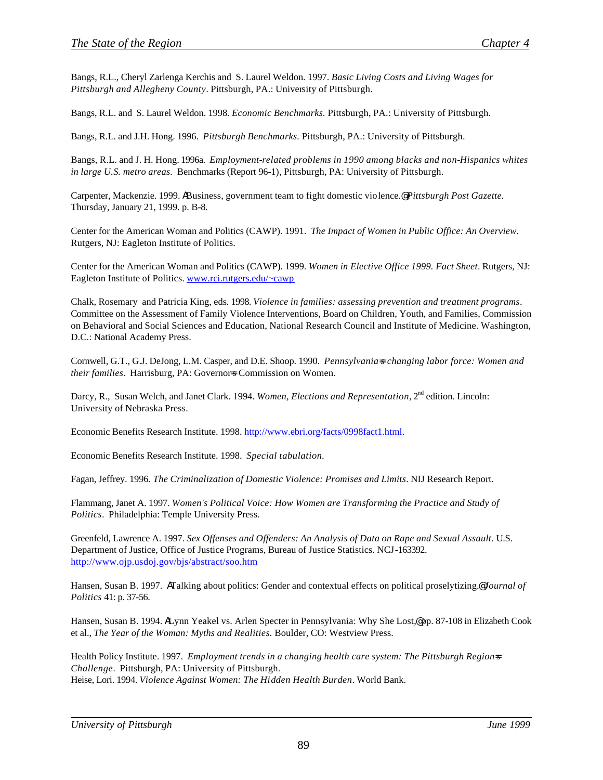Bangs, R.L., Cheryl Zarlenga Kerchis and S. Laurel Weldon. 1997. *Basic Living Costs and Living Wages for Pittsburgh and Allegheny County*. Pittsburgh, PA.: University of Pittsburgh.

Bangs, R.L. and S. Laurel Weldon. 1998. *Economic Benchmarks.* Pittsburgh, PA.: University of Pittsburgh.

Bangs, R.L. and J.H. Hong. 1996. *Pittsburgh Benchmarks.* Pittsburgh, PA.: University of Pittsburgh.

Bangs, R.L. and J. H. Hong. 1996a. *Employment-related problems in 1990 among blacks and non-Hispanics whites in large U.S. metro areas.* Benchmarks (Report 96-1), Pittsburgh, PA: University of Pittsburgh.

Carpenter, Mackenzie. 1999. ABusiness, government team to fight domestic violence.@ *Pittsburgh Post Gazette.* Thursday, January 21, 1999. p. B-8.

Center for the American Woman and Politics (CAWP). 1991. *The Impact of Women in Public Office: An Overview.* Rutgers, NJ: Eagleton Institute of Politics.

Center for the American Woman and Politics (CAWP). 1999. *Women in Elective Office 1999. Fact Sheet*. Rutgers, NJ: Eagleton Institute of Politics. www.rci.rutgers.edu/~cawp

Chalk, Rosemary and Patricia King, eds*.* 1998. *Violence in families: assessing prevention and treatment programs*. Committee on the Assessment of Family Violence Interventions, Board on Children, Youth, and Families, Commission on Behavioral and Social Sciences and Education, National Research Council and Institute of Medicine. Washington, D.C.: National Academy Press.

Cornwell, G.T., G.J. DeJong, L.M. Casper, and D.E. Shoop. 1990. *Pennsylvania=s changing labor force: Women and their families*. Harrisburg, PA: Governors Commission on Women.

Darcy, R., Susan Welch, and Janet Clark. 1994. *Women, Elections and Representation*, 2<sup>nd</sup> edition. Lincoln: University of Nebraska Press.

Economic Benefits Research Institute. 1998. http://www.ebri.org/facts/0998fact1.html.

Economic Benefits Research Institute. 1998. *Special tabulation.*

Fagan, Jeffrey. 1996*. The Criminalization of Domestic Violence: Promises and Limits*. NIJ Research Report.

Flammang, Janet A. 1997. *Women's Political Voice: How Women are Transforming the Practice and Study of Politics*. Philadelphia: Temple University Press.

Greenfeld, Lawrence A. 1997. *Sex Offenses and Offenders: An Analysis of Data on Rape and Sexual Assault.* U.S. Department of Justice, Office of Justice Programs, Bureau of Justice Statistics. NCJ-163392. http://www.ojp.usdoj.gov/bjs/abstract/soo.htm

Hansen, Susan B. 1997. ATalking about politics: Gender and contextual effects on political proselytizing.@ *Journal of Politics* 41: p. 37-56.

Hansen, Susan B. 1994. ALynn Yeakel vs. Arlen Specter in Pennsylvania: Why She Lost,@ pp. 87-108 in Elizabeth Cook et al., *The Year of the Woman: Myths and Realities.* Boulder, CO: Westview Press.

Health Policy Institute. 1997. *Employment trends in a changing health care system: The Pittsburgh Region=s Challenge*. Pittsburgh, PA: University of Pittsburgh. Heise, Lori. 1994. *Violence Against Women: The Hidden Health Burden*. World Bank.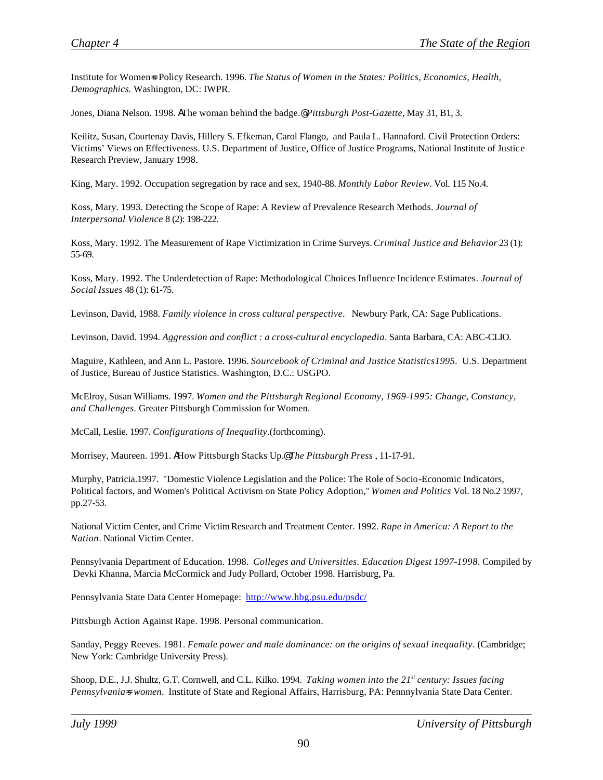Institute for Women=s Policy Research. 1996. *The Status of Women in the States: Politics, Economics, Health, Demographics.* Washington, DC: IWPR.

Jones, Diana Nelson. 1998. AThe woman behind the badge.@ *Pittsburgh Post-Gazette*, May 31, B1, 3.

Keilitz, Susan, Courtenay Davis, Hillery S. Efkeman, Carol Flango, and Paula L. Hannaford. Civil Protection Orders: Victims' Views on Effectiveness. U.S. Department of Justice, Office of Justice Programs, National Institute of Justice Research Preview, January 1998.

King, Mary. 1992. Occupation segregation by race and sex, 1940-88. *Monthly Labor Review*. Vol. 115 No.4.

Koss, Mary. 1993. Detecting the Scope of Rape: A Review of Prevalence Research Methods. *Journal of Interpersonal Violence* 8 (2): 198-222.

Koss, Mary. 1992. The Measurement of Rape Victimization in Crime Surveys. *Criminal Justice and Behavior* 23 (1): 55-69.

Koss, Mary. 1992. The Underdetection of Rape: Methodological Choices Influence Incidence Estimates*. Journal of Social Issues* 48 (1): 61-75.

Levinson, David, 1988. *Family violence in cross cultural perspective*. Newbury Park, CA: Sage Publications.

Levinson, David. 1994. *Aggression and conflict : a cross-cultural encyclopedia*. Santa Barbara, CA: ABC-CLIO.

Maguire, Kathleen, and Ann L. Pastore. 1996. *Sourcebook of Criminal and Justice Statistics1995.* U.S. Department of Justice, Bureau of Justice Statistics. Washington, D.C.: USGPO.

McElroy, Susan Williams. 1997. *Women and the Pittsburgh Regional Economy, 1969-1995: Change, Constancy, and Challenges.* Greater Pittsburgh Commission for Women.

McCall, Leslie. 1997. *Configurations of Inequality*.(forthcoming).

Morrisey, Maureen. 1991. AHow Pittsburgh Stacks Up.@ *The Pittsburgh Press* , 11-17-91.

Murphy, Patricia.1997. "Domestic Violence Legislation and the Police: The Role of Socio-Economic Indicators, Political factors, and Women's Political Activism on State Policy Adoption," *Women and Politics* Vol. 18 No.2 1997, pp.27-53.

National Victim Center, and Crime Victim Research and Treatment Center. 1992. *Rape in America: A Report to the Nation*. National Victim Center.

Pennsylvania Department of Education. 1998. *Colleges and Universities. Education Digest 1997-1998.* Compiled by Devki Khanna, Marcia McCormick and Judy Pollard, October 1998. Harrisburg, Pa.

Pennsylvania State Data Center Homepage: http://www.hbg.psu.edu/psdc/

Pittsburgh Action Against Rape. 1998. Personal communication.

Sanday, Peggy Reeves. 1981. *Female power and male dominance: on the origins of sexual inequality*. (Cambridge; New York: Cambridge University Press).

Shoop, D.E., J.J. Shultz, G.T. Cornwell, and C.L. Kilko. 1994. *Taking women into the 21st century: Issues facing Pennsylvania=s women*. Institute of State and Regional Affairs, Harrisburg, PA: Pennnylvania State Data Center.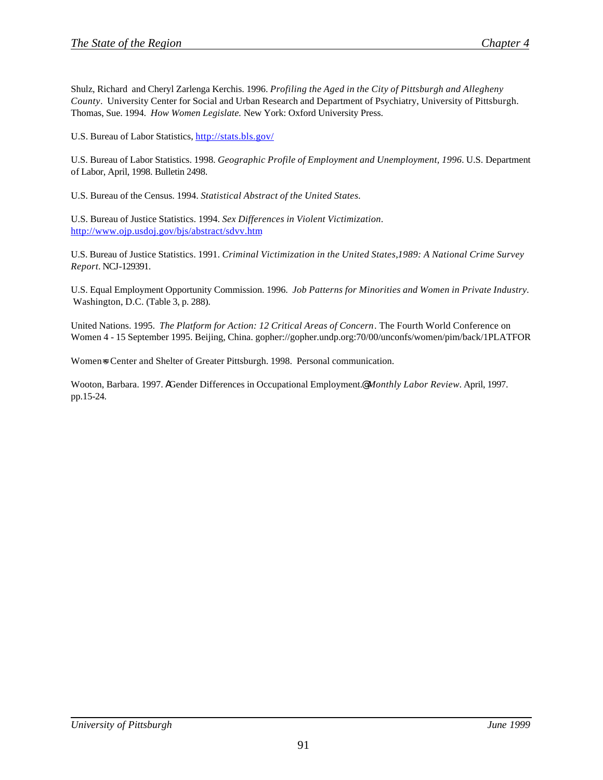Shulz, Richard and Cheryl Zarlenga Kerchis. 1996. *Profiling the Aged in the City of Pittsburgh and Allegheny County*. University Center for Social and Urban Research and Department of Psychiatry, University of Pittsburgh. Thomas, Sue. 1994. *How Women Legislate.* New York: Oxford University Press.

U.S. Bureau of Labor Statistics, http://stats.bls.gov/

U.S. Bureau of Labor Statistics. 1998. *Geographic Profile of Employment and Unemployment, 1996.* U.S. Department of Labor, April, 1998. Bulletin 2498.

U.S. Bureau of the Census. 1994. *Statistical Abstract of the United States.*

U.S. Bureau of Justice Statistics. 1994. *Sex Differences in Violent Victimization*. http://www.ojp.usdoj.gov/bjs/abstract/sdvv.htm

U.S. Bureau of Justice Statistics. 1991. *Criminal Victimization in the United States*,*1989: A National Crime Survey Report.* NCJ-129391.

U.S. Equal Employment Opportunity Commission. 1996. *Job Patterns for Minorities and Women in Private Industry.*  Washington, D.C. (Table 3, p. 288).

United Nations. 1995. *The Platform for Action: 12 Critical Areas of Concern*. The Fourth World Conference on Women 4 - 15 September 1995. Beijing, China. gopher://gopher.undp.org:70/00/unconfs/women/pim/back/1PLATFOR

Women=s Center and Shelter of Greater Pittsburgh. 1998. Personal communication.

Wooton, Barbara. 1997. AGender Differences in Occupational Employment.@ *Monthly Labor Review.* April, 1997. pp.15-24.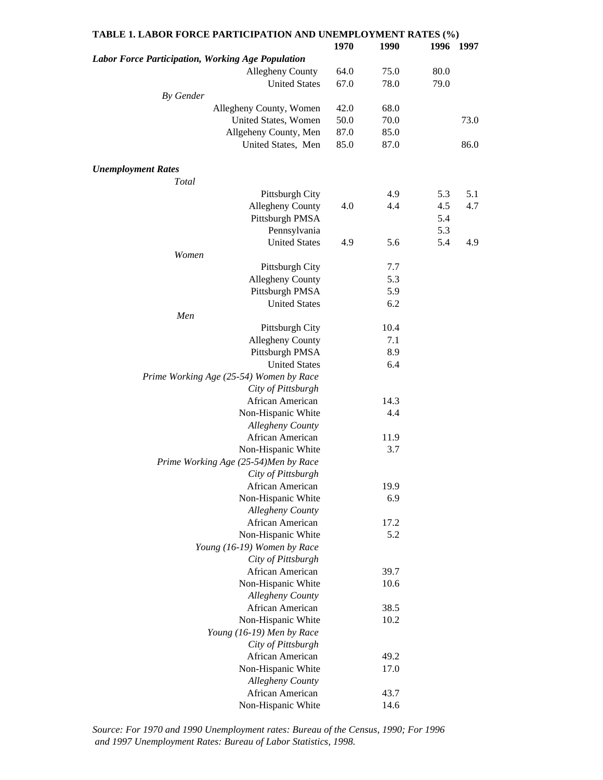| TABLE 1. LABOR FORCE PARTICIPATION AND UNEMPLOYMENT RATES (%) |      |      |      |           |
|---------------------------------------------------------------|------|------|------|-----------|
|                                                               | 1970 | 1990 |      | 1996 1997 |
| Labor Force Participation, Working Age Population             |      |      |      |           |
| <b>Allegheny County</b>                                       | 64.0 | 75.0 | 80.0 |           |
| <b>United States</b>                                          | 67.0 | 78.0 | 79.0 |           |
| By Gender                                                     |      |      |      |           |
| Allegheny County, Women                                       | 42.0 | 68.0 |      |           |
| United States, Women                                          | 50.0 | 70.0 |      | 73.0      |
| Allgeheny County, Men                                         | 87.0 | 85.0 |      |           |
| United States, Men                                            | 85.0 | 87.0 |      | 86.0      |
|                                                               |      |      |      |           |
| <b>Unemployment Rates</b>                                     |      |      |      |           |
| Total                                                         |      |      |      |           |
| Pittsburgh City                                               |      | 4.9  | 5.3  | 5.1       |
| <b>Allegheny County</b>                                       | 4.0  | 4.4  | 4.5  | 4.7       |
| Pittsburgh PMSA                                               |      |      | 5.4  |           |
| Pennsylvania                                                  |      |      | 5.3  |           |
| <b>United States</b>                                          | 4.9  | 5.6  | 5.4  | 4.9       |
| Women                                                         |      |      |      |           |
| Pittsburgh City                                               |      | 7.7  |      |           |
| Allegheny County                                              |      | 5.3  |      |           |
| Pittsburgh PMSA                                               |      | 5.9  |      |           |
| <b>United States</b>                                          |      | 6.2  |      |           |
| Men                                                           |      |      |      |           |
| Pittsburgh City                                               |      | 10.4 |      |           |
| Allegheny County                                              |      | 7.1  |      |           |
| Pittsburgh PMSA                                               |      | 8.9  |      |           |
| <b>United States</b>                                          |      | 6.4  |      |           |
| Prime Working Age (25-54) Women by Race                       |      |      |      |           |
| City of Pittsburgh                                            |      |      |      |           |
| African American                                              |      | 14.3 |      |           |
| Non-Hispanic White                                            |      | 4.4  |      |           |
| Allegheny County                                              |      |      |      |           |
| African American                                              |      | 11.9 |      |           |
| Non-Hispanic White                                            |      | 3.7  |      |           |
| Prime Working Age (25-54)Men by Race                          |      |      |      |           |
| City of Pittsburgh                                            |      |      |      |           |
| African American                                              |      | 19.9 |      |           |
| Non-Hispanic White                                            |      | 6.9  |      |           |
| <b>Allegheny County</b>                                       |      |      |      |           |
| African American                                              |      | 17.2 |      |           |
| Non-Hispanic White                                            |      | 5.2  |      |           |
| Young (16-19) Women by Race                                   |      |      |      |           |
| City of Pittsburgh                                            |      |      |      |           |
| African American                                              |      | 39.7 |      |           |
| Non-Hispanic White                                            |      | 10.6 |      |           |
| Allegheny County                                              |      |      |      |           |
| African American                                              |      | 38.5 |      |           |
| Non-Hispanic White                                            |      | 10.2 |      |           |
| Young (16-19) Men by Race                                     |      |      |      |           |
| City of Pittsburgh                                            |      |      |      |           |
| African American                                              |      | 49.2 |      |           |
| Non-Hispanic White                                            |      | 17.0 |      |           |
| <b>Allegheny County</b>                                       |      |      |      |           |
| African American                                              |      | 43.7 |      |           |
| Non-Hispanic White                                            |      | 14.6 |      |           |
|                                                               |      |      |      |           |

*Source: For 1970 and 1990 Unemployment rates: Bureau of the Census, 1990; For 1996 and 1997 Unemployment Rates: Bureau of Labor Statistics, 1998.*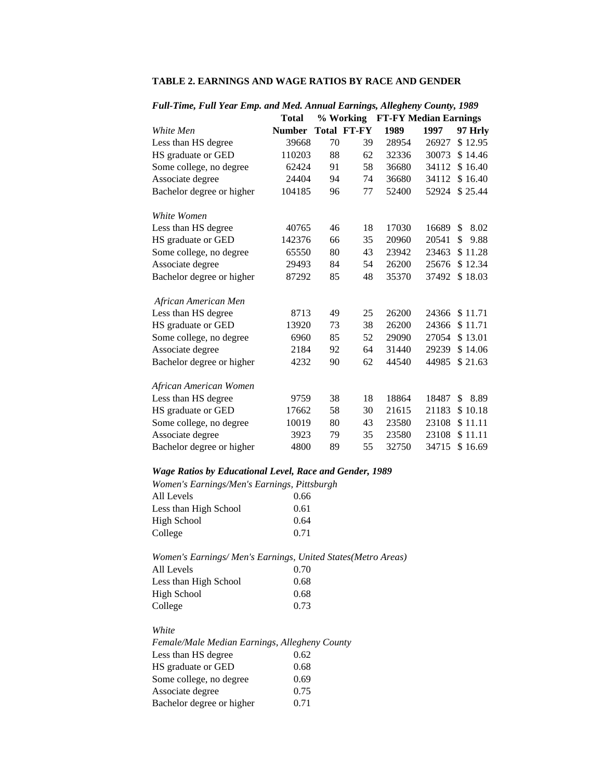|                           | <b>Total</b>  |    | % Working          |       | <b>FT-FY Median Earnings</b> |            |
|---------------------------|---------------|----|--------------------|-------|------------------------------|------------|
| White Men                 | <b>Number</b> |    | <b>Total FT-FY</b> | 1989  | 1997                         | 97 Hrly    |
| Less than HS degree       | 39668         | 70 | 39                 | 28954 | 26927                        | \$12.95    |
| HS graduate or GED        | 110203        | 88 | 62                 | 32336 | 30073                        | \$14.46    |
| Some college, no degree   | 62424         | 91 | 58                 | 36680 | 34112                        | \$16.40    |
| Associate degree          | 24404         | 94 | 74                 | 36680 | 34112                        | \$16.40    |
| Bachelor degree or higher | 104185        | 96 | 77                 | 52400 | 52924                        | \$25.44    |
| White Women               |               |    |                    |       |                              |            |
| Less than HS degree       | 40765         | 46 | 18                 | 17030 | 16689                        | \$<br>8.02 |
| HS graduate or GED        | 142376        | 66 | 35                 | 20960 | 20541                        | \$<br>9.88 |
| Some college, no degree   | 65550         | 80 | 43                 | 23942 | 23463                        | \$11.28    |
| Associate degree          | 29493         | 84 | 54                 | 26200 | 25676                        | \$12.34    |
| Bachelor degree or higher | 87292         | 85 | 48                 | 35370 | 37492                        | \$18.03    |
| African American Men      |               |    |                    |       |                              |            |
| Less than HS degree       | 8713          | 49 | 25                 | 26200 | 24366                        | \$11.71    |
| HS graduate or GED        | 13920         | 73 | 38                 | 26200 | 24366                        | \$11.71    |
| Some college, no degree   | 6960          | 85 | 52                 | 29090 | 27054                        | \$13.01    |
| Associate degree          | 2184          | 92 | 64                 | 31440 | 29239                        | \$14.06    |
| Bachelor degree or higher | 4232          | 90 | 62                 | 44540 | 44985                        | \$21.63    |
| African American Women    |               |    |                    |       |                              |            |
| Less than HS degree       | 9759          | 38 | 18                 | 18864 | 18487                        | \$<br>8.89 |
| HS graduate or GED        | 17662         | 58 | 30                 | 21615 | 21183                        | \$10.18    |
| Some college, no degree   | 10019         | 80 | 43                 | 23580 | 23108                        | \$11.11    |
| Associate degree          | 3923          | 79 | 35                 | 23580 | 23108                        | \$11.11    |
| Bachelor degree or higher | 4800          | 89 | 55                 | 32750 | 34715                        | \$16.69    |

### **TABLE 2. EARNINGS AND WAGE RATIOS BY RACE AND GENDER**

### *Full-Time, Full Year Emp. and Med. Annual Earnings, Allegheny County, 1989*

### *Wage Ratios by Educational Level, Race and Gender, 1989*

| Women's Earnings/Men's Earnings, Pittsburgh |      |
|---------------------------------------------|------|
| All Levels                                  | 0.66 |
| Less than High School                       | 0.61 |
| High School                                 | 0.64 |
| College                                     | 0.71 |
|                                             |      |

#### *Women's Earnings/ Men's Earnings, United States(Metro Areas)* All Levels 0.70 Less than High School 0.68

| v.vo |
|------|
| 0.68 |
| 0.73 |
|      |

### *White*

| Female/Male Median Earnings, Allegheny County |      |
|-----------------------------------------------|------|
| Less than HS degree                           | 0.62 |
| HS graduate or GED                            | 0.68 |
| Some college, no degree                       | 0.69 |
| Associate degree                              | 0.75 |
| Bachelor degree or higher                     | 0.71 |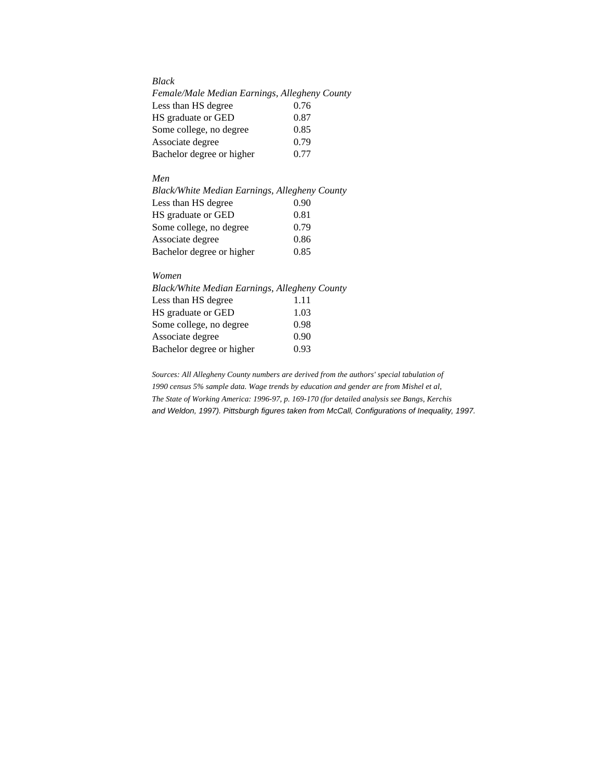### *Black*

| Female/Male Median Earnings, Allegheny County |      |
|-----------------------------------------------|------|
| Less than HS degree                           | 0.76 |
| HS graduate or GED                            | 0.87 |
| Some college, no degree                       | 0.85 |
| Associate degree                              | 0.79 |
| Bachelor degree or higher                     | 0.77 |

#### *Men*

| Black/White Median Earnings, Allegheny County |      |
|-----------------------------------------------|------|
| Less than HS degree                           | 0.90 |
| HS graduate or GED                            | 0.81 |
| Some college, no degree                       | 0.79 |
| Associate degree                              | 0.86 |
| Bachelor degree or higher                     | 0.85 |

### *Women*

| Black/White Median Earnings, Allegheny County |      |
|-----------------------------------------------|------|
| Less than HS degree                           | 1.11 |
| HS graduate or GED                            | 1.03 |
| Some college, no degree                       | 0.98 |
| Associate degree                              | 0.90 |
| Bachelor degree or higher                     | 0.93 |
|                                               |      |

*Sources: All Allegheny County numbers are derived from the authors' special tabulation of 1990 census 5% sample data. Wage trends by education and gender are from Mishel et al, The State of Working America: 1996-97, p. 169-170 (for detailed analysis see Bangs, Kerchis and Weldon, 1997). Pittsburgh figures taken from McCall, Configurations of Inequality, 1997.*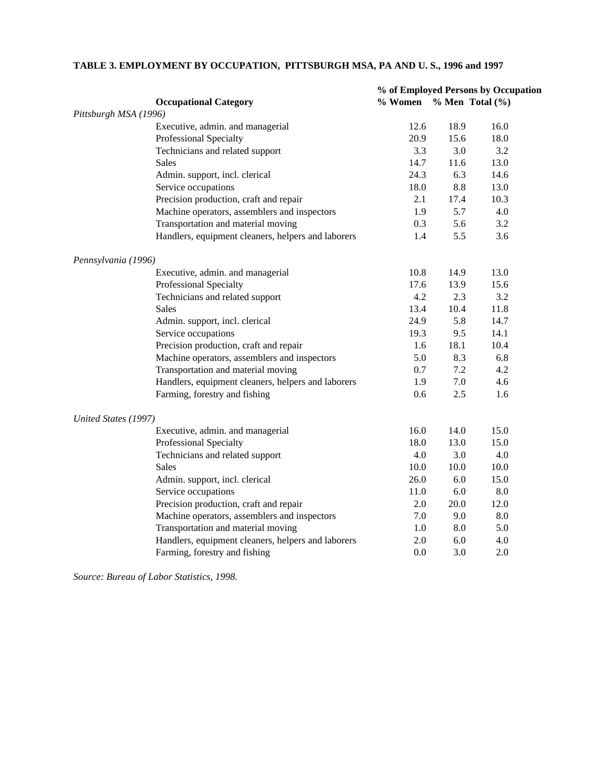|                       |                                                    | % of Employed Persons by Occupation |      |                    |  |
|-----------------------|----------------------------------------------------|-------------------------------------|------|--------------------|--|
|                       | <b>Occupational Category</b>                       | % Women % Men Total (%)             |      |                    |  |
| Pittsburgh MSA (1996) |                                                    |                                     |      |                    |  |
|                       | Executive, admin. and managerial                   | 12.6                                | 18.9 | 16.0               |  |
|                       | <b>Professional Specialty</b>                      | 20.9                                | 15.6 | 18.0               |  |
|                       | Technicians and related support                    | 3.3                                 | 3.0  | 3.2                |  |
|                       | Sales                                              | 14.7                                | 11.6 | 13.0               |  |
|                       | Admin. support, incl. clerical                     | 24.3                                | 6.3  | 14.6               |  |
|                       | Service occupations                                | 18.0                                | 8.8  | 13.0               |  |
|                       | Precision production, craft and repair             | 2.1                                 | 17.4 | 10.3               |  |
|                       | Machine operators, assemblers and inspectors       | 1.9                                 | 5.7  | 4.0                |  |
|                       | Transportation and material moving                 | 0.3                                 | 5.6  | 3.2                |  |
|                       | Handlers, equipment cleaners, helpers and laborers | 1.4                                 | 5.5  | 3.6                |  |
| Pennsylvania (1996)   |                                                    |                                     |      |                    |  |
|                       | Executive, admin. and managerial                   | 10.8                                | 14.9 | 13.0               |  |
|                       | <b>Professional Specialty</b>                      | 17.6                                | 13.9 | 15.6               |  |
|                       | Technicians and related support                    | 4.2                                 | 2.3  | 3.2                |  |
|                       | <b>Sales</b>                                       | 13.4                                | 10.4 | 11.8               |  |
|                       | Admin. support, incl. clerical                     | 24.9                                | 5.8  | 14.7               |  |
|                       | Service occupations                                | 19.3                                | 9.5  | 14.1               |  |
|                       | Precision production, craft and repair             | 1.6                                 | 18.1 | 10.4               |  |
|                       | Machine operators, assemblers and inspectors       | 5.0                                 | 8.3  | 6.8                |  |
|                       | Transportation and material moving                 | 0.7                                 | 7.2  | 4.2                |  |
|                       | Handlers, equipment cleaners, helpers and laborers | 1.9                                 | 7.0  | 4.6                |  |
|                       | Farming, forestry and fishing                      | 0.6                                 | 2.5  | 1.6                |  |
| United States (1997)  |                                                    |                                     |      |                    |  |
|                       | Executive, admin. and managerial                   | 16.0                                | 14.0 | 15.0               |  |
|                       | Professional Specialty                             | 18.0                                | 13.0 | 15.0               |  |
|                       | Technicians and related support                    | 4.0                                 | 3.0  | 4.0                |  |
|                       | <b>Sales</b>                                       | 10.0                                | 10.0 | 10.0               |  |
|                       | Admin. support, incl. clerical                     | 26.0                                | 6.0  | 15.0               |  |
|                       | Service occupations                                | 11.0                                | 6.0  | $\boldsymbol{8.0}$ |  |
|                       | Precision production, craft and repair             | 2.0                                 | 20.0 | 12.0               |  |
|                       | Machine operators, assemblers and inspectors       | 7.0                                 | 9.0  | 8.0                |  |
|                       | Transportation and material moving                 | 1.0                                 | 8.0  | 5.0                |  |
|                       | Handlers, equipment cleaners, helpers and laborers | 2.0                                 | 6.0  | 4.0                |  |
|                       | Farming, forestry and fishing                      | 0.0                                 | 3.0  | 2.0                |  |

### **TABLE 3. EMPLOYMENT BY OCCUPATION, PITTSBURGH MSA, PA AND U. S., 1996 and 1997**

*Source: Bureau of Labor Statistics, 1998.*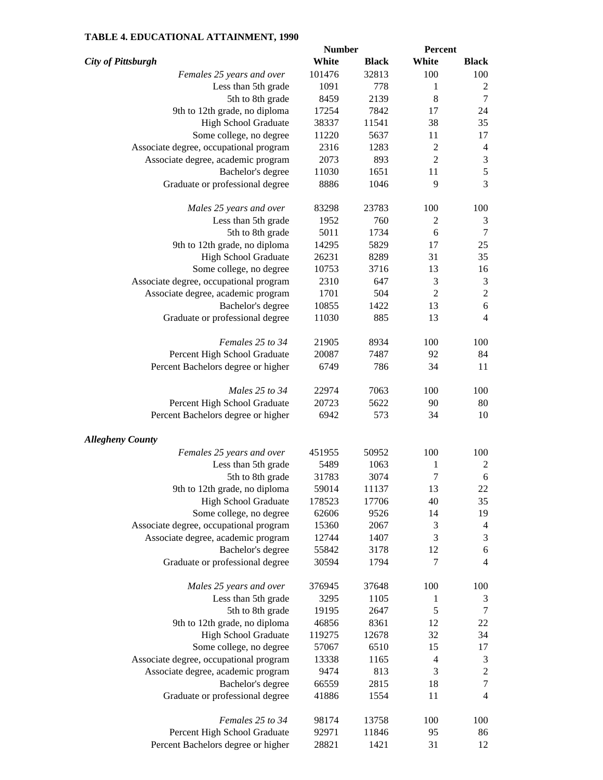### **TABLE 4. EDUCATIONAL ATTAINMENT, 1990**

|                                        | <b>Number</b> |              | <b>Percent</b>   |                             |
|----------------------------------------|---------------|--------------|------------------|-----------------------------|
| <b>City of Pittsburgh</b>              | White         | <b>Black</b> | White            | <b>Black</b>                |
| Females 25 years and over              | 101476        | 32813        | 100              | 100                         |
| Less than 5th grade                    | 1091          | 778          | 1                | 2                           |
| 5th to 8th grade                       | 8459          | 2139         | $\,8\,$          | 7                           |
| 9th to 12th grade, no diploma          | 17254         | 7842         | 17               | 24                          |
| High School Graduate                   | 38337         | 11541        | 38               | 35                          |
| Some college, no degree                | 11220         | 5637         | 11               | 17                          |
|                                        | 2316          |              |                  |                             |
| Associate degree, occupational program |               | 1283         | $\overline{c}$   | $\overline{4}$              |
| Associate degree, academic program     | 2073          | 893          | $\overline{2}$   | $\sqrt{3}$                  |
| Bachelor's degree                      | 11030         | 1651         | 11               | 5                           |
| Graduate or professional degree        | 8886          | 1046         | 9                | 3                           |
| Males 25 years and over                | 83298         | 23783        | 100              | 100                         |
| Less than 5th grade                    | 1952          | 760          | $\overline{c}$   | $\mathfrak 3$               |
| 5th to 8th grade                       | 5011          | 1734         | 6                | $\tau$                      |
| 9th to 12th grade, no diploma          | 14295         | 5829         | 17               | 25                          |
| High School Graduate                   | 26231         | 8289         | 31               | 35                          |
| Some college, no degree                | 10753         | 3716         | 13               | 16                          |
| Associate degree, occupational program | 2310          | 647          | $\mathfrak{Z}$   | $\mathfrak{Z}$              |
| Associate degree, academic program     | 1701          | 504          | $\overline{2}$   | $\sqrt{2}$                  |
| Bachelor's degree                      | 10855         | 1422         | 13               | 6                           |
| Graduate or professional degree        | 11030         | 885          | 13               | $\overline{4}$              |
| Females 25 to 34                       | 21905         | 8934         | 100              | 100                         |
| Percent High School Graduate           | 20087         | 7487         | 92               | 84                          |
| Percent Bachelors degree or higher     | 6749          | 786          | 34               | 11                          |
| Males 25 to 34                         | 22974         | 7063         | 100              | 100                         |
|                                        |               | 5622         | 90               | 80                          |
| Percent High School Graduate           | 20723         |              |                  |                             |
| Percent Bachelors degree or higher     | 6942          | 573          | 34               | 10                          |
| <b>Allegheny County</b>                |               |              |                  |                             |
| Females 25 years and over              | 451955        | 50952        | 100              | 100                         |
| Less than 5th grade                    | 5489          | 1063         | 1                | 2                           |
| 5th to 8th grade                       | 31783         | 3074         | $\boldsymbol{7}$ | 6                           |
| 9th to 12th grade, no diploma          | 59014         | 11137        | 13               | $22\,$                      |
| High School Graduate                   | 178523        | 17706        | 40               | 35                          |
| Some college, no degree                | 62606         | 9526         | 14               | 19                          |
| Associate degree, occupational program | 15360         | 2067         | 3                | $\overline{4}$              |
| Associate degree, academic program     | 12744         | 1407         | 3                | $\ensuremath{\mathfrak{Z}}$ |
| Bachelor's degree                      | 55842         | 3178         | 12               | 6                           |
| Graduate or professional degree        | 30594         | 1794         | 7                | $\overline{4}$              |
| Males 25 years and over                | 376945        | 37648        | 100              | 100                         |
| Less than 5th grade                    | 3295          | 1105         | 1                | 3                           |
| 5th to 8th grade                       | 19195         | 2647         | 5                | $\tau$                      |
| 9th to 12th grade, no diploma          | 46856         | 8361         | 12               | $22\,$                      |
| High School Graduate                   | 119275        | 12678        | 32               | 34                          |
| Some college, no degree                | 57067         | 6510         | 15               | 17                          |
| Associate degree, occupational program | 13338         | 1165         | $\overline{4}$   | $\mathfrak{Z}$              |
|                                        | 9474          | 813          | 3                | $\sqrt{2}$                  |
| Associate degree, academic program     |               |              | 18               | $\boldsymbol{7}$            |
| Bachelor's degree                      | 66559         | 2815         |                  | $\overline{4}$              |
| Graduate or professional degree        | 41886         | 1554         | 11               |                             |
| Females 25 to 34                       | 98174         | 13758        | 100              | 100                         |
| Percent High School Graduate           | 92971         | 11846        | 95               | 86                          |
| Percent Bachelors degree or higher     | 28821         | 1421         | 31               | 12                          |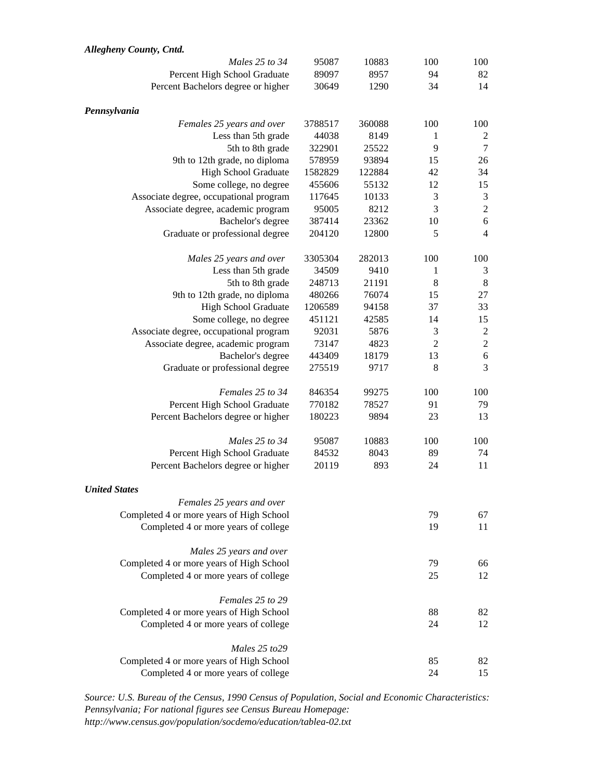| Allegheny County, Cntd.                  |         |        |                |                  |
|------------------------------------------|---------|--------|----------------|------------------|
| Males 25 to 34                           | 95087   | 10883  | 100            | 100              |
| Percent High School Graduate             | 89097   | 8957   | 94             | 82               |
| Percent Bachelors degree or higher       | 30649   | 1290   | 34             | 14               |
| Pennsylvania                             |         |        |                |                  |
| Females 25 years and over                | 3788517 | 360088 | 100            | 100              |
| Less than 5th grade                      | 44038   | 8149   | 1              | $\overline{c}$   |
| 5th to 8th grade                         | 322901  | 25522  | 9              | $\tau$           |
| 9th to 12th grade, no diploma            | 578959  | 93894  | 15             | 26               |
| High School Graduate                     | 1582829 | 122884 | 42             | 34               |
| Some college, no degree                  | 455606  | 55132  | 12             | 15               |
| Associate degree, occupational program   | 117645  | 10133  | 3              | $\mathfrak{Z}$   |
| Associate degree, academic program       | 95005   | 8212   | 3              | $\overline{c}$   |
| Bachelor's degree                        | 387414  | 23362  | 10             | $\sqrt{6}$       |
| Graduate or professional degree          | 204120  | 12800  | 5              | $\overline{4}$   |
| Males 25 years and over                  | 3305304 | 282013 | 100            | 100              |
| Less than 5th grade                      | 34509   | 9410   | 1              | 3                |
| 5th to 8th grade                         | 248713  | 21191  | 8              | 8                |
| 9th to 12th grade, no diploma            | 480266  | 76074  | 15             | 27               |
| High School Graduate                     | 1206589 | 94158  | 37             | 33               |
| Some college, no degree                  | 451121  | 42585  | 14             | 15               |
| Associate degree, occupational program   | 92031   | 5876   | 3              | $\boldsymbol{2}$ |
| Associate degree, academic program       | 73147   | 4823   | $\overline{2}$ | $\overline{c}$   |
| Bachelor's degree                        | 443409  | 18179  | 13             | $\overline{6}$   |
| Graduate or professional degree          | 275519  | 9717   | 8              | 3                |
| Females 25 to 34                         | 846354  | 99275  | 100            | 100              |
| Percent High School Graduate             | 770182  | 78527  | 91             | 79               |
| Percent Bachelors degree or higher       | 180223  | 9894   | 23             | 13               |
| Males 25 to 34                           | 95087   | 10883  | 100            | 100              |
| Percent High School Graduate             | 84532   | 8043   | 89             | 74               |
| Percent Bachelors degree or higher       | 20119   | 893    | 24             | 11               |
| <b>United States</b>                     |         |        |                |                  |
| Females 25 years and over                |         |        |                |                  |
| Completed 4 or more years of High School |         |        | 79             | 67               |
| Completed 4 or more years of college     |         |        | 19             | 11               |
| Males 25 years and over                  |         |        |                |                  |
| Completed 4 or more years of High School |         |        | 79             | 66               |
| Completed 4 or more years of college     |         |        | 25             | 12               |
| Females 25 to 29                         |         |        |                |                  |
| Completed 4 or more years of High School |         |        | 88             | 82               |
| Completed 4 or more years of college     |         |        | 24             | 12               |
| Males 25 to 29                           |         |        |                |                  |
| Completed 4 or more years of High School |         |        | 85             | 82               |
| Completed 4 or more years of college     |         |        | 24             | 15               |

*Source: U.S. Bureau of the Census, 1990 Census of Population, Social and Economic Characteristics: Pennsylvania; For national figures see Census Bureau Homepage: http://www.census.gov/population/socdemo/education/tablea-02.txt*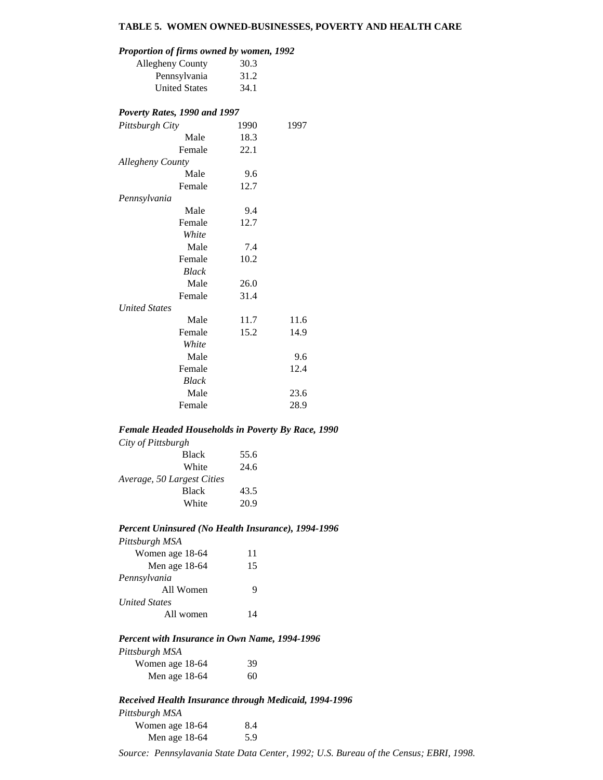### **TABLE 5. WOMEN OWNED-BUSINESSES, POVERTY AND HEALTH CARE**

### *Proportion of firms owned by women, 1992*

| 1 roporuon oj ju ms owncu by women, 1992 |      |      |
|------------------------------------------|------|------|
| <b>Allegheny County</b>                  | 30.3 |      |
| Pennsylvania                             | 31.2 |      |
| <b>United States</b>                     | 34.1 |      |
| Poverty Rates, 1990 and 1997             |      |      |
| Pittsburgh City                          | 1990 | 1997 |
| Male                                     | 18.3 |      |
| Female                                   | 22.1 |      |
| Allegheny County                         |      |      |
| Male                                     | 9.6  |      |
| Female                                   | 12.7 |      |
| Pennsylvania                             |      |      |
| Male                                     | 9.4  |      |
| Female                                   | 12.7 |      |
| White                                    |      |      |
| Male                                     | 7.4  |      |
| Female                                   | 10.2 |      |
| Black                                    |      |      |
| Male                                     | 26.0 |      |
| Female                                   | 31.4 |      |
| <b>United States</b>                     |      |      |
| Male                                     | 11.7 | 11.6 |
| Female                                   | 15.2 | 14.9 |
| White                                    |      |      |
| Male                                     |      | 9.6  |
| Female                                   |      | 12.4 |
| Black                                    |      |      |
| Male                                     |      | 23.6 |
| Female                                   |      | 28.9 |

#### *Female Headed Households in Poverty By Race, 1990*

| 55.6 |
|------|
| 24.6 |
|      |
| 43.5 |
| 20.9 |
|      |

#### *Percent Uninsured (No Health Insurance), 1994-1996*

| Pittsburgh MSA       |    |
|----------------------|----|
| Women age 18-64      | 11 |
| Men age 18-64        | 15 |
| Pennsylvania         |    |
| All Women            |    |
| <b>United States</b> |    |
| All women            | 14 |

#### *Percent with Insurance in Own Name, 1994-1996*

| Pittsburgh MSA  |    |
|-----------------|----|
| Women age 18-64 | 39 |
| Men age 18-64   | 60 |

### *Received Health Insurance through Medicaid, 1994-1996*

| Pittsburgh MSA  |     |
|-----------------|-----|
| Women age 18-64 | 8.4 |
| Men age 18-64   | 5.9 |

Source: Pennsylavania State Data Center, 1992; U.S. Bureau of the Census; EBRI, 1998.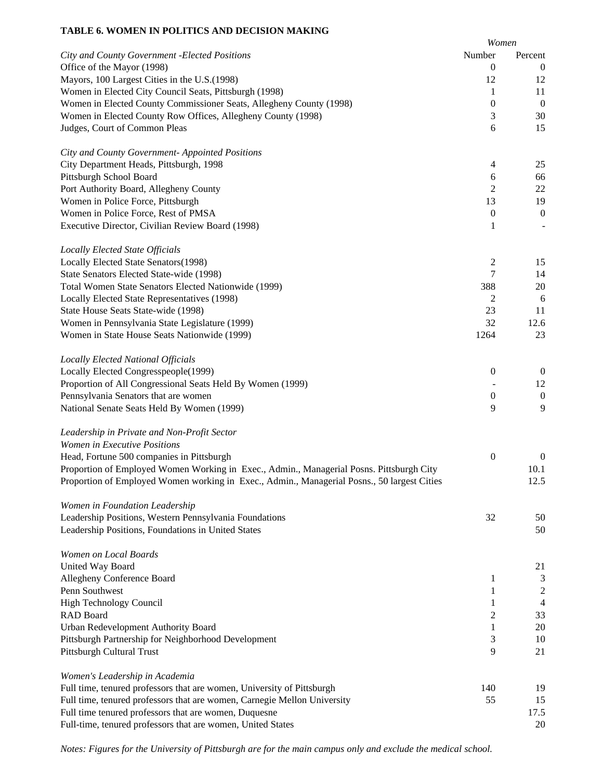### **TABLE 6. WOMEN IN POLITICS AND DECISION MAKING**

|                                                                                             | Women            |                  |
|---------------------------------------------------------------------------------------------|------------------|------------------|
| City and County Government - Elected Positions                                              | Number           | Percent          |
| Office of the Mayor (1998)                                                                  | $\boldsymbol{0}$ | $\boldsymbol{0}$ |
| Mayors, 100 Largest Cities in the U.S.(1998)                                                | 12               | 12               |
| Women in Elected City Council Seats, Pittsburgh (1998)                                      | 1                | 11               |
| Women in Elected County Commissioner Seats, Allegheny County (1998)                         | $\boldsymbol{0}$ | $\boldsymbol{0}$ |
| Women in Elected County Row Offices, Allegheny County (1998)                                | 3                | 30               |
| Judges, Court of Common Pleas                                                               | 6                | 15               |
| City and County Government- Appointed Positions                                             |                  |                  |
| City Department Heads, Pittsburgh, 1998                                                     | 4                | 25               |
| Pittsburgh School Board                                                                     | 6                | 66               |
| Port Authority Board, Allegheny County                                                      | $\overline{2}$   | 22               |
| Women in Police Force, Pittsburgh                                                           | 13               | 19               |
| Women in Police Force, Rest of PMSA                                                         | $\boldsymbol{0}$ | $\boldsymbol{0}$ |
| Executive Director, Civilian Review Board (1998)                                            | 1                |                  |
| <b>Locally Elected State Officials</b>                                                      |                  |                  |
| Locally Elected State Senators(1998)                                                        | 2                | 15               |
| State Senators Elected State-wide (1998)                                                    | 7                | 14               |
| Total Women State Senators Elected Nationwide (1999)                                        | 388              | 20               |
| Locally Elected State Representatives (1998)                                                | $\overline{2}$   | 6                |
| State House Seats State-wide (1998)                                                         | 23               | 11               |
| Women in Pennsylvania State Legislature (1999)                                              | 32               | 12.6             |
| Women in State House Seats Nationwide (1999)                                                | 1264             | 23               |
| Locally Elected National Officials                                                          |                  |                  |
| Locally Elected Congresspeople(1999)                                                        | $\boldsymbol{0}$ | $\boldsymbol{0}$ |
| Proportion of All Congressional Seats Held By Women (1999)                                  |                  | 12               |
| Pennsylvania Senators that are women                                                        | $\boldsymbol{0}$ | $\boldsymbol{0}$ |
| National Senate Seats Held By Women (1999)                                                  | 9                | 9                |
| Leadership in Private and Non-Profit Sector                                                 |                  |                  |
| Women in Executive Positions                                                                |                  |                  |
| Head, Fortune 500 companies in Pittsburgh                                                   | $\boldsymbol{0}$ | $\boldsymbol{0}$ |
| Proportion of Employed Women Working in Exec., Admin., Managerial Posns. Pittsburgh City    |                  | 10.1             |
| Proportion of Employed Women working in Exec., Admin., Managerial Posns., 50 largest Cities |                  | 12.5             |
| Women in Foundation Leadership                                                              |                  |                  |
| Leadership Positions, Western Pennsylvania Foundations                                      | 32               | 50               |
| Leadership Positions, Foundations in United States                                          |                  | 50               |
| Women on Local Boards                                                                       |                  |                  |
| United Way Board                                                                            |                  | 21               |
| Allegheny Conference Board                                                                  | 1                | 3                |
| Penn Southwest                                                                              | 1                | $\overline{c}$   |
| <b>High Technology Council</b>                                                              | 1                | $\overline{4}$   |
| RAD Board                                                                                   | 2                | 33               |
| Urban Redevelopment Authority Board                                                         | 1                | 20               |
| Pittsburgh Partnership for Neighborhood Development                                         | 3                | 10               |
| Pittsburgh Cultural Trust                                                                   | 9                | 21               |
| Women's Leadership in Academia                                                              |                  |                  |
| Full time, tenured professors that are women, University of Pittsburgh                      | 140              | 19               |
| Full time, tenured professors that are women, Carnegie Mellon University                    | 55               | 15               |
| Full time tenured professors that are women, Duquesne                                       |                  | 17.5             |
| Full-time, tenured professors that are women, United States                                 |                  | 20               |

*Notes: Figures for the University of Pittsburgh are for the main campus only and exclude the medical school.*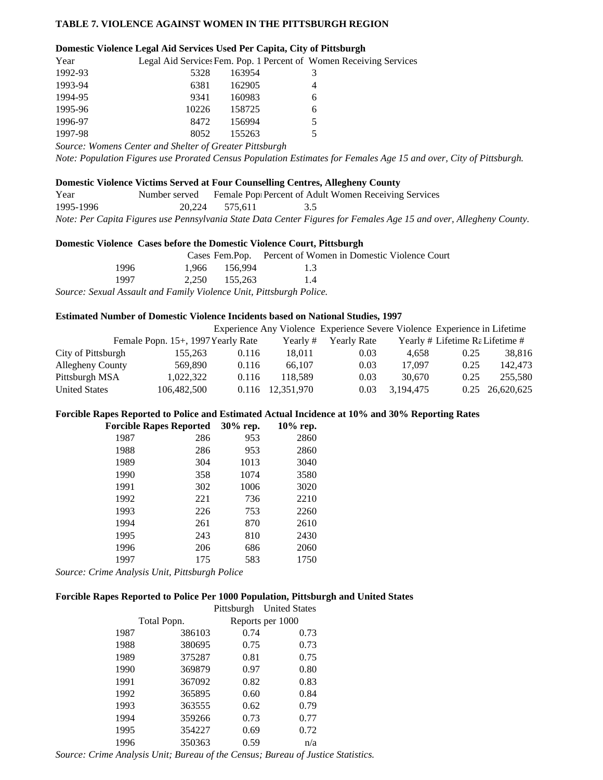### **TABLE 7. VIOLENCE AGAINST WOMEN IN THE PITTSBURGH REGION**

#### **Domestic Violence Legal Aid Services Used Per Capita, City of Pittsburgh**

| Year    |                                                                                              |        | Legal Aid Services Fem. Pop. 1 Percent of Women Receiving Services |
|---------|----------------------------------------------------------------------------------------------|--------|--------------------------------------------------------------------|
| 1992-93 | 5328                                                                                         | 163954 | 3                                                                  |
| 1993-94 | 6381                                                                                         | 162905 | 4                                                                  |
| 1994-95 | 9341                                                                                         | 160983 | 6                                                                  |
| 1995-96 | 10226                                                                                        | 158725 | 6                                                                  |
| 1996-97 | 8472                                                                                         | 156994 | 5.                                                                 |
| 1997-98 | 8052                                                                                         | 155263 | 5                                                                  |
|         | $C_1, \ldots, C_n, C_n, \ldots, C_{n+1}, \ldots, C_1, \ldots, C_n, \ldots, C_1, \ldots, C_n$ |        |                                                                    |

*Source: Womens Center and Shelter of Greater Pittsburgh*

*Note: Population Figures use Prorated Census Population Estimates for Females Age 15 and over, City of Pittsburgh.*

#### **Domestic Violence Victims Served at Four Counselling Centres, Allegheny County**

| Year      | Number served |                | Female Pop Percent of Adult Women Receiving Services                                                               |  |
|-----------|---------------|----------------|--------------------------------------------------------------------------------------------------------------------|--|
| 1995-1996 |               | 20.224 575.611 |                                                                                                                    |  |
|           |               |                | Note: Per Capita Figures use Pennsylvania State Data Center Figures for Females Age 15 and over, Allegheny County. |  |

#### **Domestic Violence Cases before the Domestic Violence Court, Pittsburgh**

|                                                                     |               | Cases Fem. Pop. Percent of Women in Domestic Violence Court |
|---------------------------------------------------------------------|---------------|-------------------------------------------------------------|
| 1996                                                                | 1.966 156.994 | $-1.3$                                                      |
| 1997                                                                | 2.250 155.263 | 14                                                          |
| Source: Sexual Assault and Family Violence Unit, Pittsburgh Police. |               |                                                             |

#### **Estimated Number of Domestic Violence Incidents based on National Studies, 1997**

|                      |                                    |       |            | Experience Any Violence Experience Severe Violence Experience in Lifetime |           |                                 |                 |
|----------------------|------------------------------------|-------|------------|---------------------------------------------------------------------------|-----------|---------------------------------|-----------------|
|                      | Female Popn. 15+, 1997 Yearly Rate |       | Yearly#    | Yearly Rate                                                               |           | Yearly # Lifetime Ra Lifetime # |                 |
| City of Pittsburgh   | 155.263                            | 0.116 | 18.011     | 0.03                                                                      | 4.658     | 0.25                            | 38.816          |
| Allegheny County     | 569,890                            | 0.116 | 66.107     | 0.03                                                                      | 17.097    | 0.25                            | 142,473         |
| Pittsburgh MSA       | 1,022,322                          | 0.116 | 118.589    | 0.03                                                                      | 30.670    | 0.25                            | 255,580         |
| <b>United States</b> | 106,482,500                        | 0.116 | 12.351.970 | 0.03                                                                      | 3.194.475 |                                 | 0.25 26,620,625 |

#### **Forcible Rapes Reported to Police and Estimated Actual Incidence at 10% and 30% Reporting Rates**

| <b>Forcible Rapes Reported</b> |     | 30% rep. | 10% rep. |
|--------------------------------|-----|----------|----------|
| 1987                           | 286 | 953      | 2860     |
| 1988                           | 286 | 953      | 2860     |
| 1989                           | 304 | 1013     | 3040     |
| 1990                           | 358 | 1074     | 3580     |
| 1991                           | 302 | 1006     | 3020     |
| 1992                           | 221 | 736      | 2210     |
| 1993                           | 226 | 753      | 2260     |
| 1994                           | 261 | 870      | 2610     |
| 1995                           | 243 | 810      | 2430     |
| 1996                           | 206 | 686      | 2060     |
| 1997                           | 175 | 583      | 1750     |
|                                |     |          |          |

*Source: Crime Analysis Unit, Pittsburgh Police*

### **Forcible Rapes Reported to Police Per 1000 Population, Pittsburgh and United States**

|      |             |      | Pittsburgh United States |
|------|-------------|------|--------------------------|
|      | Total Popn. |      | Reports per 1000         |
| 1987 | 386103      | 0.74 | 0.73                     |
| 1988 | 380695      | 0.75 | 0.73                     |
| 1989 | 375287      | 0.81 | 0.75                     |
| 1990 | 369879      | 0.97 | 0.80                     |
| 1991 | 367092      | 0.82 | 0.83                     |
| 1992 | 365895      | 0.60 | 0.84                     |
| 1993 | 363555      | 0.62 | 0.79                     |
| 1994 | 359266      | 0.73 | 0.77                     |
| 1995 | 354227      | 0.69 | 0.72                     |
| 1996 | 350363      | 0.59 | n/a                      |

*Source: Crime Analysis Unit; Bureau of the Census; Bureau of Justice Statistics.*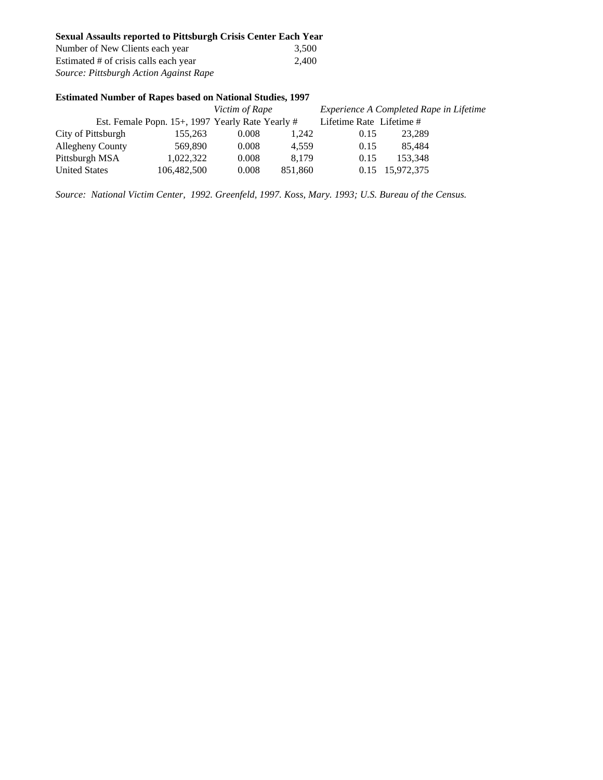| <b>Sexual Assaults reported to Pittsburgh Crisis Center Each Year</b> |  |  |  |
|-----------------------------------------------------------------------|--|--|--|
|                                                                       |  |  |  |

| Number of New Clients each year        | 3.500 |
|----------------------------------------|-------|
| Estimated # of crisis calls each year  | 2.400 |
| Source: Pittsburgh Action Against Rape |       |

### **Estimated Number of Rapes based on National Studies, 1997**

|                         |                                                  |             | Victim of Rape |         | Experience A Completed Rape in Lifetime |                 |  |
|-------------------------|--------------------------------------------------|-------------|----------------|---------|-----------------------------------------|-----------------|--|
|                         | Est. Female Popn. 15+, 1997 Yearly Rate Yearly # |             |                |         | Lifetime Rate Lifetime #                |                 |  |
| City of Pittsburgh      |                                                  | 155.263     | 0.008          | 1.242   | 0.15                                    | 23.289          |  |
| <b>Allegheny County</b> |                                                  | 569,890     | 0.008          | 4.559   | 0.15                                    | 85.484          |  |
| Pittsburgh MSA          |                                                  | 1,022,322   | 0.008          | 8.179   | 0.15                                    | 153.348         |  |
| <b>United States</b>    |                                                  | 106,482,500 | 0.008          | 851.860 |                                         | 0.15 15.972.375 |  |

*Source: National Victim Center, 1992. Greenfeld, 1997. Koss, Mary. 1993; U.S. Bureau of the Census.*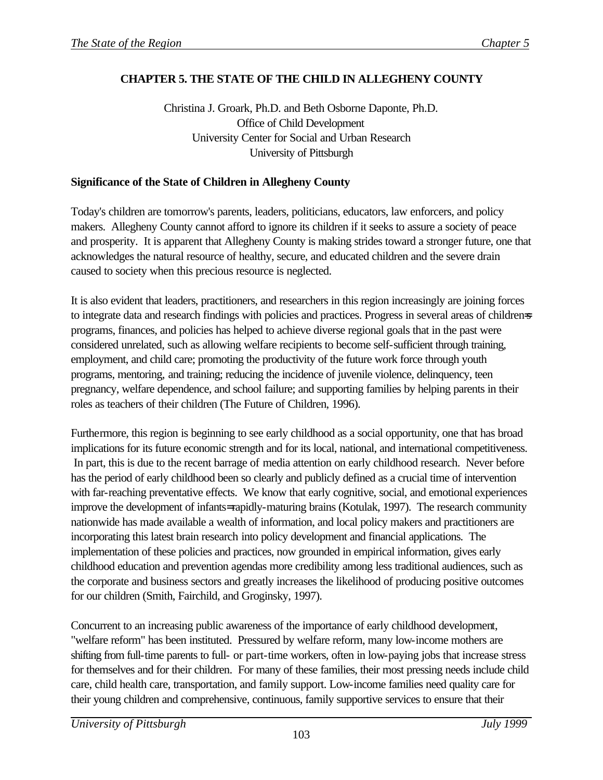# **CHAPTER 5. THE STATE OF THE CHILD IN ALLEGHENY COUNTY**

Christina J. Groark, Ph.D. and Beth Osborne Daponte, Ph.D. Office of Child Development University Center for Social and Urban Research University of Pittsburgh

# **Significance of the State of Children in Allegheny County**

Today's children are tomorrow's parents, leaders, politicians, educators, law enforcers, and policy makers. Allegheny County cannot afford to ignore its children if it seeks to assure a society of peace and prosperity. It is apparent that Allegheny County is making strides toward a stronger future, one that acknowledges the natural resource of healthy, secure, and educated children and the severe drain caused to society when this precious resource is neglected.

It is also evident that leaders, practitioners, and researchers in this region increasingly are joining forces to integrate data and research findings with policies and practices. Progress in several areas of childrens programs, finances, and policies has helped to achieve diverse regional goals that in the past were considered unrelated, such as allowing welfare recipients to become self-sufficient through training, employment, and child care; promoting the productivity of the future work force through youth programs, mentoring, and training; reducing the incidence of juvenile violence, delinquency, teen pregnancy, welfare dependence, and school failure; and supporting families by helping parents in their roles as teachers of their children (The Future of Children, 1996).

Furthermore, this region is beginning to see early childhood as a social opportunity, one that has broad implications for its future economic strength and for its local, national, and international competitiveness. In part, this is due to the recent barrage of media attention on early childhood research. Never before has the period of early childhood been so clearly and publicly defined as a crucial time of intervention with far-reaching preventative effects. We know that early cognitive, social, and emotional experiences improve the development of infants= rapidly-maturing brains (Kotulak, 1997). The research community nationwide has made available a wealth of information, and local policy makers and practitioners are incorporating this latest brain research into policy development and financial applications. The implementation of these policies and practices, now grounded in empirical information, gives early childhood education and prevention agendas more credibility among less traditional audiences, such as the corporate and business sectors and greatly increases the likelihood of producing positive outcomes for our children (Smith, Fairchild, and Groginsky, 1997).

Concurrent to an increasing public awareness of the importance of early childhood development, "welfare reform" has been instituted. Pressured by welfare reform, many low-income mothers are shifting from full-time parents to full- or part-time workers, often in low-paying jobs that increase stress for themselves and for their children. For many of these families, their most pressing needs include child care, child health care, transportation, and family support. Low-income families need quality care for their young children and comprehensive, continuous, family supportive services to ensure that their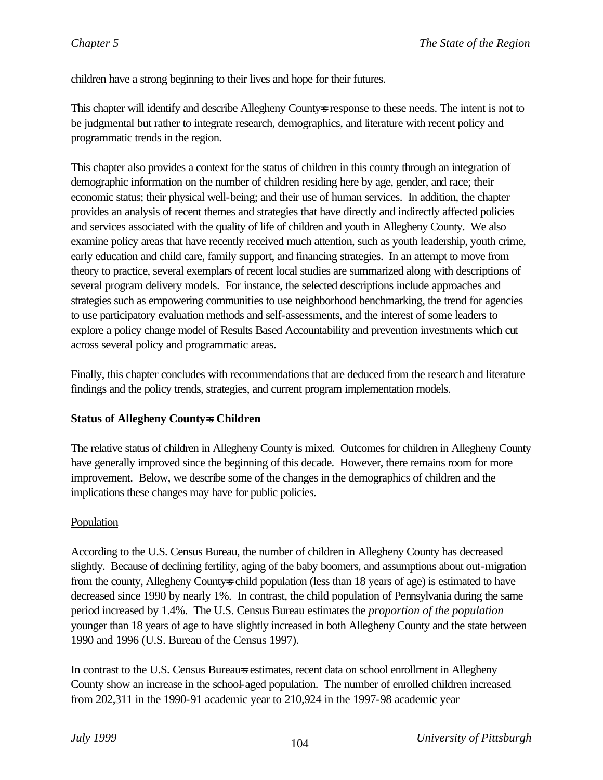children have a strong beginning to their lives and hope for their futures.

This chapter will identify and describe Allegheny County-s response to these needs. The intent is not to be judgmental but rather to integrate research, demographics, and literature with recent policy and programmatic trends in the region.

This chapter also provides a context for the status of children in this county through an integration of demographic information on the number of children residing here by age, gender, and race; their economic status; their physical well-being; and their use of human services. In addition, the chapter provides an analysis of recent themes and strategies that have directly and indirectly affected policies and services associated with the quality of life of children and youth in Allegheny County. We also examine policy areas that have recently received much attention, such as youth leadership, youth crime, early education and child care, family support, and financing strategies. In an attempt to move from theory to practice, several exemplars of recent local studies are summarized along with descriptions of several program delivery models. For instance, the selected descriptions include approaches and strategies such as empowering communities to use neighborhood benchmarking, the trend for agencies to use participatory evaluation methods and self-assessments, and the interest of some leaders to explore a policy change model of Results Based Accountability and prevention investments which cut across several policy and programmatic areas.

Finally, this chapter concludes with recommendations that are deduced from the research and literature findings and the policy trends, strategies, and current program implementation models.

#### **Status of Allegheny County=s Children**

The relative status of children in Allegheny County is mixed. Outcomes for children in Allegheny County have generally improved since the beginning of this decade. However, there remains room for more improvement. Below, we describe some of the changes in the demographics of children and the implications these changes may have for public policies.

#### Population

According to the U.S. Census Bureau, the number of children in Allegheny County has decreased slightly. Because of declining fertility, aging of the baby boomers, and assumptions about out-migration from the county, Allegheny County-s child population (less than 18 years of age) is estimated to have decreased since 1990 by nearly 1%. In contrast, the child population of Pennsylvania during the same period increased by 1.4%. The U.S. Census Bureau estimates the *proportion of the population* younger than 18 years of age to have slightly increased in both Allegheny County and the state between 1990 and 1996 (U.S. Bureau of the Census 1997).

In contrast to the U.S. Census Bureau=s estimates, recent data on school enrollment in Allegheny County show an increase in the school-aged population. The number of enrolled children increased from 202,311 in the 1990-91 academic year to 210,924 in the 1997-98 academic year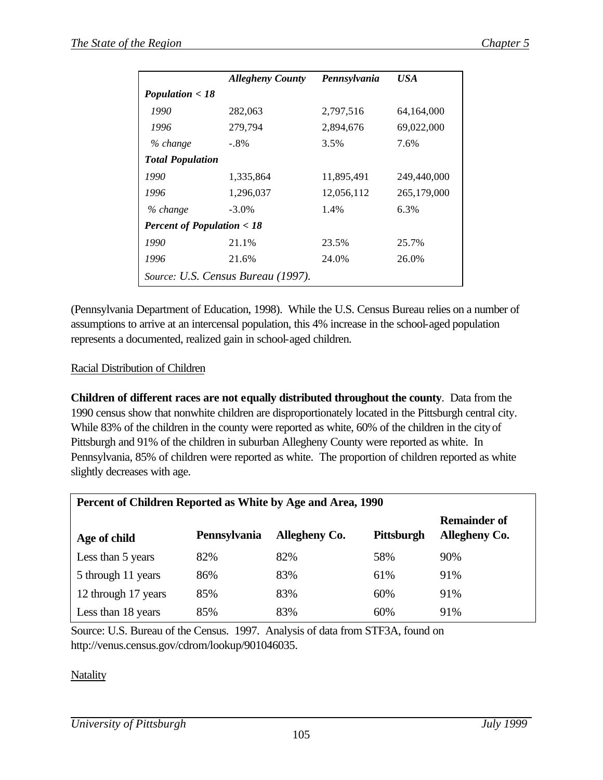|                                      | <b>Allegheny County</b>            | Pennsylvania | USA         |
|--------------------------------------|------------------------------------|--------------|-------------|
| Population $<$ 18                    |                                    |              |             |
| 1990                                 | 282,063                            | 2,797,516    | 64,164,000  |
| 1996                                 | 279,794                            | 2,894,676    | 69,022,000  |
| % change                             | $-.8\%$                            | 3.5%         | 7.6%        |
| <b>Total Population</b>              |                                    |              |             |
| 1990                                 | 1,335,864                          | 11,895,491   | 249,440,000 |
| 1996                                 | 1,296,037                          | 12,056,112   | 265,179,000 |
| % change                             | $-3.0\%$                           | 1.4%         | 6.3%        |
| <b>Percent of Population &lt; 18</b> |                                    |              |             |
| 1990                                 | 21.1%                              | 23.5%        | 25.7%       |
| 1996                                 | 21.6%                              | 24.0%        | 26.0%       |
|                                      | Source: U.S. Census Bureau (1997). |              |             |

(Pennsylvania Department of Education, 1998). While the U.S. Census Bureau relies on a number of assumptions to arrive at an intercensal population, this 4% increase in the school-aged population represents a documented, realized gain in school-aged children.

#### Racial Distribution of Children

**Children of different races are not equally distributed throughout the county**. Data from the 1990 census show that nonwhite children are disproportionately located in the Pittsburgh central city. While 83% of the children in the county were reported as white, 60% of the children in the city of Pittsburgh and 91% of the children in suburban Allegheny County were reported as white. In Pennsylvania, 85% of children were reported as white. The proportion of children reported as white slightly decreases with age.

| Percent of Children Reported as White by Age and Area, 1990 |              |                      |            |                                             |  |
|-------------------------------------------------------------|--------------|----------------------|------------|---------------------------------------------|--|
| Age of child                                                | Pennsylvania | <b>Allegheny Co.</b> | Pittsburgh | <b>Remainder of</b><br><b>Allegheny Co.</b> |  |
| Less than 5 years                                           | 82%          | 82%                  | 58%        | 90%                                         |  |
| 5 through 11 years                                          | 86%          | 83%                  | 61%        | 91%                                         |  |
| 12 through 17 years                                         | 85%          | 83%                  | 60%        | 91%                                         |  |
| Less than 18 years                                          | 85%          | 83%                  | 60%        | 91%                                         |  |

Source: U.S. Bureau of the Census. 1997. Analysis of data from STF3A, found on http://venus.census.gov/cdrom/lookup/901046035.

**Natality**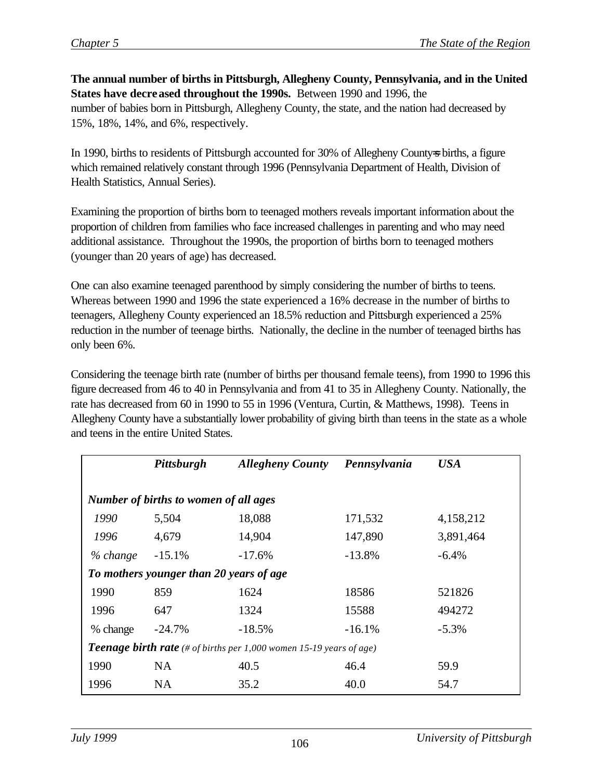**The annual number of births in Pittsburgh, Allegheny County, Pennsylvania, and in the United States have decreased throughout the 1990s.** Between 1990 and 1996, the number of babies born in Pittsburgh, Allegheny County, the state, and the nation had decreased by 15%, 18%, 14%, and 6%, respectively.

In 1990, births to residents of Pittsburgh accounted for 30% of Allegheny County=s births, a figure which remained relatively constant through 1996 (Pennsylvania Department of Health, Division of Health Statistics, Annual Series).

Examining the proportion of births born to teenaged mothers reveals important information about the proportion of children from families who face increased challenges in parenting and who may need additional assistance. Throughout the 1990s, the proportion of births born to teenaged mothers (younger than 20 years of age) has decreased.

One can also examine teenaged parenthood by simply considering the number of births to teens. Whereas between 1990 and 1996 the state experienced a 16% decrease in the number of births to teenagers, Allegheny County experienced an 18.5% reduction and Pittsburgh experienced a 25% reduction in the number of teenage births. Nationally, the decline in the number of teenaged births has only been 6%.

Considering the teenage birth rate (number of births per thousand female teens), from 1990 to 1996 this figure decreased from 46 to 40 in Pennsylvania and from 41 to 35 in Allegheny County. Nationally, the rate has decreased from 60 in 1990 to 55 in 1996 (Ventura, Curtin, & Matthews, 1998). Teens in Allegheny County have a substantially lower probability of giving birth than teens in the state as a whole and teens in the entire United States.

|                                                                            | Pittsburgh                              | <b>Allegheny County</b> | Pennsylvania | <b>USA</b> |  |  |
|----------------------------------------------------------------------------|-----------------------------------------|-------------------------|--------------|------------|--|--|
| Number of births to women of all ages                                      |                                         |                         |              |            |  |  |
|                                                                            |                                         |                         |              |            |  |  |
| 1990                                                                       | 5,504                                   | 18,088                  | 171,532      | 4,158,212  |  |  |
| 1996                                                                       | 4,679                                   | 14,904                  | 147,890      | 3,891,464  |  |  |
| % change                                                                   | $-15.1\%$                               | $-17.6\%$               | $-13.8\%$    | $-6.4%$    |  |  |
|                                                                            | To mothers younger than 20 years of age |                         |              |            |  |  |
| 1990                                                                       | 859                                     | 1624                    | 18586        | 521826     |  |  |
| 1996                                                                       | 647                                     | 1324                    | 15588        | 494272     |  |  |
| % change                                                                   | $-24.7\%$                               | $-18.5%$                | $-16.1\%$    | $-5.3\%$   |  |  |
| <b>Teenage birth rate</b> (# of births per 1,000 women 15-19 years of age) |                                         |                         |              |            |  |  |
| 1990                                                                       | NA.                                     | 40.5                    | 46.4         | 59.9       |  |  |
| 1996                                                                       | <b>NA</b>                               | 35.2                    | 40.0         | 54.7       |  |  |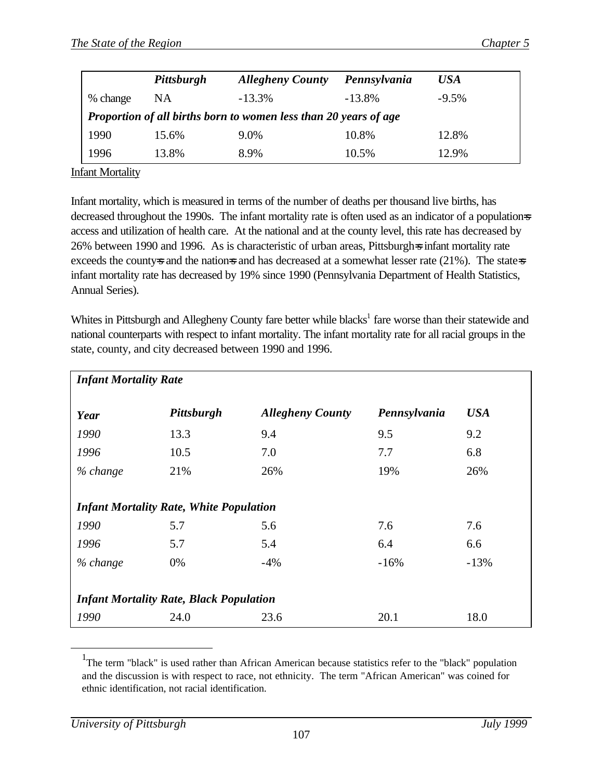|          | Pittsburgh                                                       | <b>Allegheny County</b> | Pennsylvania | USA     |  |
|----------|------------------------------------------------------------------|-------------------------|--------------|---------|--|
| % change | NA                                                               | $-13.3\%$               | $-13.8\%$    | $-9.5%$ |  |
|          | Proportion of all births born to women less than 20 years of age |                         |              |         |  |
| 1990     | 15.6%                                                            | 9.0%                    | 10.8%        | 12.8%   |  |
| 1996     | 13.8%                                                            | 8.9%                    | 10.5%        | 12.9%   |  |

Infant Mortality

Infant mortality, which is measured in terms of the number of deaths per thousand live births, has decreased throughout the 1990s. The infant mortality rate is often used as an indicator of a populations access and utilization of health care. At the national and at the county level, this rate has decreased by 26% between 1990 and 1996. As is characteristic of urban areas, Pittsburgh=s infant mortality rate exceeds the county-s and the nation-s and has decreased at a somewhat lesser rate  $(21\%)$ . The state-s infant mortality rate has decreased by 19% since 1990 (Pennsylvania Department of Health Statistics, Annual Series).

Whites in Pittsburgh and Allegheny County fare better while blacks<sup>1</sup> fare worse than their statewide and national counterparts with respect to infant mortality. The infant mortality rate for all racial groups in the state, county, and city decreased between 1990 and 1996.

| <b>Infant Mortality Rate</b>                   |                                                |                         |              |            |  |
|------------------------------------------------|------------------------------------------------|-------------------------|--------------|------------|--|
| Year                                           | Pittsburgh                                     | <b>Allegheny County</b> | Pennsylvania | <b>USA</b> |  |
| 1990                                           | 13.3                                           | 9.4                     | 9.5          | 9.2        |  |
| 1996                                           | 10.5                                           | 7.0                     | 7.7          | 6.8        |  |
| % change                                       | 21\%                                           | 26%                     | 19%          | 26%        |  |
|                                                |                                                |                         |              |            |  |
|                                                | <b>Infant Mortality Rate, White Population</b> |                         |              |            |  |
| 1990                                           | 5.7                                            | 5.6                     | 7.6          | 7.6        |  |
| 1996                                           | 5.7                                            | 5.4                     | 6.4          | 6.6        |  |
| % change                                       | 0%                                             | $-4%$                   | $-16%$       | $-13%$     |  |
|                                                |                                                |                         |              |            |  |
| <b>Infant Mortality Rate, Black Population</b> |                                                |                         |              |            |  |
| 1990                                           | 24.0                                           | 23.6                    | 20.1         | 18.0       |  |

<sup>&</sup>lt;sup>1</sup>The term "black" is used rather than African American because statistics refer to the "black" population and the discussion is with respect to race, not ethnicity. The term "African American" was coined for ethnic identification, not racial identification.

 $\overline{a}$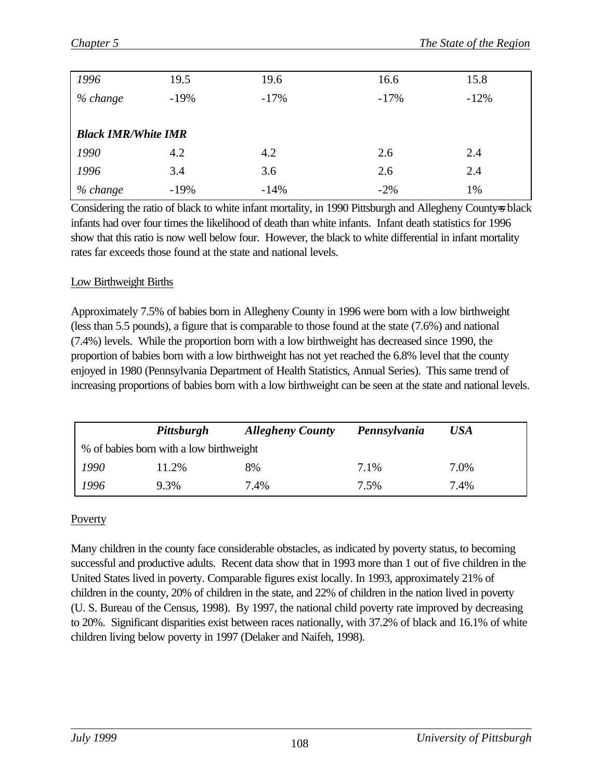| 1996                       | 19.5   | 19.6   | 16.6   | 15.8   |
|----------------------------|--------|--------|--------|--------|
| % change                   | $-19%$ | $-17%$ | $-17%$ | $-12%$ |
|                            |        |        |        |        |
| <b>Black IMR/White IMR</b> |        |        |        |        |
| 1990                       | 4.2    | 4.2    | 2.6    | 2.4    |
| 1996                       | 3.4    | 3.6    | 2.6    | 2.4    |
| % change                   | $-19%$ | $-14%$ | $-2\%$ | 1%     |

Considering the ratio of black to white infant mortality, in 1990 Pittsburgh and Allegheny County-s black infants had over four times the likelihood of death than white infants. Infant death statistics for 1996 show that this ratio is now well below four. However, the black to white differential in infant mortality rates far exceeds those found at the state and national levels.

## Low Birthweight Births

Approximately 7.5% of babies born in Allegheny County in 1996 were born with a low birthweight (less than 5.5 pounds), a figure that is comparable to those found at the state (7.6%) and national (7.4%) levels. While the proportion born with a low birthweight has decreased since 1990, the proportion of babies born with a low birthweight has not yet reached the 6.8% level that the county enjoyed in 1980 (Pennsylvania Department of Health Statistics, Annual Series). This same trend of increasing proportions of babies born with a low birthweight can be seen at the state and national levels.

|      | Pittsburgh                              | <b>Allegheny County</b> | Pennsylvania | USA  |
|------|-----------------------------------------|-------------------------|--------------|------|
|      | % of babies born with a low birthweight |                         |              |      |
| 1990 | 11.2%                                   | 8%                      | 7.1%         | 7.0% |
| 1996 | 9.3%                                    | 7.4%                    | 7.5%         | 7.4% |

# Poverty

Many children in the county face considerable obstacles, as indicated by poverty status, to becoming successful and productive adults. Recent data show that in 1993 more than 1 out of five children in the United States lived in poverty. Comparable figures exist locally. In 1993, approximately 21% of children in the county, 20% of children in the state, and 22% of children in the nation lived in poverty (U. S. Bureau of the Census, 1998). By 1997, the national child poverty rate improved by decreasing to 20%. Significant disparities exist between races nationally, with 37.2% of black and 16.1% of white children living below poverty in 1997 (Delaker and Naifeh, 1998).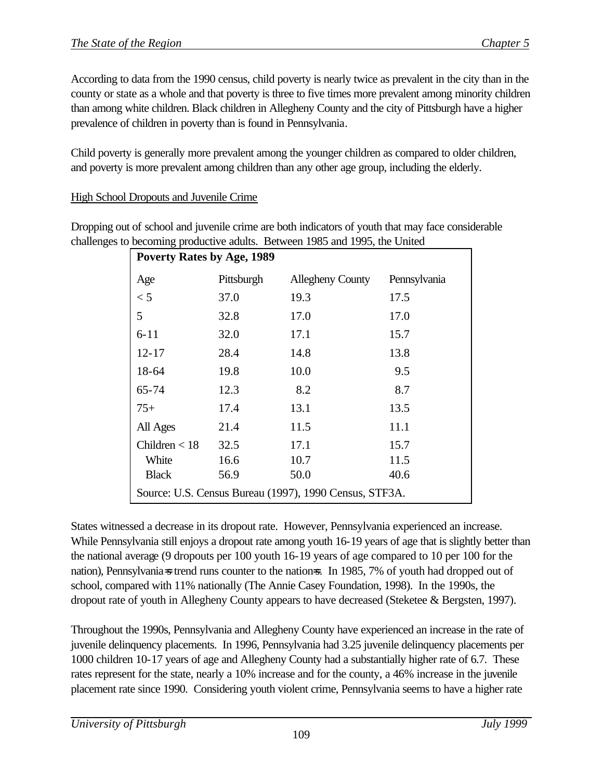According to data from the 1990 census, child poverty is nearly twice as prevalent in the city than in the county or state as a whole and that poverty is three to five times more prevalent among minority children than among white children. Black children in Allegheny County and the city of Pittsburgh have a higher prevalence of children in poverty than is found in Pennsylvania.

Child poverty is generally more prevalent among the younger children as compared to older children, and poverty is more prevalent among children than any other age group, including the elderly.

High School Dropouts and Juvenile Crime

Dropping out of school and juvenile crime are both indicators of youth that may face considerable challenges to becoming productive adults. Between 1985 and 1995, the United

| <b>Poverty Rates by Age, 1989</b> |            |                                                        |              |  |  |  |
|-----------------------------------|------------|--------------------------------------------------------|--------------|--|--|--|
| Age                               | Pittsburgh | <b>Allegheny County</b>                                | Pennsylvania |  |  |  |
| < 5                               | 37.0       | 19.3                                                   | 17.5         |  |  |  |
| 5                                 | 32.8       | 17.0                                                   | 17.0         |  |  |  |
| $6 - 11$                          | 32.0       | 17.1                                                   | 15.7         |  |  |  |
| $12 - 17$                         | 28.4       | 14.8                                                   | 13.8         |  |  |  |
| 18-64                             | 19.8       | 10.0                                                   | 9.5          |  |  |  |
| 65-74                             | 12.3       | 8.2                                                    | 8.7          |  |  |  |
| $75+$                             | 17.4       | 13.1                                                   | 13.5         |  |  |  |
| All Ages                          | 21.4       | 11.5                                                   | 11.1         |  |  |  |
| Children $<$ 18                   | 32.5       | 17.1                                                   | 15.7         |  |  |  |
| White                             | 16.6       | 10.7                                                   | 11.5         |  |  |  |
| <b>Black</b>                      | 56.9       | 50.0                                                   | 40.6         |  |  |  |
|                                   |            | Source: U.S. Census Bureau (1997), 1990 Census, STF3A. |              |  |  |  |

States witnessed a decrease in its dropout rate. However, Pennsylvania experienced an increase. While Pennsylvania still enjoys a dropout rate among youth 16-19 years of age that is slightly better than the national average (9 dropouts per 100 youth 16-19 years of age compared to 10 per 100 for the nation), Pennsylvania=s trend runs counter to the nation=s. In 1985, 7% of youth had dropped out of school, compared with 11% nationally (The Annie Casey Foundation, 1998). In the 1990s, the dropout rate of youth in Allegheny County appears to have decreased (Steketee & Bergsten, 1997).

Throughout the 1990s, Pennsylvania and Allegheny County have experienced an increase in the rate of juvenile delinquency placements. In 1996, Pennsylvania had 3.25 juvenile delinquency placements per 1000 children 10-17 years of age and Allegheny County had a substantially higher rate of 6.7. These rates represent for the state, nearly a 10% increase and for the county, a 46% increase in the juvenile placement rate since 1990. Considering youth violent crime, Pennsylvania seems to have a higher rate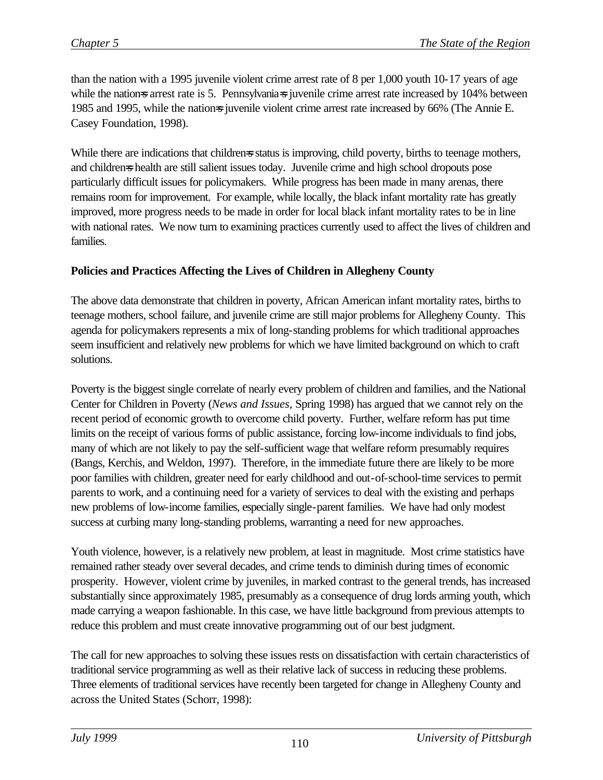than the nation with a 1995 juvenile violent crime arrest rate of 8 per 1,000 youth 10-17 years of age while the nations arrest rate is 5. Pennsylvanias juvenile crime arrest rate increased by 104% between 1985 and 1995, while the nations juvenile violent crime arrest rate increased by 66% (The Annie E. Casey Foundation, 1998).

While there are indications that childrens status is improving, child poverty, births to teenage mothers, and children=s health are still salient issues today. Juvenile crime and high school dropouts pose particularly difficult issues for policymakers. While progress has been made in many arenas, there remains room for improvement. For example, while locally, the black infant mortality rate has greatly improved, more progress needs to be made in order for local black infant mortality rates to be in line with national rates. We now turn to examining practices currently used to affect the lives of children and families.

## **Policies and Practices Affecting the Lives of Children in Allegheny County**

The above data demonstrate that children in poverty, African American infant mortality rates, births to teenage mothers, school failure, and juvenile crime are still major problems for Allegheny County. This agenda for policymakers represents a mix of long-standing problems for which traditional approaches seem insufficient and relatively new problems for which we have limited background on which to craft solutions.

Poverty is the biggest single correlate of nearly every problem of children and families, and the National Center for Children in Poverty (*News and Issues,* Spring 1998) has argued that we cannot rely on the recent period of economic growth to overcome child poverty. Further, welfare reform has put time limits on the receipt of various forms of public assistance, forcing low-income individuals to find jobs, many of which are not likely to pay the self-sufficient wage that welfare reform presumably requires (Bangs, Kerchis, and Weldon, 1997). Therefore, in the immediate future there are likely to be more poor families with children, greater need for early childhood and out-of-school-time services to permit parents to work, and a continuing need for a variety of services to deal with the existing and perhaps new problems of low-income families, especially single-parent families. We have had only modest success at curbing many long-standing problems, warranting a need for new approaches.

Youth violence, however, is a relatively new problem, at least in magnitude. Most crime statistics have remained rather steady over several decades, and crime tends to diminish during times of economic prosperity. However, violent crime by juveniles, in marked contrast to the general trends, has increased substantially since approximately 1985, presumably as a consequence of drug lords arming youth, which made carrying a weapon fashionable. In this case, we have little background from previous attempts to reduce this problem and must create innovative programming out of our best judgment.

The call for new approaches to solving these issues rests on dissatisfaction with certain characteristics of traditional service programming as well as their relative lack of success in reducing these problems. Three elements of traditional services have recently been targeted for change in Allegheny County and across the United States (Schorr, 1998):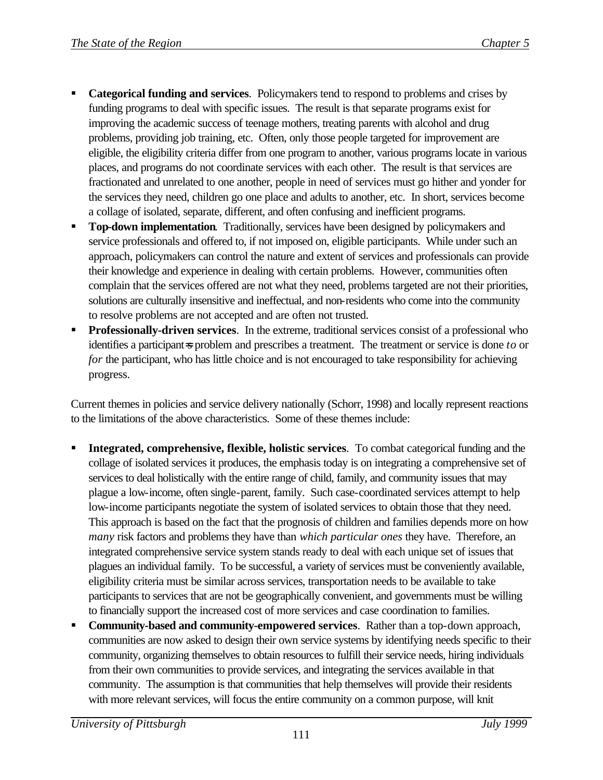- ß **Categorical funding and services**. Policymakers tend to respond to problems and crises by funding programs to deal with specific issues. The result is that separate programs exist for improving the academic success of teenage mothers, treating parents with alcohol and drug problems, providing job training, etc. Often, only those people targeted for improvement are eligible, the eligibility criteria differ from one program to another, various programs locate in various places, and programs do not coordinate services with each other. The result is that services are fractionated and unrelated to one another, people in need of services must go hither and yonder for the services they need, children go one place and adults to another, etc. In short, services become a collage of isolated, separate, different, and often confusing and inefficient programs.
- ß **Top-down implementation**. Traditionally, services have been designed by policymakers and service professionals and offered to, if not imposed on, eligible participants. While under such an approach, policymakers can control the nature and extent of services and professionals can provide their knowledge and experience in dealing with certain problems. However, communities often complain that the services offered are not what they need, problems targeted are not their priorities, solutions are culturally insensitive and ineffectual, and non-residents who come into the community to resolve problems are not accepted and are often not trusted.
- **Professionally-driven services**. In the extreme, traditional services consist of a professional who identifies a participant=s problem and prescribes a treatment. The treatment or service is done *to* or *for* the participant, who has little choice and is not encouraged to take responsibility for achieving progress.

Current themes in policies and service delivery nationally (Schorr, 1998) and locally represent reactions to the limitations of the above characteristics. Some of these themes include:

- ß **Integrated, comprehensive, flexible, holistic services**. To combat categorical funding and the collage of isolated services it produces, the emphasis today is on integrating a comprehensive set of services to deal holistically with the entire range of child, family, and community issues that may plague a low-income, often single-parent, family. Such case-coordinated services attempt to help low-income participants negotiate the system of isolated services to obtain those that they need. This approach is based on the fact that the prognosis of children and families depends more on how *many* risk factors and problems they have than *which particular ones* they have. Therefore, an integrated comprehensive service system stands ready to deal with each unique set of issues that plagues an individual family. To be successful, a variety of services must be conveniently available, eligibility criteria must be similar across services, transportation needs to be available to take participants to services that are not be geographically convenient, and governments must be willing to financially support the increased cost of more services and case coordination to families.
- ß **Community-based and community-empowered services**. Rather than a top-down approach, communities are now asked to design their own service systems by identifying needs specific to their community, organizing themselves to obtain resources to fulfill their service needs, hiring individuals from their own communities to provide services, and integrating the services available in that community. The assumption is that communities that help themselves will provide their residents with more relevant services, will focus the entire community on a common purpose, will knit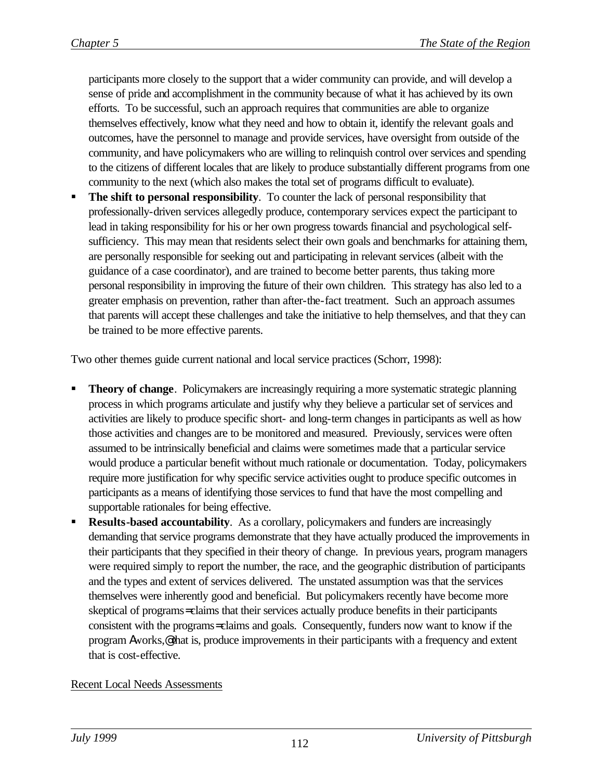participants more closely to the support that a wider community can provide, and will develop a sense of pride and accomplishment in the community because of what it has achieved by its own efforts. To be successful, such an approach requires that communities are able to organize themselves effectively, know what they need and how to obtain it, identify the relevant goals and outcomes, have the personnel to manage and provide services, have oversight from outside of the community, and have policymakers who are willing to relinquish control over services and spending to the citizens of different locales that are likely to produce substantially different programs from one community to the next (which also makes the total set of programs difficult to evaluate).

ß **The shift to personal responsibility**. To counter the lack of personal responsibility that professionally-driven services allegedly produce, contemporary services expect the participant to lead in taking responsibility for his or her own progress towards financial and psychological selfsufficiency. This may mean that residents select their own goals and benchmarks for attaining them, are personally responsible for seeking out and participating in relevant services (albeit with the guidance of a case coordinator), and are trained to become better parents, thus taking more personal responsibility in improving the future of their own children. This strategy has also led to a greater emphasis on prevention, rather than after-the-fact treatment. Such an approach assumes that parents will accept these challenges and take the initiative to help themselves, and that they can be trained to be more effective parents.

Two other themes guide current national and local service practices (Schorr, 1998):

- ß **Theory of change**. Policymakers are increasingly requiring a more systematic strategic planning process in which programs articulate and justify why they believe a particular set of services and activities are likely to produce specific short- and long-term changes in participants as well as how those activities and changes are to be monitored and measured. Previously, services were often assumed to be intrinsically beneficial and claims were sometimes made that a particular service would produce a particular benefit without much rationale or documentation. Today, policymakers require more justification for why specific service activities ought to produce specific outcomes in participants as a means of identifying those services to fund that have the most compelling and supportable rationales for being effective.
- ß **Results-based accountability**. As a corollary, policymakers and funders are increasingly demanding that service programs demonstrate that they have actually produced the improvements in their participants that they specified in their theory of change. In previous years, program managers were required simply to report the number, the race, and the geographic distribution of participants and the types and extent of services delivered. The unstated assumption was that the services themselves were inherently good and beneficial. But policymakers recently have become more skeptical of programs= claims that their services actually produce benefits in their participants consistent with the programs= claims and goals. Consequently, funders now want to know if the program Aworks,@ that is, produce improvements in their participants with a frequency and extent that is cost-effective.

## Recent Local Needs Assessments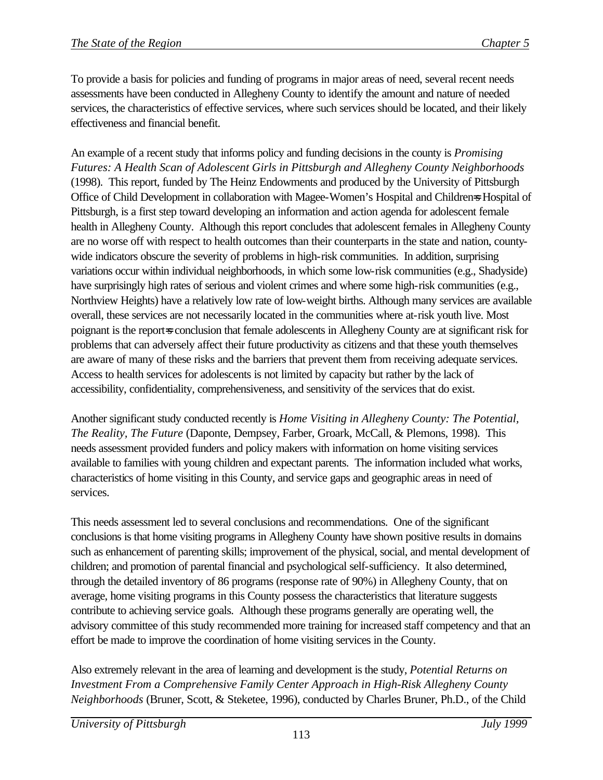To provide a basis for policies and funding of programs in major areas of need, several recent needs assessments have been conducted in Allegheny County to identify the amount and nature of needed services, the characteristics of effective services, where such services should be located, and their likely effectiveness and financial benefit.

An example of a recent study that informs policy and funding decisions in the county is *Promising Futures: A Health Scan of Adolescent Girls in Pittsburgh and Allegheny County Neighborhoods* (1998). This report, funded by The Heinz Endowments and produced by the University of Pittsburgh Office of Child Development in collaboration with Magee-Women's Hospital and Children=s Hospital of Pittsburgh, is a first step toward developing an information and action agenda for adolescent female health in Allegheny County. Although this report concludes that adolescent females in Allegheny County are no worse off with respect to health outcomes than their counterparts in the state and nation, countywide indicators obscure the severity of problems in high-risk communities. In addition, surprising variations occur within individual neighborhoods, in which some low-risk communities (e.g., Shadyside) have surprisingly high rates of serious and violent crimes and where some high-risk communities (e.g., Northview Heights) have a relatively low rate of low-weight births. Although many services are available overall, these services are not necessarily located in the communities where at-risk youth live. Most poignant is the report=s conclusion that female adolescents in Allegheny County are at significant risk for problems that can adversely affect their future productivity as citizens and that these youth themselves are aware of many of these risks and the barriers that prevent them from receiving adequate services. Access to health services for adolescents is not limited by capacity but rather by the lack of accessibility, confidentiality, comprehensiveness, and sensitivity of the services that do exist.

Another significant study conducted recently is *Home Visiting in Allegheny County: The Potential, The Reality, The Future* (Daponte, Dempsey, Farber, Groark, McCall, & Plemons, 1998). This needs assessment provided funders and policy makers with information on home visiting services available to families with young children and expectant parents. The information included what works, characteristics of home visiting in this County, and service gaps and geographic areas in need of services.

This needs assessment led to several conclusions and recommendations. One of the significant conclusions is that home visiting programs in Allegheny County have shown positive results in domains such as enhancement of parenting skills; improvement of the physical, social, and mental development of children; and promotion of parental financial and psychological self-sufficiency. It also determined, through the detailed inventory of 86 programs (response rate of 90%) in Allegheny County, that on average, home visiting programs in this County possess the characteristics that literature suggests contribute to achieving service goals. Although these programs generally are operating well, the advisory committee of this study recommended more training for increased staff competency and that an effort be made to improve the coordination of home visiting services in the County.

Also extremely relevant in the area of learning and development is the study, *Potential Returns on Investment From a Comprehensive Family Center Approach in High-Risk Allegheny County Neighborhoods* (Bruner, Scott, & Steketee, 1996), conducted by Charles Bruner, Ph.D., of the Child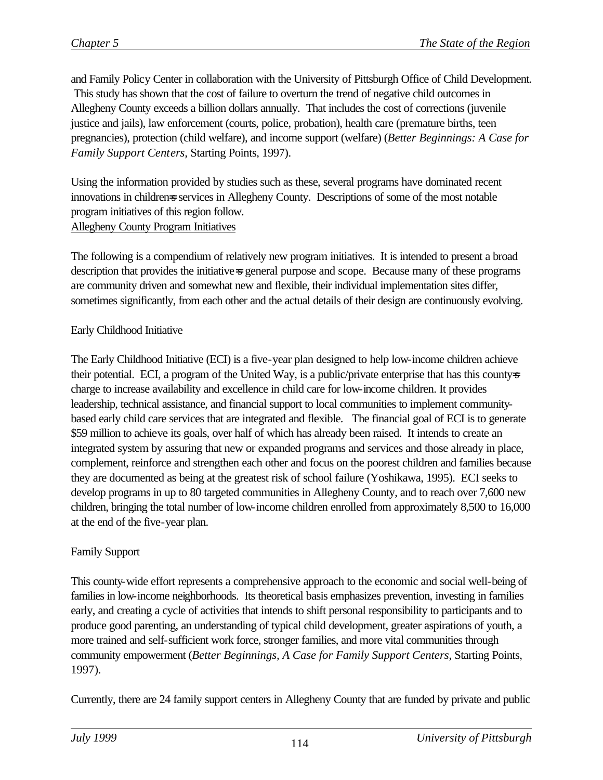and Family Policy Center in collaboration with the University of Pittsburgh Office of Child Development. This study has shown that the cost of failure to overturn the trend of negative child outcomes in Allegheny County exceeds a billion dollars annually. That includes the cost of corrections (juvenile justice and jails), law enforcement (courts, police, probation), health care (premature births, teen pregnancies), protection (child welfare), and income support (welfare) (*Better Beginnings: A Case for Family Support Centers,* Starting Points, 1997).

Using the information provided by studies such as these, several programs have dominated recent innovations in childrens services in Allegheny County. Descriptions of some of the most notable program initiatives of this region follow. Allegheny County Program Initiatives

The following is a compendium of relatively new program initiatives. It is intended to present a broad description that provides the initiative=s general purpose and scope. Because many of these programs are community driven and somewhat new and flexible, their individual implementation sites differ, sometimes significantly, from each other and the actual details of their design are continuously evolving.

## Early Childhood Initiative

The Early Childhood Initiative (ECI) is a five-year plan designed to help low-income children achieve their potential. ECI, a program of the United Way, is a public/private enterprise that has this county=s charge to increase availability and excellence in child care for low-income children. It provides leadership, technical assistance, and financial support to local communities to implement communitybased early child care services that are integrated and flexible. The financial goal of ECI is to generate \$59 million to achieve its goals, over half of which has already been raised. It intends to create an integrated system by assuring that new or expanded programs and services and those already in place, complement, reinforce and strengthen each other and focus on the poorest children and families because they are documented as being at the greatest risk of school failure (Yoshikawa, 1995). ECI seeks to develop programs in up to 80 targeted communities in Allegheny County, and to reach over 7,600 new children, bringing the total number of low-income children enrolled from approximately 8,500 to 16,000 at the end of the five-year plan.

## Family Support

This county-wide effort represents a comprehensive approach to the economic and social well-being of families in low-income neighborhoods. Its theoretical basis emphasizes prevention, investing in families early, and creating a cycle of activities that intends to shift personal responsibility to participants and to produce good parenting, an understanding of typical child development, greater aspirations of youth, a more trained and self-sufficient work force, stronger families, and more vital communities through community empowerment (*Better Beginnings, A Case for Family Support Centers*, Starting Points, 1997).

Currently, there are 24 family support centers in Allegheny County that are funded by private and public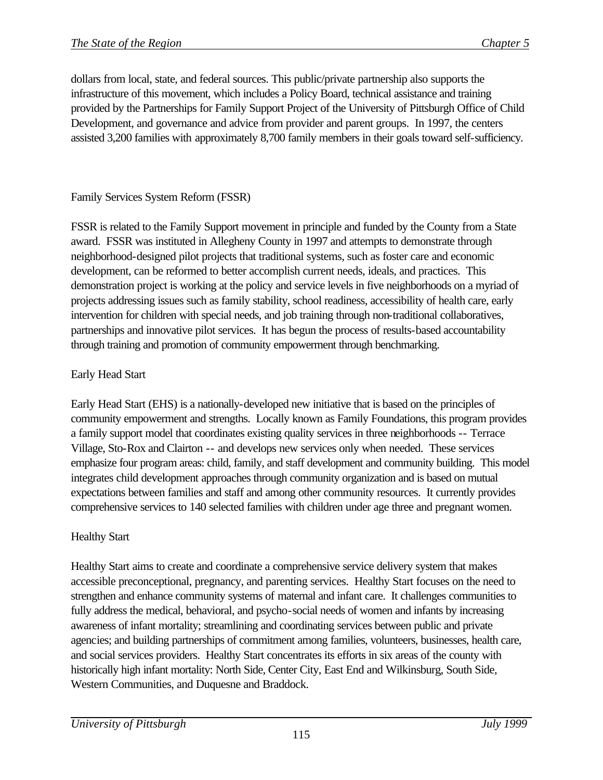dollars from local, state, and federal sources. This public/private partnership also supports the infrastructure of this movement, which includes a Policy Board, technical assistance and training provided by the Partnerships for Family Support Project of the University of Pittsburgh Office of Child Development, and governance and advice from provider and parent groups. In 1997, the centers assisted 3,200 families with approximately 8,700 family members in their goals toward self-sufficiency.

## Family Services System Reform (FSSR)

FSSR is related to the Family Support movement in principle and funded by the County from a State award. FSSR was instituted in Allegheny County in 1997 and attempts to demonstrate through neighborhood-designed pilot projects that traditional systems, such as foster care and economic development, can be reformed to better accomplish current needs, ideals, and practices. This demonstration project is working at the policy and service levels in five neighborhoods on a myriad of projects addressing issues such as family stability, school readiness, accessibility of health care, early intervention for children with special needs, and job training through non-traditional collaboratives, partnerships and innovative pilot services. It has begun the process of results-based accountability through training and promotion of community empowerment through benchmarking.

## Early Head Start

Early Head Start (EHS) is a nationally-developed new initiative that is based on the principles of community empowerment and strengths. Locally known as Family Foundations, this program provides a family support model that coordinates existing quality services in three neighborhoods -- Terrace Village, Sto-Rox and Clairton -- and develops new services only when needed. These services emphasize four program areas: child, family, and staff development and community building. This model integrates child development approaches through community organization and is based on mutual expectations between families and staff and among other community resources. It currently provides comprehensive services to 140 selected families with children under age three and pregnant women.

## Healthy Start

Healthy Start aims to create and coordinate a comprehensive service delivery system that makes accessible preconceptional, pregnancy, and parenting services. Healthy Start focuses on the need to strengthen and enhance community systems of maternal and infant care. It challenges communities to fully address the medical, behavioral, and psycho-social needs of women and infants by increasing awareness of infant mortality; streamlining and coordinating services between public and private agencies; and building partnerships of commitment among families, volunteers, businesses, health care, and social services providers. Healthy Start concentrates its efforts in six areas of the county with historically high infant mortality: North Side, Center City, East End and Wilkinsburg, South Side, Western Communities, and Duquesne and Braddock.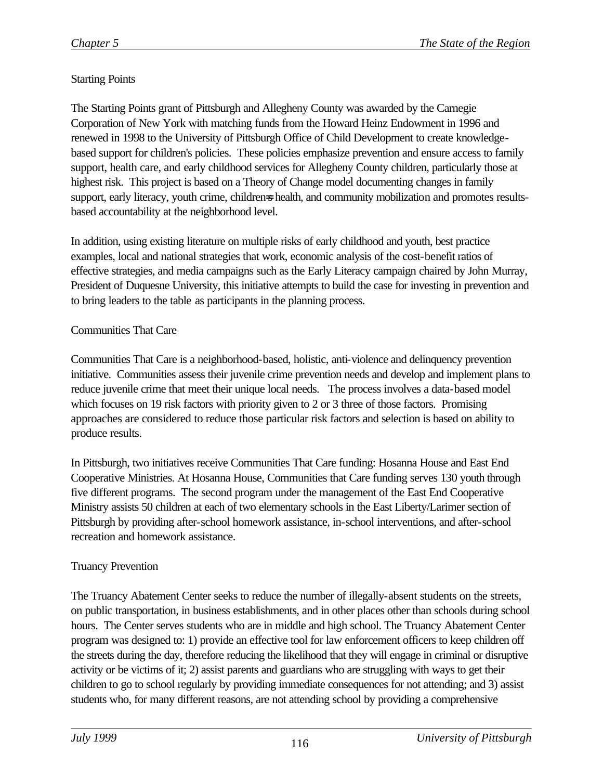# Starting Points

The Starting Points grant of Pittsburgh and Allegheny County was awarded by the Carnegie Corporation of New York with matching funds from the Howard Heinz Endowment in 1996 and renewed in 1998 to the University of Pittsburgh Office of Child Development to create knowledgebased support for children's policies. These policies emphasize prevention and ensure access to family support, health care, and early childhood services for Allegheny County children, particularly those at highest risk. This project is based on a Theory of Change model documenting changes in family support, early literacy, youth crime, childrens health, and community mobilization and promotes resultsbased accountability at the neighborhood level.

In addition, using existing literature on multiple risks of early childhood and youth, best practice examples, local and national strategies that work, economic analysis of the cost-benefit ratios of effective strategies, and media campaigns such as the Early Literacy campaign chaired by John Murray, President of Duquesne University, this initiative attempts to build the case for investing in prevention and to bring leaders to the table as participants in the planning process.

#### Communities That Care

Communities That Care is a neighborhood-based, holistic, anti-violence and delinquency prevention initiative. Communities assess their juvenile crime prevention needs and develop and implement plans to reduce juvenile crime that meet their unique local needs. The process involves a data-based model which focuses on 19 risk factors with priority given to 2 or 3 three of those factors. Promising approaches are considered to reduce those particular risk factors and selection is based on ability to produce results.

In Pittsburgh, two initiatives receive Communities That Care funding: Hosanna House and East End Cooperative Ministries. At Hosanna House, Communities that Care funding serves 130 youth through five different programs. The second program under the management of the East End Cooperative Ministry assists 50 children at each of two elementary schools in the East Liberty/Larimer section of Pittsburgh by providing after-school homework assistance, in-school interventions, and after-school recreation and homework assistance.

## Truancy Prevention

The Truancy Abatement Center seeks to reduce the number of illegally-absent students on the streets, on public transportation, in business establishments, and in other places other than schools during school hours. The Center serves students who are in middle and high school. The Truancy Abatement Center program was designed to: 1) provide an effective tool for law enforcement officers to keep children off the streets during the day, therefore reducing the likelihood that they will engage in criminal or disruptive activity or be victims of it; 2) assist parents and guardians who are struggling with ways to get their children to go to school regularly by providing immediate consequences for not attending; and 3) assist students who, for many different reasons, are not attending school by providing a comprehensive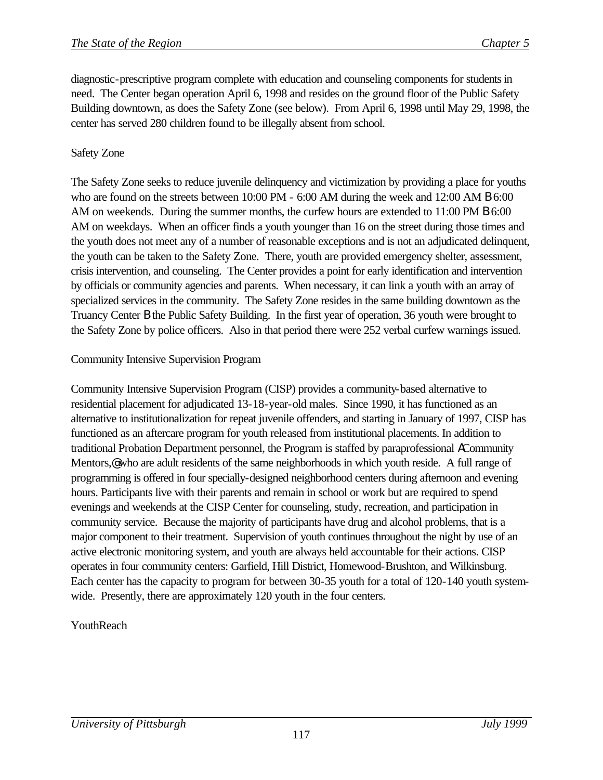diagnostic-prescriptive program complete with education and counseling components for students in need. The Center began operation April 6, 1998 and resides on the ground floor of the Public Safety Building downtown, as does the Safety Zone (see below). From April 6, 1998 until May 29, 1998, the center has served 280 children found to be illegally absent from school.

# Safety Zone

The Safety Zone seeks to reduce juvenile delinquency and victimization by providing a place for youths who are found on the streets between 10:00 PM - 6:00 AM during the week and 12:00 AM **B** 6:00 AM on weekends. During the summer months, the curfew hours are extended to 11:00 PM B 6:00 AM on weekdays. When an officer finds a youth younger than 16 on the street during those times and the youth does not meet any of a number of reasonable exceptions and is not an adjudicated delinquent, the youth can be taken to the Safety Zone. There, youth are provided emergency shelter, assessment, crisis intervention, and counseling. The Center provides a point for early identification and intervention by officials or community agencies and parents. When necessary, it can link a youth with an array of specialized services in the community. The Safety Zone resides in the same building downtown as the Truancy Center B the Public Safety Building. In the first year of operation, 36 youth were brought to the Safety Zone by police officers. Also in that period there were 252 verbal curfew warnings issued.

## Community Intensive Supervision Program

Community Intensive Supervision Program (CISP) provides a community-based alternative to residential placement for adjudicated 13-18-year-old males. Since 1990, it has functioned as an alternative to institutionalization for repeat juvenile offenders, and starting in January of 1997, CISP has functioned as an aftercare program for youth released from institutional placements. In addition to traditional Probation Department personnel, the Program is staffed by paraprofessional ACommunity Mentors,<sup>@</sup> who are adult residents of the same neighborhoods in which youth reside. A full range of programming is offered in four specially-designed neighborhood centers during afternoon and evening hours. Participants live with their parents and remain in school or work but are required to spend evenings and weekends at the CISP Center for counseling, study, recreation, and participation in community service. Because the majority of participants have drug and alcohol problems, that is a major component to their treatment. Supervision of youth continues throughout the night by use of an active electronic monitoring system, and youth are always held accountable for their actions. CISP operates in four community centers: Garfield, Hill District, Homewood-Brushton, and Wilkinsburg. Each center has the capacity to program for between 30-35 youth for a total of 120-140 youth systemwide. Presently, there are approximately 120 youth in the four centers.

# YouthReach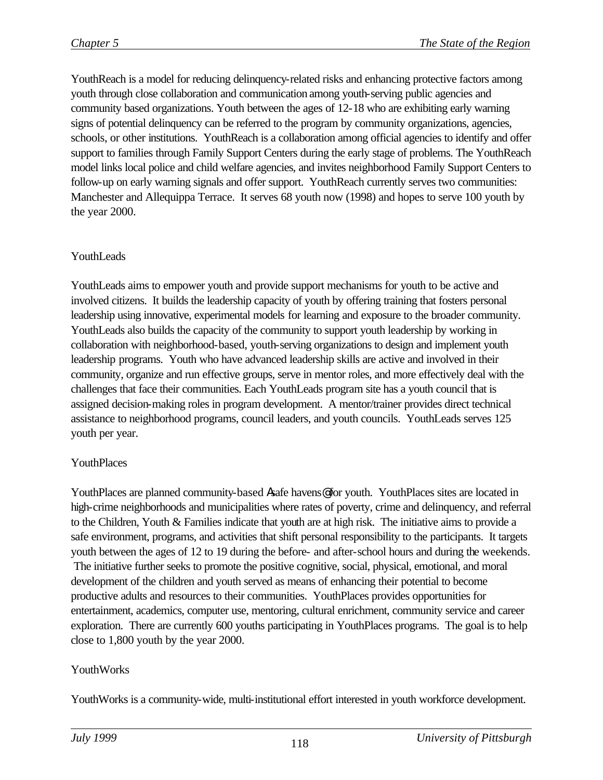YouthReach is a model for reducing delinquency-related risks and enhancing protective factors among youth through close collaboration and communication among youth-serving public agencies and community based organizations. Youth between the ages of 12-18 who are exhibiting early warning signs of potential delinquency can be referred to the program by community organizations, agencies, schools, or other institutions. YouthReach is a collaboration among official agencies to identify and offer support to families through Family Support Centers during the early stage of problems. The YouthReach model links local police and child welfare agencies, and invites neighborhood Family Support Centers to follow-up on early warning signals and offer support. YouthReach currently serves two communities: Manchester and Allequippa Terrace. It serves 68 youth now (1998) and hopes to serve 100 youth by the year 2000.

#### YouthLeads

YouthLeads aims to empower youth and provide support mechanisms for youth to be active and involved citizens. It builds the leadership capacity of youth by offering training that fosters personal leadership using innovative, experimental models for learning and exposure to the broader community. YouthLeads also builds the capacity of the community to support youth leadership by working in collaboration with neighborhood-based, youth-serving organizations to design and implement youth leadership programs. Youth who have advanced leadership skills are active and involved in their community, organize and run effective groups, serve in mentor roles, and more effectively deal with the challenges that face their communities. Each YouthLeads program site has a youth council that is assigned decision-making roles in program development. A mentor/trainer provides direct technical assistance to neighborhood programs, council leaders, and youth councils. YouthLeads serves 125 youth per year.

## YouthPlaces

YouthPlaces are planned community-based Asafe havens@ for youth. YouthPlaces sites are located in high-crime neighborhoods and municipalities where rates of poverty, crime and delinquency, and referral to the Children, Youth & Families indicate that youth are at high risk. The initiative aims to provide a safe environment, programs, and activities that shift personal responsibility to the participants. It targets youth between the ages of 12 to 19 during the before- and after-school hours and during the weekends. The initiative further seeks to promote the positive cognitive, social, physical, emotional, and moral development of the children and youth served as means of enhancing their potential to become productive adults and resources to their communities. YouthPlaces provides opportunities for entertainment, academics, computer use, mentoring, cultural enrichment, community service and career exploration. There are currently 600 youths participating in YouthPlaces programs. The goal is to help close to 1,800 youth by the year 2000.

#### YouthWorks

YouthWorks is a community-wide, multi-institutional effort interested in youth workforce development.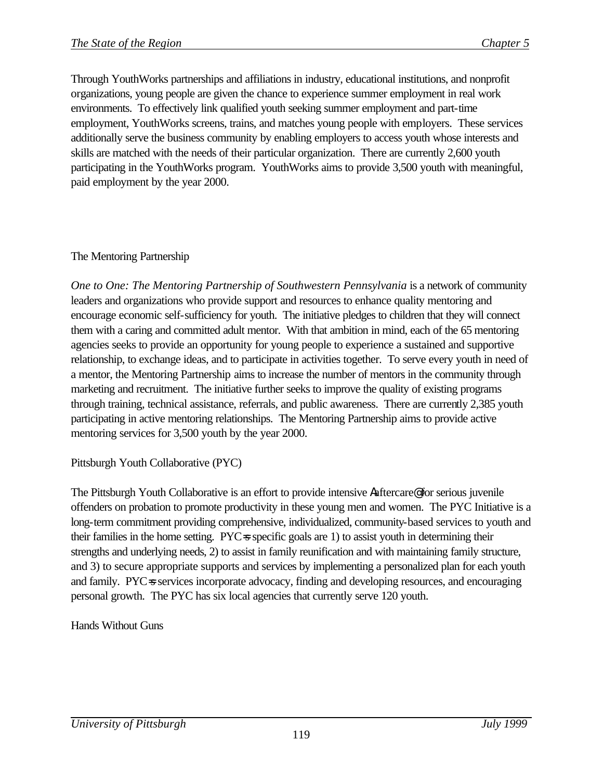Through YouthWorks partnerships and affiliations in industry, educational institutions, and nonprofit organizations, young people are given the chance to experience summer employment in real work environments. To effectively link qualified youth seeking summer employment and part-time employment, YouthWorks screens, trains, and matches young people with employers. These services additionally serve the business community by enabling employers to access youth whose interests and skills are matched with the needs of their particular organization. There are currently 2,600 youth participating in the YouthWorks program. YouthWorks aims to provide 3,500 youth with meaningful, paid employment by the year 2000.

## The Mentoring Partnership

*One to One: The Mentoring Partnership of Southwestern Pennsylvania* is a network of community leaders and organizations who provide support and resources to enhance quality mentoring and encourage economic self-sufficiency for youth. The initiative pledges to children that they will connect them with a caring and committed adult mentor. With that ambition in mind, each of the 65 mentoring agencies seeks to provide an opportunity for young people to experience a sustained and supportive relationship, to exchange ideas, and to participate in activities together. To serve every youth in need of a mentor, the Mentoring Partnership aims to increase the number of mentors in the community through marketing and recruitment. The initiative further seeks to improve the quality of existing programs through training, technical assistance, referrals, and public awareness. There are currently 2,385 youth participating in active mentoring relationships. The Mentoring Partnership aims to provide active mentoring services for 3,500 youth by the year 2000.

Pittsburgh Youth Collaborative (PYC)

The Pittsburgh Youth Collaborative is an effort to provide intensive Aaftercare@ for serious juvenile offenders on probation to promote productivity in these young men and women. The PYC Initiative is a long-term commitment providing comprehensive, individualized, community-based services to youth and their families in the home setting.  $\text{PYC}$  specific goals are 1) to assist youth in determining their strengths and underlying needs, 2) to assist in family reunification and with maintaining family structure, and 3) to secure appropriate supports and services by implementing a personalized plan for each youth and family. PYC=s services incorporate advocacy, finding and developing resources, and encouraging personal growth. The PYC has six local agencies that currently serve 120 youth.

Hands Without Guns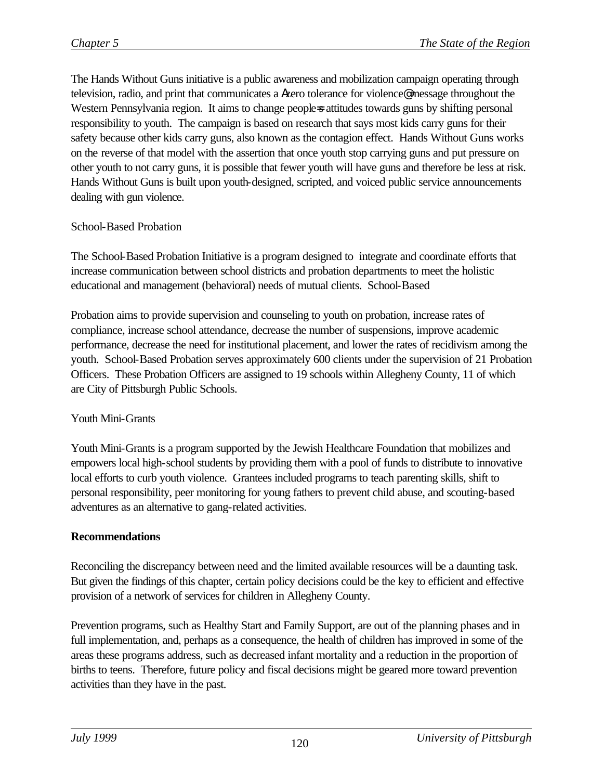The Hands Without Guns initiative is a public awareness and mobilization campaign operating through television, radio, and print that communicates a Azero tolerance for violence@ message throughout the Western Pennsylvania region. It aims to change peoples attitudes towards guns by shifting personal responsibility to youth. The campaign is based on research that says most kids carry guns for their safety because other kids carry guns, also known as the contagion effect. Hands Without Guns works on the reverse of that model with the assertion that once youth stop carrying guns and put pressure on other youth to not carry guns, it is possible that fewer youth will have guns and therefore be less at risk. Hands Without Guns is built upon youth-designed, scripted, and voiced public service announcements dealing with gun violence.

#### School-Based Probation

The School-Based Probation Initiative is a program designed to integrate and coordinate efforts that increase communication between school districts and probation departments to meet the holistic educational and management (behavioral) needs of mutual clients. School-Based

Probation aims to provide supervision and counseling to youth on probation, increase rates of compliance, increase school attendance, decrease the number of suspensions, improve academic performance, decrease the need for institutional placement, and lower the rates of recidivism among the youth. School-Based Probation serves approximately 600 clients under the supervision of 21 Probation Officers. These Probation Officers are assigned to 19 schools within Allegheny County, 11 of which are City of Pittsburgh Public Schools.

#### Youth Mini-Grants

Youth Mini-Grants is a program supported by the Jewish Healthcare Foundation that mobilizes and empowers local high-school students by providing them with a pool of funds to distribute to innovative local efforts to curb youth violence. Grantees included programs to teach parenting skills, shift to personal responsibility, peer monitoring for young fathers to prevent child abuse, and scouting-based adventures as an alternative to gang-related activities.

#### **Recommendations**

Reconciling the discrepancy between need and the limited available resources will be a daunting task. But given the findings of this chapter, certain policy decisions could be the key to efficient and effective provision of a network of services for children in Allegheny County.

Prevention programs, such as Healthy Start and Family Support, are out of the planning phases and in full implementation, and, perhaps as a consequence, the health of children has improved in some of the areas these programs address, such as decreased infant mortality and a reduction in the proportion of births to teens. Therefore, future policy and fiscal decisions might be geared more toward prevention activities than they have in the past.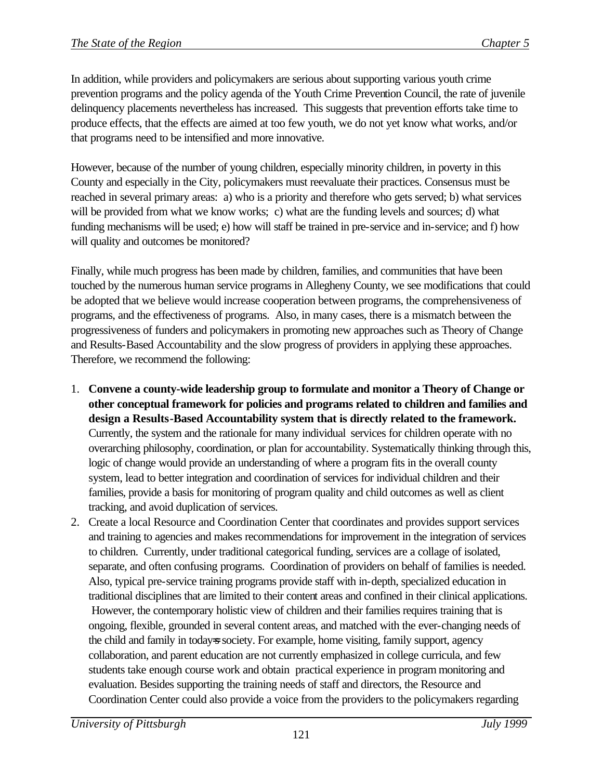In addition, while providers and policymakers are serious about supporting various youth crime prevention programs and the policy agenda of the Youth Crime Prevention Council, the rate of juvenile delinquency placements nevertheless has increased. This suggests that prevention efforts take time to produce effects, that the effects are aimed at too few youth, we do not yet know what works, and/or that programs need to be intensified and more innovative.

However, because of the number of young children, especially minority children, in poverty in this County and especially in the City, policymakers must reevaluate their practices. Consensus must be reached in several primary areas: a) who is a priority and therefore who gets served; b) what services will be provided from what we know works; c) what are the funding levels and sources; d) what funding mechanisms will be used; e) how will staff be trained in pre-service and in-service; and f) how will quality and outcomes be monitored?

Finally, while much progress has been made by children, families, and communities that have been touched by the numerous human service programs in Allegheny County, we see modifications that could be adopted that we believe would increase cooperation between programs, the comprehensiveness of programs, and the effectiveness of programs. Also, in many cases, there is a mismatch between the progressiveness of funders and policymakers in promoting new approaches such as Theory of Change and Results-Based Accountability and the slow progress of providers in applying these approaches. Therefore, we recommend the following:

- 1. **Convene a county-wide leadership group to formulate and monitor a Theory of Change or other conceptual framework for policies and programs related to children and families and design a Results-Based Accountability system that is directly related to the framework.** Currently, the system and the rationale for many individual services for children operate with no overarching philosophy, coordination, or plan for accountability. Systematically thinking through this, logic of change would provide an understanding of where a program fits in the overall county system, lead to better integration and coordination of services for individual children and their families, provide a basis for monitoring of program quality and child outcomes as well as client tracking, and avoid duplication of services.
- 2. Create a local Resource and Coordination Center that coordinates and provides support services and training to agencies and makes recommendations for improvement in the integration of services to children. Currently, under traditional categorical funding, services are a collage of isolated, separate, and often confusing programs. Coordination of providers on behalf of families is needed. Also, typical pre-service training programs provide staff with in-depth, specialized education in traditional disciplines that are limited to their content areas and confined in their clinical applications. However, the contemporary holistic view of children and their families requires training that is ongoing, flexible, grounded in several content areas, and matched with the ever-changing needs of the child and family in todays society. For example, home visiting, family support, agency collaboration, and parent education are not currently emphasized in college curricula, and few students take enough course work and obtain practical experience in program monitoring and evaluation. Besides supporting the training needs of staff and directors, the Resource and Coordination Center could also provide a voice from the providers to the policymakers regarding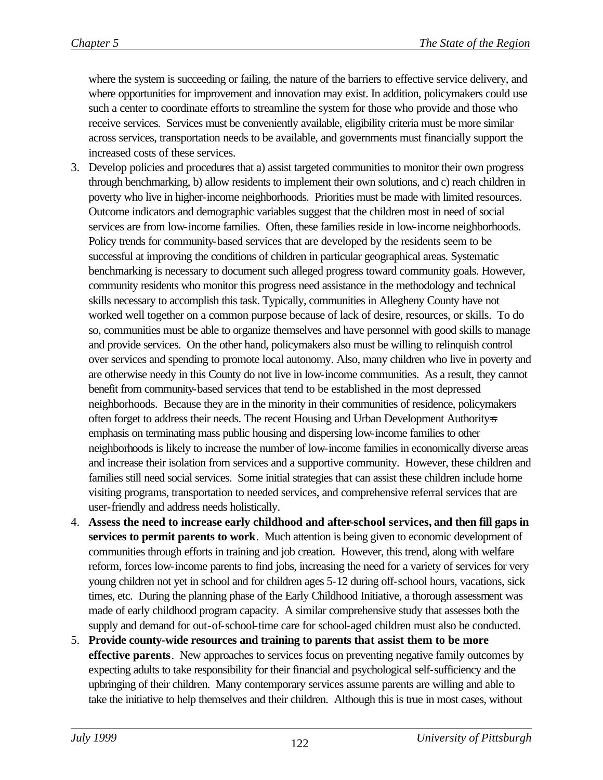where the system is succeeding or failing, the nature of the barriers to effective service delivery, and where opportunities for improvement and innovation may exist. In addition, policymakers could use such a center to coordinate efforts to streamline the system for those who provide and those who receive services. Services must be conveniently available, eligibility criteria must be more similar across services, transportation needs to be available, and governments must financially support the increased costs of these services.

- 3. Develop policies and procedures that a) assist targeted communities to monitor their own progress through benchmarking, b) allow residents to implement their own solutions, and c) reach children in poverty who live in higher-income neighborhoods. Priorities must be made with limited resources. Outcome indicators and demographic variables suggest that the children most in need of social services are from low-income families. Often, these families reside in low-income neighborhoods. Policy trends for community-based services that are developed by the residents seem to be successful at improving the conditions of children in particular geographical areas. Systematic benchmarking is necessary to document such alleged progress toward community goals. However, community residents who monitor this progress need assistance in the methodology and technical skills necessary to accomplish this task. Typically, communities in Allegheny County have not worked well together on a common purpose because of lack of desire, resources, or skills. To do so, communities must be able to organize themselves and have personnel with good skills to manage and provide services. On the other hand, policymakers also must be willing to relinquish control over services and spending to promote local autonomy. Also, many children who live in poverty and are otherwise needy in this County do not live in low-income communities. As a result, they cannot benefit from community-based services that tend to be established in the most depressed neighborhoods. Because they are in the minority in their communities of residence, policymakers often forget to address their needs. The recent Housing and Urban Development Authority emphasis on terminating mass public housing and dispersing low-income families to other neighborhoods is likely to increase the number of low-income families in economically diverse areas and increase their isolation from services and a supportive community. However, these children and families still need social services. Some initial strategies that can assist these children include home visiting programs, transportation to needed services, and comprehensive referral services that are user-friendly and address needs holistically.
- 4. **Assess the need to increase early childhood and after-school services, and then fill gaps in services to permit parents to work**. Much attention is being given to economic development of communities through efforts in training and job creation. However, this trend, along with welfare reform, forces low-income parents to find jobs, increasing the need for a variety of services for very young children not yet in school and for children ages 5-12 during off-school hours, vacations, sick times, etc. During the planning phase of the Early Childhood Initiative, a thorough assessment was made of early childhood program capacity. A similar comprehensive study that assesses both the supply and demand for out-of-school-time care for school-aged children must also be conducted.
- 5. **Provide county-wide resources and training to parents that assist them to be more effective parents**. New approaches to services focus on preventing negative family outcomes by expecting adults to take responsibility for their financial and psychological self-sufficiency and the upbringing of their children. Many contemporary services assume parents are willing and able to take the initiative to help themselves and their children. Although this is true in most cases, without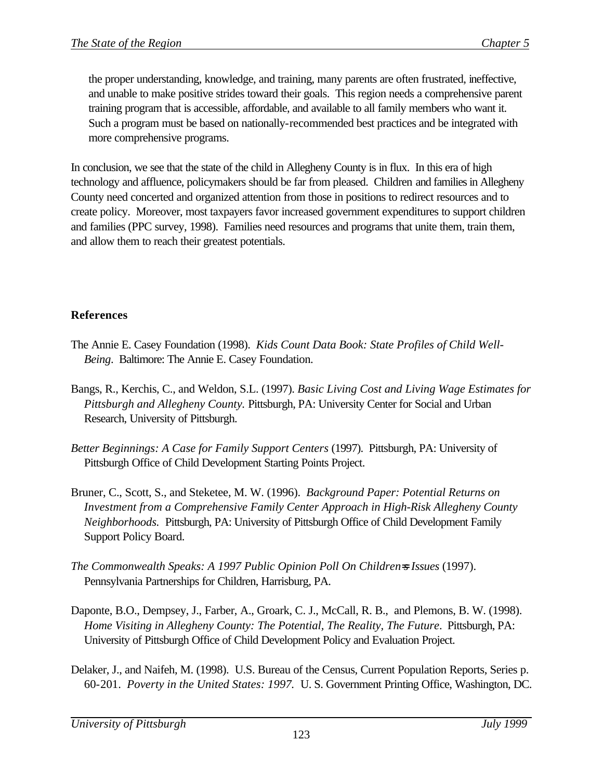the proper understanding, knowledge, and training, many parents are often frustrated, ineffective, and unable to make positive strides toward their goals. This region needs a comprehensive parent training program that is accessible, affordable, and available to all family members who want it. Such a program must be based on nationally-recommended best practices and be integrated with more comprehensive programs.

In conclusion, we see that the state of the child in Allegheny County is in flux. In this era of high technology and affluence, policymakers should be far from pleased. Children and families in Allegheny County need concerted and organized attention from those in positions to redirect resources and to create policy. Moreover, most taxpayers favor increased government expenditures to support children and families (PPC survey, 1998). Families need resources and programs that unite them, train them, and allow them to reach their greatest potentials.

## **References**

- The Annie E. Casey Foundation (1998). *Kids Count Data Book: State Profiles of Child Well-Being*. Baltimore: The Annie E. Casey Foundation.
- Bangs, R., Kerchis, C., and Weldon, S.L. (1997). *Basic Living Cost and Living Wage Estimates for Pittsburgh and Allegheny County.* Pittsburgh, PA: University Center for Social and Urban Research, University of Pittsburgh.
- *Better Beginnings: A Case for Family Support Centers* (1997). Pittsburgh, PA: University of Pittsburgh Office of Child Development Starting Points Project.
- Bruner, C., Scott, S., and Steketee, M. W. (1996). *Background Paper: Potential Returns on Investment from a Comprehensive Family Center Approach in High-Risk Allegheny County Neighborhoods.* Pittsburgh, PA: University of Pittsburgh Office of Child Development Family Support Policy Board.
- *The Commonwealth Speaks: A 1997 Public Opinion Poll On Children=s Issues* (1997). Pennsylvania Partnerships for Children, Harrisburg, PA.
- Daponte, B.O., Dempsey, J., Farber, A., Groark, C. J., McCall, R. B., and Plemons, B. W. (1998). *Home Visiting in Allegheny County: The Potential, The Reality, The Future*. Pittsburgh, PA: University of Pittsburgh Office of Child Development Policy and Evaluation Project.
- Delaker, J., and Naifeh, M. (1998). U.S. Bureau of the Census, Current Population Reports, Series p. 60-201. *Poverty in the United States: 1997.* U. S. Government Printing Office, Washington, DC.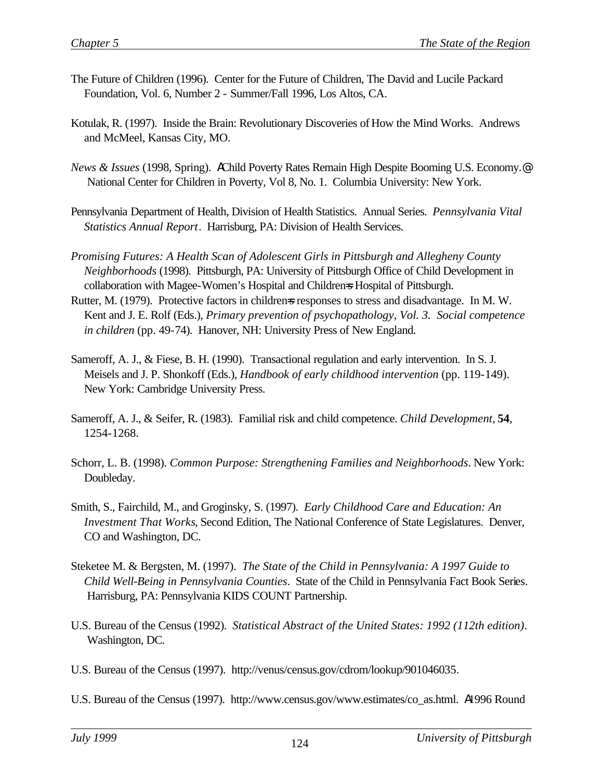- The Future of Children (1996). Center for the Future of Children, The David and Lucile Packard Foundation, Vol. 6, Number 2 - Summer/Fall 1996, Los Altos, CA.
- Kotulak, R. (1997). Inside the Brain: Revolutionary Discoveries of How the Mind Works. Andrews and McMeel, Kansas City, MO.
- *News & Issues* (1998, Spring). AChild Poverty Rates Remain High Despite Booming U.S. Economy.@ National Center for Children in Poverty, Vol 8, No. 1. Columbia University: New York.
- Pennsylvania Department of Health, Division of Health Statistics. Annual Series. *Pennsylvania Vital Statistics Annual Report*. Harrisburg, PA: Division of Health Services.
- *Promising Futures: A Health Scan of Adolescent Girls in Pittsburgh and Allegheny County Neighborhoods* (1998). Pittsburgh, PA: University of Pittsburgh Office of Child Development in collaboration with Magee-Women's Hospital and Children=s Hospital of Pittsburgh.
- Rutter, M. (1979). Protective factors in childrens responses to stress and disadvantage. In M. W. Kent and J. E. Rolf (Eds.), *Primary prevention of psychopathology, Vol. 3. Social competence in children* (pp. 49-74). Hanover, NH: University Press of New England.
- Sameroff, A. J., & Fiese, B. H. (1990). Transactional regulation and early intervention. In S. J. Meisels and J. P. Shonkoff (Eds.), *Handbook of early childhood intervention* (pp. 119-149). New York: Cambridge University Press.
- Sameroff, A. J., & Seifer, R. (1983). Familial risk and child competence. *Child Development,* **54**, 1254-1268.
- Schorr, L. B. (1998). *Common Purpose: Strengthening Families and Neighborhoods*. New York: Doubleday.
- Smith, S., Fairchild, M., and Groginsky, S. (1997). *Early Childhood Care and Education: An Investment That Works*, Second Edition, The National Conference of State Legislatures. Denver, CO and Washington, DC.
- Steketee M. & Bergsten, M. (1997). *The State of the Child in Pennsylvania: A 1997 Guide to Child Well-Being in Pennsylvania Counties*. State of the Child in Pennsylvania Fact Book Series. Harrisburg, PA: Pennsylvania KIDS COUNT Partnership.
- U.S. Bureau of the Census (1992). *Statistical Abstract of the United States: 1992 (112th edition)*. Washington, DC.
- U.S. Bureau of the Census (1997). http://venus/census.gov/cdrom/lookup/901046035.
- U.S. Bureau of the Census (1997). http://www.census.gov/www.estimates/co\_as.html. A1996 Round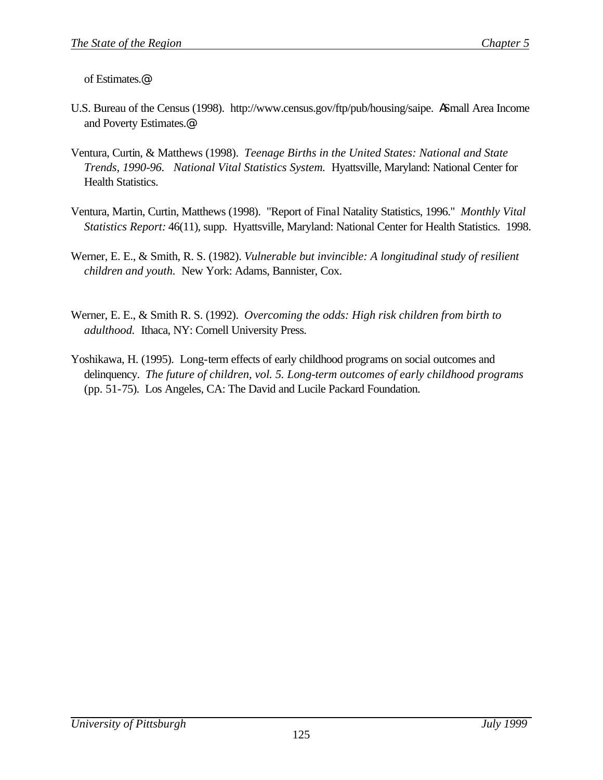of Estimates.@

- U.S. Bureau of the Census (1998). http://www.census.gov/ftp/pub/housing/saipe. ASmall Area Income and Poverty Estimates.@
- Ventura, Curtin, & Matthews (1998). *Teenage Births in the United States: National and State Trends, 1990-96. National Vital Statistics System.* Hyattsville, Maryland: National Center for Health Statistics.
- Ventura, Martin, Curtin, Matthews (1998). "Report of Final Natality Statistics, 1996." *Monthly Vital Statistics Report:* 46(11), supp. Hyattsville, Maryland: National Center for Health Statistics. 1998.
- Werner, E. E., & Smith, R. S. (1982). *Vulnerable but invincible: A longitudinal study of resilient children and youth.* New York: Adams, Bannister, Cox.
- Werner, E. E., & Smith R. S. (1992). *Overcoming the odds: High risk children from birth to adulthood.* Ithaca, NY: Cornell University Press.
- Yoshikawa, H. (1995). Long-term effects of early childhood programs on social outcomes and delinquency. *The future of children, vol. 5. Long-term outcomes of early childhood programs* (pp. 51-75). Los Angeles, CA: The David and Lucile Packard Foundation.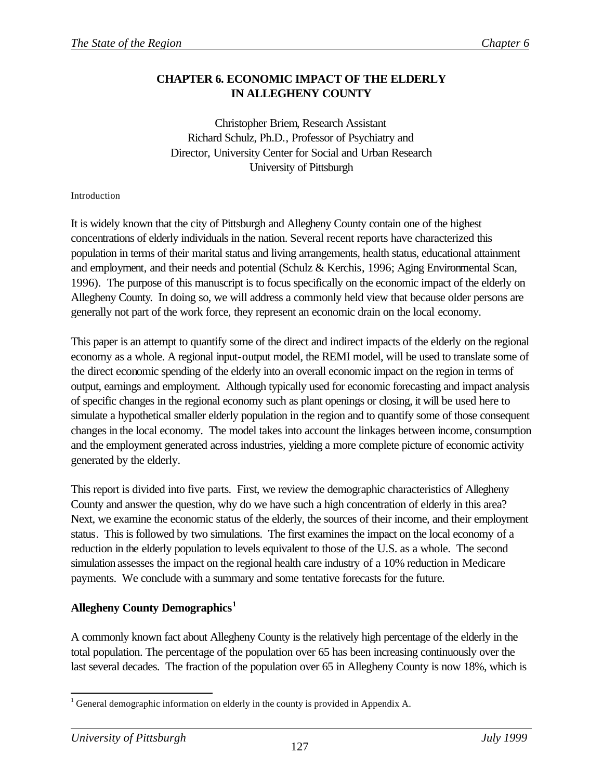## **CHAPTER 6. ECONOMIC IMPACT OF THE ELDERLY IN ALLEGHENY COUNTY**

Christopher Briem, Research Assistant Richard Schulz, Ph.D., Professor of Psychiatry and Director, University Center for Social and Urban Research University of Pittsburgh

#### Introduction

It is widely known that the city of Pittsburgh and Allegheny County contain one of the highest concentrations of elderly individuals in the nation. Several recent reports have characterized this population in terms of their marital status and living arrangements, health status, educational attainment and employment, and their needs and potential (Schulz & Kerchis, 1996; Aging Environmental Scan, 1996). The purpose of this manuscript is to focus specifically on the economic impact of the elderly on Allegheny County. In doing so, we will address a commonly held view that because older persons are generally not part of the work force, they represent an economic drain on the local economy.

This paper is an attempt to quantify some of the direct and indirect impacts of the elderly on the regional economy as a whole. A regional input-output model, the REMI model, will be used to translate some of the direct economic spending of the elderly into an overall economic impact on the region in terms of output, earnings and employment. Although typically used for economic forecasting and impact analysis of specific changes in the regional economy such as plant openings or closing, it will be used here to simulate a hypothetical smaller elderly population in the region and to quantify some of those consequent changes in the local economy. The model takes into account the linkages between income, consumption and the employment generated across industries, yielding a more complete picture of economic activity generated by the elderly.

This report is divided into five parts. First, we review the demographic characteristics of Allegheny County and answer the question, why do we have such a high concentration of elderly in this area? Next, we examine the economic status of the elderly, the sources of their income, and their employment status. This is followed by two simulations. The first examines the impact on the local economy of a reduction in the elderly population to levels equivalent to those of the U.S. as a whole. The second simulation assesses the impact on the regional health care industry of a 10% reduction in Medicare payments. We conclude with a summary and some tentative forecasts for the future.

#### **Allegheny County Demographics<sup>1</sup>**

A commonly known fact about Allegheny County is the relatively high percentage of the elderly in the total population. The percentage of the population over 65 has been increasing continuously over the last several decades. The fraction of the population over 65 in Allegheny County is now 18%, which is

l

<sup>&</sup>lt;sup>1</sup> General demographic information on elderly in the county is provided in Appendix A.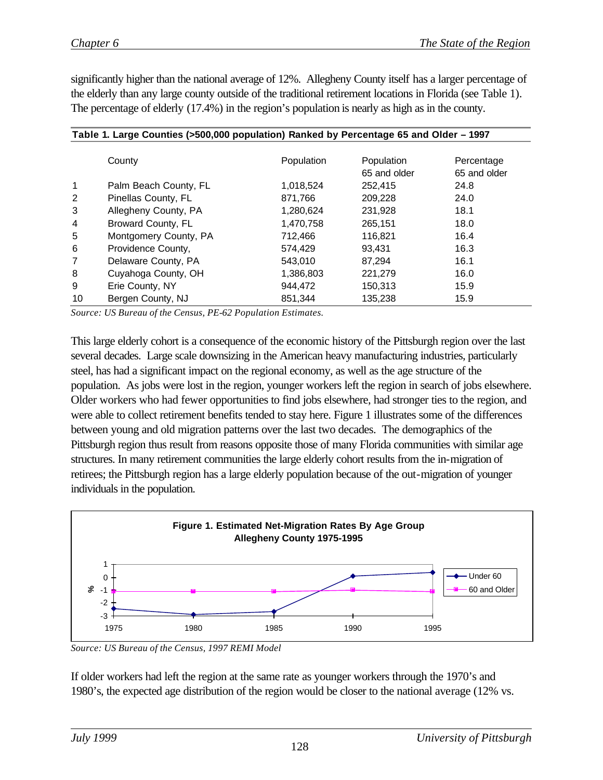significantly higher than the national average of 12%. Allegheny County itself has a larger percentage of the elderly than any large county outside of the traditional retirement locations in Florida (see Table 1). The percentage of elderly (17.4%) in the region's population is nearly as high as in the county.

|              | Table 1. Large Counties (>500,000 population) Ranked by Percentage 65 and Older - 1997 |            |              |              |  |  |  |
|--------------|----------------------------------------------------------------------------------------|------------|--------------|--------------|--|--|--|
|              | County                                                                                 | Population | Population   | Percentage   |  |  |  |
|              |                                                                                        |            | 65 and older | 65 and older |  |  |  |
| $\mathbf{1}$ | Palm Beach County, FL                                                                  | 1,018,524  | 252,415      | 24.8         |  |  |  |
| 2            | Pinellas County, FL                                                                    | 871.766    | 209,228      | 24.0         |  |  |  |
| 3            | Allegheny County, PA                                                                   | 1,280,624  | 231,928      | 18.1         |  |  |  |
| 4            | Broward County, FL                                                                     | 1,470,758  | 265,151      | 18.0         |  |  |  |
| 5            | Montgomery County, PA                                                                  | 712,466    | 116,821      | 16.4         |  |  |  |
| 6            | Providence County,                                                                     | 574,429    | 93.431       | 16.3         |  |  |  |
| 7            | Delaware County, PA                                                                    | 543.010    | 87.294       | 16.1         |  |  |  |
| 8            | Cuyahoga County, OH                                                                    | 1,386,803  | 221,279      | 16.0         |  |  |  |
| 9            | Erie County, NY                                                                        | 944.472    | 150,313      | 15.9         |  |  |  |
| 10           | Bergen County, NJ                                                                      | 851.344    | 135,238      | 15.9         |  |  |  |

*Source: US Bureau of the Census, PE-62 Population Estimates.*

This large elderly cohort is a consequence of the economic history of the Pittsburgh region over the last several decades. Large scale downsizing in the American heavy manufacturing industries, particularly steel, has had a significant impact on the regional economy, as well as the age structure of the population. As jobs were lost in the region, younger workers left the region in search of jobs elsewhere. Older workers who had fewer opportunities to find jobs elsewhere, had stronger ties to the region, and were able to collect retirement benefits tended to stay here. Figure 1 illustrates some of the differences between young and old migration patterns over the last two decades. The demographics of the Pittsburgh region thus result from reasons opposite those of many Florida communities with similar age structures. In many retirement communities the large elderly cohort results from the in-migration of retirees; the Pittsburgh region has a large elderly population because of the out-migration of younger individuals in the population.



*Source: US Bureau of the Census, 1997 REMI Model*

If older workers had left the region at the same rate as younger workers through the 1970's and 1980's, the expected age distribution of the region would be closer to the national average (12% vs.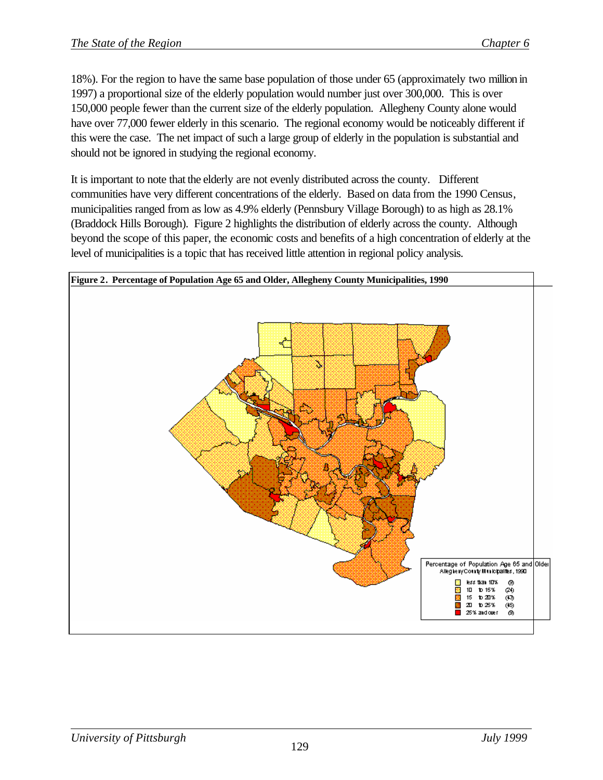18%). For the region to have the same base population of those under 65 (approximately two million in 1997) a proportional size of the elderly population would number just over 300,000. This is over 150,000 people fewer than the current size of the elderly population. Allegheny County alone would have over 77,000 fewer elderly in this scenario. The regional economy would be noticeably different if this were the case. The net impact of such a large group of elderly in the population is substantial and should not be ignored in studying the regional economy.

It is important to note that the elderly are not evenly distributed across the county. Different communities have very different concentrations of the elderly. Based on data from the 1990 Census, municipalities ranged from as low as 4.9% elderly (Pennsbury Village Borough) to as high as 28.1% (Braddock Hills Borough). Figure 2 highlights the distribution of elderly across the county. Although beyond the scope of this paper, the economic costs and benefits of a high concentration of elderly at the level of municipalities is a topic that has received little attention in regional policy analysis.

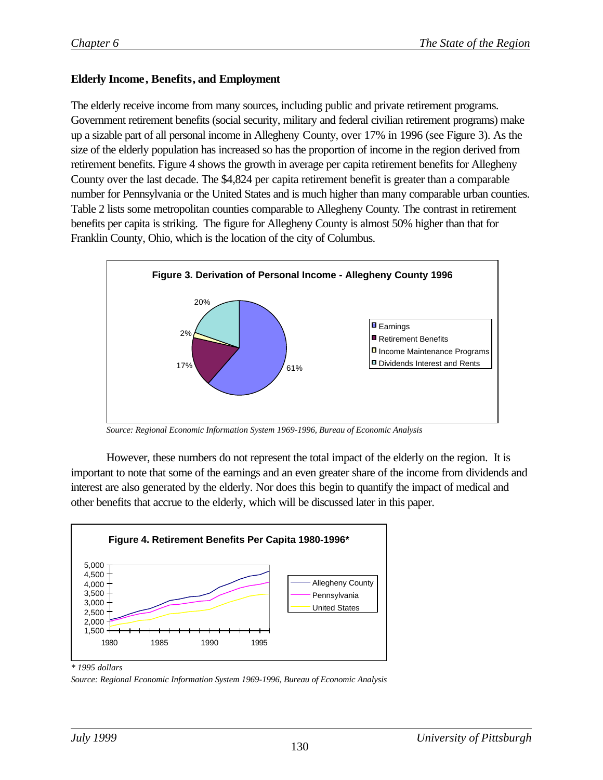#### **Elderly Income, Benefits, and Employment**

The elderly receive income from many sources, including public and private retirement programs. Government retirement benefits (social security, military and federal civilian retirement programs) make up a sizable part of all personal income in Allegheny County, over 17% in 1996 (see Figure 3). As the size of the elderly population has increased so has the proportion of income in the region derived from retirement benefits. Figure 4 shows the growth in average per capita retirement benefits for Allegheny County over the last decade. The \$4,824 per capita retirement benefit is greater than a comparable number for Pennsylvania or the United States and is much higher than many comparable urban counties. Table 2 lists some metropolitan counties comparable to Allegheny County. The contrast in retirement benefits per capita is striking. The figure for Allegheny County is almost 50% higher than that for Franklin County, Ohio, which is the location of the city of Columbus.



*Source: Regional Economic Information System 1969-1996, Bureau of Economic Analysis*

However, these numbers do not represent the total impact of the elderly on the region. It is important to note that some of the earnings and an even greater share of the income from dividends and interest are also generated by the elderly. Nor does this begin to quantify the impact of medical and other benefits that accrue to the elderly, which will be discussed later in this paper.



*\* 1995 dollars*

*Source: Regional Economic Information System 1969-1996, Bureau of Economic Analysis*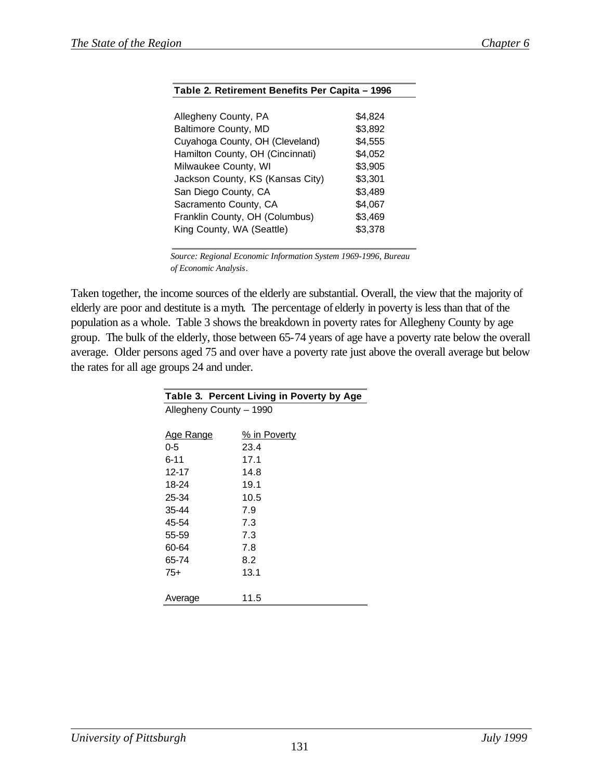| \$4,824 |
|---------|
| \$3,892 |
| \$4,555 |
| \$4,052 |
| \$3,905 |
| \$3,301 |
| \$3,489 |
| \$4,067 |
| \$3,469 |
| \$3,378 |
|         |

**Table 2. Retirement Benefits Per Capita – 1996**

 *Source: Regional Economic Information System 1969-1996, Bureau of Economic Analysis.*

Taken together, the income sources of the elderly are substantial. Overall, the view that the majority of elderly are poor and destitute is a myth. The percentage of elderly in poverty is less than that of the population as a whole. Table 3 shows the breakdown in poverty rates for Allegheny County by age group. The bulk of the elderly, those between 65-74 years of age have a poverty rate below the overall average. Older persons aged 75 and over have a poverty rate just above the overall average but below the rates for all age groups 24 and under.

| Table 3. Percent Living in Poverty by Age |              |  |  |  |
|-------------------------------------------|--------------|--|--|--|
| Allegheny County - 1990                   |              |  |  |  |
|                                           |              |  |  |  |
| <b>Age Range</b>                          | % in Poverty |  |  |  |
| $0 - 5$                                   | 23.4         |  |  |  |
| $6 - 11$                                  | 17.1         |  |  |  |
| 12-17                                     | 14.8         |  |  |  |
| 18-24                                     | 19.1         |  |  |  |
| 25-34                                     | 10.5         |  |  |  |
| 35-44                                     | 7.9          |  |  |  |
| 45-54                                     | 7.3          |  |  |  |
| 55-59                                     | 7.3          |  |  |  |
| 60-64                                     | 7.8          |  |  |  |
| 65-74                                     | 8.2          |  |  |  |
| 75+                                       | 13.1         |  |  |  |
|                                           |              |  |  |  |
| Average                                   | 11.5         |  |  |  |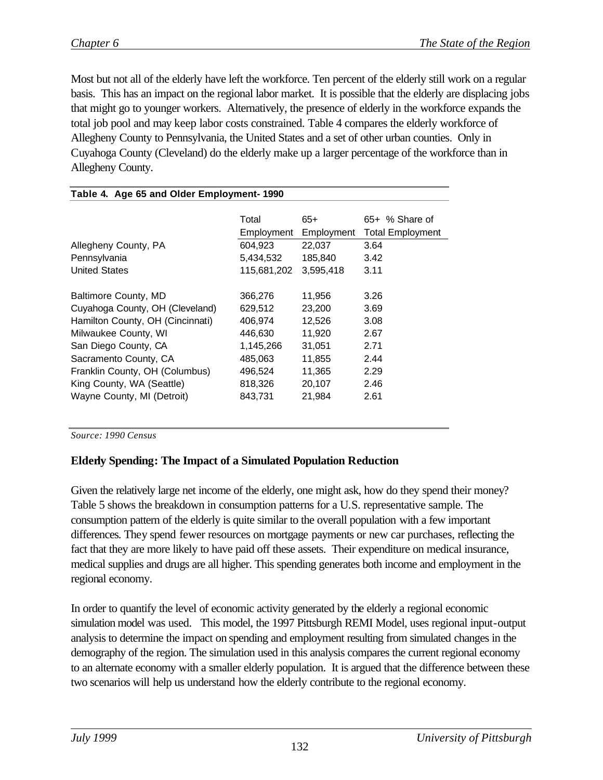Most but not all of the elderly have left the workforce. Ten percent of the elderly still work on a regular basis. This has an impact on the regional labor market. It is possible that the elderly are displacing jobs that might go to younger workers. Alternatively, the presence of elderly in the workforce expands the total job pool and may keep labor costs constrained. Table 4 compares the elderly workforce of Allegheny County to Pennsylvania, the United States and a set of other urban counties. Only in Cuyahoga County (Cleveland) do the elderly make up a larger percentage of the workforce than in Allegheny County.

| Table 4. Age 65 and Older Employment-1990 |             |            |                         |  |  |
|-------------------------------------------|-------------|------------|-------------------------|--|--|
|                                           |             |            |                         |  |  |
|                                           | Total       | $65+$      | 65+ % Share of          |  |  |
|                                           | Employment  | Employment | <b>Total Employment</b> |  |  |
| Allegheny County, PA                      | 604,923     | 22,037     | 3.64                    |  |  |
| Pennsylvania                              | 5,434,532   | 185,840    | 3.42                    |  |  |
| <b>United States</b>                      | 115,681,202 | 3,595,418  | 3.11                    |  |  |
|                                           |             |            |                         |  |  |
| Baltimore County, MD                      | 366,276     | 11,956     | 3.26                    |  |  |
| Cuyahoga County, OH (Cleveland)           | 629,512     | 23,200     | 3.69                    |  |  |
| Hamilton County, OH (Cincinnati)          | 406,974     | 12,526     | 3.08                    |  |  |
| Milwaukee County, WI                      | 446,630     | 11,920     | 2.67                    |  |  |
| San Diego County, CA                      | 1,145,266   | 31,051     | 2.71                    |  |  |
| Sacramento County, CA                     | 485,063     | 11,855     | 2.44                    |  |  |
| Franklin County, OH (Columbus)            | 496,524     | 11,365     | 2.29                    |  |  |
| King County, WA (Seattle)                 | 818,326     | 20,107     | 2.46                    |  |  |
| Wayne County, MI (Detroit)                | 843,731     | 21,984     | 2.61                    |  |  |
|                                           |             |            |                         |  |  |
|                                           |             |            |                         |  |  |

*Source: 1990 Census*

## **Elderly Spending: The Impact of a Simulated Population Reduction**

Given the relatively large net income of the elderly, one might ask, how do they spend their money? Table 5 shows the breakdown in consumption patterns for a U.S. representative sample. The consumption pattern of the elderly is quite similar to the overall population with a few important differences. They spend fewer resources on mortgage payments or new car purchases, reflecting the fact that they are more likely to have paid off these assets. Their expenditure on medical insurance, medical supplies and drugs are all higher. This spending generates both income and employment in the regional economy.

In order to quantify the level of economic activity generated by the elderly a regional economic simulation model was used. This model, the 1997 Pittsburgh REMI Model, uses regional input-output analysis to determine the impact on spending and employment resulting from simulated changes in the demography of the region. The simulation used in this analysis compares the current regional economy to an alternate economy with a smaller elderly population. It is argued that the difference between these two scenarios will help us understand how the elderly contribute to the regional economy.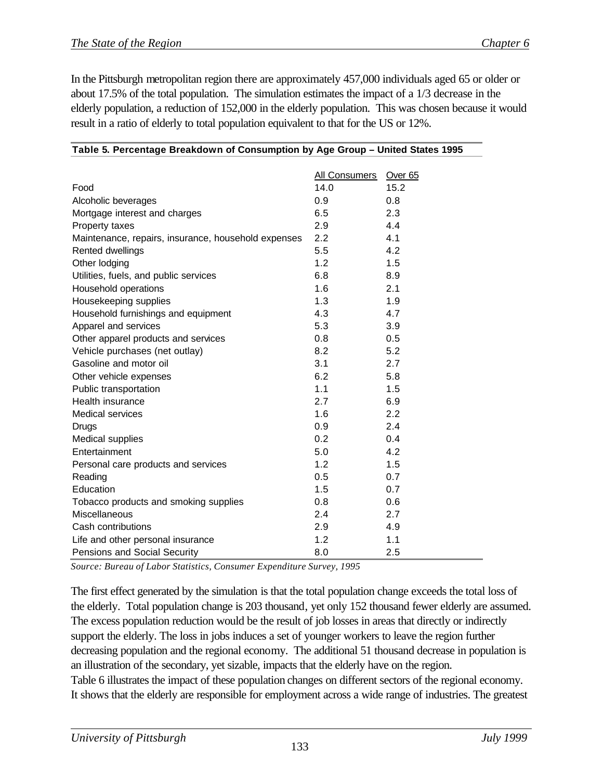In the Pittsburgh metropolitan region there are approximately 457,000 individuals aged 65 or older or about 17.5% of the total population. The simulation estimates the impact of a 1/3 decrease in the elderly population, a reduction of 152,000 in the elderly population. This was chosen because it would result in a ratio of elderly to total population equivalent to that for the US or 12%.

|                                                     | <b>All Consumers</b> | Over <sub>65</sub> |
|-----------------------------------------------------|----------------------|--------------------|
| Food                                                | 14.0                 | 15.2               |
| Alcoholic beverages                                 | 0.9                  | 0.8                |
| Mortgage interest and charges                       | 6.5                  | 2.3                |
| Property taxes                                      | 2.9                  | 4.4                |
| Maintenance, repairs, insurance, household expenses | 2.2                  | 4.1                |
| Rented dwellings                                    | 5.5                  | 4.2                |
| Other lodging                                       | 1.2                  | 1.5                |
| Utilities, fuels, and public services               | 6.8                  | 8.9                |
| Household operations                                | 1.6                  | 2.1                |
| Housekeeping supplies                               | 1.3                  | 1.9                |
| Household furnishings and equipment                 | 4.3                  | 4.7                |
| Apparel and services                                | 5.3                  | 3.9                |
| Other apparel products and services                 | 0.8                  | 0.5                |
| Vehicle purchases (net outlay)                      | 8.2                  | 5.2                |
| Gasoline and motor oil                              | 3.1                  | 2.7                |
| Other vehicle expenses                              | 6.2                  | 5.8                |
| Public transportation                               | 1.1                  | 1.5                |
| Health insurance                                    | 2.7                  | 6.9                |
| <b>Medical services</b>                             | 1.6                  | 2.2                |
| <b>Drugs</b>                                        | 0.9                  | 2.4                |
| <b>Medical supplies</b>                             | 0.2                  | 0.4                |
| Entertainment                                       | 5.0                  | 4.2                |
| Personal care products and services                 | 1.2                  | 1.5                |
| Reading                                             | 0.5                  | 0.7                |
| Education                                           | 1.5                  | 0.7                |
| Tobacco products and smoking supplies               | 0.8                  | 0.6                |
| Miscellaneous                                       | 2.4                  | 2.7                |
| Cash contributions                                  | 2.9                  | 4.9                |
| Life and other personal insurance                   | 1.2                  | 1.1                |
| Pensions and Social Security                        | 8.0                  | 2.5                |

# **Table 5. Percentage Breakdown of Consumption by Age Group – United States 1995**

*Source: Bureau of Labor Statistics, Consumer Expenditure Survey, 1995*

The first effect generated by the simulation is that the total population change exceeds the total loss of the elderly. Total population change is 203 thousand, yet only 152 thousand fewer elderly are assumed. The excess population reduction would be the result of job losses in areas that directly or indirectly support the elderly. The loss in jobs induces a set of younger workers to leave the region further decreasing population and the regional economy. The additional 51 thousand decrease in population is an illustration of the secondary, yet sizable, impacts that the elderly have on the region. Table 6 illustrates the impact of these population changes on different sectors of the regional economy. It shows that the elderly are responsible for employment across a wide range of industries. The greatest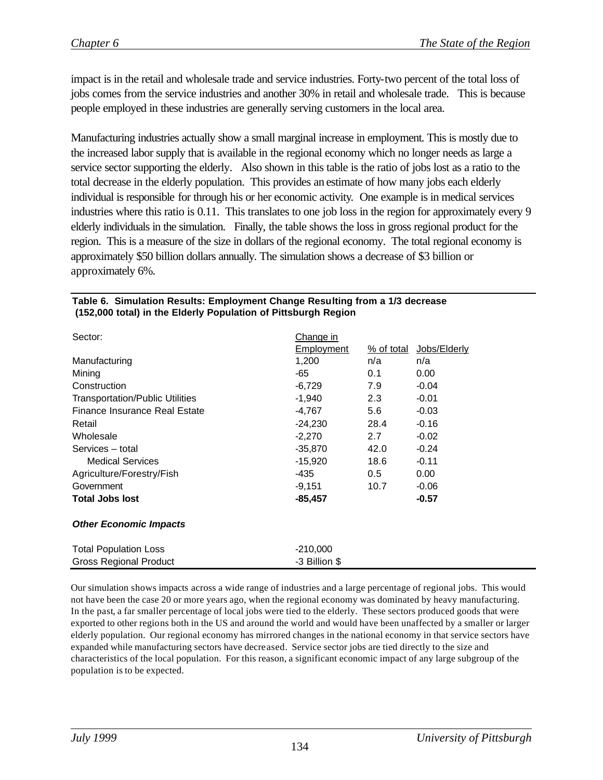impact is in the retail and wholesale trade and service industries. Forty-two percent of the total loss of jobs comes from the service industries and another 30% in retail and wholesale trade. This is because people employed in these industries are generally serving customers in the local area.

Manufacturing industries actually show a small marginal increase in employment. This is mostly due to the increased labor supply that is available in the regional economy which no longer needs as large a service sector supporting the elderly. Also shown in this table is the ratio of jobs lost as a ratio to the total decrease in the elderly population. This provides an estimate of how many jobs each elderly individual is responsible for through his or her economic activity. One example is in medical services industries where this ratio is 0.11. This translates to one job loss in the region for approximately every 9 elderly individuals in the simulation. Finally, the table shows the loss in gross regional product for the region. This is a measure of the size in dollars of the regional economy. The total regional economy is approximately \$50 billion dollars annually. The simulation shows a decrease of \$3 billion or approximately 6%.

| Sector:                                | <u>Change in</u>  |            |              |  |
|----------------------------------------|-------------------|------------|--------------|--|
|                                        | <b>Employment</b> | % of total | Jobs/Elderly |  |
| Manufacturing                          | 1,200<br>n/a      |            | n/a          |  |
| Mining                                 | -65               | 0.1        | 0.00         |  |
| Construction                           | $-6,729$          | 7.9        | $-0.04$      |  |
| <b>Transportation/Public Utilities</b> | -1,940            | 2.3        | $-0.01$      |  |
| Finance Insurance Real Estate          | -4,767            | 5.6        | $-0.03$      |  |
| Retail                                 | -24,230           | 28.4       | $-0.16$      |  |
| Wholesale                              | $-2,270$          | 2.7        | $-0.02$      |  |
| Services - total                       | -35,870           | 42.0       | $-0.24$      |  |
| <b>Medical Services</b>                | -15,920           | 18.6       | $-0.11$      |  |
| Agriculture/Forestry/Fish              | -435              | 0.5        | 0.00         |  |
| Government                             | -9,151            | 10.7       | $-0.06$      |  |
| <b>Total Jobs lost</b>                 | -85,457           |            | $-0.57$      |  |
| <b>Other Economic Impacts</b>          |                   |            |              |  |
| <b>Total Population Loss</b>           | $-210,000$        |            |              |  |
| <b>Gross Regional Product</b>          | -3 Billion \$     |            |              |  |

#### **Table 6. Simulation Results: Employment Change Resulting from a 1/3 decrease (152,000 total) in the Elderly Population of Pittsburgh Region**

Our simulation shows impacts across a wide range of industries and a large percentage of regional jobs. This would not have been the case 20 or more years ago, when the regional economy was dominated by heavy manufacturing. In the past, a far smaller percentage of local jobs were tied to the elderly. These sectors produced goods that were exported to other regions both in the US and around the world and would have been unaffected by a smaller or larger elderly population. Our regional economy has mirrored changes in the national economy in that service sectors have expanded while manufacturing sectors have decreased. Service sector jobs are tied directly to the size and characteristics of the local population. For this reason, a significant economic impact of any large subgroup of the population is to be expected.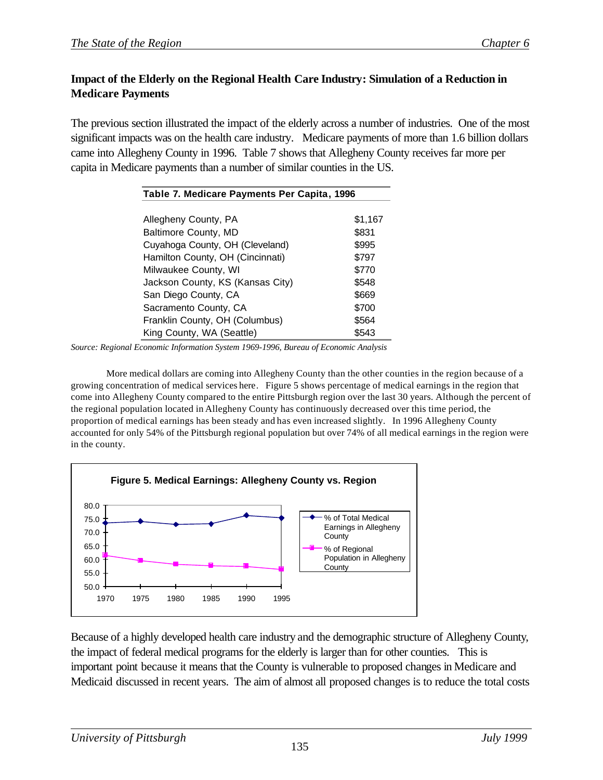# **Impact of the Elderly on the Regional Health Care Industry: Simulation of a Reduction in Medicare Payments**

The previous section illustrated the impact of the elderly across a number of industries. One of the most significant impacts was on the health care industry. Medicare payments of more than 1.6 billion dollars came into Allegheny County in 1996. Table 7 shows that Allegheny County receives far more per capita in Medicare payments than a number of similar counties in the US.

| Table 7. Medicare Payments Per Capita, 1996 |         |  |  |
|---------------------------------------------|---------|--|--|
|                                             |         |  |  |
| Allegheny County, PA                        | \$1,167 |  |  |
| Baltimore County, MD                        | \$831   |  |  |
| Cuyahoga County, OH (Cleveland)             | \$995   |  |  |
| Hamilton County, OH (Cincinnati)            | \$797   |  |  |
| Milwaukee County, WI                        | \$770   |  |  |
| Jackson County, KS (Kansas City)            | \$548   |  |  |
| San Diego County, CA                        | \$669   |  |  |
| Sacramento County, CA                       | \$700   |  |  |
| Franklin County, OH (Columbus)              | \$564   |  |  |
| King County, WA (Seattle)                   | \$543   |  |  |

*Source: Regional Economic Information System 1969-1996, Bureau of Economic Analysis*

More medical dollars are coming into Allegheny County than the other counties in the region because of a growing concentration of medical services here. Figure 5 shows percentage of medical earnings in the region that come into Allegheny County compared to the entire Pittsburgh region over the last 30 years. Although the percent of the regional population located in Allegheny County has continuously decreased over this time period, the proportion of medical earnings has been steady and has even increased slightly. In 1996 Allegheny County accounted for only 54% of the Pittsburgh regional population but over 74% of all medical earnings in the region were in the county.



Because of a highly developed health care industry and the demographic structure of Allegheny County, the impact of federal medical programs for the elderly is larger than for other counties. This is important point because it means that the County is vulnerable to proposed changes in Medicare and Medicaid discussed in recent years. The aim of almost all proposed changes is to reduce the total costs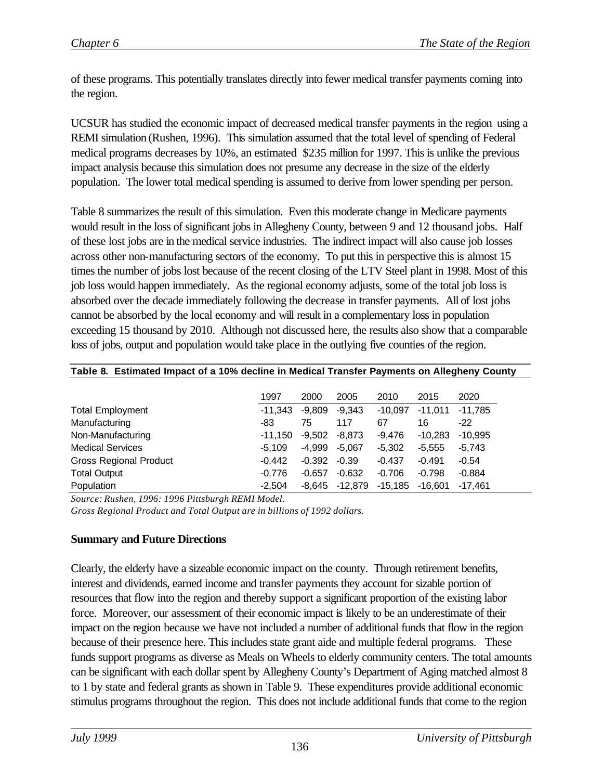of these programs. This potentially translates directly into fewer medical transfer payments coming into the region.

UCSUR has studied the economic impact of decreased medical transfer payments in the region using a REMI simulation (Rushen, 1996). This simulation assumed that the total level of spending of Federal medical programs decreases by 10%, an estimated \$235 million for 1997. This is unlike the previous impact analysis because this simulation does not presume any decrease in the size of the elderly population. The lower total medical spending is assumed to derive from lower spending per person.

Table 8 summarizes the result of this simulation. Even this moderate change in Medicare payments would result in the loss of significant jobs in Allegheny County, between 9 and 12 thousand jobs. Half of these lost jobs are in the medical service industries. The indirect impact will also cause job losses across other non-manufacturing sectors of the economy. To put this in perspective this is almost 15 times the number of jobs lost because of the recent closing of the LTV Steel plant in 1998. Most of this job loss would happen immediately. As the regional economy adjusts, some of the total job loss is absorbed over the decade immediately following the decrease in transfer payments. All of lost jobs cannot be absorbed by the local economy and will result in a complementary loss in population exceeding 15 thousand by 2010. Although not discussed here, the results also show that a comparable loss of jobs, output and population would take place in the outlying five counties of the region.

|                               | 1997      | 2000     | 2005      | 2010      | 2015      | 2020      |
|-------------------------------|-----------|----------|-----------|-----------|-----------|-----------|
| <b>Total Employment</b>       | -11.343   | -9,809   | $-9,343$  | $-10.097$ | $-11.011$ | $-11,785$ |
| Manufacturing                 | -83       | 75       | 117       | 67        | 16        | $-22$     |
| Non-Manufacturing             | $-11.150$ | $-9.502$ | $-8.873$  | $-9.476$  | $-10.283$ | $-10.995$ |
| <b>Medical Services</b>       | $-5.109$  | -4.999   | $-5,067$  | $-5.302$  | $-5.555$  | $-5,743$  |
| <b>Gross Regional Product</b> | $-0.442$  | $-0.392$ | $-0.39$   | $-0.437$  | $-0.491$  | $-0.54$   |
| <b>Total Output</b>           | $-0.776$  | $-0.657$ | $-0.632$  | $-0.706$  | $-0.798$  | $-0.884$  |
| Population                    | $-2.504$  | -8.645   | $-12,879$ | -15.185   | $-16.601$ | $-17.461$ |

#### **Table 8. Estimated Impact of a 10% decline in Medical Transfer Payments on Allegheny County**

*Source: Rushen, 1996: 1996 Pittsburgh REMI Model.* 

*Gross Regional Product and Total Output are in billions of 1992 dollars.*

#### **Summary and Future Directions**

Clearly, the elderly have a sizeable economic impact on the county. Through retirement benefits, interest and dividends, earned income and transfer payments they account for sizable portion of resources that flow into the region and thereby support a significant proportion of the existing labor force. Moreover, our assessment of their economic impact is likely to be an underestimate of their impact on the region because we have not included a number of additional funds that flow in the region because of their presence here. This includes state grant aide and multiple federal programs. These funds support programs as diverse as Meals on Wheels to elderly community centers. The total amounts can be significant with each dollar spent by Allegheny County's Department of Aging matched almost 8 to 1 by state and federal grants as shown in Table 9. These expenditures provide additional economic stimulus programs throughout the region. This does not include additional funds that come to the region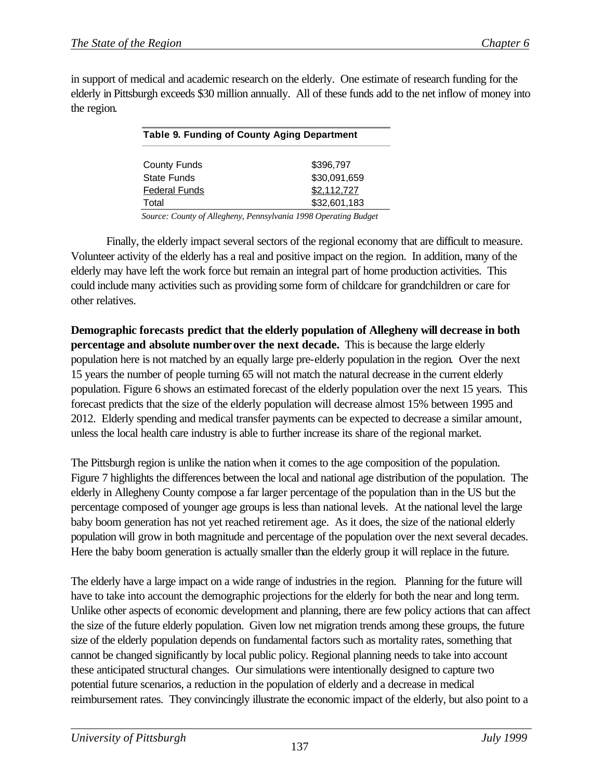in support of medical and academic research on the elderly. One estimate of research funding for the elderly in Pittsburgh exceeds \$30 million annually. All of these funds add to the net inflow of money into the region.

| Table 9. Funding of County Aging Department |              |  |  |
|---------------------------------------------|--------------|--|--|
|                                             |              |  |  |
| <b>County Funds</b>                         | \$396.797    |  |  |
| <b>State Funds</b>                          | \$30,091,659 |  |  |
| <b>Federal Funds</b>                        | \$2,112,727  |  |  |
| Total                                       | \$32,601,183 |  |  |

*Source: County of Allegheny, Pennsylvania 1998 Operating Budget*

Finally, the elderly impact several sectors of the regional economy that are difficult to measure. Volunteer activity of the elderly has a real and positive impact on the region. In addition, many of the elderly may have left the work force but remain an integral part of home production activities. This could include many activities such as providing some form of childcare for grandchildren or care for other relatives.

**Demographic forecasts predict that the elderly population of Allegheny will decrease in both percentage and absolute number over the next decade.** This is because the large elderly population here is not matched by an equally large pre-elderly population in the region. Over the next 15 years the number of people turning 65 will not match the natural decrease in the current elderly population. Figure 6 shows an estimated forecast of the elderly population over the next 15 years. This forecast predicts that the size of the elderly population will decrease almost 15% between 1995 and 2012. Elderly spending and medical transfer payments can be expected to decrease a similar amount, unless the local health care industry is able to further increase its share of the regional market.

The Pittsburgh region is unlike the nation when it comes to the age composition of the population. Figure 7 highlights the differences between the local and national age distribution of the population. The elderly in Allegheny County compose a far larger percentage of the population than in the US but the percentage composed of younger age groups is less than national levels. At the national level the large baby boom generation has not yet reached retirement age. As it does, the size of the national elderly population will grow in both magnitude and percentage of the population over the next several decades. Here the baby boom generation is actually smaller than the elderly group it will replace in the future.

The elderly have a large impact on a wide range of industries in the region. Planning for the future will have to take into account the demographic projections for the elderly for both the near and long term. Unlike other aspects of economic development and planning, there are few policy actions that can affect the size of the future elderly population. Given low net migration trends among these groups, the future size of the elderly population depends on fundamental factors such as mortality rates, something that cannot be changed significantly by local public policy. Regional planning needs to take into account these anticipated structural changes. Our simulations were intentionally designed to capture two potential future scenarios, a reduction in the population of elderly and a decrease in medical reimbursement rates. They convincingly illustrate the economic impact of the elderly, but also point to a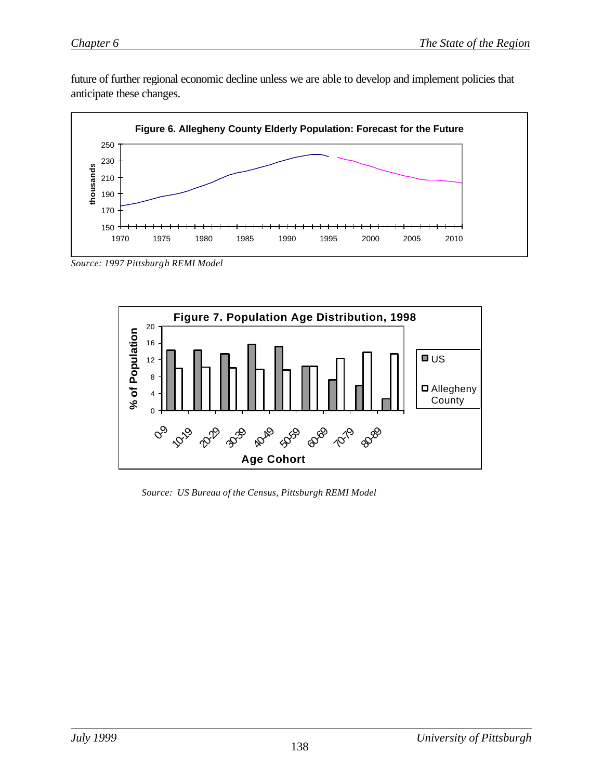future of further regional economic decline unless we are able to develop and implement policies that anticipate these changes.



*Source: 1997 Pittsburgh REMI Model*



*Source: US Bureau of the Census, Pittsburgh REMI Model*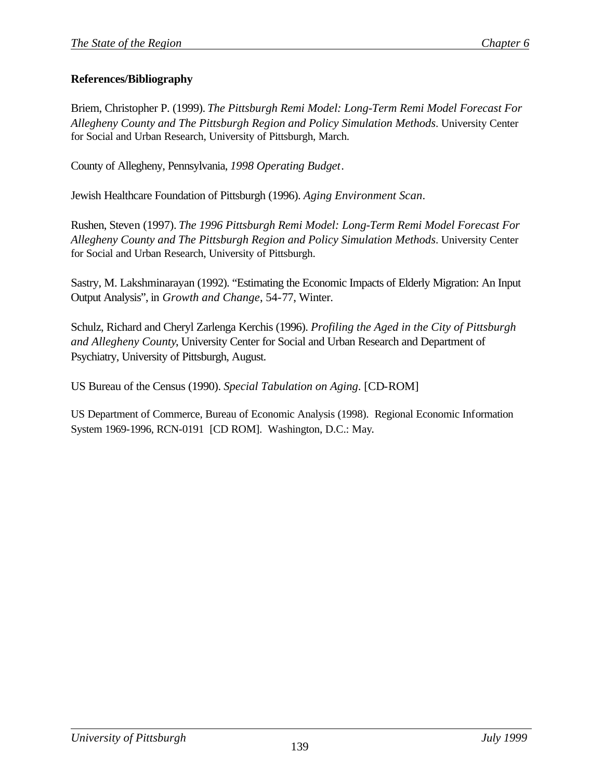## **References/Bibliography**

Briem, Christopher P. (1999). *The Pittsburgh Remi Model: Long-Term Remi Model Forecast For Allegheny County and The Pittsburgh Region and Policy Simulation Methods*. University Center for Social and Urban Research, University of Pittsburgh, March.

County of Allegheny, Pennsylvania, *1998 Operating Budget*.

Jewish Healthcare Foundation of Pittsburgh (1996). *Aging Environment Scan*.

Rushen, Steven (1997). *The 1996 Pittsburgh Remi Model: Long-Term Remi Model Forecast For Allegheny County and The Pittsburgh Region and Policy Simulation Methods*. University Center for Social and Urban Research, University of Pittsburgh.

Sastry, M. Lakshminarayan (1992). "Estimating the Economic Impacts of Elderly Migration: An Input Output Analysis", in *Growth and Change*, 54-77, Winter.

Schulz, Richard and Cheryl Zarlenga Kerchis (1996). *Profiling the Aged in the City of Pittsburgh and Allegheny County*, University Center for Social and Urban Research and Department of Psychiatry, University of Pittsburgh, August.

US Bureau of the Census (1990). *Special Tabulation on Aging*. [CD-ROM]

US Department of Commerce, Bureau of Economic Analysis (1998). Regional Economic Information System 1969-1996, RCN-0191 [CD ROM]. Washington, D.C.: May.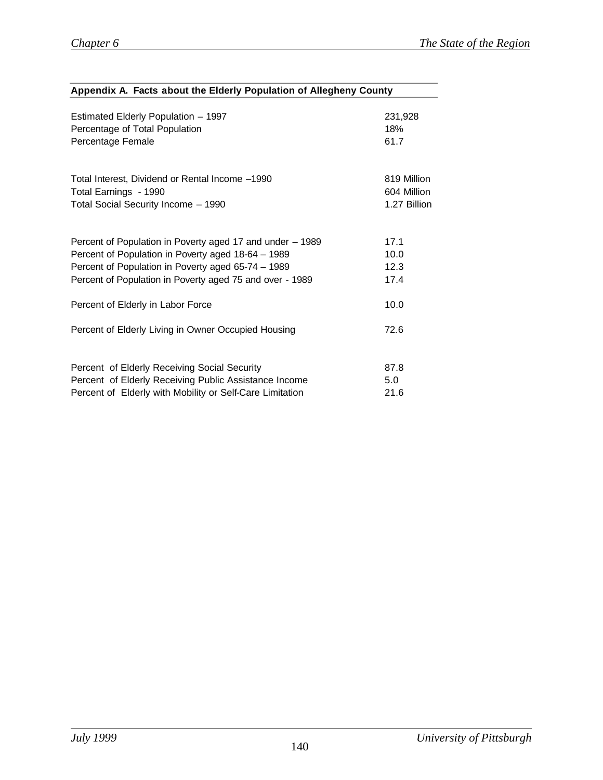| Appendix A. Facts about the Elderly Population of Allegheny County |              |  |  |  |  |
|--------------------------------------------------------------------|--------------|--|--|--|--|
|                                                                    |              |  |  |  |  |
| Estimated Elderly Population - 1997                                | 231,928      |  |  |  |  |
| Percentage of Total Population                                     | 18%          |  |  |  |  |
| Percentage Female                                                  | 61.7         |  |  |  |  |
| Total Interest, Dividend or Rental Income -1990                    | 819 Million  |  |  |  |  |
| Total Earnings - 1990                                              | 604 Million  |  |  |  |  |
| Total Social Security Income - 1990                                | 1.27 Billion |  |  |  |  |
| Percent of Population in Poverty aged 17 and under - 1989          | 17.1         |  |  |  |  |
| Percent of Population in Poverty aged 18-64 - 1989                 | 10.0         |  |  |  |  |
| Percent of Population in Poverty aged 65-74 - 1989                 | 12.3         |  |  |  |  |
| Percent of Population in Poverty aged 75 and over - 1989           | 17.4         |  |  |  |  |
| Percent of Elderly in Labor Force                                  | 10.0         |  |  |  |  |
| Percent of Elderly Living in Owner Occupied Housing                | 72.6         |  |  |  |  |
| Percent of Elderly Receiving Social Security                       | 87.8         |  |  |  |  |
| Percent of Elderly Receiving Public Assistance Income<br>5.0       |              |  |  |  |  |
| Percent of Elderly with Mobility or Self-Care Limitation           | 21.6         |  |  |  |  |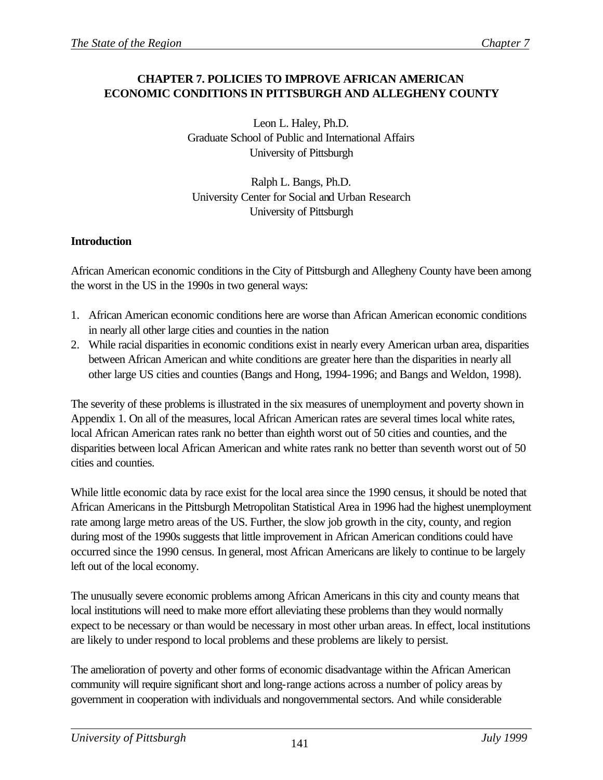# **CHAPTER 7. POLICIES TO IMPROVE AFRICAN AMERICAN ECONOMIC CONDITIONS IN PITTSBURGH AND ALLEGHENY COUNTY**

Leon L. Haley, Ph.D. Graduate School of Public and International Affairs University of Pittsburgh

Ralph L. Bangs, Ph.D. University Center for Social and Urban Research University of Pittsburgh

# **Introduction**

African American economic conditions in the City of Pittsburgh and Allegheny County have been among the worst in the US in the 1990s in two general ways:

- 1. African American economic conditions here are worse than African American economic conditions in nearly all other large cities and counties in the nation
- 2. While racial disparities in economic conditions exist in nearly every American urban area, disparities between African American and white conditions are greater here than the disparities in nearly all other large US cities and counties (Bangs and Hong, 1994-1996; and Bangs and Weldon, 1998).

The severity of these problems is illustrated in the six measures of unemployment and poverty shown in Appendix 1. On all of the measures, local African American rates are several times local white rates, local African American rates rank no better than eighth worst out of 50 cities and counties, and the disparities between local African American and white rates rank no better than seventh worst out of 50 cities and counties.

While little economic data by race exist for the local area since the 1990 census, it should be noted that African Americans in the Pittsburgh Metropolitan Statistical Area in 1996 had the highest unemployment rate among large metro areas of the US. Further, the slow job growth in the city, county, and region during most of the 1990s suggests that little improvement in African American conditions could have occurred since the 1990 census. In general, most African Americans are likely to continue to be largely left out of the local economy.

The unusually severe economic problems among African Americans in this city and county means that local institutions will need to make more effort alleviating these problems than they would normally expect to be necessary or than would be necessary in most other urban areas. In effect, local institutions are likely to under respond to local problems and these problems are likely to persist.

The amelioration of poverty and other forms of economic disadvantage within the African American community will require significant short and long-range actions across a number of policy areas by government in cooperation with individuals and nongovernmental sectors. And while considerable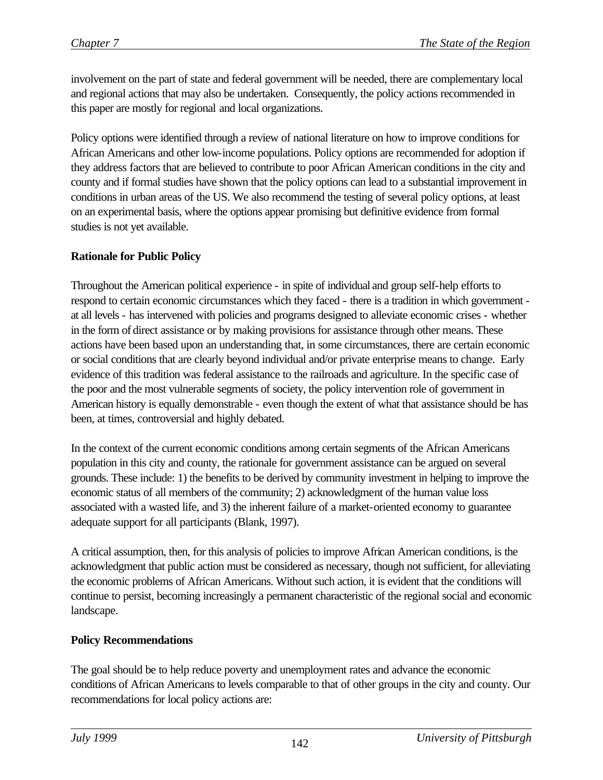involvement on the part of state and federal government will be needed, there are complementary local and regional actions that may also be undertaken. Consequently, the policy actions recommended in this paper are mostly for regional and local organizations.

Policy options were identified through a review of national literature on how to improve conditions for African Americans and other low-income populations. Policy options are recommended for adoption if they address factors that are believed to contribute to poor African American conditions in the city and county and if formal studies have shown that the policy options can lead to a substantial improvement in conditions in urban areas of the US. We also recommend the testing of several policy options, at least on an experimental basis, where the options appear promising but definitive evidence from formal studies is not yet available.

# **Rationale for Public Policy**

Throughout the American political experience - in spite of individual and group self-help efforts to respond to certain economic circumstances which they faced - there is a tradition in which government at all levels - has intervened with policies and programs designed to alleviate economic crises - whether in the form of direct assistance or by making provisions for assistance through other means. These actions have been based upon an understanding that, in some circumstances, there are certain economic or social conditions that are clearly beyond individual and/or private enterprise means to change. Early evidence of this tradition was federal assistance to the railroads and agriculture. In the specific case of the poor and the most vulnerable segments of society, the policy intervention role of government in American history is equally demonstrable - even though the extent of what that assistance should be has been, at times, controversial and highly debated.

In the context of the current economic conditions among certain segments of the African Americans population in this city and county, the rationale for government assistance can be argued on several grounds. These include: 1) the benefits to be derived by community investment in helping to improve the economic status of all members of the community; 2) acknowledgment of the human value loss associated with a wasted life, and 3) the inherent failure of a market-oriented economy to guarantee adequate support for all participants (Blank, 1997).

A critical assumption, then, for this analysis of policies to improve African American conditions, is the acknowledgment that public action must be considered as necessary, though not sufficient, for alleviating the economic problems of African Americans. Without such action, it is evident that the conditions will continue to persist, becoming increasingly a permanent characteristic of the regional social and economic landscape.

# **Policy Recommendations**

The goal should be to help reduce poverty and unemployment rates and advance the economic conditions of African Americans to levels comparable to that of other groups in the city and county. Our recommendations for local policy actions are: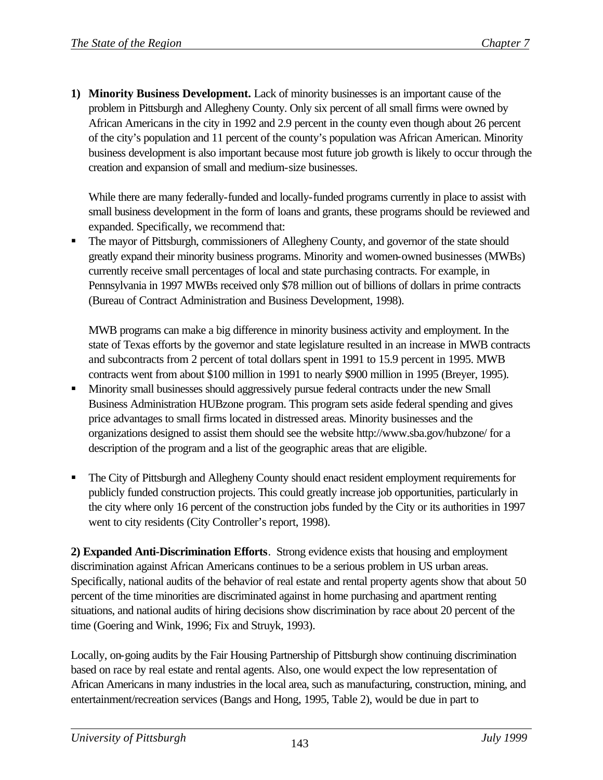**1) Minority Business Development.** Lack of minority businesses is an important cause of the problem in Pittsburgh and Allegheny County. Only six percent of all small firms were owned by African Americans in the city in 1992 and 2.9 percent in the county even though about 26 percent of the city's population and 11 percent of the county's population was African American. Minority business development is also important because most future job growth is likely to occur through the creation and expansion of small and medium-size businesses.

While there are many federally-funded and locally-funded programs currently in place to assist with small business development in the form of loans and grants, these programs should be reviewed and expanded. Specifically, we recommend that:

ß The mayor of Pittsburgh, commissioners of Allegheny County, and governor of the state should greatly expand their minority business programs. Minority and women-owned businesses (MWBs) currently receive small percentages of local and state purchasing contracts. For example, in Pennsylvania in 1997 MWBs received only \$78 million out of billions of dollars in prime contracts (Bureau of Contract Administration and Business Development, 1998).

MWB programs can make a big difference in minority business activity and employment. In the state of Texas efforts by the governor and state legislature resulted in an increase in MWB contracts and subcontracts from 2 percent of total dollars spent in 1991 to 15.9 percent in 1995. MWB contracts went from about \$100 million in 1991 to nearly \$900 million in 1995 (Breyer, 1995).

- ß Minority small businesses should aggressively pursue federal contracts under the new Small Business Administration HUBzone program. This program sets aside federal spending and gives price advantages to small firms located in distressed areas. Minority businesses and the organizations designed to assist them should see the website http://www.sba.gov/hubzone/ for a description of the program and a list of the geographic areas that are eligible.
- ß The City of Pittsburgh and Allegheny County should enact resident employment requirements for publicly funded construction projects. This could greatly increase job opportunities, particularly in the city where only 16 percent of the construction jobs funded by the City or its authorities in 1997 went to city residents (City Controller's report, 1998).

**2) Expanded Anti-Discrimination Efforts**. Strong evidence exists that housing and employment discrimination against African Americans continues to be a serious problem in US urban areas. Specifically, national audits of the behavior of real estate and rental property agents show that about 50 percent of the time minorities are discriminated against in home purchasing and apartment renting situations, and national audits of hiring decisions show discrimination by race about 20 percent of the time (Goering and Wink, 1996; Fix and Struyk, 1993).

Locally, on-going audits by the Fair Housing Partnership of Pittsburgh show continuing discrimination based on race by real estate and rental agents. Also, one would expect the low representation of African Americans in many industries in the local area, such as manufacturing, construction, mining, and entertainment/recreation services (Bangs and Hong, 1995, Table 2), would be due in part to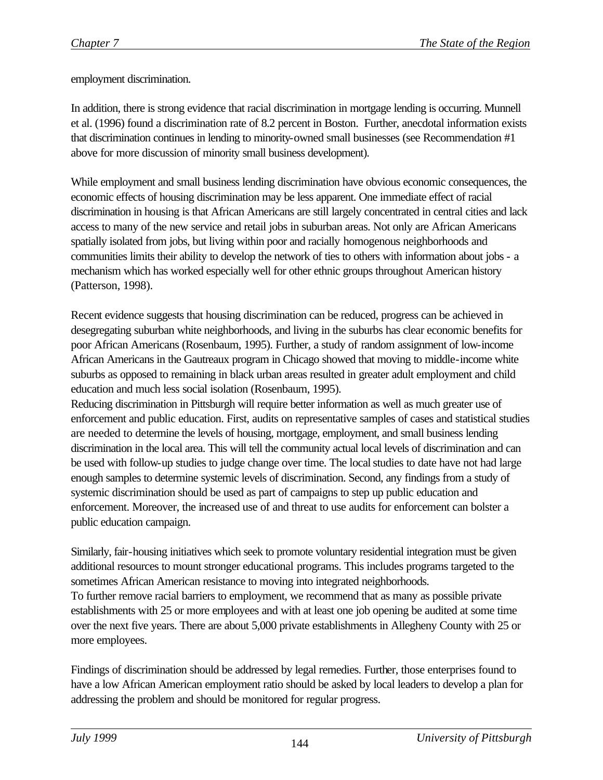employment discrimination.

In addition, there is strong evidence that racial discrimination in mortgage lending is occurring. Munnell et al. (1996) found a discrimination rate of 8.2 percent in Boston. Further, anecdotal information exists that discrimination continues in lending to minority-owned small businesses (see Recommendation #1 above for more discussion of minority small business development).

While employment and small business lending discrimination have obvious economic consequences, the economic effects of housing discrimination may be less apparent. One immediate effect of racial discrimination in housing is that African Americans are still largely concentrated in central cities and lack access to many of the new service and retail jobs in suburban areas. Not only are African Americans spatially isolated from jobs, but living within poor and racially homogenous neighborhoods and communities limits their ability to develop the network of ties to others with information about jobs - a mechanism which has worked especially well for other ethnic groups throughout American history (Patterson, 1998).

Recent evidence suggests that housing discrimination can be reduced, progress can be achieved in desegregating suburban white neighborhoods, and living in the suburbs has clear economic benefits for poor African Americans (Rosenbaum, 1995). Further, a study of random assignment of low-income African Americans in the Gautreaux program in Chicago showed that moving to middle-income white suburbs as opposed to remaining in black urban areas resulted in greater adult employment and child education and much less social isolation (Rosenbaum, 1995).

Reducing discrimination in Pittsburgh will require better information as well as much greater use of enforcement and public education. First, audits on representative samples of cases and statistical studies are needed to determine the levels of housing, mortgage, employment, and small business lending discrimination in the local area. This will tell the community actual local levels of discrimination and can be used with follow-up studies to judge change over time. The local studies to date have not had large enough samples to determine systemic levels of discrimination. Second, any findings from a study of systemic discrimination should be used as part of campaigns to step up public education and enforcement. Moreover, the increased use of and threat to use audits for enforcement can bolster a public education campaign.

Similarly, fair-housing initiatives which seek to promote voluntary residential integration must be given additional resources to mount stronger educational programs. This includes programs targeted to the sometimes African American resistance to moving into integrated neighborhoods. To further remove racial barriers to employment, we recommend that as many as possible private establishments with 25 or more employees and with at least one job opening be audited at some time over the next five years. There are about 5,000 private establishments in Allegheny County with 25 or more employees.

Findings of discrimination should be addressed by legal remedies. Further, those enterprises found to have a low African American employment ratio should be asked by local leaders to develop a plan for addressing the problem and should be monitored for regular progress.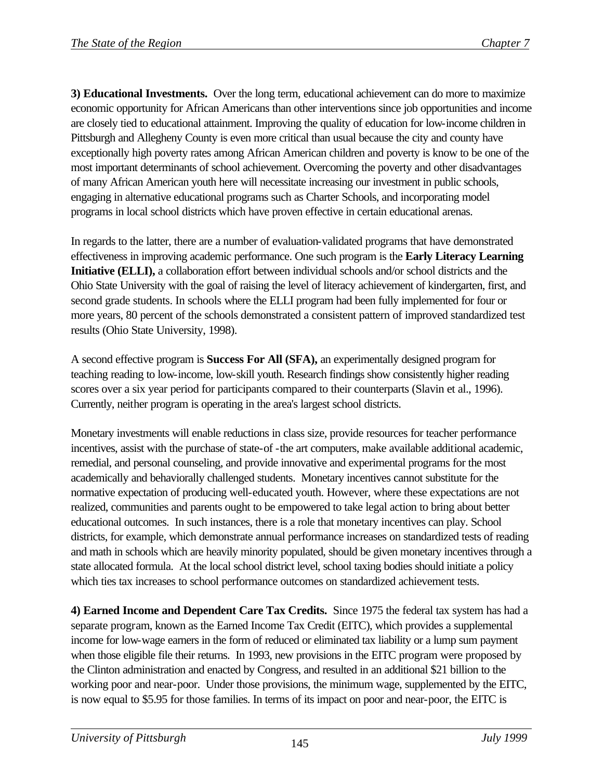**3) Educational Investments.** Over the long term, educational achievement can do more to maximize economic opportunity for African Americans than other interventions since job opportunities and income are closely tied to educational attainment. Improving the quality of education for low-income children in Pittsburgh and Allegheny County is even more critical than usual because the city and county have exceptionally high poverty rates among African American children and poverty is know to be one of the most important determinants of school achievement. Overcoming the poverty and other disadvantages of many African American youth here will necessitate increasing our investment in public schools, engaging in alternative educational programs such as Charter Schools, and incorporating model programs in local school districts which have proven effective in certain educational arenas.

In regards to the latter, there are a number of evaluation-validated programs that have demonstrated effectiveness in improving academic performance. One such program is the **Early Literacy Learning Initiative (ELLI),** a collaboration effort between individual schools and/or school districts and the Ohio State University with the goal of raising the level of literacy achievement of kindergarten, first, and second grade students. In schools where the ELLI program had been fully implemented for four or more years, 80 percent of the schools demonstrated a consistent pattern of improved standardized test results (Ohio State University, 1998).

A second effective program is **Success For All (SFA),** an experimentally designed program for teaching reading to low-income, low-skill youth. Research findings show consistently higher reading scores over a six year period for participants compared to their counterparts (Slavin et al., 1996). Currently, neither program is operating in the area's largest school districts.

Monetary investments will enable reductions in class size, provide resources for teacher performance incentives, assist with the purchase of state-of -the art computers, make available additional academic, remedial, and personal counseling, and provide innovative and experimental programs for the most academically and behaviorally challenged students. Monetary incentives cannot substitute for the normative expectation of producing well-educated youth. However, where these expectations are not realized, communities and parents ought to be empowered to take legal action to bring about better educational outcomes. In such instances, there is a role that monetary incentives can play. School districts, for example, which demonstrate annual performance increases on standardized tests of reading and math in schools which are heavily minority populated, should be given monetary incentives through a state allocated formula. At the local school district level, school taxing bodies should initiate a policy which ties tax increases to school performance outcomes on standardized achievement tests.

**4) Earned Income and Dependent Care Tax Credits.** Since 1975 the federal tax system has had a separate program, known as the Earned Income Tax Credit (EITC), which provides a supplemental income for low-wage earners in the form of reduced or eliminated tax liability or a lump sum payment when those eligible file their returns. In 1993, new provisions in the EITC program were proposed by the Clinton administration and enacted by Congress, and resulted in an additional \$21 billion to the working poor and near-poor. Under those provisions, the minimum wage, supplemented by the EITC, is now equal to \$5.95 for those families. In terms of its impact on poor and near-poor, the EITC is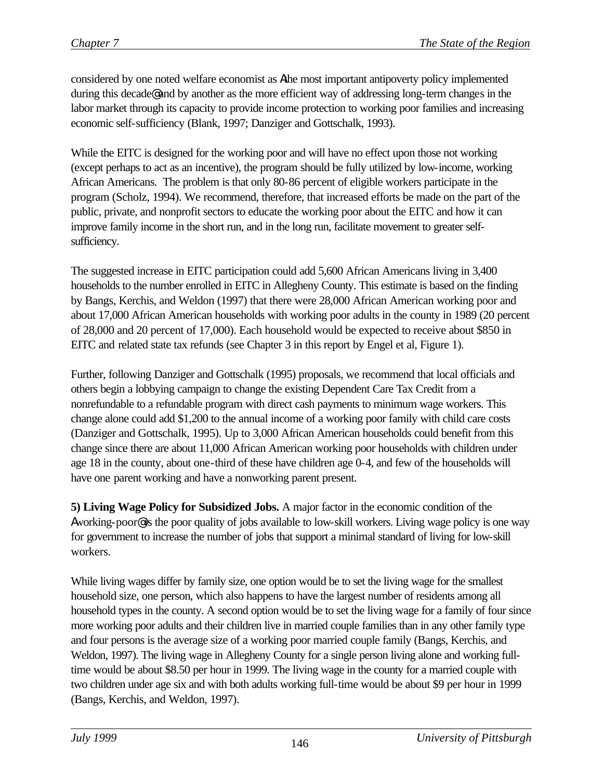considered by one noted welfare economist as Athe most important antipoverty policy implemented during this decade@ and by another as the more efficient way of addressing long-term changes in the labor market through its capacity to provide income protection to working poor families and increasing economic self-sufficiency (Blank, 1997; Danziger and Gottschalk, 1993).

While the EITC is designed for the working poor and will have no effect upon those not working (except perhaps to act as an incentive), the program should be fully utilized by low-income, working African Americans. The problem is that only 80-86 percent of eligible workers participate in the program (Scholz, 1994). We recommend, therefore, that increased efforts be made on the part of the public, private, and nonprofit sectors to educate the working poor about the EITC and how it can improve family income in the short run, and in the long run, facilitate movement to greater selfsufficiency.

The suggested increase in EITC participation could add 5,600 African Americans living in 3,400 households to the number enrolled in EITC in Allegheny County. This estimate is based on the finding by Bangs, Kerchis, and Weldon (1997) that there were 28,000 African American working poor and about 17,000 African American households with working poor adults in the county in 1989 (20 percent of 28,000 and 20 percent of 17,000). Each household would be expected to receive about \$850 in EITC and related state tax refunds (see Chapter 3 in this report by Engel et al, Figure 1).

Further, following Danziger and Gottschalk (1995) proposals, we recommend that local officials and others begin a lobbying campaign to change the existing Dependent Care Tax Credit from a nonrefundable to a refundable program with direct cash payments to minimum wage workers. This change alone could add \$1,200 to the annual income of a working poor family with child care costs (Danziger and Gottschalk, 1995). Up to 3,000 African American households could benefit from this change since there are about 11,000 African American working poor households with children under age 18 in the county, about one-third of these have children age 0-4, and few of the households will have one parent working and have a nonworking parent present.

**5) Living Wage Policy for Subsidized Jobs.** A major factor in the economic condition of the Aworking-poor@ is the poor quality of jobs available to low-skill workers. Living wage policy is one way for government to increase the number of jobs that support a minimal standard of living for low-skill workers.

While living wages differ by family size, one option would be to set the living wage for the smallest household size, one person, which also happens to have the largest number of residents among all household types in the county. A second option would be to set the living wage for a family of four since more working poor adults and their children live in married couple families than in any other family type and four persons is the average size of a working poor married couple family (Bangs, Kerchis, and Weldon, 1997). The living wage in Allegheny County for a single person living alone and working fulltime would be about \$8.50 per hour in 1999. The living wage in the county for a married couple with two children under age six and with both adults working full-time would be about \$9 per hour in 1999 (Bangs, Kerchis, and Weldon, 1997).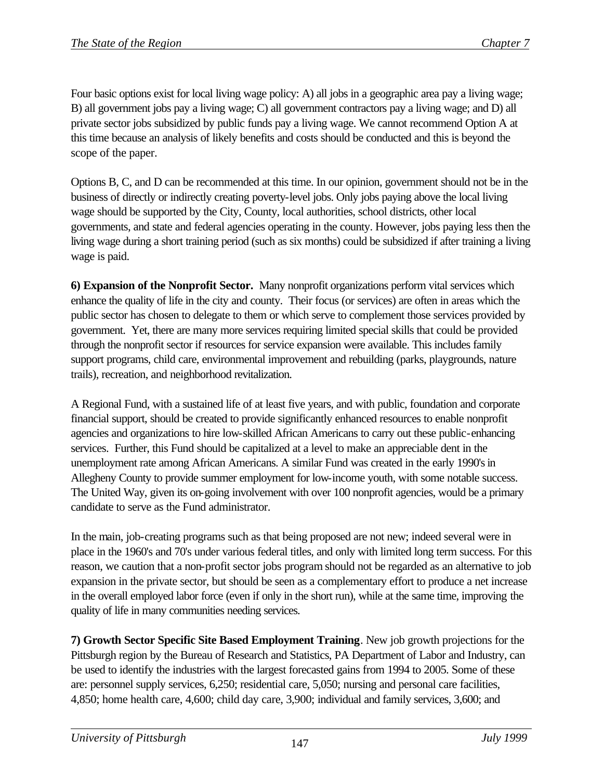Four basic options exist for local living wage policy: A) all jobs in a geographic area pay a living wage; B) all government jobs pay a living wage; C) all government contractors pay a living wage; and D) all private sector jobs subsidized by public funds pay a living wage. We cannot recommend Option A at this time because an analysis of likely benefits and costs should be conducted and this is beyond the scope of the paper.

Options B, C, and D can be recommended at this time. In our opinion, government should not be in the business of directly or indirectly creating poverty-level jobs. Only jobs paying above the local living wage should be supported by the City, County, local authorities, school districts, other local governments, and state and federal agencies operating in the county. However, jobs paying less then the living wage during a short training period (such as six months) could be subsidized if after training a living wage is paid.

**6) Expansion of the Nonprofit Sector.** Many nonprofit organizations perform vital services which enhance the quality of life in the city and county. Their focus (or services) are often in areas which the public sector has chosen to delegate to them or which serve to complement those services provided by government. Yet, there are many more services requiring limited special skills that could be provided through the nonprofit sector if resources for service expansion were available. This includes family support programs, child care, environmental improvement and rebuilding (parks, playgrounds, nature trails), recreation, and neighborhood revitalization.

A Regional Fund, with a sustained life of at least five years, and with public, foundation and corporate financial support, should be created to provide significantly enhanced resources to enable nonprofit agencies and organizations to hire low-skilled African Americans to carry out these public-enhancing services. Further, this Fund should be capitalized at a level to make an appreciable dent in the unemployment rate among African Americans. A similar Fund was created in the early 1990's in Allegheny County to provide summer employment for low-income youth, with some notable success. The United Way, given its on-going involvement with over 100 nonprofit agencies, would be a primary candidate to serve as the Fund administrator.

In the main, job-creating programs such as that being proposed are not new; indeed several were in place in the 1960's and 70's under various federal titles, and only with limited long term success. For this reason, we caution that a non-profit sector jobs program should not be regarded as an alternative to job expansion in the private sector, but should be seen as a complementary effort to produce a net increase in the overall employed labor force (even if only in the short run), while at the same time, improving the quality of life in many communities needing services.

**7) Growth Sector Specific Site Based Employment Training**. New job growth projections for the Pittsburgh region by the Bureau of Research and Statistics, PA Department of Labor and Industry, can be used to identify the industries with the largest forecasted gains from 1994 to 2005. Some of these are: personnel supply services, 6,250; residential care, 5,050; nursing and personal care facilities, 4,850; home health care, 4,600; child day care, 3,900; individual and family services, 3,600; and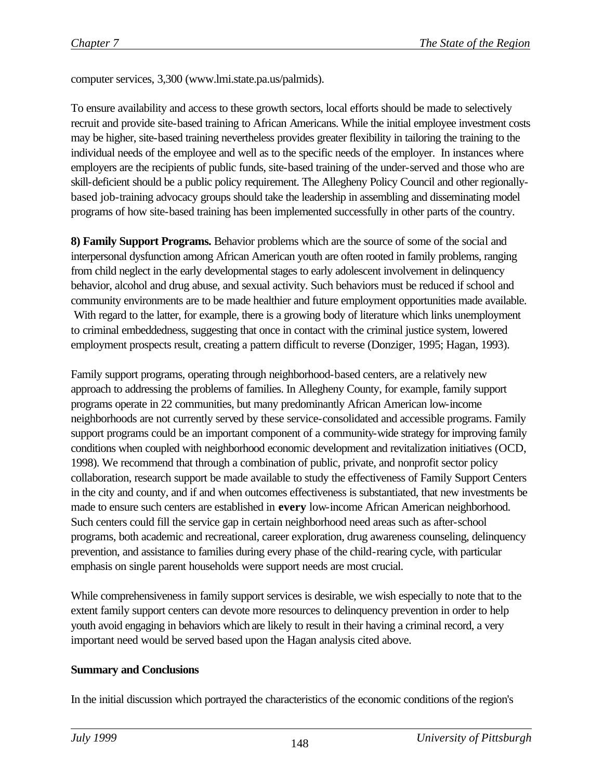computer services, 3,300 (www.lmi.state.pa.us/palmids).

To ensure availability and access to these growth sectors, local efforts should be made to selectively recruit and provide site-based training to African Americans. While the initial employee investment costs may be higher, site-based training nevertheless provides greater flexibility in tailoring the training to the individual needs of the employee and well as to the specific needs of the employer. In instances where employers are the recipients of public funds, site-based training of the under-served and those who are skill-deficient should be a public policy requirement. The Allegheny Policy Council and other regionallybased job-training advocacy groups should take the leadership in assembling and disseminating model programs of how site-based training has been implemented successfully in other parts of the country.

**8) Family Support Programs.** Behavior problems which are the source of some of the social and interpersonal dysfunction among African American youth are often rooted in family problems, ranging from child neglect in the early developmental stages to early adolescent involvement in delinquency behavior, alcohol and drug abuse, and sexual activity. Such behaviors must be reduced if school and community environments are to be made healthier and future employment opportunities made available. With regard to the latter, for example, there is a growing body of literature which links unemployment to criminal embeddedness, suggesting that once in contact with the criminal justice system, lowered employment prospects result, creating a pattern difficult to reverse (Donziger, 1995; Hagan, 1993).

Family support programs, operating through neighborhood-based centers, are a relatively new approach to addressing the problems of families. In Allegheny County, for example, family support programs operate in 22 communities, but many predominantly African American low-income neighborhoods are not currently served by these service-consolidated and accessible programs. Family support programs could be an important component of a community-wide strategy for improving family conditions when coupled with neighborhood economic development and revitalization initiatives (OCD, 1998). We recommend that through a combination of public, private, and nonprofit sector policy collaboration, research support be made available to study the effectiveness of Family Support Centers in the city and county, and if and when outcomes effectiveness is substantiated, that new investments be made to ensure such centers are established in **every** low-income African American neighborhood. Such centers could fill the service gap in certain neighborhood need areas such as after-school programs, both academic and recreational, career exploration, drug awareness counseling, delinquency prevention, and assistance to families during every phase of the child-rearing cycle, with particular emphasis on single parent households were support needs are most crucial.

While comprehensiveness in family support services is desirable, we wish especially to note that to the extent family support centers can devote more resources to delinquency prevention in order to help youth avoid engaging in behaviors which are likely to result in their having a criminal record, a very important need would be served based upon the Hagan analysis cited above.

#### **Summary and Conclusions**

In the initial discussion which portrayed the characteristics of the economic conditions of the region's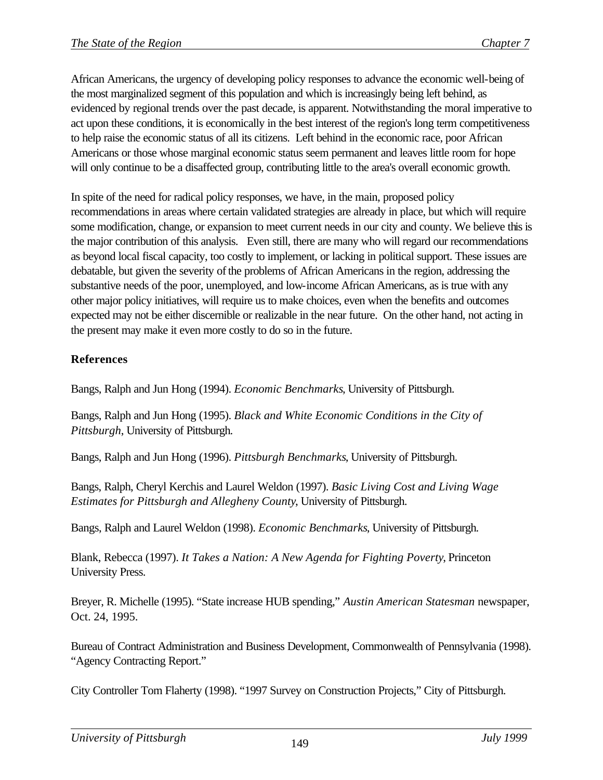African Americans, the urgency of developing policy responses to advance the economic well-being of the most marginalized segment of this population and which is increasingly being left behind, as evidenced by regional trends over the past decade, is apparent. Notwithstanding the moral imperative to act upon these conditions, it is economically in the best interest of the region's long term competitiveness to help raise the economic status of all its citizens. Left behind in the economic race, poor African Americans or those whose marginal economic status seem permanent and leaves little room for hope will only continue to be a disaffected group, contributing little to the area's overall economic growth.

In spite of the need for radical policy responses, we have, in the main, proposed policy recommendations in areas where certain validated strategies are already in place, but which will require some modification, change, or expansion to meet current needs in our city and county. We believe this is the major contribution of this analysis. Even still, there are many who will regard our recommendations as beyond local fiscal capacity, too costly to implement, or lacking in political support. These issues are debatable, but given the severity of the problems of African Americans in the region, addressing the substantive needs of the poor, unemployed, and low-income African Americans, as is true with any other major policy initiatives, will require us to make choices, even when the benefits and outcomes expected may not be either discernible or realizable in the near future. On the other hand, not acting in the present may make it even more costly to do so in the future.

# **References**

Bangs, Ralph and Jun Hong (1994). *Economic Benchmarks*, University of Pittsburgh.

Bangs, Ralph and Jun Hong (1995). *Black and White Economic Conditions in the City of Pittsburgh*, University of Pittsburgh.

Bangs, Ralph and Jun Hong (1996). *Pittsburgh Benchmarks*, University of Pittsburgh.

Bangs, Ralph, Cheryl Kerchis and Laurel Weldon (1997). *Basic Living Cost and Living Wage Estimates for Pittsburgh and Allegheny County*, University of Pittsburgh.

Bangs, Ralph and Laurel Weldon (1998). *Economic Benchmarks*, University of Pittsburgh.

Blank, Rebecca (1997). *It Takes a Nation: A New Agenda for Fighting Poverty*, Princeton University Press.

Breyer, R. Michelle (1995). "State increase HUB spending," *Austin American Statesman* newspaper, Oct. 24, 1995.

Bureau of Contract Administration and Business Development, Commonwealth of Pennsylvania (1998). "Agency Contracting Report."

City Controller Tom Flaherty (1998). "1997 Survey on Construction Projects," City of Pittsburgh.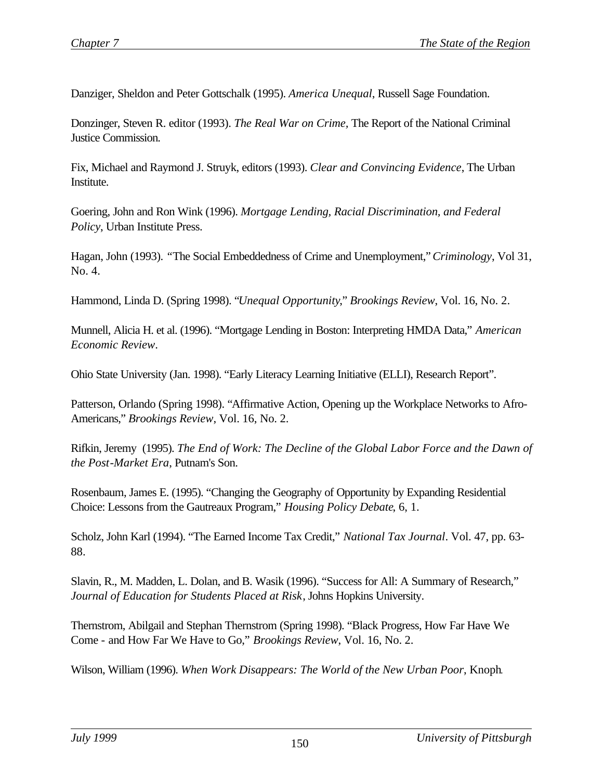Danziger, Sheldon and Peter Gottschalk (1995). *America Unequal*, Russell Sage Foundation.

Donzinger, Steven R. editor (1993). *The Real War on Crime,* The Report of the National Criminal Justice Commission.

Fix, Michael and Raymond J. Struyk, editors (1993). *Clear and Convincing Evidence*, The Urban Institute.

Goering, John and Ron Wink (1996). *Mortgage Lending, Racial Discrimination, and Federal Policy*, Urban Institute Press.

Hagan, John (1993). *"*The Social Embeddedness of Crime and Unemployment," *Criminology*, Vol 31, No. 4.

Hammond, Linda D. (Spring 1998). "*Unequal Opportunity*," *Brookings Review*, Vol. 16, No. 2.

Munnell, Alicia H. et al. (1996). "Mortgage Lending in Boston: Interpreting HMDA Data," *American Economic Review*.

Ohio State University (Jan. 1998). "Early Literacy Learning Initiative (ELLI), Research Report".

Patterson, Orlando (Spring 1998). "Affirmative Action, Opening up the Workplace Networks to Afro-Americans," *Brookings Review*, Vol. 16, No. 2.

Rifkin, Jeremy (1995). *The End of Work: The Decline of the Global Labor Force and the Dawn of the Post-Market Era*, Putnam's Son.

Rosenbaum, James E. (1995). "Changing the Geography of Opportunity by Expanding Residential Choice: Lessons from the Gautreaux Program," *Housing Policy Debate*, 6, 1.

Scholz, John Karl (1994). "The Earned Income Tax Credit," *National Tax Journal*. Vol. 47, pp. 63- 88.

Slavin, R., M. Madden, L. Dolan, and B. Wasik (1996). "Success for All: A Summary of Research," *Journal of Education for Students Placed at Risk*, Johns Hopkins University.

Thernstrom, Abilgail and Stephan Thernstrom (Spring 1998). "Black Progress, How Far Have We Come - and How Far We Have to Go," *Brookings Review*, Vol. 16, No. 2.

Wilson, William (1996). *When Work Disappears: The World of the New Urban Poor*, Knoph.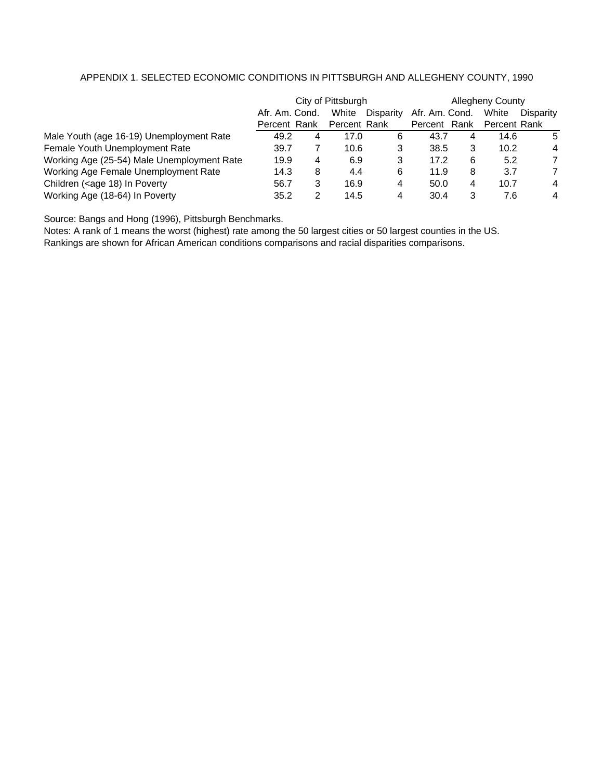#### APPENDIX 1. SELECTED ECONOMIC CONDITIONS IN PITTSBURGH AND ALLEGHENY COUNTY, 1990

|                                                                                                                                                   | City of Pittsburgh |   |              | <b>Allegheny County</b> |                |   |              |           |
|---------------------------------------------------------------------------------------------------------------------------------------------------|--------------------|---|--------------|-------------------------|----------------|---|--------------|-----------|
|                                                                                                                                                   | Afr. Am. Cond.     |   | White        | Disparity               | Afr. Am. Cond. |   | White        | Disparity |
|                                                                                                                                                   | Percent Rank       |   | Percent Rank |                         | Percent Rank   |   | Percent Rank |           |
| Male Youth (age 16-19) Unemployment Rate                                                                                                          | 49.2               | 4 | 17.0         | 6                       | 43.7           | 4 | 14.6         | 5         |
| Female Youth Unemployment Rate                                                                                                                    | 39.7               |   | 10.6         | 3                       | 38.5           | 3 | 10.2         | 4         |
| Working Age (25-54) Male Unemployment Rate                                                                                                        | 19.9               | 4 | 6.9          | 3                       | 17.2           | 6 | 5.2          | 7         |
| Working Age Female Unemployment Rate                                                                                                              | 14.3               | 8 | 4.4          | 6                       | 11.9           | 8 | 3.7          | 7         |
| Children ( <age 18)="" in="" poverty<="" td=""><td>56.7</td><td>3</td><td>16.9</td><td>4</td><td>50.0</td><td>4</td><td>10.7</td><td>4</td></age> | 56.7               | 3 | 16.9         | 4                       | 50.0           | 4 | 10.7         | 4         |
| Working Age (18-64) In Poverty                                                                                                                    | 35.2               | 2 | 14.5         | 4                       | 30.4           | 3 | 7.6          | 4         |

Source: Bangs and Hong (1996), Pittsburgh Benchmarks.

Notes: A rank of 1 means the worst (highest) rate among the 50 largest cities or 50 largest counties in the US. Rankings are shown for African American conditions comparisons and racial disparities comparisons.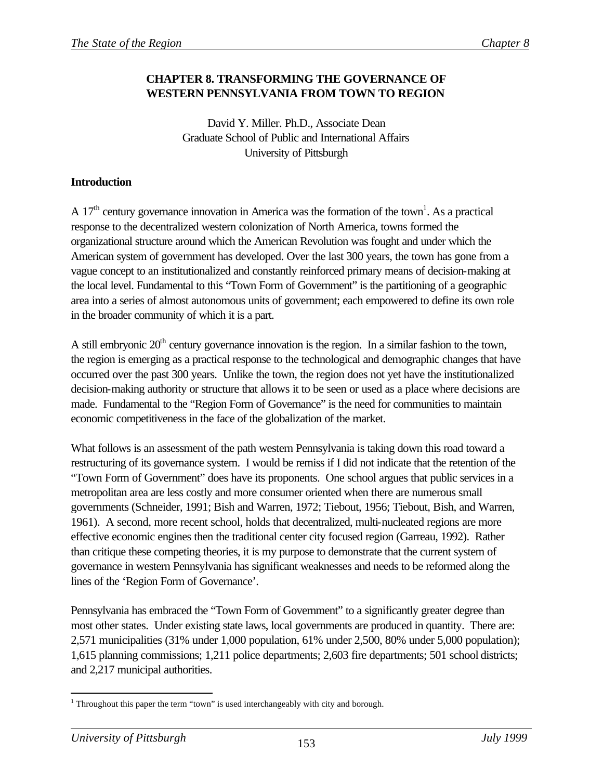# **CHAPTER 8. TRANSFORMING THE GOVERNANCE OF WESTERN PENNSYLVANIA FROM TOWN TO REGION**

David Y. Miller. Ph.D., Associate Dean Graduate School of Public and International Affairs University of Pittsburgh

### **Introduction**

A 17<sup>th</sup> century governance innovation in America was the formation of the town<sup>1</sup>. As a practical response to the decentralized western colonization of North America, towns formed the organizational structure around which the American Revolution was fought and under which the American system of government has developed. Over the last 300 years, the town has gone from a vague concept to an institutionalized and constantly reinforced primary means of decision-making at the local level. Fundamental to this "Town Form of Government" is the partitioning of a geographic area into a series of almost autonomous units of government; each empowered to define its own role in the broader community of which it is a part.

A still embryonic  $20<sup>th</sup>$  century governance innovation is the region. In a similar fashion to the town, the region is emerging as a practical response to the technological and demographic changes that have occurred over the past 300 years. Unlike the town, the region does not yet have the institutionalized decision-making authority or structure that allows it to be seen or used as a place where decisions are made. Fundamental to the "Region Form of Governance" is the need for communities to maintain economic competitiveness in the face of the globalization of the market.

What follows is an assessment of the path western Pennsylvania is taking down this road toward a restructuring of its governance system. I would be remiss if I did not indicate that the retention of the "Town Form of Government" does have its proponents. One school argues that public services in a metropolitan area are less costly and more consumer oriented when there are numerous small governments (Schneider, 1991; Bish and Warren, 1972; Tiebout, 1956; Tiebout, Bish, and Warren, 1961). A second, more recent school, holds that decentralized, multi-nucleated regions are more effective economic engines then the traditional center city focused region (Garreau, 1992). Rather than critique these competing theories, it is my purpose to demonstrate that the current system of governance in western Pennsylvania has significant weaknesses and needs to be reformed along the lines of the 'Region Form of Governance'.

Pennsylvania has embraced the "Town Form of Government" to a significantly greater degree than most other states. Under existing state laws, local governments are produced in quantity. There are: 2,571 municipalities (31% under 1,000 population, 61% under 2,500, 80% under 5,000 population); 1,615 planning commissions; 1,211 police departments; 2,603 fire departments; 501 school districts; and 2,217 municipal authorities.

<sup>&</sup>lt;sup>1</sup> Throughout this paper the term "town" is used interchangeably with city and borough.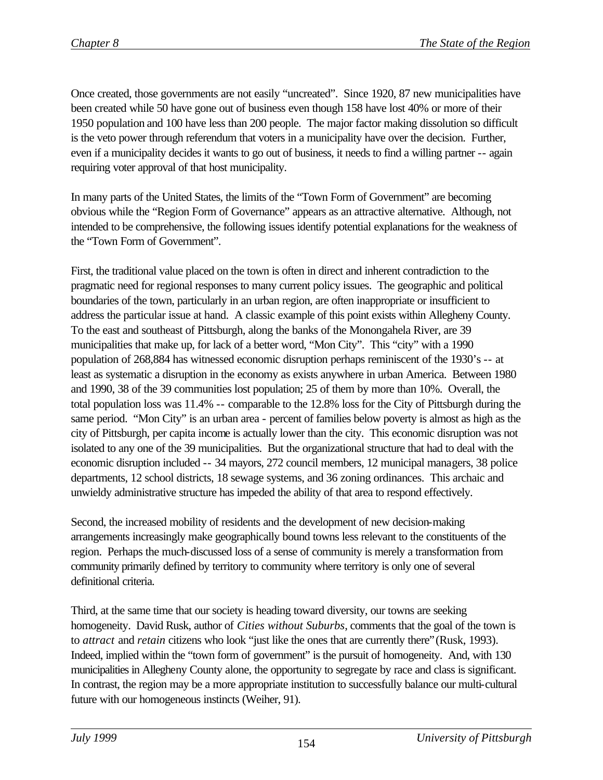Once created, those governments are not easily "uncreated". Since 1920, 87 new municipalities have been created while 50 have gone out of business even though 158 have lost 40% or more of their 1950 population and 100 have less than 200 people. The major factor making dissolution so difficult is the veto power through referendum that voters in a municipality have over the decision. Further, even if a municipality decides it wants to go out of business, it needs to find a willing partner -- again requiring voter approval of that host municipality.

In many parts of the United States, the limits of the "Town Form of Government" are becoming obvious while the "Region Form of Governance" appears as an attractive alternative. Although, not intended to be comprehensive, the following issues identify potential explanations for the weakness of the "Town Form of Government".

First, the traditional value placed on the town is often in direct and inherent contradiction to the pragmatic need for regional responses to many current policy issues. The geographic and political boundaries of the town, particularly in an urban region, are often inappropriate or insufficient to address the particular issue at hand. A classic example of this point exists within Allegheny County. To the east and southeast of Pittsburgh, along the banks of the Monongahela River, are 39 municipalities that make up, for lack of a better word, "Mon City". This "city" with a 1990 population of 268,884 has witnessed economic disruption perhaps reminiscent of the 1930's -- at least as systematic a disruption in the economy as exists anywhere in urban America. Between 1980 and 1990, 38 of the 39 communities lost population; 25 of them by more than 10%. Overall, the total population loss was 11.4% -- comparable to the 12.8% loss for the City of Pittsburgh during the same period. "Mon City" is an urban area - percent of families below poverty is almost as high as the city of Pittsburgh, per capita income is actually lower than the city. This economic disruption was not isolated to any one of the 39 municipalities. But the organizational structure that had to deal with the economic disruption included -- 34 mayors, 272 council members, 12 municipal managers, 38 police departments, 12 school districts, 18 sewage systems, and 36 zoning ordinances. This archaic and unwieldy administrative structure has impeded the ability of that area to respond effectively.

Second, the increased mobility of residents and the development of new decision-making arrangements increasingly make geographically bound towns less relevant to the constituents of the region. Perhaps the much-discussed loss of a sense of community is merely a transformation from community primarily defined by territory to community where territory is only one of several definitional criteria.

Third, at the same time that our society is heading toward diversity, our towns are seeking homogeneity. David Rusk, author of *Cities without Suburbs*, comments that the goal of the town is to *attract* and *retain* citizens who look "just like the ones that are currently there"(Rusk, 1993). Indeed, implied within the "town form of government" is the pursuit of homogeneity. And, with 130 municipalities in Allegheny County alone, the opportunity to segregate by race and class is significant. In contrast, the region may be a more appropriate institution to successfully balance our multi-cultural future with our homogeneous instincts (Weiher, 91).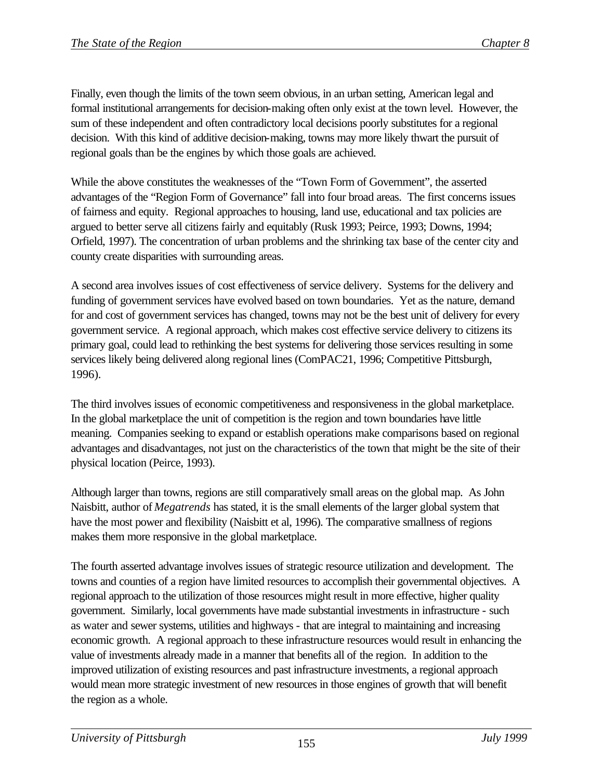Finally, even though the limits of the town seem obvious, in an urban setting, American legal and formal institutional arrangements for decision-making often only exist at the town level. However, the sum of these independent and often contradictory local decisions poorly substitutes for a regional decision. With this kind of additive decision-making, towns may more likely thwart the pursuit of regional goals than be the engines by which those goals are achieved.

While the above constitutes the weaknesses of the "Town Form of Government", the asserted advantages of the "Region Form of Governance" fall into four broad areas. The first concerns issues of fairness and equity. Regional approaches to housing, land use, educational and tax policies are argued to better serve all citizens fairly and equitably (Rusk 1993; Peirce, 1993; Downs, 1994; Orfield, 1997). The concentration of urban problems and the shrinking tax base of the center city and county create disparities with surrounding areas.

A second area involves issues of cost effectiveness of service delivery. Systems for the delivery and funding of government services have evolved based on town boundaries. Yet as the nature, demand for and cost of government services has changed, towns may not be the best unit of delivery for every government service. A regional approach, which makes cost effective service delivery to citizens its primary goal, could lead to rethinking the best systems for delivering those services resulting in some services likely being delivered along regional lines (ComPAC21, 1996; Competitive Pittsburgh, 1996).

The third involves issues of economic competitiveness and responsiveness in the global marketplace. In the global marketplace the unit of competition is the region and town boundaries have little meaning. Companies seeking to expand or establish operations make comparisons based on regional advantages and disadvantages, not just on the characteristics of the town that might be the site of their physical location (Peirce, 1993).

Although larger than towns, regions are still comparatively small areas on the global map. As John Naisbitt, author of *Megatrends* has stated, it is the small elements of the larger global system that have the most power and flexibility (Naisbitt et al, 1996). The comparative smallness of regions makes them more responsive in the global marketplace.

The fourth asserted advantage involves issues of strategic resource utilization and development. The towns and counties of a region have limited resources to accomplish their governmental objectives. A regional approach to the utilization of those resources might result in more effective, higher quality government. Similarly, local governments have made substantial investments in infrastructure - such as water and sewer systems, utilities and highways - that are integral to maintaining and increasing economic growth. A regional approach to these infrastructure resources would result in enhancing the value of investments already made in a manner that benefits all of the region. In addition to the improved utilization of existing resources and past infrastructure investments, a regional approach would mean more strategic investment of new resources in those engines of growth that will benefit the region as a whole.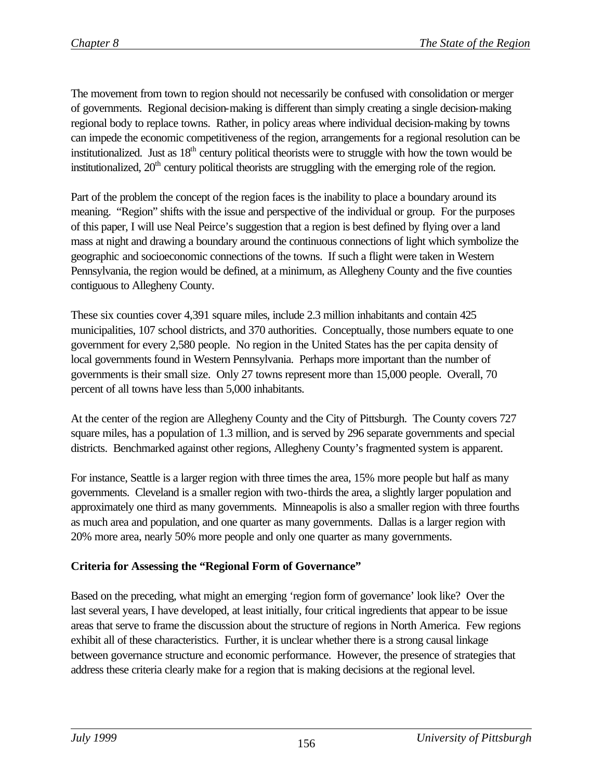The movement from town to region should not necessarily be confused with consolidation or merger of governments. Regional decision-making is different than simply creating a single decision-making regional body to replace towns. Rather, in policy areas where individual decision-making by towns can impede the economic competitiveness of the region, arrangements for a regional resolution can be institutionalized. Just as  $18<sup>th</sup>$  century political theorists were to struggle with how the town would be institutionalized,  $20<sup>th</sup>$  century political theorists are struggling with the emerging role of the region.

Part of the problem the concept of the region faces is the inability to place a boundary around its meaning. "Region" shifts with the issue and perspective of the individual or group. For the purposes of this paper, I will use Neal Peirce's suggestion that a region is best defined by flying over a land mass at night and drawing a boundary around the continuous connections of light which symbolize the geographic and socioeconomic connections of the towns. If such a flight were taken in Western Pennsylvania, the region would be defined, at a minimum, as Allegheny County and the five counties contiguous to Allegheny County.

These six counties cover 4,391 square miles, include 2.3 million inhabitants and contain 425 municipalities, 107 school districts, and 370 authorities. Conceptually, those numbers equate to one government for every 2,580 people. No region in the United States has the per capita density of local governments found in Western Pennsylvania. Perhaps more important than the number of governments is their small size. Only 27 towns represent more than 15,000 people. Overall, 70 percent of all towns have less than 5,000 inhabitants.

At the center of the region are Allegheny County and the City of Pittsburgh. The County covers 727 square miles, has a population of 1.3 million, and is served by 296 separate governments and special districts. Benchmarked against other regions, Allegheny County's fragmented system is apparent.

For instance, Seattle is a larger region with three times the area, 15% more people but half as many governments. Cleveland is a smaller region with two-thirds the area, a slightly larger population and approximately one third as many governments. Minneapolis is also a smaller region with three fourths as much area and population, and one quarter as many governments. Dallas is a larger region with 20% more area, nearly 50% more people and only one quarter as many governments.

# **Criteria for Assessing the "Regional Form of Governance"**

Based on the preceding, what might an emerging 'region form of governance' look like? Over the last several years, I have developed, at least initially, four critical ingredients that appear to be issue areas that serve to frame the discussion about the structure of regions in North America. Few regions exhibit all of these characteristics. Further, it is unclear whether there is a strong causal linkage between governance structure and economic performance. However, the presence of strategies that address these criteria clearly make for a region that is making decisions at the regional level.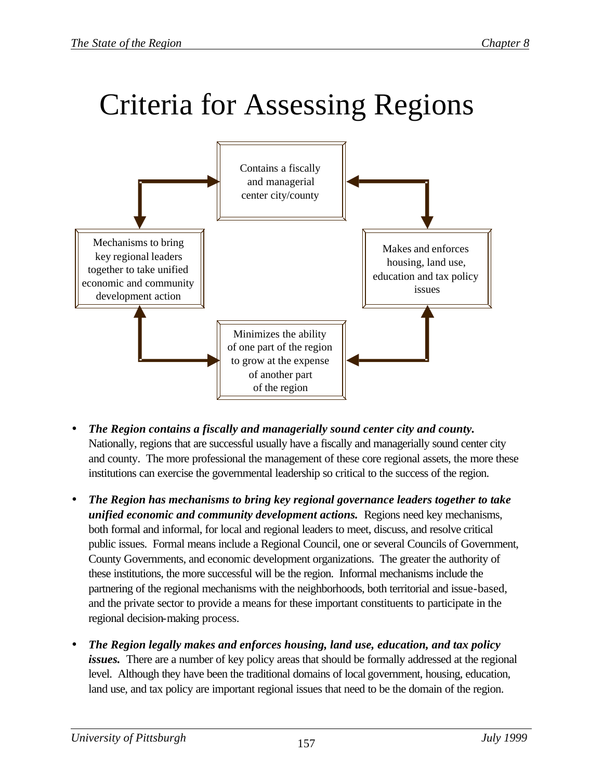# Criteria for Assessing Regions



- *The Region contains a fiscally and managerially sound center city and county.* Nationally, regions that are successful usually have a fiscally and managerially sound center city and county. The more professional the management of these core regional assets, the more these institutions can exercise the governmental leadership so critical to the success of the region.
- *The Region has mechanisms to bring key regional governance leaders together to take unified economic and community development actions.* Regions need key mechanisms, both formal and informal, for local and regional leaders to meet, discuss, and resolve critical public issues. Formal means include a Regional Council, one or several Councils of Government, County Governments, and economic development organizations. The greater the authority of these institutions, the more successful will be the region. Informal mechanisms include the partnering of the regional mechanisms with the neighborhoods, both territorial and issue-based, and the private sector to provide a means for these important constituents to participate in the regional decision-making process.
- *The Region legally makes and enforces housing, land use, education, and tax policy issues.* There are a number of key policy areas that should be formally addressed at the regional level. Although they have been the traditional domains of local government, housing, education, land use, and tax policy are important regional issues that need to be the domain of the region.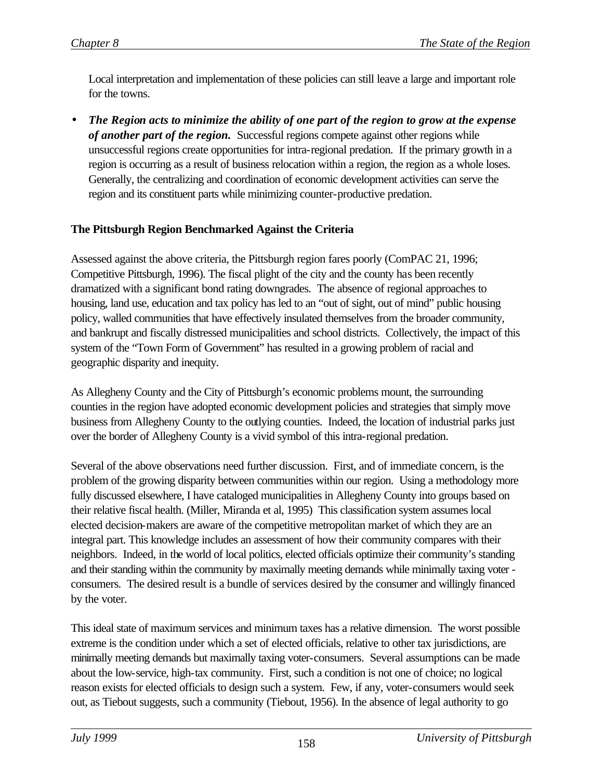Local interpretation and implementation of these policies can still leave a large and important role for the towns.

• *The Region acts to minimize the ability of one part of the region to grow at the expense of another part of the region.* Successful regions compete against other regions while unsuccessful regions create opportunities for intra-regional predation. If the primary growth in a region is occurring as a result of business relocation within a region, the region as a whole loses. Generally, the centralizing and coordination of economic development activities can serve the region and its constituent parts while minimizing counter-productive predation.

# **The Pittsburgh Region Benchmarked Against the Criteria**

Assessed against the above criteria, the Pittsburgh region fares poorly (ComPAC 21, 1996; Competitive Pittsburgh, 1996). The fiscal plight of the city and the county has been recently dramatized with a significant bond rating downgrades. The absence of regional approaches to housing, land use, education and tax policy has led to an "out of sight, out of mind" public housing policy, walled communities that have effectively insulated themselves from the broader community, and bankrupt and fiscally distressed municipalities and school districts. Collectively, the impact of this system of the "Town Form of Government" has resulted in a growing problem of racial and geographic disparity and inequity.

As Allegheny County and the City of Pittsburgh's economic problems mount, the surrounding counties in the region have adopted economic development policies and strategies that simply move business from Allegheny County to the outlying counties. Indeed, the location of industrial parks just over the border of Allegheny County is a vivid symbol of this intra-regional predation.

Several of the above observations need further discussion. First, and of immediate concern, is the problem of the growing disparity between communities within our region. Using a methodology more fully discussed elsewhere, I have cataloged municipalities in Allegheny County into groups based on their relative fiscal health. (Miller, Miranda et al, 1995) This classification system assumes local elected decision-makers are aware of the competitive metropolitan market of which they are an integral part. This knowledge includes an assessment of how their community compares with their neighbors. Indeed, in the world of local politics, elected officials optimize their community's standing and their standing within the community by maximally meeting demands while minimally taxing voter consumers. The desired result is a bundle of services desired by the consumer and willingly financed by the voter.

This ideal state of maximum services and minimum taxes has a relative dimension. The worst possible extreme is the condition under which a set of elected officials, relative to other tax jurisdictions, are minimally meeting demands but maximally taxing voter-consumers. Several assumptions can be made about the low-service, high-tax community. First, such a condition is not one of choice; no logical reason exists for elected officials to design such a system. Few, if any, voter-consumers would seek out, as Tiebout suggests, such a community (Tiebout, 1956). In the absence of legal authority to go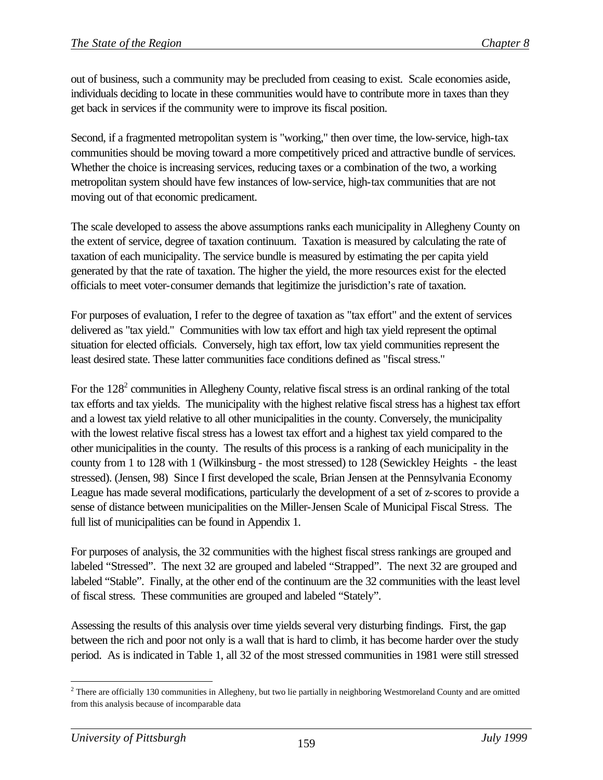out of business, such a community may be precluded from ceasing to exist. Scale economies aside, individuals deciding to locate in these communities would have to contribute more in taxes than they get back in services if the community were to improve its fiscal position.

Second, if a fragmented metropolitan system is "working," then over time, the low-service, high-tax communities should be moving toward a more competitively priced and attractive bundle of services. Whether the choice is increasing services, reducing taxes or a combination of the two, a working metropolitan system should have few instances of low-service, high-tax communities that are not moving out of that economic predicament.

The scale developed to assess the above assumptions ranks each municipality in Allegheny County on the extent of service, degree of taxation continuum. Taxation is measured by calculating the rate of taxation of each municipality. The service bundle is measured by estimating the per capita yield generated by that the rate of taxation. The higher the yield, the more resources exist for the elected officials to meet voter-consumer demands that legitimize the jurisdiction's rate of taxation.

For purposes of evaluation, I refer to the degree of taxation as "tax effort" and the extent of services delivered as "tax yield." Communities with low tax effort and high tax yield represent the optimal situation for elected officials. Conversely, high tax effort, low tax yield communities represent the least desired state. These latter communities face conditions defined as "fiscal stress."

For the  $128<sup>2</sup>$  communities in Allegheny County, relative fiscal stress is an ordinal ranking of the total tax efforts and tax yields. The municipality with the highest relative fiscal stress has a highest tax effort and a lowest tax yield relative to all other municipalities in the county. Conversely, the municipality with the lowest relative fiscal stress has a lowest tax effort and a highest tax yield compared to the other municipalities in the county. The results of this process is a ranking of each municipality in the county from 1 to 128 with 1 (Wilkinsburg - the most stressed) to 128 (Sewickley Heights - the least stressed). (Jensen, 98) Since I first developed the scale, Brian Jensen at the Pennsylvania Economy League has made several modifications, particularly the development of a set of z-scores to provide a sense of distance between municipalities on the Miller-Jensen Scale of Municipal Fiscal Stress. The full list of municipalities can be found in Appendix 1.

For purposes of analysis, the 32 communities with the highest fiscal stress rankings are grouped and labeled "Stressed". The next 32 are grouped and labeled "Strapped". The next 32 are grouped and labeled "Stable". Finally, at the other end of the continuum are the 32 communities with the least level of fiscal stress. These communities are grouped and labeled "Stately".

Assessing the results of this analysis over time yields several very disturbing findings. First, the gap between the rich and poor not only is a wall that is hard to climb, it has become harder over the study period. As is indicated in Table 1, all 32 of the most stressed communities in 1981 were still stressed

 $2$ <sup>2</sup> There are officially 130 communities in Allegheny, but two lie partially in neighboring Westmoreland County and are omitted from this analysis because of incomparable data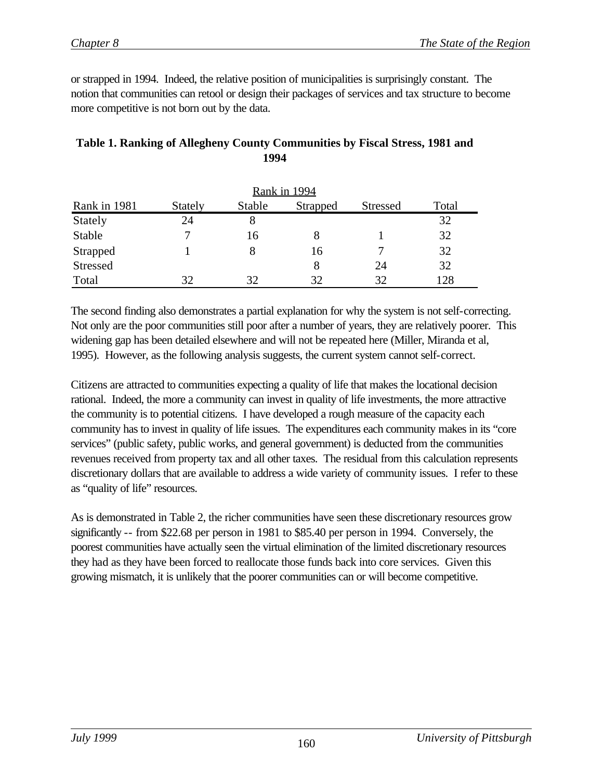or strapped in 1994. Indeed, the relative position of municipalities is surprisingly constant. The notion that communities can retool or design their packages of services and tax structure to become more competitive is not born out by the data.

| Rank in 1994 |                |        |          |                 |       |  |
|--------------|----------------|--------|----------|-----------------|-------|--|
| Rank in 1981 | <b>Stately</b> | Stable | Strapped | <b>Stressed</b> | Total |  |
| Stately      | 24             | 8      |          |                 | 32    |  |
| Stable       |                | 16     |          |                 | 32    |  |
| Strapped     |                |        | 16       |                 | 32    |  |
| Stressed     |                |        | 8        | 24              | 32    |  |
| Total        | 32             | 32     | 32       | 32              | 128   |  |

# **Table 1. Ranking of Allegheny County Communities by Fiscal Stress, 1981 and 1994**

The second finding also demonstrates a partial explanation for why the system is not self-correcting. Not only are the poor communities still poor after a number of years, they are relatively poorer. This widening gap has been detailed elsewhere and will not be repeated here (Miller, Miranda et al, 1995). However, as the following analysis suggests, the current system cannot self-correct.

Citizens are attracted to communities expecting a quality of life that makes the locational decision rational. Indeed, the more a community can invest in quality of life investments, the more attractive the community is to potential citizens. I have developed a rough measure of the capacity each community has to invest in quality of life issues. The expenditures each community makes in its "core services" (public safety, public works, and general government) is deducted from the communities revenues received from property tax and all other taxes. The residual from this calculation represents discretionary dollars that are available to address a wide variety of community issues. I refer to these as "quality of life" resources.

As is demonstrated in Table 2, the richer communities have seen these discretionary resources grow significantly -- from \$22.68 per person in 1981 to \$85.40 per person in 1994. Conversely, the poorest communities have actually seen the virtual elimination of the limited discretionary resources they had as they have been forced to reallocate those funds back into core services. Given this growing mismatch, it is unlikely that the poorer communities can or will become competitive.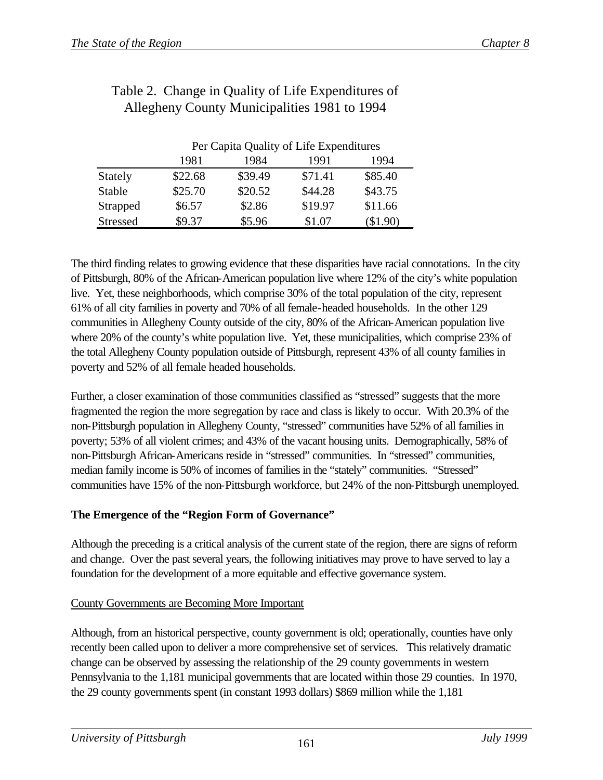|                 |         | Per Capita Quality of Life Expenditures |         |         |  |  |  |
|-----------------|---------|-----------------------------------------|---------|---------|--|--|--|
|                 | 1981    | 1984                                    | 1991    | 1994    |  |  |  |
| Stately         | \$22.68 | \$39.49                                 | \$71.41 | \$85.40 |  |  |  |
| Stable          | \$25.70 | \$20.52                                 | \$44.28 | \$43.75 |  |  |  |
| Strapped        | \$6.57  | \$2.86                                  | \$19.97 | \$11.66 |  |  |  |
| <b>Stressed</b> | \$9.37  | \$5.96                                  | \$1.07  | \$1.90  |  |  |  |

# Table 2. Change in Quality of Life Expenditures of Allegheny County Municipalities 1981 to 1994

The third finding relates to growing evidence that these disparities have racial connotations. In the city of Pittsburgh, 80% of the African-American population live where 12% of the city's white population live. Yet, these neighborhoods, which comprise 30% of the total population of the city, represent 61% of all city families in poverty and 70% of all female-headed households. In the other 129 communities in Allegheny County outside of the city, 80% of the African-American population live where 20% of the county's white population live. Yet, these municipalities, which comprise 23% of the total Allegheny County population outside of Pittsburgh, represent 43% of all county families in poverty and 52% of all female headed households.

Further, a closer examination of those communities classified as "stressed" suggests that the more fragmented the region the more segregation by race and class is likely to occur. With 20.3% of the non-Pittsburgh population in Allegheny County, "stressed" communities have 52% of all families in poverty; 53% of all violent crimes; and 43% of the vacant housing units. Demographically, 58% of non-Pittsburgh African-Americans reside in "stressed" communities. In "stressed" communities, median family income is 50% of incomes of families in the "stately" communities. "Stressed" communities have 15% of the non-Pittsburgh workforce, but 24% of the non-Pittsburgh unemployed.

# **The Emergence of the "Region Form of Governance"**

Although the preceding is a critical analysis of the current state of the region, there are signs of reform and change. Over the past several years, the following initiatives may prove to have served to lay a foundation for the development of a more equitable and effective governance system.

# County Governments are Becoming More Important

Although, from an historical perspective, county government is old; operationally, counties have only recently been called upon to deliver a more comprehensive set of services. This relatively dramatic change can be observed by assessing the relationship of the 29 county governments in western Pennsylvania to the 1,181 municipal governments that are located within those 29 counties. In 1970, the 29 county governments spent (in constant 1993 dollars) \$869 million while the 1,181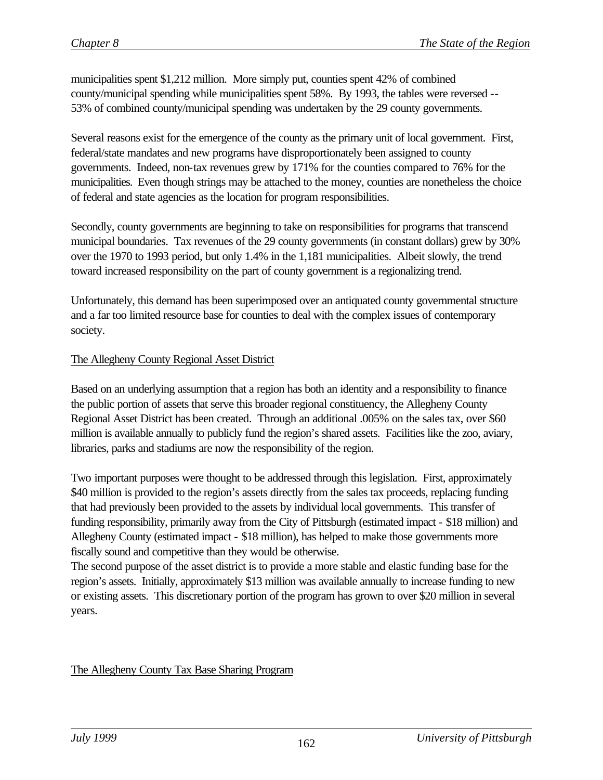municipalities spent \$1,212 million. More simply put, counties spent 42% of combined county/municipal spending while municipalities spent 58%. By 1993, the tables were reversed -- 53% of combined county/municipal spending was undertaken by the 29 county governments.

Several reasons exist for the emergence of the county as the primary unit of local government. First, federal/state mandates and new programs have disproportionately been assigned to county governments. Indeed, non-tax revenues grew by 171% for the counties compared to 76% for the municipalities. Even though strings may be attached to the money, counties are nonetheless the choice of federal and state agencies as the location for program responsibilities.

Secondly, county governments are beginning to take on responsibilities for programs that transcend municipal boundaries. Tax revenues of the 29 county governments (in constant dollars) grew by 30% over the 1970 to 1993 period, but only 1.4% in the 1,181 municipalities. Albeit slowly, the trend toward increased responsibility on the part of county government is a regionalizing trend.

Unfortunately, this demand has been superimposed over an antiquated county governmental structure and a far too limited resource base for counties to deal with the complex issues of contemporary society.

#### The Allegheny County Regional Asset District

Based on an underlying assumption that a region has both an identity and a responsibility to finance the public portion of assets that serve this broader regional constituency, the Allegheny County Regional Asset District has been created. Through an additional .005% on the sales tax, over \$60 million is available annually to publicly fund the region's shared assets. Facilities like the zoo, aviary, libraries, parks and stadiums are now the responsibility of the region.

Two important purposes were thought to be addressed through this legislation. First, approximately \$40 million is provided to the region's assets directly from the sales tax proceeds, replacing funding that had previously been provided to the assets by individual local governments. This transfer of funding responsibility, primarily away from the City of Pittsburgh (estimated impact - \$18 million) and Allegheny County (estimated impact - \$18 million), has helped to make those governments more fiscally sound and competitive than they would be otherwise.

The second purpose of the asset district is to provide a more stable and elastic funding base for the region's assets. Initially, approximately \$13 million was available annually to increase funding to new or existing assets. This discretionary portion of the program has grown to over \$20 million in several years.

#### The Allegheny County Tax Base Sharing Program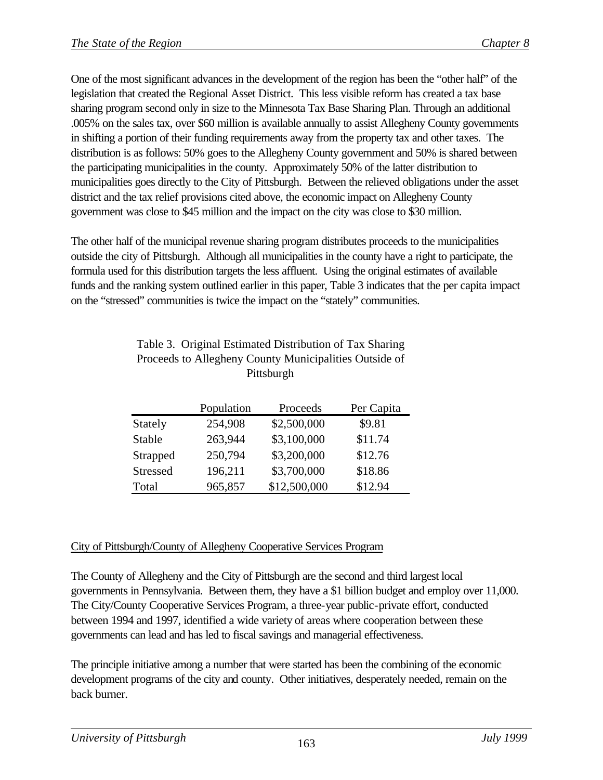One of the most significant advances in the development of the region has been the "other half" of the legislation that created the Regional Asset District. This less visible reform has created a tax base sharing program second only in size to the Minnesota Tax Base Sharing Plan. Through an additional .005% on the sales tax, over \$60 million is available annually to assist Allegheny County governments in shifting a portion of their funding requirements away from the property tax and other taxes. The distribution is as follows: 50% goes to the Allegheny County government and 50% is shared between the participating municipalities in the county. Approximately 50% of the latter distribution to municipalities goes directly to the City of Pittsburgh. Between the relieved obligations under the asset district and the tax relief provisions cited above, the economic impact on Allegheny County government was close to \$45 million and the impact on the city was close to \$30 million.

The other half of the municipal revenue sharing program distributes proceeds to the municipalities outside the city of Pittsburgh. Although all municipalities in the county have a right to participate, the formula used for this distribution targets the less affluent. Using the original estimates of available funds and the ranking system outlined earlier in this paper, Table 3 indicates that the per capita impact on the "stressed" communities is twice the impact on the "stately" communities.

|                 | Population | Proceeds     | Per Capita |
|-----------------|------------|--------------|------------|
| Stately         | 254,908    | \$2,500,000  | \$9.81     |
| Stable          | 263,944    | \$3,100,000  | \$11.74    |
| Strapped        | 250,794    | \$3,200,000  | \$12.76    |
| <b>Stressed</b> | 196,211    | \$3,700,000  | \$18.86    |
| Total           | 965,857    | \$12,500,000 | \$12.94    |

# Table 3. Original Estimated Distribution of Tax Sharing Proceeds to Allegheny County Municipalities Outside of Pittsburgh

# City of Pittsburgh/County of Allegheny Cooperative Services Program

The County of Allegheny and the City of Pittsburgh are the second and third largest local governments in Pennsylvania. Between them, they have a \$1 billion budget and employ over 11,000. The City/County Cooperative Services Program, a three-year public-private effort, conducted between 1994 and 1997, identified a wide variety of areas where cooperation between these governments can lead and has led to fiscal savings and managerial effectiveness.

The principle initiative among a number that were started has been the combining of the economic development programs of the city and county. Other initiatives, desperately needed, remain on the back burner.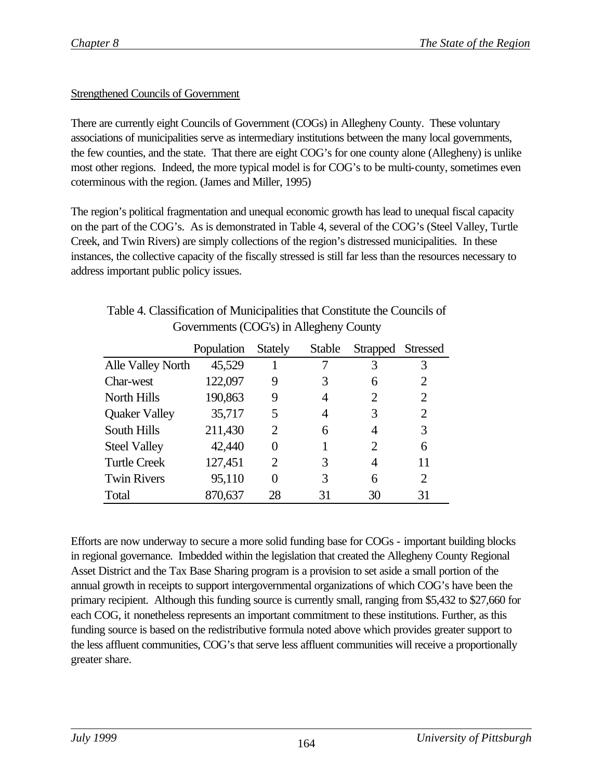# Strengthened Councils of Government

There are currently eight Councils of Government (COGs) in Allegheny County. These voluntary associations of municipalities serve as intermediary institutions between the many local governments, the few counties, and the state. That there are eight COG's for one county alone (Allegheny) is unlike most other regions. Indeed, the more typical model is for COG's to be multi-county, sometimes even coterminous with the region. (James and Miller, 1995)

The region's political fragmentation and unequal economic growth has lead to unequal fiscal capacity on the part of the COG's. As is demonstrated in Table 4, several of the COG's (Steel Valley, Turtle Creek, and Twin Rivers) are simply collections of the region's distressed municipalities. In these instances, the collective capacity of the fiscally stressed is still far less than the resources necessary to address important public policy issues.

# Table 4. Classification of Municipalities that Constitute the Councils of Governments (COG's) in Allegheny County

|                      | Population | <b>Stately</b> | Stable | Strapped Stressed |    |
|----------------------|------------|----------------|--------|-------------------|----|
| Alle Valley North    | 45,529     |                |        | 3                 |    |
| Char-west            | 122,097    | 9              |        | 6                 |    |
| North Hills          | 190,863    | 9              | 4      | $\overline{2}$    | 2  |
| <b>Quaker Valley</b> | 35,717     | 5              | 4      | 3                 | 2  |
| South Hills          | 211,430    | 2              | 6      | 4                 | 3  |
| <b>Steel Valley</b>  | 42,440     |                |        | 2                 | 6  |
| <b>Turtle Creek</b>  | 127,451    | 2              | 3      | 4                 | 11 |
| <b>Twin Rivers</b>   | 95,110     | 0              | 3      | 6                 | 2  |
| Total                | 870,637    | 28             | 31     | 30                | 31 |

Efforts are now underway to secure a more solid funding base for COGs - important building blocks in regional governance. Imbedded within the legislation that created the Allegheny County Regional Asset District and the Tax Base Sharing program is a provision to set aside a small portion of the annual growth in receipts to support intergovernmental organizations of which COG's have been the primary recipient. Although this funding source is currently small, ranging from \$5,432 to \$27,660 for each COG, it nonetheless represents an important commitment to these institutions. Further, as this funding source is based on the redistributive formula noted above which provides greater support to the less affluent communities, COG's that serve less affluent communities will receive a proportionally greater share.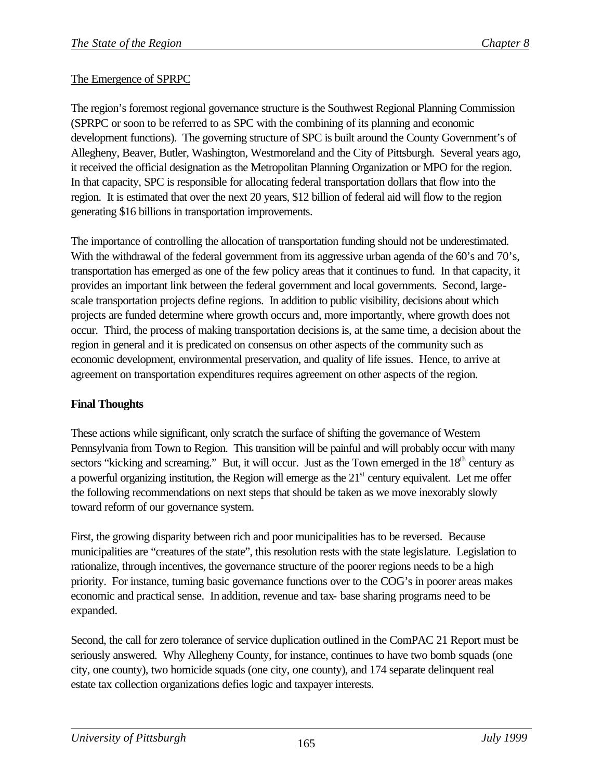# The Emergence of SPRPC

The region's foremost regional governance structure is the Southwest Regional Planning Commission (SPRPC or soon to be referred to as SPC with the combining of its planning and economic development functions). The governing structure of SPC is built around the County Government's of Allegheny, Beaver, Butler, Washington, Westmoreland and the City of Pittsburgh. Several years ago, it received the official designation as the Metropolitan Planning Organization or MPO for the region. In that capacity, SPC is responsible for allocating federal transportation dollars that flow into the region. It is estimated that over the next 20 years, \$12 billion of federal aid will flow to the region generating \$16 billions in transportation improvements.

The importance of controlling the allocation of transportation funding should not be underestimated. With the withdrawal of the federal government from its aggressive urban agenda of the 60's and 70's, transportation has emerged as one of the few policy areas that it continues to fund. In that capacity, it provides an important link between the federal government and local governments. Second, largescale transportation projects define regions. In addition to public visibility, decisions about which projects are funded determine where growth occurs and, more importantly, where growth does not occur. Third, the process of making transportation decisions is, at the same time, a decision about the region in general and it is predicated on consensus on other aspects of the community such as economic development, environmental preservation, and quality of life issues. Hence, to arrive at agreement on transportation expenditures requires agreement on other aspects of the region.

# **Final Thoughts**

These actions while significant, only scratch the surface of shifting the governance of Western Pennsylvania from Town to Region. This transition will be painful and will probably occur with many sectors "kicking and screaming." But, it will occur. Just as the Town emerged in the 18<sup>th</sup> century as a powerful organizing institution, the Region will emerge as the  $21<sup>st</sup>$  century equivalent. Let me offer the following recommendations on next steps that should be taken as we move inexorably slowly toward reform of our governance system.

First, the growing disparity between rich and poor municipalities has to be reversed. Because municipalities are "creatures of the state", this resolution rests with the state legislature. Legislation to rationalize, through incentives, the governance structure of the poorer regions needs to be a high priority. For instance, turning basic governance functions over to the COG's in poorer areas makes economic and practical sense. In addition, revenue and tax- base sharing programs need to be expanded.

Second, the call for zero tolerance of service duplication outlined in the ComPAC 21 Report must be seriously answered. Why Allegheny County, for instance, continues to have two bomb squads (one city, one county), two homicide squads (one city, one county), and 174 separate delinquent real estate tax collection organizations defies logic and taxpayer interests.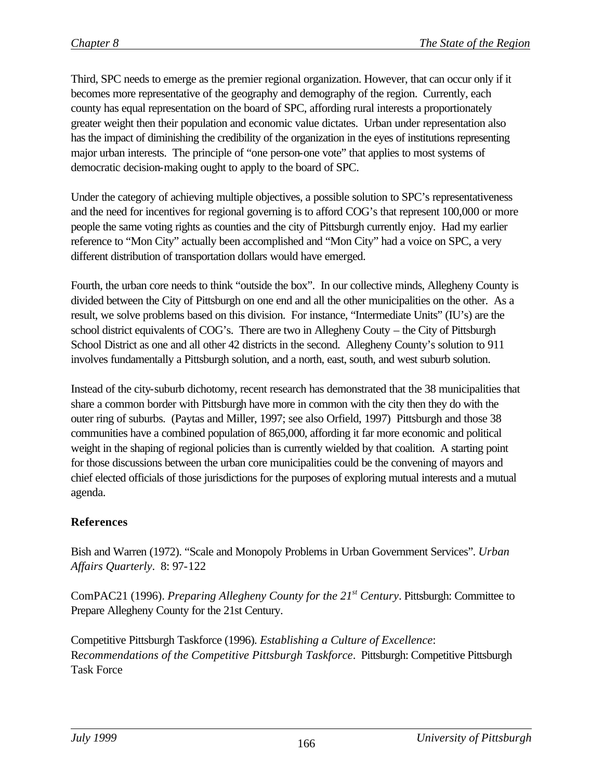Third, SPC needs to emerge as the premier regional organization. However, that can occur only if it becomes more representative of the geography and demography of the region. Currently, each county has equal representation on the board of SPC, affording rural interests a proportionately greater weight then their population and economic value dictates. Urban under representation also has the impact of diminishing the credibility of the organization in the eyes of institutions representing major urban interests. The principle of "one person-one vote" that applies to most systems of democratic decision-making ought to apply to the board of SPC.

Under the category of achieving multiple objectives, a possible solution to SPC's representativeness and the need for incentives for regional governing is to afford COG's that represent 100,000 or more people the same voting rights as counties and the city of Pittsburgh currently enjoy. Had my earlier reference to "Mon City" actually been accomplished and "Mon City" had a voice on SPC, a very different distribution of transportation dollars would have emerged.

Fourth, the urban core needs to think "outside the box". In our collective minds, Allegheny County is divided between the City of Pittsburgh on one end and all the other municipalities on the other. As a result, we solve problems based on this division. For instance, "Intermediate Units" (IU's) are the school district equivalents of COG's. There are two in Allegheny Couty – the City of Pittsburgh School District as one and all other 42 districts in the second. Allegheny County's solution to 911 involves fundamentally a Pittsburgh solution, and a north, east, south, and west suburb solution.

Instead of the city-suburb dichotomy, recent research has demonstrated that the 38 municipalities that share a common border with Pittsburgh have more in common with the city then they do with the outer ring of suburbs. (Paytas and Miller, 1997; see also Orfield, 1997) Pittsburgh and those 38 communities have a combined population of 865,000, affording it far more economic and political weight in the shaping of regional policies than is currently wielded by that coalition. A starting point for those discussions between the urban core municipalities could be the convening of mayors and chief elected officials of those jurisdictions for the purposes of exploring mutual interests and a mutual agenda.

# **References**

Bish and Warren (1972). "Scale and Monopoly Problems in Urban Government Services". *Urban Affairs Quarterly*. 8: 97-122

ComPAC21 (1996). *Preparing Allegheny County for the 21st Century*. Pittsburgh: Committee to Prepare Allegheny County for the 21st Century.

Competitive Pittsburgh Taskforce (1996). *Establishing a Culture of Excellence*: R*ecommendations of the Competitive Pittsburgh Taskforce*. Pittsburgh: Competitive Pittsburgh Task Force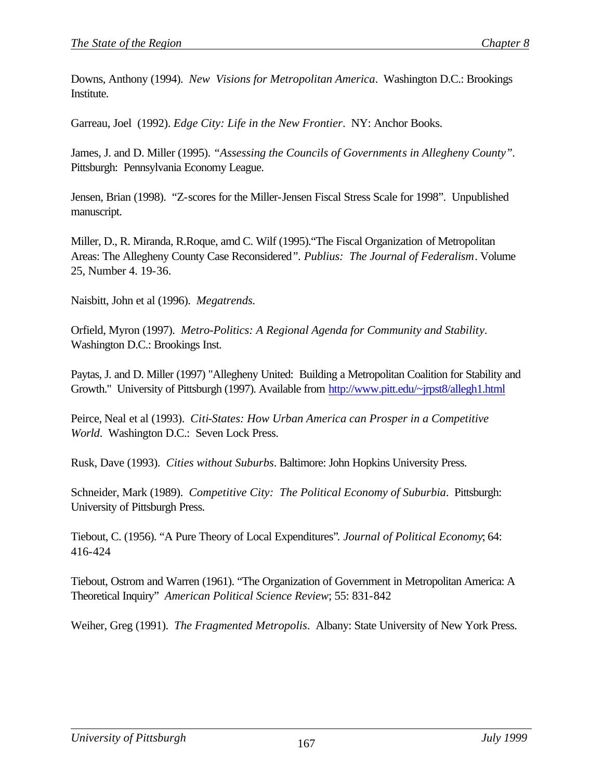Downs, Anthony (1994). *New Visions for Metropolitan America*. Washington D.C.: Brookings Institute.

Garreau, Joel (1992). *Edge City: Life in the New Frontier*. NY: Anchor Books.

James, J. and D. Miller (1995). *"Assessing the Councils of Governments in Allegheny County".* Pittsburgh: Pennsylvania Economy League.

Jensen, Brian (1998). "Z-scores for the Miller-Jensen Fiscal Stress Scale for 1998". Unpublished manuscript.

Miller, D., R. Miranda, R.Roque, amd C. Wilf (1995)."The Fiscal Organization of Metropolitan Areas: The Allegheny County Case Reconsidered*". Publius: The Journal of Federalism*. Volume 25, Number 4. 19-36.

Naisbitt, John et al (1996). *Megatrends.*

Orfield, Myron (1997). *Metro-Politics: A Regional Agenda for Community and Stability*. Washington D.C.: Brookings Inst.

Paytas, J. and D. Miller (1997) "Allegheny United: Building a Metropolitan Coalition for Stability and Growth." University of Pittsburgh (1997). Available from http://www.pitt.edu/~jrpst8/allegh1.html

Peirce, Neal et al (1993). *Citi-States: How Urban America can Prosper in a Competitive World*. Washington D.C.: Seven Lock Press.

Rusk, Dave (1993). *Cities without Suburbs*. Baltimore: John Hopkins University Press.

Schneider, Mark (1989). *Competitive City: The Political Economy of Suburbia*. Pittsburgh: University of Pittsburgh Press.

Tiebout, C. (1956). "A Pure Theory of Local Expenditures"*. Journal of Political Economy*; 64: 416-424

Tiebout, Ostrom and Warren (1961). "The Organization of Government in Metropolitan America: A Theoretical Inquiry" *American Political Science Review*; 55: 831-842

Weiher, Greg (1991). *The Fragmented Metropolis*. Albany: State University of New York Press.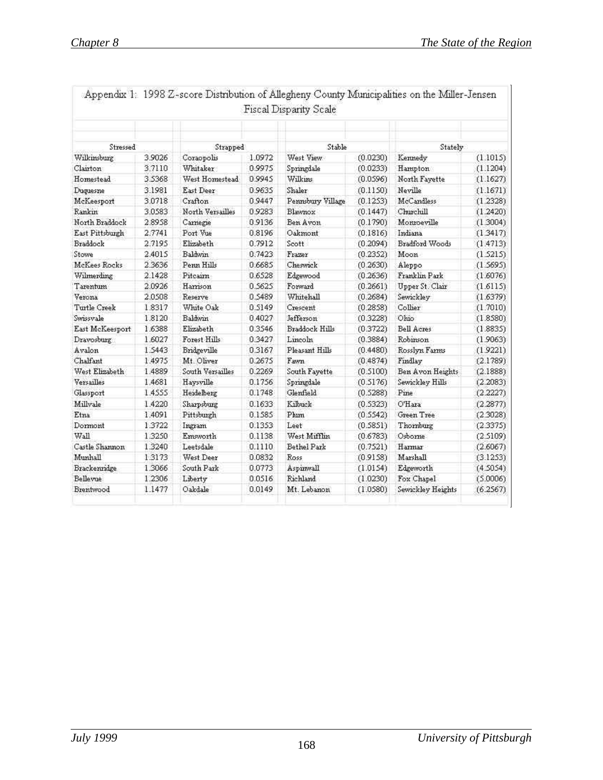| Stressed        |        | Strapped         |        | Stable            |          | Stately           |          |
|-----------------|--------|------------------|--------|-------------------|----------|-------------------|----------|
| Wilkinsburg     | 3.9026 | Coraopolis       | 1.0972 | West View         | (0.0230) | Kennedy           | (1.1015) |
| Clairton        | 3.7110 | Whitaker         | 0.9975 | Springdale        | (0.0233) | Hampton           | (1.1204) |
| Homestead       | 3.5368 | West Homestead   | 0.9945 | Wilkins           | (0.0596) | North Fayette     | (1.1627) |
| Duquesne        | 3.1981 | East Deer        | 0.9635 | Shaler            | (0.1150) | Neville           | (1.1671) |
| McKeesport      | 3.0718 | Crafton          | 0.9447 | Pennsbury Village | (0.1253) | McCandless        | (1.2328) |
| Rankin          | 3.0583 | North Versailles | 0.9283 | Blawnox           | (0.1447) | Clorchill         | (1.2420) |
| North Braddock  | 2.8958 | Carnegie         | 0.9136 | Ben Avon          | (0.1790) | Monroeville       | (1.3004) |
| East Pittsburgh | 2.7741 | Port Vue         | 0.8196 | Oakmont           | (0.1816) | Indiana           | (1.3417) |
| Braddock        | 2.7195 | Elizabeth        | 0.7912 | Scott             | (0.2094) | Bradford Woods    | (1.4713) |
| Stowe           | 2.4015 | Baldwin          | 0.7423 | Frazer            | (0.2352) | Moon              | (1.5215) |
| McKees Rocks    | 2.3636 | Penn Hills       | 0.6685 | Cheswick          | (0.2630) | Aleppo            | (1.5695) |
| Wilmerding      | 2.1428 | Pitcairn         | 0.6528 | Edgewood          | (0.2636) | Franklin Park     | (1.6076) |
| Tarentum        | 2.0926 | Harrison         | 0.5625 | Forward           | (0.2661) | Upper St. Clair   | (1.6115) |
| Verona          | 2.0508 | Reserve          | 0.5489 | Whitehall         | (0.2684) | Sewickley         | (1.6379) |
| Turtle Creek    | 1.8317 | White Oak        | 0.5149 | Crescent          | (0.2858) | Collier           | (1.7010) |
| Swissyale       | 1.8120 | Baldwin          | 0.4027 | <b>Jefferson</b>  | (0.3228) | Ohio.             | (1.8580) |
| East McKeesport | 1.6388 | Elizabeth        | 0.3546 | Braddock Hills    | (0.3722) | Bell Acres        | (1.8835) |
| Dravosburg      | 1.6027 | Forest Hills     | 0.3427 | Lincoln           | (0.3884) | Robinson          | (1.9063) |
| Avalon          | 1.5443 | Bridgeville      | 0.3167 | Pleasant Hills    | (0.4480) | Rosslyn Farms     | (1.9221) |
| Chalfant        | 1.4975 | Mt. Oliver       | 0.2675 | Fawn              | (0.4874) | Findlay           | (2.1789) |
| West Elizabeth  | 1.4889 | South Versailles | 0.2269 | South Fayette     | (0.5100) | Ben Avon Heights  | (2.1888) |
| Versailles      | 1.4681 | Haysville        | 0.1756 | Springdale        | (0.5176) | Sewickley Hills   | (2.2083) |
| Glassport       | 1.4555 | Heidelberg       | 0.1748 | Glenfield         | (0.5288) | Pine              | (2.2227) |
| Millvale        | 1.4220 | Sharpsburg       | 0.1633 | Kilbuck-          | (0.5323) | O'Hara            | (2.2877) |
| Etna            | 1.4091 | Pittsburgh       | 0.1585 | Phim              | (0.5542) | Green Tree        | (2.3028) |
| Dormont         | 1.3722 | Ingram           | 0.1353 | Leet              | (0.5851) | Thornburg         | (2.3375) |
| Wall            | 1.3250 | Emsworth         | 0.1138 | West Mifflin      | (0.6783) | Osborne           | (2.5109) |
| Castle Shannon  | 1.3240 | Leetsdale        | 0.1110 | Bethel Park       | (0.7521) | Harmar            | (2.6067) |
| Munhall         | 1.3173 | West Deer        | 0.0832 | Ross              | (0.9158) | Marshall          | (3.1253) |
| Brackenridge    | 1.3066 | South Park       | 0.0773 | Aspinwall         | (1.0154) | Edgeworth         | (4.5054) |
| Bellevije       | 1.2306 | Liberty          | 0.0516 | Richland          | (1.0230) | Fox Chapel        | (5.0006) |
| Brentwood       | 1.1477 | Oakdale          | 0.0149 | Mt. Lebanon       | (1.0580) | Sewickley Heights | (6.2567) |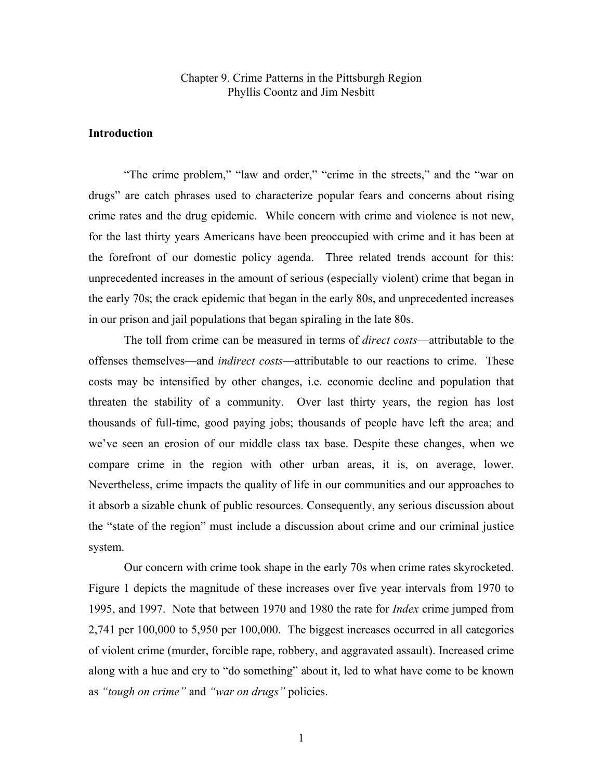#### Chapter 9. Crime Patterns in the Pittsburgh Region Phyllis Coontz and Jim Nesbitt

#### **Introduction**

 "The crime problem," "law and order," "crime in the streets," and the "war on drugs" are catch phrases used to characterize popular fears and concerns about rising crime rates and the drug epidemic. While concern with crime and violence is not new, for the last thirty years Americans have been preoccupied with crime and it has been at the forefront of our domestic policy agenda. Three related trends account for this: unprecedented increases in the amount of serious (especially violent) crime that began in the early 70s; the crack epidemic that began in the early 80s, and unprecedented increases in our prison and jail populations that began spiraling in the late 80s.

The toll from crime can be measured in terms of *direct costs*—attributable to the offenses themselves—and *indirect costs*—attributable to our reactions to crime. These costs may be intensified by other changes, i.e. economic decline and population that threaten the stability of a community. Over last thirty years, the region has lost thousands of full-time, good paying jobs; thousands of people have left the area; and we've seen an erosion of our middle class tax base. Despite these changes, when we compare crime in the region with other urban areas, it is, on average, lower. Nevertheless, crime impacts the quality of life in our communities and our approaches to it absorb a sizable chunk of public resources. Consequently, any serious discussion about the "state of the region" must include a discussion about crime and our criminal justice system.

 Our concern with crime took shape in the early 70s when crime rates skyrocketed. Figure 1 depicts the magnitude of these increases over five year intervals from 1970 to 1995, and 1997. Note that between 1970 and 1980 the rate for *Index* crime jumped from 2,741 per 100,000 to 5,950 per 100,000. The biggest increases occurred in all categories of violent crime (murder, forcible rape, robbery, and aggravated assault). Increased crime along with a hue and cry to "do something" about it, led to what have come to be known as *"tough on crime"* and *"war on drugs"* policies.

1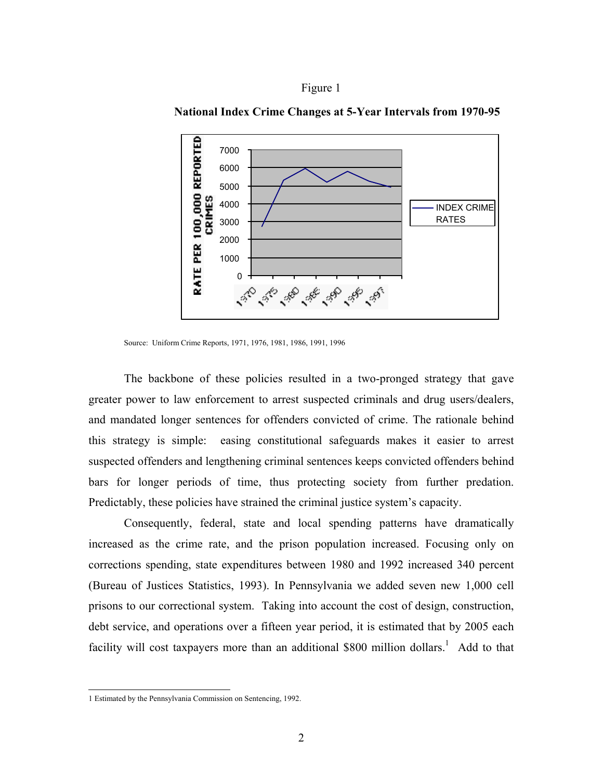



**National Index Crime Changes at 5-Year Intervals from 1970-95** 

The backbone of these policies resulted in a two-pronged strategy that gave greater power to law enforcement to arrest suspected criminals and drug users/dealers, and mandated longer sentences for offenders convicted of crime. The rationale behind this strategy is simple: easing constitutional safeguards makes it easier to arrest suspected offenders and lengthening criminal sentences keeps convicted offenders behind bars for longer periods of time, thus protecting society from further predation. Predictably, these policies have strained the criminal justice system's capacity.

 Consequently, federal, state and local spending patterns have dramatically increased as the crime rate, and the prison population increased. Focusing only on corrections spending, state expenditures between 1980 and 1992 increased 340 percent (Bureau of Justices Statistics, 1993). In Pennsylvania we added seven new 1,000 cell prisons to our correctional system. Taking into account the cost of design, construction, debt service, and operations over a fifteen year period, it is estimated that by 2005 each facility will cost taxpayers more than an additional \$800 million dollars.<sup>1</sup> Add to that

Source: Uniform Crime Reports, 1971, 1976, 1981, 1986, 1991, 1996

 1 Estimated by the Pennsylvania Commission on Sentencing, 1992.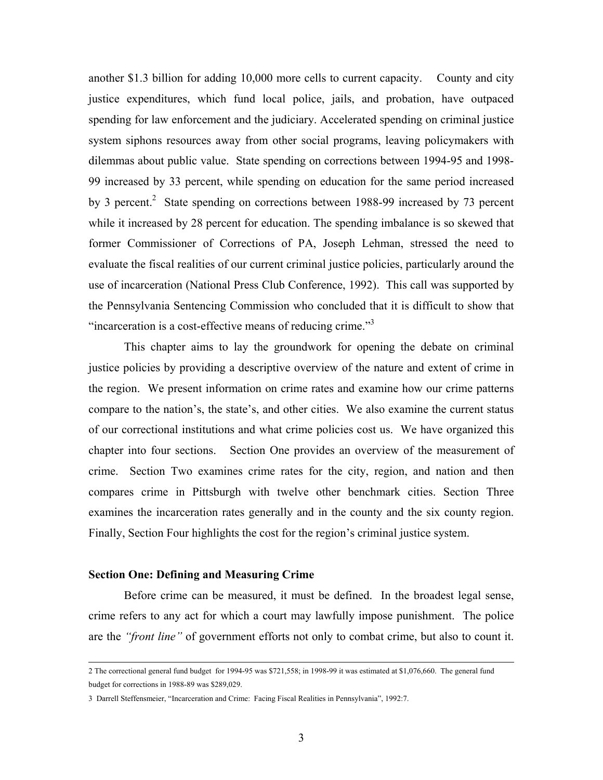another \$1.3 billion for adding 10,000 more cells to current capacity. County and city justice expenditures, which fund local police, jails, and probation, have outpaced spending for law enforcement and the judiciary. Accelerated spending on criminal justice system siphons resources away from other social programs, leaving policymakers with dilemmas about public value. State spending on corrections between 1994-95 and 1998- 99 increased by 33 percent, while spending on education for the same period increased by 3 percent.<sup>2</sup> State spending on corrections between 1988-99 increased by 73 percent while it increased by 28 percent for education. The spending imbalance is so skewed that former Commissioner of Corrections of PA, Joseph Lehman, stressed the need to evaluate the fiscal realities of our current criminal justice policies, particularly around the use of incarceration (National Press Club Conference, 1992). This call was supported by the Pennsylvania Sentencing Commission who concluded that it is difficult to show that "incarceration is a cost-effective means of reducing crime."<sup>3</sup>

 This chapter aims to lay the groundwork for opening the debate on criminal justice policies by providing a descriptive overview of the nature and extent of crime in the region. We present information on crime rates and examine how our crime patterns compare to the nation's, the state's, and other cities. We also examine the current status of our correctional institutions and what crime policies cost us. We have organized this chapter into four sections. Section One provides an overview of the measurement of crime. Section Two examines crime rates for the city, region, and nation and then compares crime in Pittsburgh with twelve other benchmark cities. Section Three examines the incarceration rates generally and in the county and the six county region. Finally, Section Four highlights the cost for the region's criminal justice system.

#### **Section One: Defining and Measuring Crime**

Before crime can be measured, it must be defined. In the broadest legal sense, crime refers to any act for which a court may lawfully impose punishment. The police are the *"front line"* of government efforts not only to combat crime, but also to count it.

 <sup>2</sup> The correctional general fund budget for 1994-95 was \$721,558; in 1998-99 it was estimated at \$1,076,660. The general fund budget for corrections in 1988-89 was \$289,029.

<sup>3</sup> Darrell Steffensmeier, "Incarceration and Crime: Facing Fiscal Realities in Pennsylvania", 1992:7.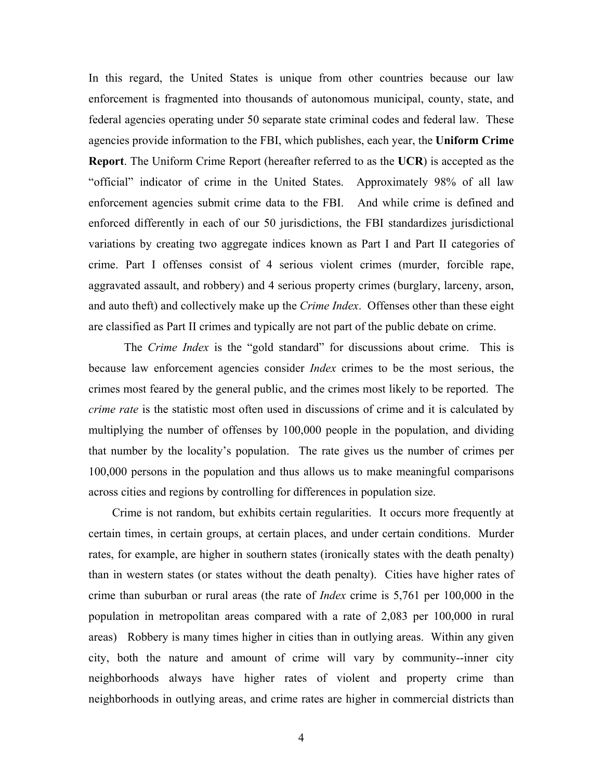In this regard, the United States is unique from other countries because our law enforcement is fragmented into thousands of autonomous municipal, county, state, and federal agencies operating under 50 separate state criminal codes and federal law. These agencies provide information to the FBI, which publishes, each year, the **Uniform Crime Report**. The Uniform Crime Report (hereafter referred to as the **UCR**) is accepted as the "official" indicator of crime in the United States. Approximately 98% of all law enforcement agencies submit crime data to the FBI. And while crime is defined and enforced differently in each of our 50 jurisdictions, the FBI standardizes jurisdictional variations by creating two aggregate indices known as Part I and Part II categories of crime. Part I offenses consist of 4 serious violent crimes (murder, forcible rape, aggravated assault, and robbery) and 4 serious property crimes (burglary, larceny, arson, and auto theft) and collectively make up the *Crime Index*. Offenses other than these eight are classified as Part II crimes and typically are not part of the public debate on crime.

 The *Crime Index* is the "gold standard" for discussions about crime. This is because law enforcement agencies consider *Index* crimes to be the most serious, the crimes most feared by the general public, and the crimes most likely to be reported. The *crime rate* is the statistic most often used in discussions of crime and it is calculated by multiplying the number of offenses by 100,000 people in the population, and dividing that number by the locality's population. The rate gives us the number of crimes per 100,000 persons in the population and thus allows us to make meaningful comparisons across cities and regions by controlling for differences in population size.

 Crime is not random, but exhibits certain regularities. It occurs more frequently at certain times, in certain groups, at certain places, and under certain conditions. Murder rates, for example, are higher in southern states (ironically states with the death penalty) than in western states (or states without the death penalty). Cities have higher rates of crime than suburban or rural areas (the rate of *Index* crime is 5,761 per 100,000 in the population in metropolitan areas compared with a rate of 2,083 per 100,000 in rural areas) Robbery is many times higher in cities than in outlying areas. Within any given city, both the nature and amount of crime will vary by community--inner city neighborhoods always have higher rates of violent and property crime than neighborhoods in outlying areas, and crime rates are higher in commercial districts than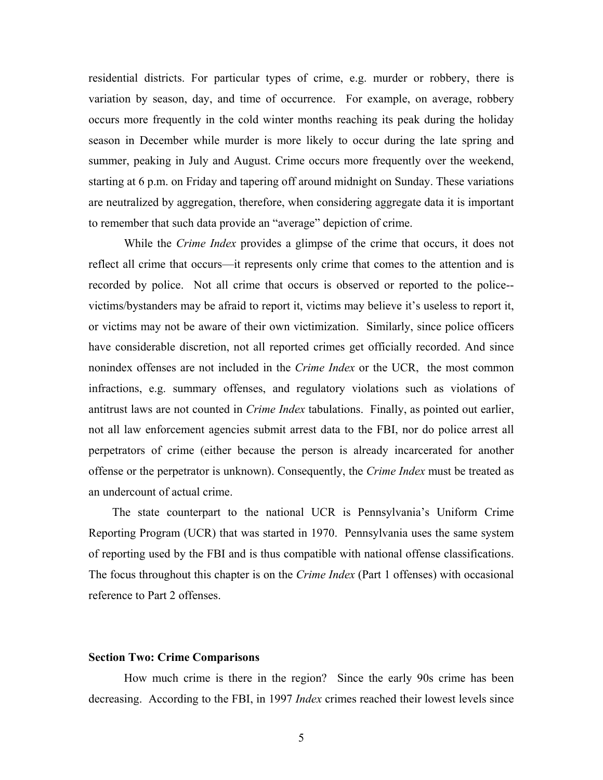residential districts. For particular types of crime, e.g. murder or robbery, there is variation by season, day, and time of occurrence. For example, on average, robbery occurs more frequently in the cold winter months reaching its peak during the holiday season in December while murder is more likely to occur during the late spring and summer, peaking in July and August. Crime occurs more frequently over the weekend, starting at 6 p.m. on Friday and tapering off around midnight on Sunday. These variations are neutralized by aggregation, therefore, when considering aggregate data it is important to remember that such data provide an "average" depiction of crime.

 While the *Crime Index* provides a glimpse of the crime that occurs, it does not reflect all crime that occurs—it represents only crime that comes to the attention and is recorded by police. Not all crime that occurs is observed or reported to the police- victims/bystanders may be afraid to report it, victims may believe it's useless to report it, or victims may not be aware of their own victimization. Similarly, since police officers have considerable discretion, not all reported crimes get officially recorded. And since nonindex offenses are not included in the *Crime Index* or the UCR, the most common infractions, e.g. summary offenses, and regulatory violations such as violations of antitrust laws are not counted in *Crime Index* tabulations. Finally, as pointed out earlier, not all law enforcement agencies submit arrest data to the FBI, nor do police arrest all perpetrators of crime (either because the person is already incarcerated for another offense or the perpetrator is unknown). Consequently, the *Crime Index* must be treated as an undercount of actual crime.

 The state counterpart to the national UCR is Pennsylvania's Uniform Crime Reporting Program (UCR) that was started in 1970. Pennsylvania uses the same system of reporting used by the FBI and is thus compatible with national offense classifications. The focus throughout this chapter is on the *Crime Index* (Part 1 offenses) with occasional reference to Part 2 offenses.

#### **Section Two: Crime Comparisons**

How much crime is there in the region? Since the early 90s crime has been decreasing. According to the FBI, in 1997 *Index* crimes reached their lowest levels since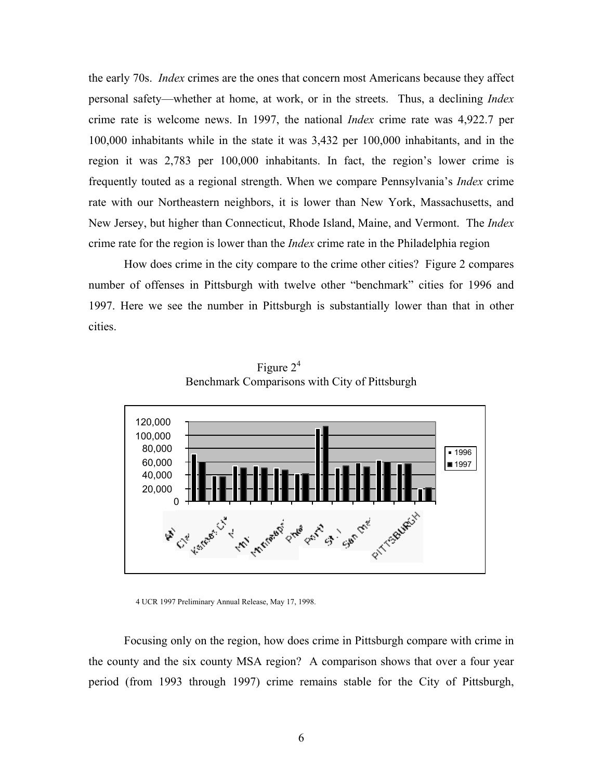the early 70s. *Index* crimes are the ones that concern most Americans because they affect personal safety—whether at home, at work, or in the streets. Thus, a declining *Index* crime rate is welcome news. In 1997, the national *Index* crime rate was 4,922.7 per 100,000 inhabitants while in the state it was 3,432 per 100,000 inhabitants, and in the region it was 2,783 per 100,000 inhabitants. In fact, the region's lower crime is frequently touted as a regional strength. When we compare Pennsylvania's *Index* crime rate with our Northeastern neighbors, it is lower than New York, Massachusetts, and New Jersey, but higher than Connecticut, Rhode Island, Maine, and Vermont. The *Index* crime rate for the region is lower than the *Index* crime rate in the Philadelphia region

How does crime in the city compare to the crime other cities? Figure 2 compares number of offenses in Pittsburgh with twelve other "benchmark" cities for 1996 and 1997. Here we see the number in Pittsburgh is substantially lower than that in other cities.



Figure  $2^4$ Benchmark Comparisons with City of Pittsburgh

Focusing only on the region, how does crime in Pittsburgh compare with crime in the county and the six county MSA region? A comparison shows that over a four year period (from 1993 through 1997) crime remains stable for the City of Pittsburgh,

 <sup>4</sup> UCR 1997 Preliminary Annual Release, May 17, 1998.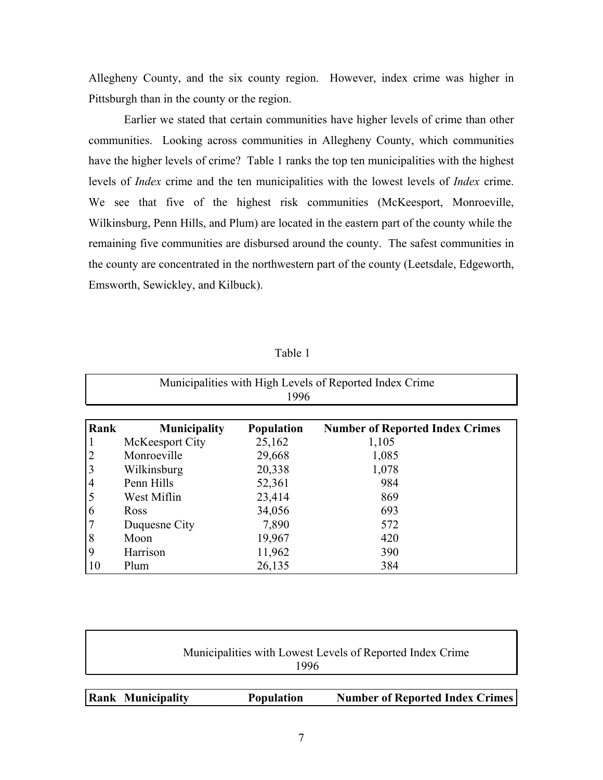Allegheny County, and the six county region. However, index crime was higher in Pittsburgh than in the county or the region.

Earlier we stated that certain communities have higher levels of crime than other communities. Looking across communities in Allegheny County, which communities have the higher levels of crime? Table 1 ranks the top ten municipalities with the highest levels of *Index* crime and the ten municipalities with the lowest levels of *Index* crime. We see that five of the highest risk communities (McKeesport, Monroeville, Wilkinsburg, Penn Hills, and Plum) are located in the eastern part of the county while the remaining five communities are disbursed around the county. The safest communities in the county are concentrated in the northwestern part of the county (Leetsdale, Edgeworth, Emsworth, Sewickley, and Kilbuck).

| Municipalities with High Levels of Reported Index Crime<br>1996 |                     |                   |                                        |  |  |  |
|-----------------------------------------------------------------|---------------------|-------------------|----------------------------------------|--|--|--|
| Rank                                                            | <b>Municipality</b> | <b>Population</b> | <b>Number of Reported Index Crimes</b> |  |  |  |
|                                                                 | McKeesport City     | 25,162            | 1,105                                  |  |  |  |
|                                                                 | Monroeville         | 29,668            | 1,085                                  |  |  |  |
|                                                                 | Wilkinsburg         | 20,338            | 1,078                                  |  |  |  |
| 4                                                               | Penn Hills          | 52,361            | 984                                    |  |  |  |
|                                                                 | West Miflin         | 23,414            | 869                                    |  |  |  |
| $\mathfrak b$                                                   | <b>Ross</b>         | 34,056            | 693                                    |  |  |  |
|                                                                 | Duquesne City       | 7,890             | 572                                    |  |  |  |
| 8                                                               | Moon                | 19,967            | 420                                    |  |  |  |
| 9                                                               | Harrison            | 11,962            | 390                                    |  |  |  |
| 10                                                              | Plum                | 26,135            | 384                                    |  |  |  |

Table 1

Г

| <b>Rank Municipality</b>                                  | <b>Population</b> | <b>Number of Reported Index Crimes</b> |  |  |  |  |  |
|-----------------------------------------------------------|-------------------|----------------------------------------|--|--|--|--|--|
| 1996                                                      |                   |                                        |  |  |  |  |  |
| Municipalities with Lowest Levels of Reported Index Crime |                   |                                        |  |  |  |  |  |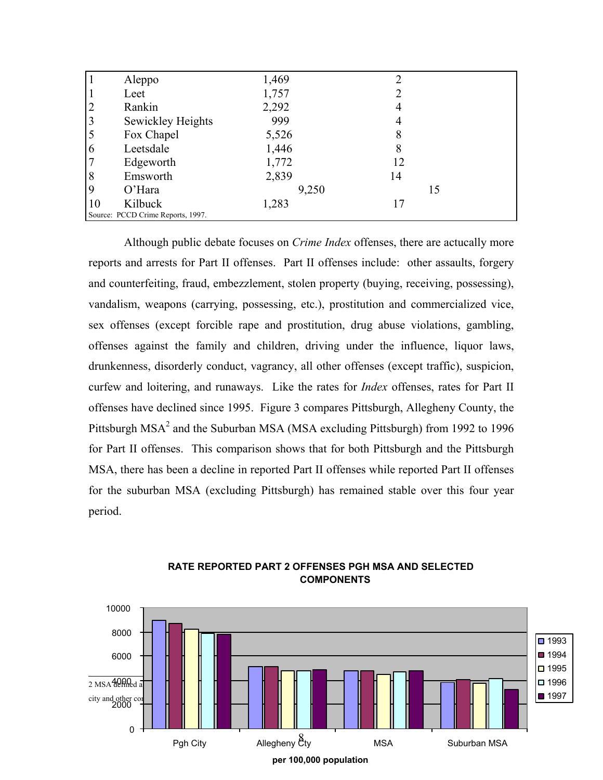|                | Aleppo                            | 1,469 | 2  |
|----------------|-----------------------------------|-------|----|
|                | Leet                              | 1,757 |    |
| $\overline{2}$ | Rankin                            | 2,292 | 4  |
| 3              | Sewickley Heights                 | 999   | 4  |
|                | Fox Chapel                        | 5,526 | 8  |
| 6              | Leetsdale                         | 1,446 | 8  |
|                | Edgeworth                         | 1,772 | 12 |
| 8              | Emsworth                          | 2,839 | 14 |
| 9              | $O'$ Hara                         | 9,250 | 15 |
| 10             | Kilbuck                           | 1,283 | 17 |
|                | Source: PCCD Crime Reports, 1997. |       |    |

Although public debate focuses on *Crime Index* offenses, there are actucally more reports and arrests for Part II offenses. Part II offenses include: other assaults, forgery and counterfeiting, fraud, embezzlement, stolen property (buying, receiving, possessing), vandalism, weapons (carrying, possessing, etc.), prostitution and commercialized vice, sex offenses (except forcible rape and prostitution, drug abuse violations, gambling, offenses against the family and children, driving under the influence, liquor laws, drunkenness, disorderly conduct, vagrancy, all other offenses (except traffic), suspicion, curfew and loitering, and runaways. Like the rates for *Index* offenses, rates for Part II offenses have declined since 1995. Figure 3 compares Pittsburgh, Allegheny County, the Pittsburgh  $MSA<sup>2</sup>$  and the Suburban MSA (MSA excluding Pittsburgh) from 1992 to 1996 for Part II offenses. This comparison shows that for both Pittsburgh and the Pittsburgh MSA, there has been a decline in reported Part II offenses while reported Part II offenses for the suburban MSA (excluding Pittsburgh) has remained stable over this four year period.



**RATE REPORTED PART 2 OFFENSES PGH MSA AND SELECTED COMPONENTS**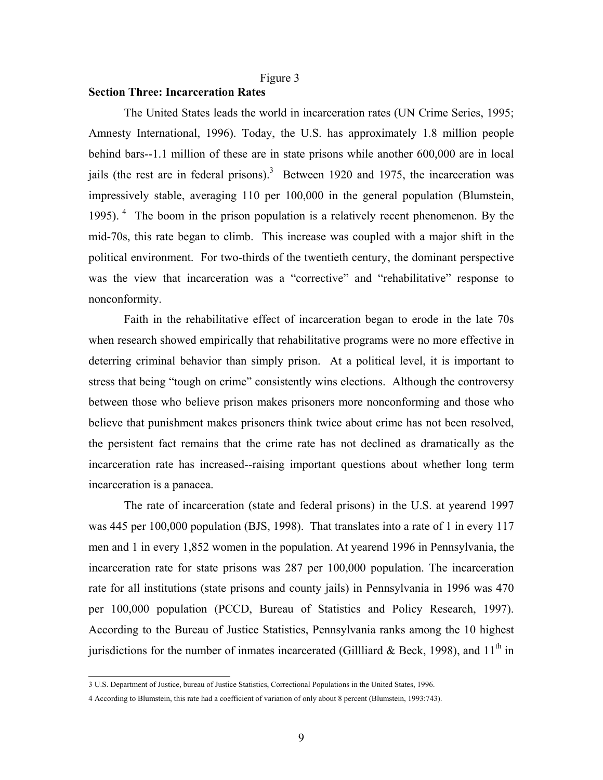#### Figure 3

### **Section Three: Incarceration Rates**

The United States leads the world in incarceration rates (UN Crime Series, 1995; Amnesty International, 1996). Today, the U.S. has approximately 1.8 million people behind bars--1.1 million of these are in state prisons while another 600,000 are in local jails (the rest are in federal prisons).<sup>3</sup> Between 1920 and 1975, the incarceration was impressively stable, averaging 110 per 100,000 in the general population (Blumstein, 1995).  $4$  The boom in the prison population is a relatively recent phenomenon. By the mid-70s, this rate began to climb. This increase was coupled with a major shift in the political environment. For two-thirds of the twentieth century, the dominant perspective was the view that incarceration was a "corrective" and "rehabilitative" response to nonconformity.

Faith in the rehabilitative effect of incarceration began to erode in the late 70s when research showed empirically that rehabilitative programs were no more effective in deterring criminal behavior than simply prison. At a political level, it is important to stress that being "tough on crime" consistently wins elections. Although the controversy between those who believe prison makes prisoners more nonconforming and those who believe that punishment makes prisoners think twice about crime has not been resolved, the persistent fact remains that the crime rate has not declined as dramatically as the incarceration rate has increased--raising important questions about whether long term incarceration is a panacea.

The rate of incarceration (state and federal prisons) in the U.S. at yearend 1997 was 445 per 100,000 population (BJS, 1998). That translates into a rate of 1 in every 117 men and 1 in every 1,852 women in the population. At yearend 1996 in Pennsylvania, the incarceration rate for state prisons was 287 per 100,000 population. The incarceration rate for all institutions (state prisons and county jails) in Pennsylvania in 1996 was 470 per 100,000 population (PCCD, Bureau of Statistics and Policy Research, 1997). According to the Bureau of Justice Statistics, Pennsylvania ranks among the 10 highest jurisdictions for the number of inmates incarcerated (Gillliard & Beck, 1998), and  $11<sup>th</sup>$  in

 3 U.S. Department of Justice, bureau of Justice Statistics, Correctional Populations in the United States, 1996.

<sup>4</sup> According to Blumstein, this rate had a coefficient of variation of only about 8 percent (Blumstein, 1993:743).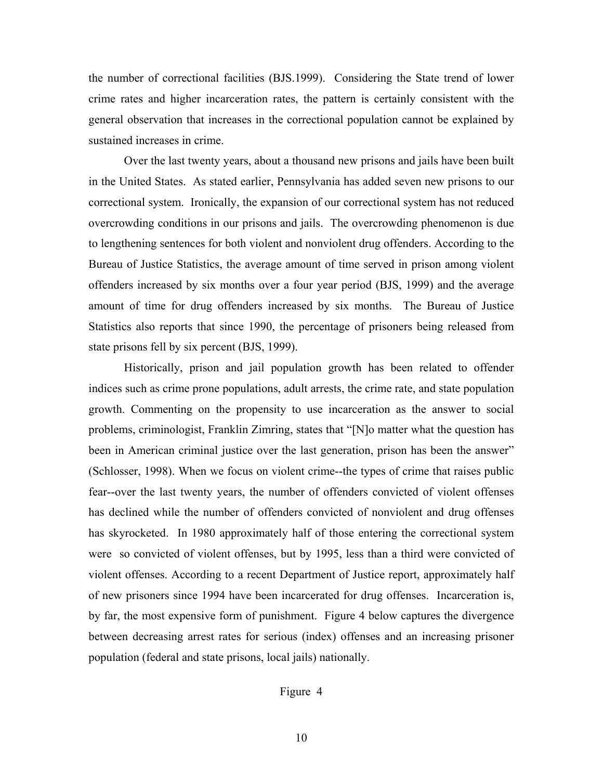the number of correctional facilities (BJS.1999). Considering the State trend of lower crime rates and higher incarceration rates, the pattern is certainly consistent with the general observation that increases in the correctional population cannot be explained by sustained increases in crime.

Over the last twenty years, about a thousand new prisons and jails have been built in the United States. As stated earlier, Pennsylvania has added seven new prisons to our correctional system. Ironically, the expansion of our correctional system has not reduced overcrowding conditions in our prisons and jails. The overcrowding phenomenon is due to lengthening sentences for both violent and nonviolent drug offenders. According to the Bureau of Justice Statistics, the average amount of time served in prison among violent offenders increased by six months over a four year period (BJS, 1999) and the average amount of time for drug offenders increased by six months. The Bureau of Justice Statistics also reports that since 1990, the percentage of prisoners being released from state prisons fell by six percent (BJS, 1999).

Historically, prison and jail population growth has been related to offender indices such as crime prone populations, adult arrests, the crime rate, and state population growth. Commenting on the propensity to use incarceration as the answer to social problems, criminologist, Franklin Zimring, states that "[N]o matter what the question has been in American criminal justice over the last generation, prison has been the answer" (Schlosser, 1998). When we focus on violent crime--the types of crime that raises public fear--over the last twenty years, the number of offenders convicted of violent offenses has declined while the number of offenders convicted of nonviolent and drug offenses has skyrocketed. In 1980 approximately half of those entering the correctional system were so convicted of violent offenses, but by 1995, less than a third were convicted of violent offenses. According to a recent Department of Justice report, approximately half of new prisoners since 1994 have been incarcerated for drug offenses. Incarceration is, by far, the most expensive form of punishment. Figure 4 below captures the divergence between decreasing arrest rates for serious (index) offenses and an increasing prisoner population (federal and state prisons, local jails) nationally.

### Figure 4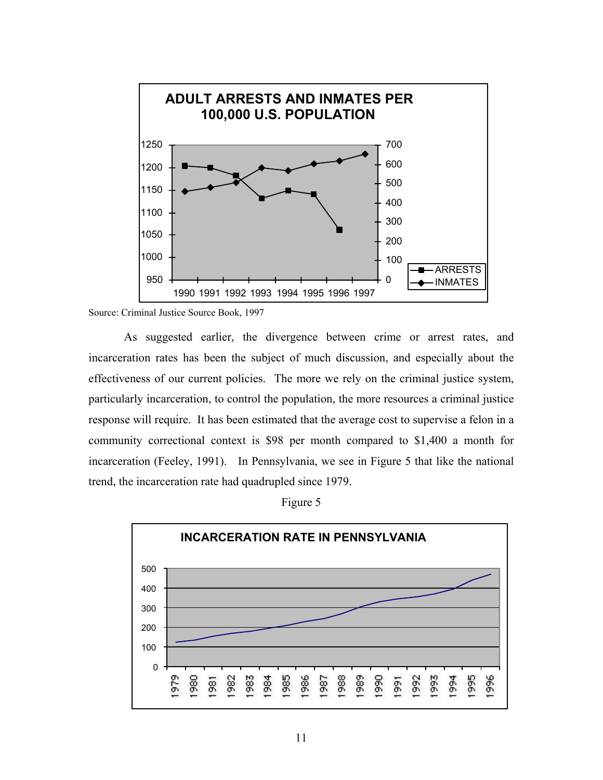

Source: Criminal Justice Source Book, 1997

As suggested earlier, the divergence between crime or arrest rates, and incarceration rates has been the subject of much discussion, and especially about the effectiveness of our current policies. The more we rely on the criminal justice system, particularly incarceration, to control the population, the more resources a criminal justice response will require. It has been estimated that the average cost to supervise a felon in a community correctional context is \$98 per month compared to \$1,400 a month for incarceration (Feeley, 1991). In Pennsylvania, we see in Figure 5 that like the national trend, the incarceration rate had quadrupled since 1979.



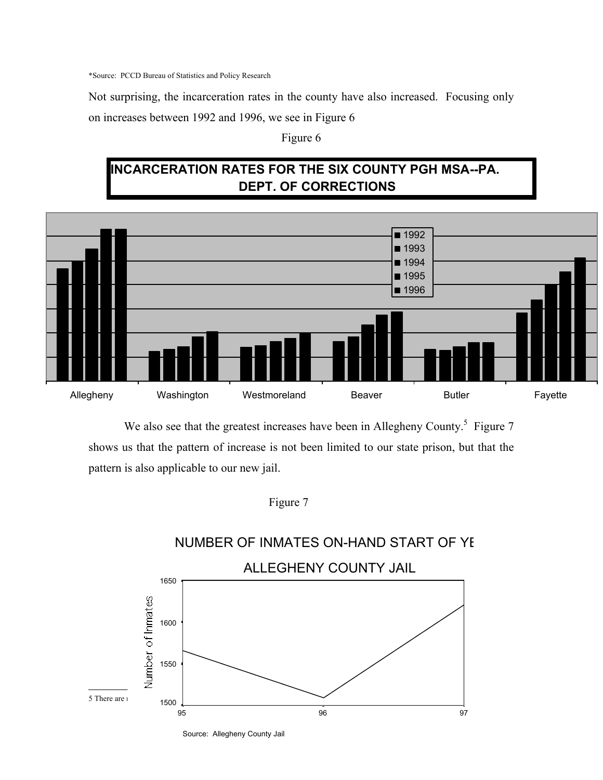\*Source: PCCD Bureau of Statistics and Policy Research

Not surprising, the incarceration rates in the county have also increased. Focusing only on increases between 1992 and 1996, we see in Figure 6

## Figure 6

# **INCARCERATION RATES FOR THE SIX COUNTY PGH MSA--PA. DEPT. OF CORRECTIONS**



We also see that the greatest increases have been in Allegheny County.<sup>5</sup> Figure 7 shows us that the pattern of increase is not been limited to our state prison, but that the pattern is also applicable to our new jail.





Source: Allegheny County Jail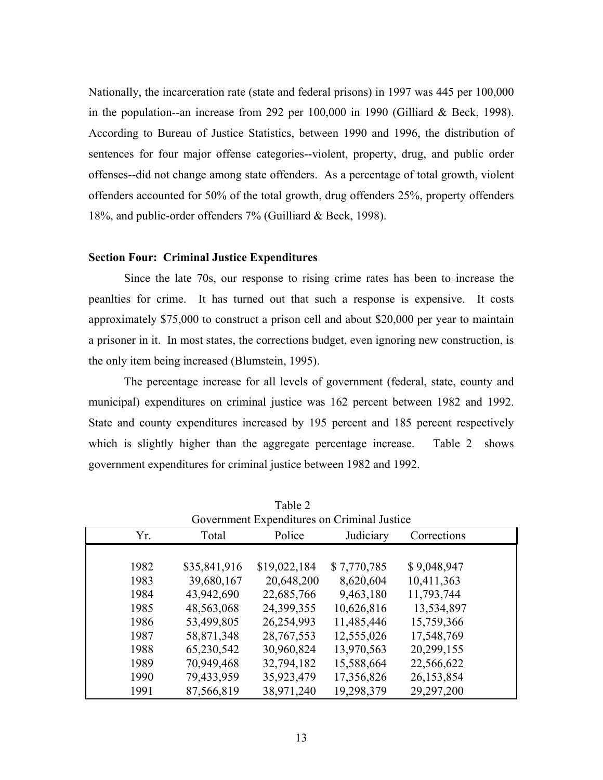Nationally, the incarceration rate (state and federal prisons) in 1997 was 445 per 100,000 in the population--an increase from 292 per 100,000 in 1990 (Gilliard & Beck, 1998). According to Bureau of Justice Statistics, between 1990 and 1996, the distribution of sentences for four major offense categories--violent, property, drug, and public order offenses--did not change among state offenders. As a percentage of total growth, violent offenders accounted for 50% of the total growth, drug offenders 25%, property offenders 18%, and public-order offenders 7% (Guilliard & Beck, 1998).

### **Section Four: Criminal Justice Expenditures**

Since the late 70s, our response to rising crime rates has been to increase the peanlties for crime. It has turned out that such a response is expensive. It costs approximately \$75,000 to construct a prison cell and about \$20,000 per year to maintain a prisoner in it. In most states, the corrections budget, even ignoring new construction, is the only item being increased (Blumstein, 1995).

The percentage increase for all levels of government (federal, state, county and municipal) expenditures on criminal justice was 162 percent between 1982 and 1992. State and county expenditures increased by 195 percent and 185 percent respectively which is slightly higher than the aggregate percentage increase. Table 2 shows government expenditures for criminal justice between 1982 and 1992.

| Government Expenditures on Criminal Justice |              |              |             |             |  |  |  |
|---------------------------------------------|--------------|--------------|-------------|-------------|--|--|--|
| Yr.                                         | Total        | Police       | Judiciary   | Corrections |  |  |  |
|                                             |              |              |             |             |  |  |  |
| 1982                                        | \$35,841,916 | \$19,022,184 | \$7,770,785 | \$9,048,947 |  |  |  |
| 1983                                        | 39,680,167   | 20,648,200   | 8,620,604   | 10,411,363  |  |  |  |
| 1984                                        | 43,942,690   | 22,685,766   | 9,463,180   | 11,793,744  |  |  |  |
| 1985                                        | 48,563,068   | 24,399,355   | 10,626,816  | 13,534,897  |  |  |  |
| 1986                                        | 53,499,805   | 26,254,993   | 11,485,446  | 15,759,366  |  |  |  |
| 1987                                        | 58,871,348   | 28, 767, 553 | 12,555,026  | 17,548,769  |  |  |  |
| 1988                                        | 65,230,542   | 30,960,824   | 13,970,563  | 20,299,155  |  |  |  |
| 1989                                        | 70,949,468   | 32,794,182   | 15,588,664  | 22,566,622  |  |  |  |
| 1990                                        | 79,433,959   | 35,923,479   | 17,356,826  | 26,153,854  |  |  |  |
| 1991                                        | 87,566,819   | 38,971,240   | 19,298,379  | 29,297,200  |  |  |  |

 Table 2  $G^{\dagger}$  in Figure  $G^{\dagger}$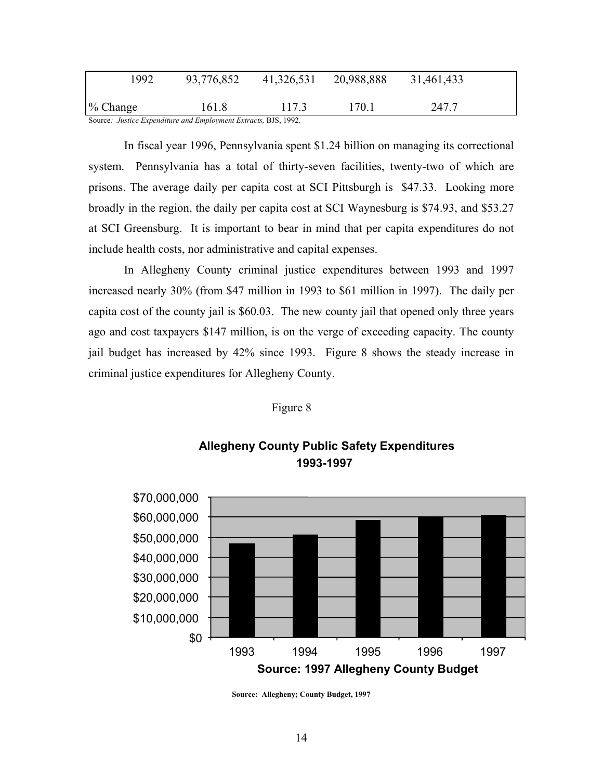| 1992                                                         | 93,776,852 | 41,326,531 | 20,988,888 | 31,461,433 |  |  |  |
|--------------------------------------------------------------|------------|------------|------------|------------|--|--|--|
| $\%$ Change                                                  | 161.8      | 117.3      | 170.1      | 247.7      |  |  |  |
| Source: Instice Expenditure and Employment Extracts RIS 1992 |            |            |            |            |  |  |  |

Source*: Justice Expenditure and Employment Extracts,* BJS, 1992.

In fiscal year 1996, Pennsylvania spent \$1.24 billion on managing its correctional system. Pennsylvania has a total of thirty-seven facilities, twenty-two of which are prisons. The average daily per capita cost at SCI Pittsburgh is \$47.33. Looking more broadly in the region, the daily per capita cost at SCI Waynesburg is \$74.93, and \$53.27 at SCI Greensburg. It is important to bear in mind that per capita expenditures do not include health costs, nor administrative and capital expenses.

In Allegheny County criminal justice expenditures between 1993 and 1997 increased nearly 30% (from \$47 million in 1993 to \$61 million in 1997). The daily per capita cost of the county jail is \$60.03. The new county jail that opened only three years ago and cost taxpayers \$147 million, is on the verge of exceeding capacity. The county jail budget has increased by 42% since 1993. Figure 8 shows the steady increase in criminal justice expenditures for Allegheny County.

### Figure 8



## **Allegheny County Public Safety Expenditures 1993-1997**

**Source: Allegheny; County Budget, 1997**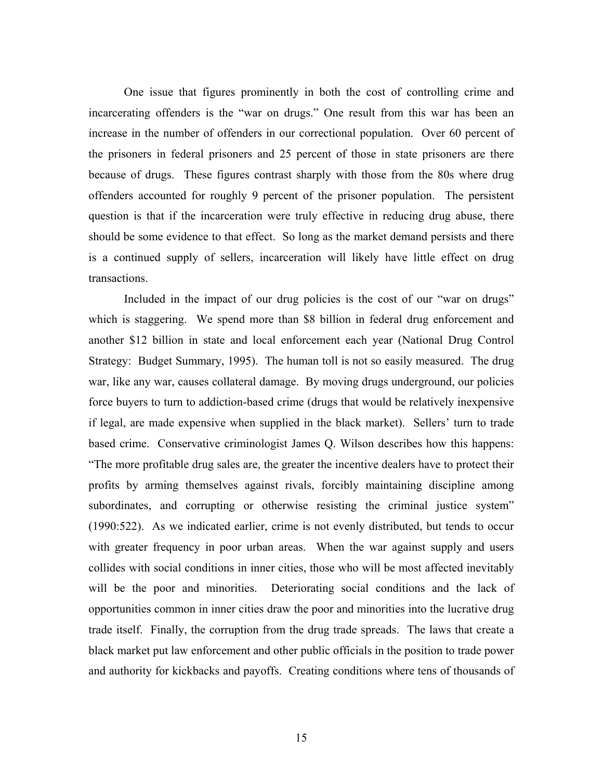One issue that figures prominently in both the cost of controlling crime and incarcerating offenders is the "war on drugs." One result from this war has been an increase in the number of offenders in our correctional population. Over 60 percent of the prisoners in federal prisoners and 25 percent of those in state prisoners are there because of drugs. These figures contrast sharply with those from the 80s where drug offenders accounted for roughly 9 percent of the prisoner population. The persistent question is that if the incarceration were truly effective in reducing drug abuse, there should be some evidence to that effect. So long as the market demand persists and there is a continued supply of sellers, incarceration will likely have little effect on drug transactions.

 Included in the impact of our drug policies is the cost of our "war on drugs" which is staggering. We spend more than \$8 billion in federal drug enforcement and another \$12 billion in state and local enforcement each year (National Drug Control Strategy: Budget Summary, 1995). The human toll is not so easily measured. The drug war, like any war, causes collateral damage. By moving drugs underground, our policies force buyers to turn to addiction-based crime (drugs that would be relatively inexpensive if legal, are made expensive when supplied in the black market). Sellers' turn to trade based crime. Conservative criminologist James Q. Wilson describes how this happens: "The more profitable drug sales are, the greater the incentive dealers have to protect their profits by arming themselves against rivals, forcibly maintaining discipline among subordinates, and corrupting or otherwise resisting the criminal justice system" (1990:522). As we indicated earlier, crime is not evenly distributed, but tends to occur with greater frequency in poor urban areas. When the war against supply and users collides with social conditions in inner cities, those who will be most affected inevitably will be the poor and minorities. Deteriorating social conditions and the lack of opportunities common in inner cities draw the poor and minorities into the lucrative drug trade itself. Finally, the corruption from the drug trade spreads. The laws that create a black market put law enforcement and other public officials in the position to trade power and authority for kickbacks and payoffs. Creating conditions where tens of thousands of